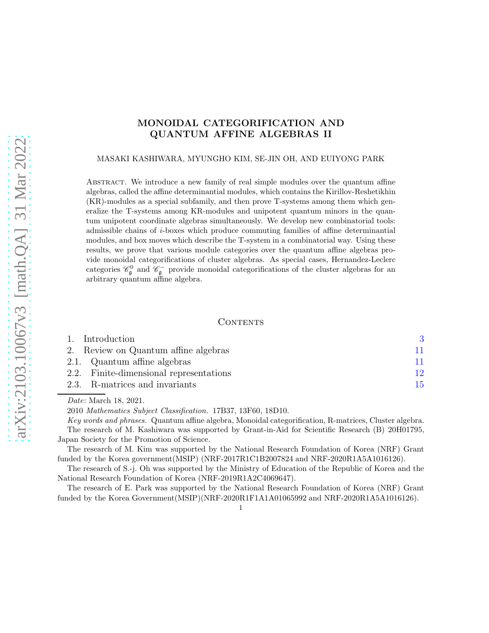# MONOIDAL CATEGORIFICATION AND QUANTUM AFFINE ALGEBRAS II

#### MASAKI KASHIWARA, MYUNGHO KIM, SE-JIN OH, AND EUIYONG PARK

Abstract. We introduce a new family of real simple modules over the quantum affine algebras, called the affine determinantial modules, which contains the Kirillov-Reshetikhin (KR)-modules as a special subfamily, and then prove T-systems among them which generalize the T-systems among KR-modules and unipotent quantum minors in the quantum unipotent coordinate algebras simultaneously. We develop new combinatorial tools: admissible chains of i-boxes which produce commuting families of affine determinantial modules, and box moves which describe the T-system in a combinatorial way. Using these results, we prove that various module categories over the quantum affine algebras provide monoidal categorifications of cluster algebras. As special cases, Hernandez-Leclerc categories  $\mathscr{C}_{\mathfrak{g}}^0$  and  $\mathscr{C}_{\mathfrak{g}}^-$  provide monoidal categorifications of the cluster algebras for an arbitrary quantum affine algebra.

## CONTENTS

| 1. Introduction                         |    |
|-----------------------------------------|----|
| 2. Review on Quantum affine algebras    | 11 |
| 2.1. Quantum affine algebras            | 11 |
| 2.2. Finite-dimensional representations | 12 |
| 2.3. R-matrices and invariants          | 15 |
|                                         |    |

Date: March 18, 2021.

2010 Mathematics Subject Classification. 17B37, 13F60, 18D10.

Key words and phrases. Quantum affine algebra, Monoidal categorification, R-matrices, Cluster algebra. The research of M. Kashiwara was supported by Grant-in-Aid for Scientific Research (B) 20H01795, Japan Society for the Promotion of Science.

The research of M. Kim was supported by the National Research Foundation of Korea (NRF) Grant funded by the Korea government(MSIP) (NRF-2017R1C1B2007824 and NRF-2020R1A5A1016126).

The research of S.-j. Oh was supported by the Ministry of Education of the Republic of Korea and the National Research Foundation of Korea (NRF-2019R1A2C4069647).

The research of E. Park was supported by the National Research Foundation of Korea (NRF) Grant funded by the Korea Government(MSIP)(NRF-2020R1F1A1A01065992 and NRF-2020R1A5A1016126).

1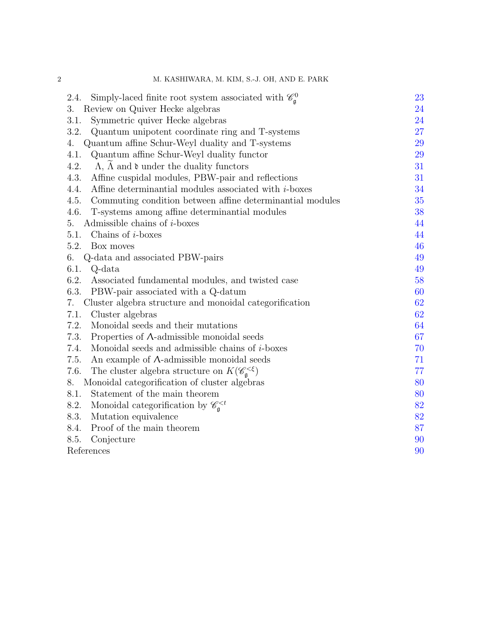| M. KASHIWARA, M. KIM, S.-J. OH, AND E. PARK                                        |    |
|------------------------------------------------------------------------------------|----|
| Simply-laced finite root system associated with $\mathcal{C}_{\alpha}^0$<br>2.4.   | 23 |
| 3.<br>Review on Quiver Hecke algebras                                              | 24 |
| 3.1.<br>Symmetric quiver Hecke algebras                                            | 24 |
| 3.2.<br>Quantum unipotent coordinate ring and T-systems                            | 27 |
| Quantum affine Schur-Weyl duality and T-systems<br>4.                              | 29 |
| 4.1.<br>Quantum affine Schur-Weyl duality functor                                  | 29 |
| $\Lambda$ , $\tilde{\Lambda}$ and $\mathfrak d$ under the duality functors<br>4.2. | 31 |
| 4.3.<br>Affine cuspidal modules, PBW-pair and reflections                          | 31 |
| Affine determinantial modules associated with $i$ -boxes<br>4.4.                   | 34 |
| 4.5.<br>Commuting condition between affine determinantial modules                  | 35 |
| 4.6.<br>T-systems among affine determinantial modules                              | 38 |
| Admissible chains of $i$ -boxes<br>5.                                              | 44 |
| 5.1.<br>Chains of $i$ -boxes                                                       | 44 |
| 5.2.<br>Box moves                                                                  | 46 |
| Q-data and associated PBW-pairs<br>6.                                              | 49 |
| 6.1.<br>Q-data                                                                     | 49 |
| 6.2. Associated fundamental modules, and twisted case                              | 58 |
| 6.3.<br>PBW-pair associated with a Q-datum                                         | 60 |
| 7.<br>Cluster algebra structure and monoidal categorification                      | 62 |
| 7.1.<br>Cluster algebras                                                           | 62 |
| 7.2.<br>Monoidal seeds and their mutations                                         | 64 |
| 7.3.<br>Properties of $\Lambda$ -admissible monoidal seeds                         | 67 |
| 7.4.<br>Monoidal seeds and admissible chains of $i$ -boxes                         | 70 |
| 7.5.<br>An example of $\Lambda$ -admissible monoidal seeds                         | 71 |
| The cluster algebra structure on $K(\mathscr{C}_{\mathfrak{a}}^{<\xi})$<br>7.6.    | 77 |
| Monoidal categorification of cluster algebras<br>8.                                | 80 |
| 8.1.<br>Statement of the main theorem                                              | 80 |
| Monoidal categorification by $\mathscr{C}_{\mathfrak{a}}^{8.2.$                    | 82 |
| 8.3.<br>Mutation equivalence                                                       | 82 |
| 8.4.<br>Proof of the main theorem                                                  | 87 |
| 8.5.<br>Conjecture                                                                 | 90 |
| References                                                                         | 90 |

# 2 M. KASHIWARA, M. KIM, S.-J. OH, AND E. PARK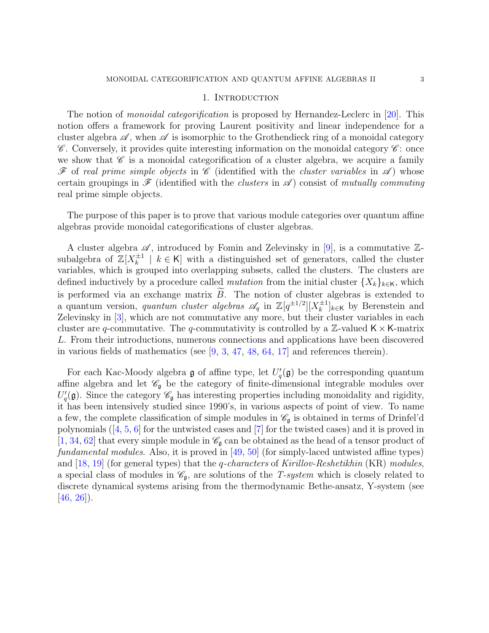#### 1. INTRODUCTION

<span id="page-2-0"></span>The notion of *monoidal categorification* is proposed by Hernandez-Leclerc in [\[20\]](#page-90-0). This notion offers a framework for proving Laurent positivity and linear independence for a cluster algebra  $\mathscr A$ , when  $\mathscr A$  is isomorphic to the Grothendieck ring of a monoidal category  $\mathscr C$ . Conversely, it provides quite interesting information on the monoidal category  $\mathscr C$ : once we show that  $\mathscr{C}$  is a monoidal categorification of a cluster algebra, we acquire a family  $\mathscr F$  of real prime simple objects in  $\mathscr C$  (identified with the cluster variables in  $\mathscr A$ ) whose certain groupings in  $\mathscr F$  (identified with the *clusters* in  $\mathscr A$ ) consist of mutually commuting real prime simple objects.

The purpose of this paper is to prove that various module categories over quantum affine algebras provide monoidal categorifications of cluster algebras.

A cluster algebra  $\mathscr A$ , introduced by Fomin and Zelevinsky in [\[9\]](#page-89-2), is a commutative  $\mathbb Z$ subalgebra of  $\mathbb{Z}[X_k^{\pm 1}]$  $\mathbf{k}^{t+1}$  |  $k \in \mathsf{K}$ ] with a distinguished set of generators, called the cluster variables, which is grouped into overlapping subsets, called the clusters. The clusters are defined inductively by a procedure called *mutation* from the initial cluster  $\{X_k\}_{k\in\mathsf{K}}$ , which is performed via an exchange matrix  $B$ . The notion of cluster algebras is extended to a quantum version, *quantum cluster algebras*  $\mathscr{A}_q$  in  $\mathbb{Z}[q^{\pm 1/2}][X_k^{\pm 1}]$  $\binom{\pm 1}{k}$ <sub>k∈K</sub> by Berenstein and Zelevinsky in [\[3\]](#page-89-3), which are not commutative any more, but their cluster variables in each cluster are q-commutative. The q-commutativity is controlled by a  $\mathbb{Z}$ -valued  $\mathsf{K} \times \mathsf{K}$ -matrix L. From their introductions, numerous connections and applications have been discovered in various fields of mathematics (see [\[9,](#page-89-2) [3,](#page-89-3) [47,](#page-91-0) [48,](#page-91-1) [64,](#page-92-0) [17\]](#page-90-1) and references therein).

For each Kac-Moody algebra  $\mathfrak g$  of affine type, let  $U'_q(\mathfrak g)$  be the corresponding quantum affine algebra and let  $\mathscr{C}_{\mathfrak{g}}$  be the category of finite-dimensional integrable modules over  $U_q'(\mathfrak{g})$ . Since the category  $\mathscr{C}_{\mathfrak{g}}$  has interesting properties including monoidality and rigidity, it has been intensively studied since 1990's, in various aspects of point of view. To name a few, the complete classification of simple modules in  $\mathscr{C}_{\mathfrak{a}}$  is obtained in terms of Drinfel'd polynomials([\[4,](#page-89-4) [5,](#page-89-5) [6\]](#page-89-6) for the untwisted cases and [\[7\]](#page-89-7) for the twisted cases) and it is proved in [\[1,](#page-89-8) [34,](#page-91-2) [62\]](#page-92-1) that every simple module in  $\mathscr{C}_{\mathfrak{g}}$  can be obtained as the head of a tensor product of fundamental modules. Also, it is proved in [\[49,](#page-91-3) [50\]](#page-91-4) (for simply-laced untwisted affine types) and  $[18, 19]$  $[18, 19]$  (for general types) that the *q-characters* of *Kirillov-Reshetikhin* (KR) modules, a special class of modules in  $\mathcal{C}_{\mathfrak{g}}$ , are solutions of the T-system which is closely related to discrete dynamical systems arising from the thermodynamic Bethe-ansatz, Y-system (see  $[46, 26]$  $[46, 26]$  $[46, 26]$ .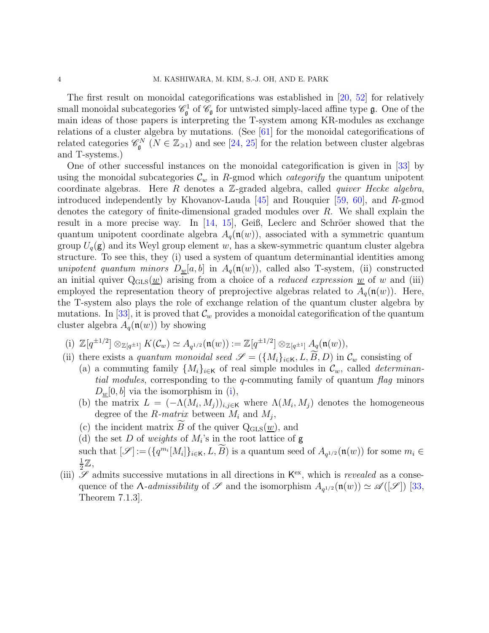The first result on monoidal categorifications was established in [\[20,](#page-90-0) [52\]](#page-91-6) for relatively small monoidal subcategories  $\mathscr{C}_{\mathfrak{g}}^1$  of  $\mathscr{C}_{\mathfrak{g}}$  for untwisted simply-laced affine type  $\mathfrak{g}$ . One of the main ideas of those papers is interpreting the T-system among KR-modules as exchange relations of a cluster algebra by mutations. (See [\[61\]](#page-92-2) for the monoidal categorifications of related categories  $\mathscr{C}_{\mathfrak{g}}^N$   $(N \in \mathbb{Z}_{\geq 1})$  and see [\[24,](#page-90-5) [25\]](#page-90-6) for the relation between cluster algebras and T-systems.)

One of other successful instances on the monoidal categorification is given in [\[33\]](#page-91-7) by using the monoidal subcategories  $\mathcal{C}_w$  in R-gmod which *categorify* the quantum unipotent coordinate algebras. Here R denotes a  $\mathbb{Z}$ -graded algebra, called *quiver Hecke algebra*, introduced independently by Khovanov-Lauda  $|45|$  and Rouquier [\[59,](#page-92-3) [60\]](#page-92-4), and R-gmod denotes the category of finite-dimensional graded modules over  $R$ . We shall explain the result in a more precise way. In  $[14, 15]$  $[14, 15]$ , Geiß, Leclerc and Schröer showed that the quantum unipotent coordinate algebra  $A_q(\mathfrak{n}(w))$ , associated with a symmetric quantum group  $U_q(\mathbf{g})$  and its Weyl group element w, has a skew-symmetric quantum cluster algebra structure. To see this, they (i) used a system of quantum determinantial identities among unipotent quantum minors  $D_w[a, b]$  in  $A_q(\mathfrak{n}(w))$ , called also T-system, (ii) constructed an initial quiver  $Q_{GLS}(w)$  arising from a choice of a *reduced expression* w of w and (iii) employed the representation theory of preprojective algebras related to  $A_q(\mathfrak{n}(w))$ . Here, the T-system also plays the role of exchange relation of the quantum cluster algebra by mutations. In [\[33\]](#page-91-7), it is proved that  $\mathcal{C}_w$  provides a monoidal categorification of the quantum cluster algebra  $A_q(\mathfrak{n}(w))$  by showing

- <span id="page-3-0"></span>(i)  $\mathbb{Z}[q^{\pm 1/2}] \otimes_{\mathbb{Z}[q^{\pm 1}]} K(\mathcal{C}_w) \simeq A_{q^{1/2}}(\mathfrak{n}(w)) := \mathbb{Z}[q^{\pm 1/2}] \otimes_{\mathbb{Z}[q^{\pm 1}]} A_q(\mathfrak{n}(w)),$
- (ii) there exists a quantum monoidal seed  $\mathscr{S} = (\{M_i\}_{i\in\mathsf{K}}, L, \widetilde{B}, D)$  in  $\mathcal{C}_w$  consisting of
	- (a) a commuting family  $\{M_i\}_{i\in\mathsf{K}}$  of real simple modules in  $\mathcal{C}_w$ , called *determinan*tial modules, corresponding to the q-commuting family of quantum flag minors  $D_w[0, b]$  via the isomorphism in [\(i\)](#page-3-0),
	- (b) the matrix  $L = (-\Lambda(M_i, M_j))_{i,j \in \mathsf{K}}$  where  $\Lambda(M_i, M_j)$  denotes the homogeneous degree of the R-matrix between  $M_i$  and  $M_j$ ,
	- (c) the incident matrix B of the quiver  $Q_{\text{GLS}}(\underline{w})$ , and
	- (d) the set D of weights of  $M_i$ 's in the root lattice of  $g$
	- such that  $[\mathscr{S}] := (\{q^{m_i}[M_i]\}_{i \in \mathsf{K}}, L, \widetilde{B})$  is a quantum seed of  $A_{q^{1/2}}(\mathfrak{n}(w))$  for some  $m_i \in \mathcal{B}$ 1  $\frac{1}{2}\mathbb{Z},$
- (iii)  $\mathscr S$  admits successive mutations in all directions in  $\mathsf{K}^{\text{ex}}$ , which is *revealed* as a consequence of the  $\Lambda$ -admissibility of  $\mathscr S$  and the isomorphism  $A_{q^{1/2}}(\mathfrak{n}(w)) \simeq \mathscr A([\mathscr S])$  [\[33,](#page-91-7) Theorem 7.1.3].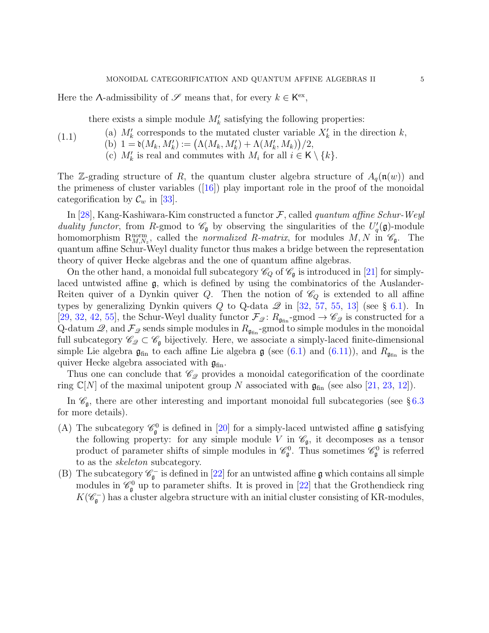Here the  $\Lambda$ -admissibility of  $\mathscr S$  means that, for every  $k \in \mathsf{K}^{\text{ex}}$ ,

<span id="page-4-1"></span>there exists a simple module  $M'_k$  satisfying the following properties:

(a)  $M'_k$  corresponds to the mutated cluster variable  $X'_k$  in the direction  $k$ , (b)  $1 = \mathfrak{d}(M_k, M'_k) := (\Lambda(M_k, M'_k) + \Lambda(M'_k, M_k))/2,$ (c)  $M'_k$  is real and commutes with  $M_i$  for all  $i \in K \setminus \{k\}.$ (1.1)

The Z-grading structure of R, the quantum cluster algebra structure of  $A_q(\mathfrak{n}(w))$  and theprimeness of cluster variables  $([16])$  $([16])$  $([16])$  play important role in the proof of the monoidal categorification by  $\mathcal{C}_w$  in [\[33\]](#page-91-7).

In [\[28\]](#page-90-10), Kang-Kashiwara-Kim constructed a functor  $\mathcal{F}$ , called quantum affine Schur-Weyl duality functor, from R-gmod to  $\mathscr{C}_{\mathfrak{g}}$  by observing the singularities of the  $U_q'(\mathfrak{g})$ -module homomorphism  $R_{M,N_z}^{\text{norm}}$ , called the *normalized R-matrix*, for modules  $M, N$  in  $\mathscr{C}_{\mathfrak{g}}$ . The quantum affine Schur-Weyl duality functor thus makes a bridge between the representation theory of quiver Hecke algebras and the one of quantum affine algebras.

On the other hand, a monoidal full subcategory  $\mathcal{C}_Q$  of  $\mathcal{C}_\mathfrak{g}$  is introduced in [\[21\]](#page-90-11) for simplylaced untwisted affine g, which is defined by using the combinatorics of the Auslander-Reiten quiver of a Dynkin quiver Q. Then the notion of  $\mathcal{C}_Q$  is extended to all affine types by generalizing Dynkin quivers  $Q$  to Q-data  $\mathscr Q$  in [\[32,](#page-90-12) [57,](#page-92-5) [55,](#page-92-6) [13\]](#page-90-13) (see § [6.1\)](#page-48-1). In [\[29,](#page-90-14) [32,](#page-90-12) [42,](#page-91-9) [55\]](#page-92-6), the Schur-Weyl duality functor  $\mathcal{F}_{\mathcal{Q}}\colon R_{\mathfrak{g}_{fin}}$ -gmod  $\to \mathscr{C}_{\mathcal{Q}}$  is constructed for a Q-datum  $\mathcal{Q}$ , and  $\mathcal{F}_{\mathcal{Q}}$  sends simple modules in  $R_{\mathfrak{g}_{fin}}$ -gmod to simple modules in the monoidal full subcategory  $\mathscr{C}_{\mathscr{Q}} \subset \mathscr{C}_{\mathfrak{g}}$  bijectively. Here, we associate a simply-laced finite-dimensional simple Lie algebra  $\mathfrak{g}_{fin}$  to each affine Lie algebra  $\mathfrak{g}$  (see [\(6.1\)](#page-48-2) and [\(6.11\)](#page-58-0)), and  $R_{\mathfrak{g}_{fin}}$  is the quiver Hecke algebra associated with  $\mathfrak{g}_{fin}$ .

Thus one can conclude that  $\mathscr{C}_{\mathscr{Q}}$  provides a monoidal categorification of the coordinate ring  $\mathbb{C}[N]$  of the maximal unipotent group N associated with  $\mathfrak{g}_{fin}$  (see also [\[21,](#page-90-11) [23,](#page-90-15) [12\]](#page-90-16)).

In  $\mathscr{C}_{\mathfrak{g}}$ , there are other interesting and important monoidal full subcategories (see §[6.3](#page-59-0)) for more details).

- <span id="page-4-0"></span>(A) The subcategory  $\mathcal{C}_{\mathfrak{g}}^0$  is defined in [\[20\]](#page-90-0) for a simply-laced untwisted affine  $\mathfrak{g}$  satisfying the following property: for any simple module V in  $\mathscr{C}_{\mathfrak{g}},$  it decomposes as a tensor product of parameter shifts of simple modules in  $\mathscr{C}_{\mathfrak{g}}^0$ . Thus sometimes  $\mathscr{C}_{\mathfrak{g}}^0$  is referred to as the skeleton subcategory.
- (B) The subcategory  $\mathscr{C}_{\mathfrak{g}}^-$  is defined in [\[22\]](#page-90-17) for an untwisted affine  $\mathfrak g$  which contains all simple modules in  $\mathcal{C}_{\mathfrak{g}}^0$  up to parameter shifts. It is proved in [\[22\]](#page-90-17) that the Grothendieck ring  $K(\mathscr{C}_{\mathfrak{g}}^-)$  has a cluster algebra structure with an initial cluster consisting of KR-modules,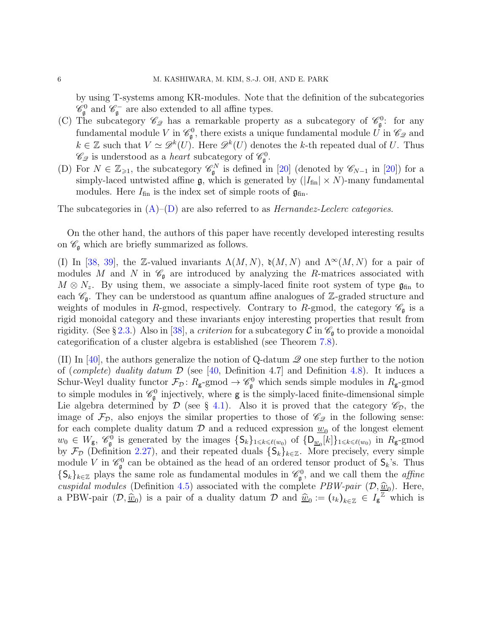by using T-systems among KR-modules. Note that the definition of the subcategories  $\mathscr{C}_{\mathfrak{g}}^0$  and  $\mathscr{C}_{\mathfrak{g}}^-$  are also extended to all affine types.

- (C) The subcategory  $\mathscr{C}_{\mathscr{Q}}$  has a remarkable property as a subcategory of  $\mathscr{C}_{\mathfrak{g}}^0$ : for any fundamental module V in  $\mathscr{C}_{\mathfrak{g}}^0$ , there exists a unique fundamental module  $\check{U}$  in  $\mathscr{C}_{\mathscr{Q}}$  and  $k \in \mathbb{Z}$  such that  $V \simeq \mathscr{D}^k(U)$ . Here  $\mathscr{D}^k(U)$  denotes the k-th repeated dual of U. Thus  $\mathscr{C}_{\mathscr{Q}}$  is understood as a *heart* subcategory of  $\mathscr{C}_{\mathfrak{g}}^0$ .
- <span id="page-5-0"></span>(D) For  $N \in \mathbb{Z}_{\geqslant 1}$ , the subcategory  $\mathscr{C}_{\mathfrak{g}}^N$  is defined in [\[20\]](#page-90-0) (denoted by  $\mathscr{C}_{N-1}$  in [20]) for a simply-laced untwisted affine  $\mathfrak{g}$ , which is generated by  $(|I_{fin}| \times N)$ -many fundamental modules. Here  $I_{fin}$  is the index set of simple roots of  $\mathfrak{g}_{fin}$ .

The subcategories in  $(A)$ – $(D)$  are also referred to as *Hernandez-Leclerc categories*.

On the other hand, the authors of this paper have recently developed interesting results on  $\mathscr{C}_{\mathfrak{g}}$  which are briefly summarized as follows.

(I) In [\[38,](#page-91-10) [39\]](#page-91-11), the Z-valued invariants  $\Lambda(M, N)$ ,  $\mathfrak{d}(M, N)$  and  $\Lambda^{\infty}(M, N)$  for a pair of modules M and N in  $\mathscr{C}_{\mathfrak{g}}$  are introduced by analyzing the R-matrices associated with  $M \otimes N_z$ . By using them, we associate a simply-laced finite root system of type  $\mathfrak{g}_{fin}$  to each  $\mathscr{C}_{\mathfrak{g}}$ . They can be understood as quantum affine analogues of  $\mathbb{Z}$ -graded structure and weights of modules in R-gmod, respectively. Contrary to R-gmod, the category  $\mathscr{C}_{\mathfrak{a}}$  is a rigid monoidal category and these invariants enjoy interesting properties that result from rigidity. (See § [2.3.](#page-14-0)) Also in [\[38\]](#page-91-10), a *criterion* for a subcategory  $\mathcal C$  in  $\mathscr C_{\mathfrak g}$  to provide a monoidal categorification of a cluster algebra is established (see Theorem [7.8\)](#page-65-0).

(II) In [\[40\]](#page-91-12), the authors generalize the notion of Q-datum  $\mathscr Q$  one step further to the notion of (*complete*) duality datum  $\mathcal D$  (see [\[40,](#page-91-12) Definition 4.7] and Definition [4.8\)](#page-32-0). It induces a Schur-Weyl duality functor  $\mathcal{F}_{\mathcal{D}}$ :  $R_{\mathsf{g}}$ -gmod  $\rightarrow \mathscr{C}_{\mathsf{g}}^0$  which sends simple modules in  $R_{\mathsf{g}}$ -gmod to simple modules in  $\mathcal{C}_{\mathfrak{g}}^0$  injectively, where **g** is the simply-laced finite-dimensional simple Lie algebra determined by  $\mathcal D$  (see § [4.1\)](#page-28-1). Also it is proved that the category  $\mathscr C_{\mathcal D}$ , the image of  $\mathcal{F}_{\mathcal{D}}$ , also enjoys the similar properties to those of  $\mathscr{C}_{\mathscr{Q}}$  in the following sense: for each complete duality datum  $\mathcal{D}$  and a reduced expression  $\underline{w}_0$  of the longest element  $w_0 \in W_{\mathsf{g}}, \mathscr{C}_{\mathsf{g}}^0$  is generated by the images  $\{\mathsf{S}_k\}_{1 \leq k \leq \ell(w_0)}$  of  $\{\mathsf{D}_{\underline{w}_0}[k]\}_{1 \leq k \leq \ell(w_0)}$  in  $R_{\mathsf{g}}$ -gmod by  $\mathcal{F}_{\mathcal{D}}$  (Definition [2.27\)](#page-22-1), and their repeated duals  $\{S_k\}_{k\in\mathbb{Z}}$ . More precisely, every simple module V in  $\mathscr{C}_{\mathfrak{g}}^0$  can be obtained as the head of an ordered tensor product of  $\mathsf{S}_k$ 's. Thus  $\{S_k\}_{k\in\mathbb{Z}}$  plays the same role as fundamental modules in  $\mathscr{C}_{\mathfrak{g}}^0$ , and we call them the *affine* cuspidal modules (Definition [4.5\)](#page-30-2) associated with the complete  $PBW$ -pair  $(\mathcal{D}, \hat{\underline{w}}_0)$ . Here, a PBW-pair  $(D, \hat{w}_0)$  is a pair of a duality datum D and  $\hat{w}_0 := (i_k)_{k \in \mathbb{Z}} \in I_{\mathbf{g}}^{\mathbb{Z}}$  which is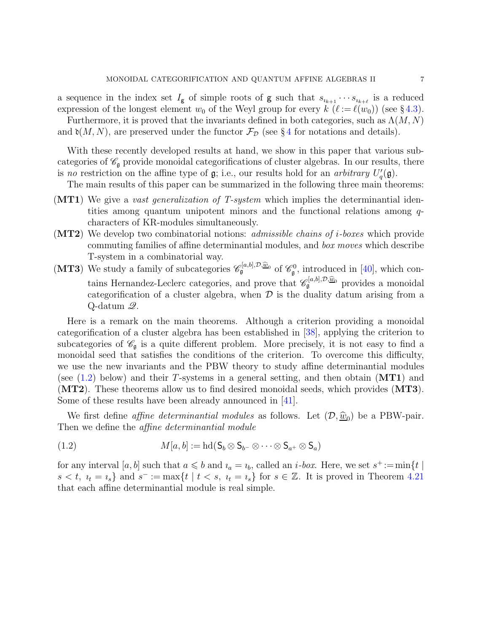a sequence in the index set  $I_g$  of simple roots of g such that  $s_{i_{k+1}} \cdots s_{i_{k+\ell}}$  is a reduced expression of the longest element  $w_0$  of the Weyl group for every  $k$   $(\ell := \ell(w_0))$  (see §[4.3\)](#page-30-1). Furthermore, it is proved that the invariants defined in both categories, such as  $\Lambda(M, N)$ 

and  $\mathfrak{d}(M, N)$ , are preserved under the functor  $\mathcal{F}_{\mathcal{D}}$  (see § [4](#page-28-0) for notations and details).

With these recently developed results at hand, we show in this paper that various subcategories of  $\mathscr{C}_{\mathfrak{g}}$  provide monoidal categorifications of cluster algebras. In our results, there is no restriction on the affine type of  $\mathfrak{g}$ ; i.e., our results hold for an *arbitrary*  $U_q'(\mathfrak{g})$ .

The main results of this paper can be summarized in the following three main theorems:

- (MT1) We give a vast generalization of T-system which implies the determinantial identities among quantum unipotent minors and the functional relations among  $q$ characters of KR-modules simultaneously.
- $(MT2)$  We develop two combinatorial notions: *admissible chains of i-boxes* which provide commuting families of affine determinantial modules, and box moves which describe T-system in a combinatorial way.
- (MT3) We study a family of subcategories  $\mathscr{C}_{\mathfrak{g}}^{[a,b],\mathcal{D},\underline{\widehat{w}}_0}$  of  $\mathscr{C}_{\mathfrak{g}}^0$ , introduced in [\[40\]](#page-91-12), which contains Hernandez-Leclerc categories, and prove that  $\mathscr{C}_{\mathfrak{g}}^{[a,b],\mathcal{D},\underline{\widehat{w}}_0}$  provides a monoidal categorification of a cluster algebra, when  $\mathcal D$  is the duality datum arising from a Q-datum Q.

Here is a remark on the main theorems. Although a criterion providing a monoidal categorification of a cluster algebra has been established in [\[38\]](#page-91-10), applying the criterion to subcategories of  $\mathscr{C}_{\mathfrak{g}}$  is a quite different problem. More precisely, it is not easy to find a monoidal seed that satisfies the conditions of the criterion. To overcome this difficulty, we use the new invariants and the PBW theory to study affine determinantial modules (see  $(1.2)$  below) and their T-systems in a general setting, and then obtain  $(MT1)$  and  $(MT2)$ . These theorems allow us to find desired monoidal seeds, which provides  $(MT3)$ . Some of these results have been already announced in [\[41\]](#page-91-13).

We first define *affine determinantial modules* as follows. Let  $(D, \hat{w}_0)$  be a PBW-pair. Then we define the *affine determinantial module* 

<span id="page-6-0"></span>(1.2) 
$$
M[a, b] := \mathrm{hd}(\mathsf{S}_b \otimes \mathsf{S}_{b^-} \otimes \cdots \otimes \mathsf{S}_{a^+} \otimes \mathsf{S}_a)
$$

for any interval  $[a, b]$  such that  $a \leq b$  and  $i_a = i_b$ , called an  $i-box$ . Here, we set  $s^+ := \min\{t \mid s \in [a, b]$  $s < t$ ,  $u_t = u_s$  and  $s^- := \max\{t \mid t < s, u_t = u_s\}$  for  $s \in \mathbb{Z}$ . It is proved in Theorem [4.21](#page-36-0) that each affine determinantial module is real simple.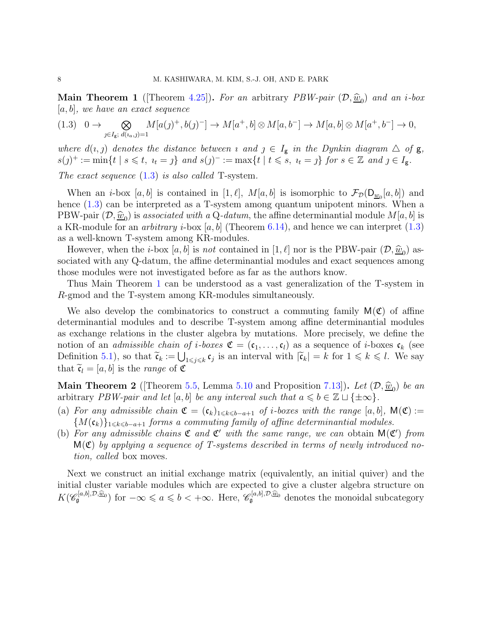<span id="page-7-1"></span>**Main Theorem 1** ([Theorem [4.25\]](#page-38-0)). For an arbitrary PBW-pair  $(D, \hat{w}_0)$  and an *i*-box  $[a, b]$ , we have an exact sequence

<span id="page-7-0"></span>
$$
(1.3) \quad 0 \to \bigotimes_{j \in I_g; \ d(a,j)=1} M[a(j)^+, b(j)^-] \to M[a^+, b] \otimes M[a, b^-] \to M[a, b] \otimes M[a^+, b^-] \to 0,
$$

where  $d(i, j)$  denotes the distance between  $i$  and  $j \in I_g$  in the Dynkin diagram  $\triangle$  of  $g$ ,  $s(j)^+ := \min\{t \mid s \leq t, \ t_t = j\} \ and \ s(j)^- := \max\{t \mid t \leq s, \ t_t = j\} \ for \ s \in \mathbb{Z} \ and \ j \in I_{\mathbf{g}}.$ 

The exact sequence  $(1.3)$  is also called T-system.

When an *i*-box [a, b] is contained in [1,  $\ell$ ],  $M[a, b]$  is isomorphic to  $\mathcal{F}_{\mathcal{D}}(\mathsf{D}_{\underline{w}_0}[a, b])$  and hence  $(1.3)$  can be interpreted as a T-system among quantum unipotent minors. When a PBW-pair  $(\mathcal{D}, \hat{\underline{w}}_0)$  is associated with a Q-datum, the affine determinantial module  $M[a, b]$  is a KR-module for an *arbitrary i*-box  $[a, b]$  (Theorem [6.14\)](#page-59-1), and hence we can interpret  $(1.3)$ as a well-known T-system among KR-modules.

However, when the *i*-box  $[a, b]$  is not contained in  $[1, \ell]$  nor is the PBW-pair  $(\mathcal{D}, \hat{\underline{w}}_0)$  associated with any Q-datum, the affine determinantial modules and exact sequences among those modules were not investigated before as far as the authors know.

Thus Main Theorem [1](#page-7-1) can be understood as a vast generalization of the T-system in R-gmod and the T-system among KR-modules simultaneously.

We also develop the combinatorics to construct a commuting family  $M(\mathfrak{C})$  of affine determinantial modules and to describe T-system among affine determinantial modules as exchange relations in the cluster algebra by mutations. More precisely, we define the notion of an *admissible chain of i-boxes*  $\mathfrak{C} = (\mathfrak{c}_1, \ldots, \mathfrak{c}_l)$  as a sequence of *i-boxes*  $\mathfrak{c}_k$  (see Definition [5.1\)](#page-43-2), so that  $\tilde{\mathfrak{c}}_k := \bigcup_{1 \leq j \leq k} \mathfrak{c}_j$  is an interval with  $|\tilde{\mathfrak{c}}_k| = k$  for  $1 \leq k \leq l$ . We say that  $\tilde{\mathfrak{c}}_l = [a, b]$  is the *range* of  $\mathfrak{C}$ 

**Main Theorem 2** ([Theorem [5.5,](#page-45-1) Lemma [5.10](#page-47-0) and Proposition [7.13\]](#page-67-0)). Let  $(D, \hat{w}_0)$  be an exhitecan pp.  $W$  when  $w \neq b$  is an interval with the  $\leq b \leq \mathbb{Z}$  is  $(1, \infty)$ . arbitrary PBW-pair and let [a, b] be any interval such that  $a \leq b \in \mathbb{Z} \sqcup \{\pm \infty\}.$ 

- (a) For any admissible chain  $\mathfrak{C} = (\mathfrak{c}_k)_{1 \leq k \leq b-a+1}$  of i-boxes with the range  $[a, b]$ ,  $\mathsf{M}(\mathfrak{C}) :=$  ${M(\mathfrak{c}_k)}_{1\leq k\leq b-a+1}$  forms a commuting family of affine determinantial modules.
- (b) For any admissible chains  $\mathfrak C$  and  $\mathfrak C'$  with the same range, we can obtain  $\mathsf M(\mathfrak C')$  from  $M(\mathfrak{C})$  by applying a sequence of T-systems described in terms of newly introduced notion, called box moves.

Next we construct an initial exchange matrix (equivalently, an initial quiver) and the initial cluster variable modules which are expected to give a cluster algebra structure on  $K(\mathscr{C}_{\mathfrak{g}}^{[a,b],\mathcal{D},\widehat{\underline{w}}_0})$  for  $-\infty \leqslant a \leqslant b < +\infty$ . Here,  $\mathscr{C}_{\mathfrak{g}}^{[a,b],\mathcal{D},\widehat{\underline{w}}_0}$  denotes the monoidal subcategory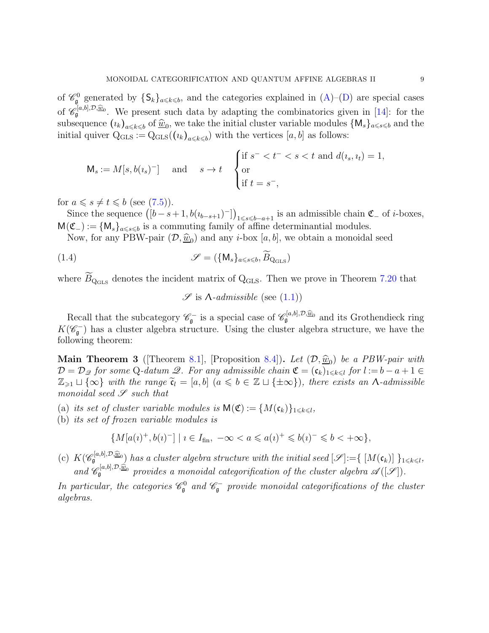of  $\mathcal{C}_{\mathfrak{g}}^0$  generated by  $\{S_k\}_{a\leq k\leq b}$ , and the categories explained in  $(A)$ –[\(D\)](#page-5-0) are special cases of  $\mathscr{C}_{\mathfrak{g}}^{[a,b],\mathcal{D},\widehat{\underline{w}}_0}$ . We present such data by adapting the combinatorics given in [\[14\]](#page-90-7): for the subsequence  $(u_k)_{a \leq k \leq b}$  of  $\widehat{w}_0$ , we take the initial cluster variable modules  $\{M_s\}_{a \leq s \leq b}$  and the initial quiver  $Q_{\text{GLS}} := Q_{\text{GLS}}((\iota_k)_{a \leq k \leq b})$  with the vertices  $[a, b]$  as follows:

$$
\mathsf{M}_s := M[s, b(\iota_s)^-] \quad \text{and} \quad s \to t \quad \begin{cases} \text{if } s^- < t^- < s < t \text{ and } d(\iota_s, \iota_t) = 1, \\ \text{or} \\ \text{if } t = s^-, \end{cases}
$$

for  $a \leqslant s \neq t \leqslant b$  (see [\(7.5\)](#page-70-1)).

Since the sequence  $([b-s+1,b(u_{b-s+1})^{-}])_{1\leq s\leq b-a+1}$  is an admissible chain  $\mathfrak{C}_{-}$  of *i*-boxes,  $M(\mathfrak{C}_-) := \{M_s\}_{a \leq s \leq b}$  is a commuting family of affine determinantial modules.

Now, for any PBW-pair  $(D, \hat{w}_0)$  and any *i*-box [a, b], we obtain a monoidal seed

<span id="page-8-1"></span>(1.4) 
$$
\mathscr{S} = (\{M_s\}_{a \leq s \leq b}, \widetilde{B}_{Q_{\text{GLS}}})
$$

where  $B_{\text{Q}_{\text{GLS}}}$  denotes the incident matrix of  $\text{Q}_{\text{GLS}}$ . Then we prove in Theorem [7.20](#page-71-0) that

 $\mathscr{S}$  is  $\Lambda$ -admissible (see [\(1.1\)](#page-4-1))

Recall that the subcategory  $\mathscr{C}_{\mathfrak{g}}^-$  is a special case of  $\mathscr{C}_{\mathfrak{g}}^{[a,b],\mathcal{D},\widehat{\underline{w}}_0}$  and its Grothendieck ring  $K(\mathscr{C}_{\mathfrak{g}}^-)$  has a cluster algebra structure. Using the cluster algebra structure, we have the following theorem:

<span id="page-8-0"></span>**Main Theorem 3** ([Theorem [8.1\]](#page-79-2), [Proposition [8.4\]](#page-82-0)). Let  $(D, \hat{w}_0)$  be a PBW-pair with  $\mathcal{D} = \mathcal{D}_{\mathcal{L}}$  for some Q-datum  $\mathcal{L}$ . For any admissible chain  $\mathfrak{C} = (\mathfrak{c}_k)_{1 \leq k \leq l}$  for  $l := b - a + 1 \in$  $\mathbb{Z}_{\geq 1} \sqcup \{\infty\}$  with the range  $\tilde{\mathfrak{c}}_l = [a, b]$   $(a \leq b \in \mathbb{Z} \sqcup \{\pm \infty\})$ , there exists an  $\Lambda$ -admissible monoidal seed  $\mathscr S$  such that

- (a) its set of cluster variable modules is  $\mathsf{M}(\mathfrak{C}) := \{M(\mathfrak{c}_k)\}_{1 \leq k \leq l}$ ,
- (b) its set of frozen variable modules is

$$
\{M[a(\iota)^+, b(\iota)^-] \mid \iota \in I_{\text{fin}}, \ -\infty < a \leqslant a(\iota)^+ \leqslant b(\iota)^- \leqslant b < +\infty\},
$$

(c)  $K(\mathscr{C}_{\mathfrak{g}}^{[a,b],\mathcal{D},\widehat{\underline{w}}_0})$  has a cluster algebra structure with the initial seed  $[\mathscr{S}]:=\{[M(\mathfrak{c}_k)]\}_{1\leq k\leq l}$ , and  $\mathscr{C}_{\mathfrak{g}}^{[a,b],\mathcal{D},\widehat{\underline{w}}_0}$  provides a monoidal categorification of the cluster algebra  $\mathscr{A}([\mathscr{S}])$ .

In particular, the categories  $\mathscr{C}_{\mathfrak{g}}^0$  and  $\mathscr{C}_{\mathfrak{g}}^-$  provide monoidal categorifications of the cluster algebras.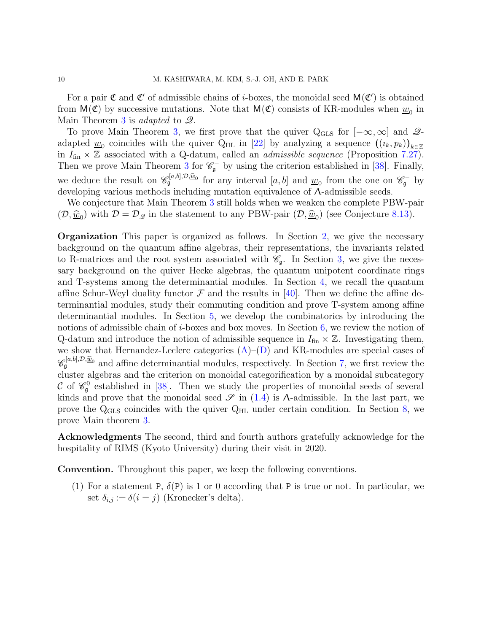For a pair  $\mathfrak C$  and  $\mathfrak C'$  of admissible chains of *i*-boxes, the monoidal seed  $\mathsf M(\mathfrak C')$  is obtained from  $M(\mathfrak{C})$  by successive mutations. Note that  $M(\mathfrak{C})$  consists of KR-modules when  $\underline{w}_0$  in Main Theorem [3](#page-8-0) is *adapted* to  $\mathcal{Q}$ .

To prove Main Theorem [3,](#page-8-0) we first prove that the quiver  $Q_{\text{GLS}}$  for  $[-\infty, \infty]$  and  $\mathscr{Q}$ adapted  $\underline{w}_0$  coincides with the quiver Q<sub>HL</sub> in [\[22\]](#page-90-17) by analyzing a sequence  $((i_k, p_k))_{k \in \mathbb{Z}}$ in  $I_{fin} \times \mathbb{Z}$  associated with a Q-datum, called an *admissible sequence* (Proposition [7.27\)](#page-76-1). Then we prove Main Theorem [3](#page-8-0) for  $\mathcal{C}_{\mathfrak{g}}^-$  by using the criterion established in [\[38\]](#page-91-10). Finally, we deduce the result on  $\mathscr{C}_{\mathfrak{g}}^{[a,b],\mathcal{D},\underline{\widehat{w}}_0}$  for any interval  $[a,b]$  and  $\underline{w}_0$  from the one on  $\mathscr{C}_{\mathfrak{g}}^-$  by developing various methods including mutation equivalence of Λ-admissible seeds.

We conjecture that Main Theorem [3](#page-8-0) still holds when we weaken the complete PBW-pair  $(D, \hat{\underline{w}}_0)$  with  $D = D_{\mathscr{Q}}$  in the statement to any PBW-pair  $(D, \hat{\underline{w}}_0)$  (see Conjecture [8.13\)](#page-89-9).

Organization This paper is organized as follows. In Section [2,](#page-10-0) we give the necessary background on the quantum affine algebras, their representations, the invariants related to R-matrices and the root system associated with  $\mathscr{C}_{\mathfrak{g}}$ . In Section [3,](#page-23-0) we give the necessary background on the quiver Hecke algebras, the quantum unipotent coordinate rings and T-systems among the determinantial modules. In Section [4,](#page-28-0) we recall the quantum affine Schur-Weyl duality functor  $\mathcal F$  and the results in [\[40\]](#page-91-12). Then we define the affine determinantial modules, study their commuting condition and prove T-system among affine determinantial modules. In Section [5,](#page-43-0) we develop the combinatorics by introducing the notions of admissible chain of  $i$ -boxes and box moves. In Section  $6$ , we review the notion of Q-datum and introduce the notion of admissible sequence in  $I_{fin} \times \mathbb{Z}$ . Investigating them, we show that Hernandez-Leclerc categories  $(A)$ – $(D)$  and KR-modules are special cases of  $\mathscr{C}_{\mathfrak{g}}^{[a,b],\mathcal{D},\widehat{w}_0}$  and affine determinantial modules, respectively. In Section [7,](#page-61-0) we first review the cluster algebras and the criterion on monoidal categorification by a monoidal subcategory C of  $\mathcal{C}_{\mathfrak{g}}$  established in [\[38\]](#page-91-10). Then we study the properties of monoidal seeds of several kinds and prove that the monoidal seed  $\mathscr S$  in [\(1.4\)](#page-8-1) is  $\Lambda$ -admissible. In the last part, we prove the  $Q_{\text{GLS}}$  coincides with the quiver  $Q_{\text{HL}}$  under certain condition. In Section [8,](#page-79-0) we prove Main theorem [3.](#page-8-0)

Acknowledgments The second, third and fourth authors gratefully acknowledge for the hospitality of RIMS (Kyoto University) during their visit in 2020.

Convention. Throughout this paper, we keep the following conventions.

(1) For a statement P,  $\delta(P)$  is 1 or 0 according that P is true or not. In particular, we set  $\delta_{i,j} := \delta(i=j)$  (Kronecker's delta).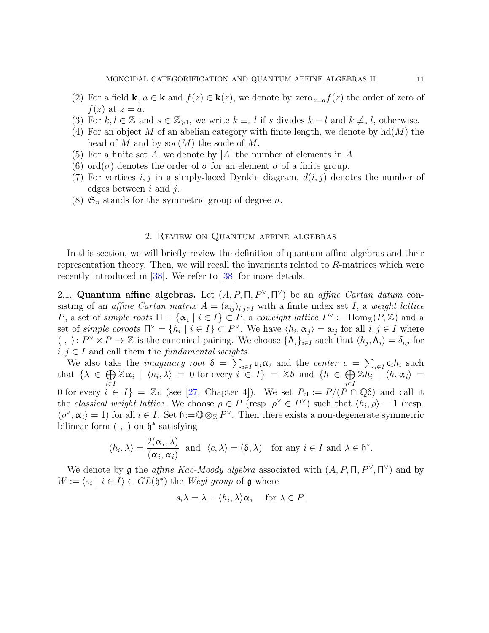- (2) For a field **k**,  $a \in \mathbf{k}$  and  $f(z) \in \mathbf{k}(z)$ , we denote by zero  $z=a$ ,  $f(z)$  the order of zero of  $f(z)$  at  $z=a$ .
- (3) For  $k, l \in \mathbb{Z}$  and  $s \in \mathbb{Z}_{\geq 1}$ , we write  $k \equiv_s l$  if s divides  $k l$  and  $k \not\equiv_s l$ , otherwise.
- (4) For an object M of an abelian category with finite length, we denote by  $\text{hd}(M)$  the head of M and by  $\operatorname{soc}(M)$  the socle of M.
- (5) For a finite set A, we denote by |A| the number of elements in A.
- (6) ord( $\sigma$ ) denotes the order of  $\sigma$  for an element  $\sigma$  of a finite group.
- (7) For vertices i, j in a simply-laced Dynkin diagram,  $d(i, j)$  denotes the number of edges between  $i$  and  $j$ .
- <span id="page-10-0"></span> $(8)$   $\mathfrak{S}_n$  stands for the symmetric group of degree *n*.

# 2. Review on Quantum affine algebras

In this section, we will briefly review the definition of quantum affine algebras and their representation theory. Then, we will recall the invariants related to  $R$ -matrices which were recently introduced in [\[38\]](#page-91-10). We refer to [\[38\]](#page-91-10) for more details.

<span id="page-10-1"></span>2.1. Quantum affine algebras. Let  $(A, P, \Pi, P^{\vee}, \Pi^{\vee})$  be an affine Cartan datum consisting of an affine Cartan matrix  $A = (a_{ij})_{i,j\in I}$  with a finite index set I, a weight lattice P, a set of simple roots  $\Pi = {\alpha_i | i \in I} \subset P$ , a coweight lattice  $P^{\vee} := \text{Hom}_{\mathbb{Z}}(P, \mathbb{Z})$  and a set of simple coroots  $\Pi^{\vee} = \{h_i \mid i \in I\} \subset P^{\vee}$ . We have  $\langle h_i, \alpha_j \rangle = a_{ij}$  for all  $i, j \in I$  where  $\langle , \rangle : P^{\vee} \times P \to \mathbb{Z}$  is the canonical pairing. We choose  $\{\Lambda_i\}_{i \in I}$  such that  $\langle h_j, \Lambda_i \rangle = \delta_{i,j}$  for  $i, j \in I$  and call them the *fundamental weights*.

We also take the *imaginary root*  $\delta = \sum_{i \in I} u_i \alpha_i$  and the *center*  $c = \sum_{i \in I} c_i h_i$  such that  $\{\lambda \in \bigoplus_{i} \mathbb{Z}\alpha_i \mid \langle h_i, \lambda \rangle = 0 \text{ for every } i \in I\} = \mathbb{Z}\delta \text{ and } \{h \in \bigoplus_{i} \mathbb{Z}\overline{h_i} \mid \langle h, \alpha_i \rangle = 0 \text{ for every } i \in I\}$  $i∈I$  and  $i∈I$ 0 for every  $i \in I$  = Zc (see [\[27,](#page-90-18) Chapter 4]). We set  $P_{\text{cl}} := P/(P \cap \mathbb{Q}\delta)$  and call it the classical weight lattice. We choose  $\rho \in P$  (resp.  $\rho^{\vee} \in P^{\vee}$ ) such that  $\langle h_i, \rho \rangle = 1$  (resp.  $\langle \rho^\vee, \alpha_i \rangle = 1$ ) for all  $i \in I$ . Set  $\mathfrak{h} := \mathbb{Q} \otimes_{\mathbb{Z}} P^\vee$ . Then there exists a non-degenerate symmetric bilinear form  $( , )$  on  $\mathfrak{h}^*$  satisfying

$$
\langle h_i, \lambda \rangle = \frac{2(\alpha_i, \lambda)}{(\alpha_i, \alpha_i)}
$$
 and  $\langle c, \lambda \rangle = (\delta, \lambda)$  for any  $i \in I$  and  $\lambda \in \mathfrak{h}^*$ .

We denote by g the *affine Kac-Moody algebra* associated with  $(A, P, \Pi, P^{\vee}, \Pi^{\vee})$  and by  $W := \langle s_i | i \in I \rangle \subset GL(\mathfrak{h}^*)$  the Weyl group of  $\mathfrak{g}$  where

$$
s_i \lambda = \lambda - \langle h_i, \lambda \rangle \alpha_i \quad \text{ for } \lambda \in P.
$$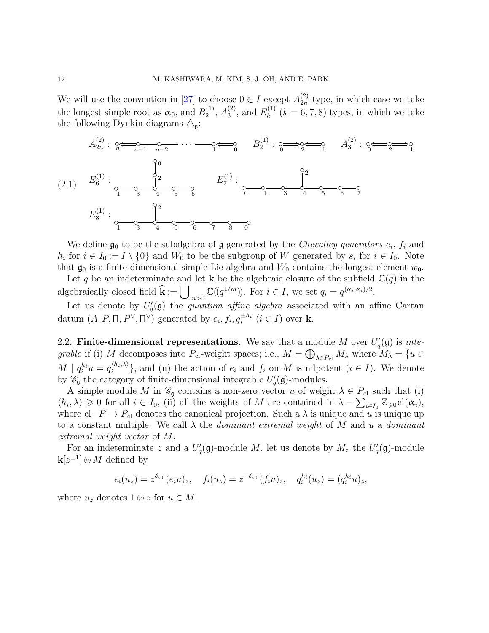We will use the convention in [\[27\]](#page-90-18) to choose  $0 \in I$  except  $A_{2n}^{(2)}$  $_{2n}^{(2)}$ -type, in which case we take the longest simple root as  $\alpha_0$ , and  $B_2^{(1)}$  $\stackrel{(1)}{2},\stackrel{(2)}{43}$  $_3^{(2)}$ , and  $E_k^{(1)}$  $\kappa^{(1)}$   $(k = 6, 7, 8)$  types, in which we take the following Dynkin diagrams  $\triangle_{\mathfrak{g}}$ :



We define  $\mathfrak{g}_0$  to be the subalgebra of  $\mathfrak g$  generated by the *Chevalley generators*  $e_i$ *,*  $f_i$  and  $h_i$  for  $i \in I_0 := I \setminus \{0\}$  and  $W_0$  to be the subgroup of W generated by  $s_i$  for  $i \in I_0$ . Note that  $\mathfrak{g}_0$  is a finite-dimensional simple Lie algebra and  $W_0$  contains the longest element  $w_0$ .

Let q be an indeterminate and let **k** be the algebraic closure of the subfield  $\mathbb{C}(q)$  in the algebraically closed field  $\hat{\mathbf{k}} := \bigcup_{m>0} \mathbb{C}((q^{1/m}))$ . For  $i \in I$ , we set  $q_i = q^{(\alpha_i, \alpha_i)/2}$ .

Let us denote by  $U_q'(\mathfrak{g})$  the *quantum affine algebra* associated with an affine Cartan datum  $(A, P, \Pi, P^{\vee}, \Pi^{\vee})$  generated by  $e_i, f_i, q_i^{\pm h_i}$   $(i \in I)$  over **k**.

<span id="page-11-0"></span>2.2. Finite-dimensional representations. We say that a module M over  $U_q'(\mathfrak{g})$  is integrable if (i) M decomposes into  $P_{\text{cl}}$ -weight spaces; i.e.,  $M = \bigoplus_{\lambda \in P_{\text{cl}}} M_{\lambda}$  where  $M_{\lambda} = \{u \in$  $M \mid q_i^{h_i}u = q_i^{\langle h_i, \lambda \rangle}$  $\{e_i^{(n_i,\lambda)}\}$ , and (ii) the action of  $e_i$  and  $f_i$  on M is nilpotent  $(i \in I)$ . We denote by  $\mathscr{C}_{\mathfrak{g}}$  the category of finite-dimensional integrable  $U_q'(\mathfrak{g})$ -modules.

A simple module M in  $\mathscr{C}_{\mathfrak{g}}$  contains a non-zero vector u of weight  $\lambda \in P_{\text{cl}}$  such that (i)  $\langle h_i, \lambda \rangle \geq 0$  for all  $i \in I_0$ , (ii) all the weights of M are contained in  $\lambda - \sum_{i \in I_0} \mathbb{Z}_{\geq 0} cl(\alpha_i)$ , where cl:  $P \to P_{\text{cl}}$  denotes the canonical projection. Such a  $\lambda$  is unique and u is unique up to a constant multiple. We call  $\lambda$  the *dominant extremal weight* of M and u a *dominant* extremal weight vector of M.

For an indeterminate z and a  $U_q'(\mathfrak{g})$ -module M, let us denote by  $M_z$  the  $U_q'(\mathfrak{g})$ -module  $\mathbf{k}[z^{\pm 1}] \otimes M$  defined by

$$
e_i(u_z) = z^{\delta_{i,0}}(e_iu)_z
$$
,  $f_i(u_z) = z^{-\delta_{i,0}}(f_iu)_z$ ,  $q_i^{h_i}(u_z) = (q_i^{h_i}u)_z$ ,

where  $u_z$  denotes  $1 \otimes z$  for  $u \in M$ .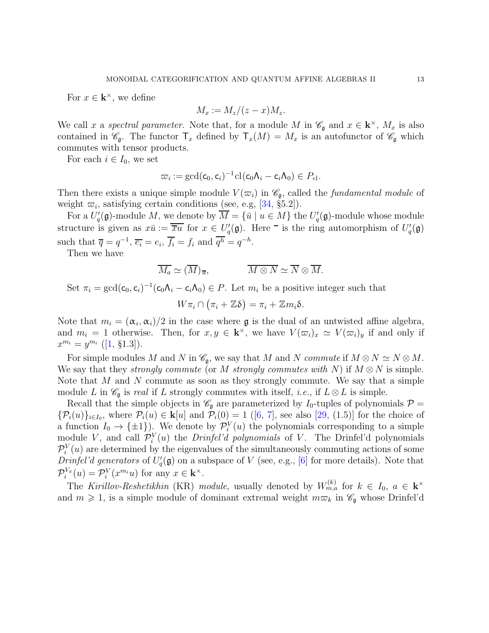For  $x \in \mathbf{k}^{\times}$ , we define

$$
M_x := M_z/(z-x)M_z.
$$

We call x a spectral parameter. Note that, for a module M in  $\mathscr{C}_{\mathfrak{g}}$  and  $x \in \mathbf{k}^{\times}$ ,  $M_x$  is also contained in  $\mathscr{C}_{\mathfrak{g}}$ . The functor  $\mathsf{T}_x$  defined by  $\mathsf{T}_x(M) = M_x$  is an autofunctor of  $\mathscr{C}_{\mathfrak{g}}$  which commutes with tensor products.

For each  $i \in I_0$ , we set

$$
\varpi_i := \gcd(\mathsf{c}_0, \mathsf{c}_i)^{-1} \mathrm{cl}(\mathsf{c}_0 \Lambda_i - \mathsf{c}_i \Lambda_0) \in P_{\mathrm{cl}}.
$$

Then there exists a unique simple module  $V(\varpi_i)$  in  $\mathscr{C}_{\mathfrak{g}}$ , called the *fundamental module* of weight  $\overline{\omega}_i$ , satisfying certain conditions (see, e.g, [\[34,](#page-91-2) §5.2]).

For a  $U_q'(\mathfrak{g})$ -module M, we denote by  $\overline{M} = {\overline{u} \mid u \in M}$  the  $U_q'(\mathfrak{g})$ -module whose module structure is given as  $x\bar{u} := \overline{\overline{x}u}$  for  $x \in U_q'(\mathfrak{g})$ . Here  $\overline{\ }$  is the ring automorphism of  $U_q'(\mathfrak{g})$ such that  $\overline{q} = q^{-1}, \overline{e_i} = e_i, \overline{f_i} = f_i$  and  $\overline{q^h} = q^{-h}$ .

Then we have

$$
\overline{M_a} \simeq (\overline{M})_{\overline{a}}, \qquad \overline{M \otimes N} \simeq \overline{N} \otimes \overline{M}.
$$

Set  $\pi_i = \gcd(c_0, c_i)^{-1}(c_0\Lambda_i - c_i\Lambda_0) \in P$ . Let  $m_i$  be a positive integer such that

$$
W\pi_i \cap (\pi_i + \mathbb{Z}\delta) = \pi_i + \mathbb{Z}m_i\delta.
$$

Note that  $m_i = (\alpha_i, \alpha_i)/2$  in the case where **g** is the dual of an untwisted affine algebra, and  $m_i = 1$  otherwise. Then, for  $x, y \in \mathbf{k}^{\times}$ , we have  $V(\varpi_i)_x \simeq V(\varpi_i)_y$  if and only if  $x^{m_i} = y^{m_i}$  ([\[1,](#page-89-8) §1.3]).

For simple modules M and N in  $\mathscr{C}_{\mathfrak{g}}$ , we say that M and N commute if  $M \otimes N \simeq N \otimes M$ . We say that they *strongly commute* (or M strongly commutes with N) if  $M \otimes N$  is simple. Note that  $M$  and  $N$  commute as soon as they strongly commute. We say that a simple module L in  $\mathscr{C}_{\mathfrak{g}}$  is real if L strongly commutes with itself, *i.e.*, if  $L \otimes L$  is simple.

Recall that the simple objects in  $\mathcal{C}_{\mathfrak{g}}$  are parameterized by  $I_0$ -tuples of polynomials  $\mathcal{P} =$  ${\mathcal{P}_i(u)}_{i\in I_0}$  ${\mathcal{P}_i(u)}_{i\in I_0}$  ${\mathcal{P}_i(u)}_{i\in I_0}$ , where  ${\mathcal{P}_i(u)} \in {\mathbf{k}}[u]$  and  ${\mathcal{P}_i(0)} = 1$  ([\[6,](#page-89-6) [7\]](#page-89-7), see also [\[29,](#page-90-14) (1.5)] for the choice of a function  $I_0 \to {\pm 1}$ ). We denote by  $\mathcal{P}_i^V(u)$  the polynomials corresponding to a simple module V, and call  $\mathcal{P}_i^V(u)$  the *Drinfel'd polynomials* of V. The Drinfel'd polynomials  $\mathcal{P}_i^V(u)$  are determined by the eigenvalues of the simultaneously commuting actions of some Drinfel'd generators of  $U_q'(\mathfrak{g})$  on a subspace of V (see, e.g., [\[6\]](#page-89-6) for more details). Note that  $\mathcal{P}_i^{V_x}(u) = \mathcal{P}_i^{V}(x^{m_i}u)$  for any  $x \in \mathbf{k}^{\times}$ .

The Kirillov-Reshetikhin (KR) module, usually denoted by  $W_{m,a}^{(k)}$  for  $k \in I_0$ ,  $a \in \mathbf{k}^{\times}$ and  $m \geq 1$ , is a simple module of dominant extremal weight  $m\overline{\omega}_k$  in  $\mathscr{C}_{\mathfrak{g}}$  whose Drinfel'd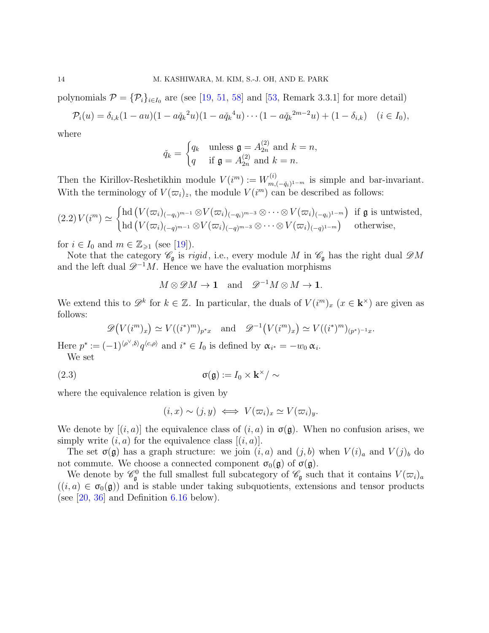polynomials  $\mathcal{P} = {\mathcal{P}_i}_{i \in I_0}$  are (see [\[19,](#page-90-3) [51,](#page-91-14) [58\]](#page-92-7) and [\[53,](#page-91-15) Remark 3.3.1] for more detail)

$$
\mathcal{P}_i(u) = \delta_{i,k}(1 - au)(1 - a\check{q}_k^2 u)(1 - a\check{q}_k^4 u) \cdots (1 - a\check{q}_k^{2m-2} u) + (1 - \delta_{i,k}) \quad (i \in I_0),
$$

where

$$
\check{q}_k = \begin{cases} q_k & \text{unless } \mathfrak{g} = A_{2n}^{(2)} \text{ and } k = n, \\ q & \text{if } \mathfrak{g} = A_{2n}^{(2)} \text{ and } k = n. \end{cases}
$$

Then the Kirillov-Reshetikhin module  $V(i^m) := W_{m_i}^{(i)}$  $m_{m, (-\check{q}_i)^{1-m}}^{(i)}$  is simple and bar-invariant. With the terminology of  $V(\varpi_i)_z$ , the module  $V(i^m)$  can be described as follows:

$$
(2.2) V(im) \simeq \begin{cases} \text{hd} (V(\varpi_i)_{(-q_i)^{m-1}} \otimes V(\varpi_i)_{(-q_i)^{m-3}} \otimes \cdots \otimes V(\varpi_i)_{(-q_i)^{1-m}}) & \text{if } \mathfrak{g} \text{ is untwisted,} \\ \text{hd} (V(\varpi_i)_{(-q)^{m-1}} \otimes V(\varpi_i)_{(-q)^{m-3}} \otimes \cdots \otimes V(\varpi_i)_{(-q)^{1-m}}) & \text{otherwise,} \end{cases}
$$

for  $i \in I_0$  and  $m \in \mathbb{Z}_{\geqslant 1}$  (see [\[19\]](#page-90-3)).

Note that the category  $\mathscr{C}_{\mathfrak{g}}$  is *rigid*, i.e., every module M in  $\mathscr{C}_{\mathfrak{g}}$  has the right dual  $\mathscr{D}M$ and the left dual  $\mathscr{D}^{-1}M$ . Hence we have the evaluation morphisms

$$
M \otimes \mathscr{D}M \to \mathbf{1}
$$
 and  $\mathscr{D}^{-1}M \otimes M \to \mathbf{1}$ .

We extend this to  $\mathscr{D}^k$  for  $k \in \mathbb{Z}$ . In particular, the duals of  $V(i^m)_x$   $(x \in \mathbf{k}^\times)$  are given as follows:

$$
\mathscr{D}\big(V(i^m)_x\big) \simeq V((i^*)^m)_{p^*x} \quad \text{and} \quad \mathscr{D}^{-1}\big(V(i^m)_x\big) \simeq V((i^*)^m)_{(p^*)^{-1}x}.
$$

Here  $p^* := (-1)^{\langle \rho^\vee, \delta \rangle} q^{\langle c, \rho \rangle}$  and  $i^* \in I_0$  is defined by  $\alpha_{i^*} = -w_0 \alpha_i$ . We set

<span id="page-13-0"></span>(2.3) 
$$
\sigma(\mathfrak{g}) := I_0 \times \mathbf{k}^\times / \sim
$$

where the equivalence relation is given by

$$
(i, x) \sim (j, y) \iff V(\varpi_i)_x \simeq V(\varpi_i)_y.
$$

We denote by  $[(i, a)]$  the equivalence class of  $(i, a)$  in  $\sigma(g)$ . When no confusion arises, we simply write  $(i, a)$  for the equivalence class  $[(i, a)]$ .

The set  $\sigma(\mathfrak{g})$  has a graph structure: we join  $(i, a)$  and  $(j, b)$  when  $V(i)_{a}$  and  $V(j)_{b}$  do not commute. We choose a connected component  $\sigma_0(\mathfrak{g})$  of  $\sigma(\mathfrak{g})$ .

We denote by  $\mathscr{C}_{\mathfrak{g}}^0$  the full smallest full subcategory of  $\mathscr{C}_{\mathfrak{g}}$  such that it contains  $V(\varpi_i)_a$  $((i, a) \in \sigma_0(\mathfrak{g}))$  and is stable under taking subquotients, extensions and tensor products (see  $[20, 36]$  $[20, 36]$  and Definition [6.16](#page-60-0) below).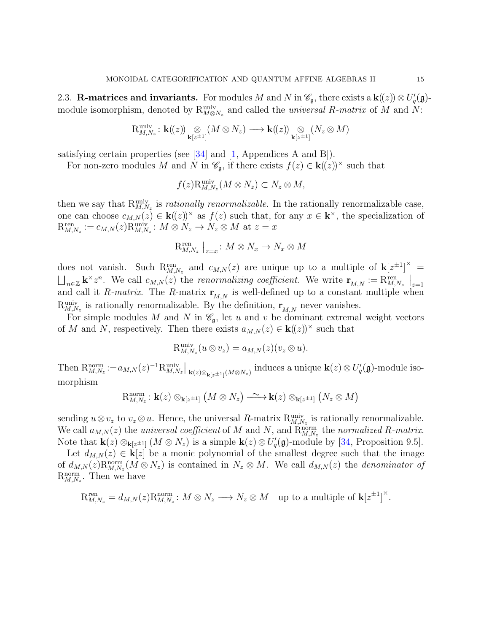<span id="page-14-0"></span>2.3. R-matrices and invariants. For modules M and N in  $\mathscr{C}_{\mathfrak{g}}$ , there exists a  $\mathbf{k}((z)) \otimes U'_{q}(\mathfrak{g})$ module isomorphism, denoted by  $R_{M\otimes N_z}^{\text{univ}}$  and called the *universal* R-matrix of M and N:

$$
\mathrm{R}^{\mathrm{univ}}_{M, N_z} \colon \mathbf{k}(\!(z)\!) \underset{\mathbf{k}[z^{\pm 1}]}{\otimes} (M \otimes N_z) \longrightarrow \mathbf{k}(\!(z)\!) \underset{\mathbf{k}[z^{\pm 1}]}{\otimes} (N_z \otimes M)
$$

satisfying certain properties (see [\[34\]](#page-91-2) and [\[1,](#page-89-8) Appendices A and B]).

For non-zero modules M and N in  $\mathscr{C}_{\mathfrak{g}}$ , if there exists  $f(z) \in k(\ell(z))^{\times}$  such that

$$
f(z)R_{M,N_z}^{\text{univ}}(M\otimes N_z)\subset N_z\otimes M,
$$

then we say that  $R_{M,N_z}^{\text{univ}}$  is *rationally renormalizable*. In the rationally renormalizable case, one can choose  $c_{M,N}(z) \in \mathbf{k}((z))^{\times}$  as  $f(z)$  such that, for any  $x \in \mathbf{k}^{\times}$ , the specialization of  $R_{M,N_z}^{\text{ren}} := c_{M,N}(z)R_{M,N_z}^{\text{univ}}: M \otimes N_z \to N_z \otimes M$  at  $z = x$ 

$$
\mathcal{R}_{M,N_z}^{\text{ren}}\bigm|_{z=x}: M\otimes N_x\to N_x\otimes M
$$

does not vanish. Such  $R_{M,N_z}^{ren}$  and  $c_{M,N}(z)$  are unique up to a multiple of  $\mathbf{k}[z^{\pm 1}]^{\times}$  $\bigsqcup_{n\in\mathbb{Z}} k^{\times}z^n$ . We call  $c_{M,N}(z)$  the renormalizing coefficient. We write  $\mathbf{r}_{M,N}:=\mathrm{R}_{M,N_z}^{\text{ren}}\big|_{z=1}$ and call it R-matrix. The R-matrix  $\mathbf{r}_{M,N}$  is well-defined up to a constant multiple when  $R_{M,N_z}^{\text{univ}}$  is rationally renormalizable. By the definition,  $\mathbf{r}_{M,N}$  never vanishes.

For simple modules M and N in  $\mathcal{C}_{\mathfrak{g}}$ , let u and v be dominant extremal weight vectors of M and N, respectively. Then there exists  $a_{M,N}(z) \in k((z))^{\times}$  such that

$$
\mathrm{R}^{\mathrm{univ}}_{M,N_z}(u\otimes v_z)=a_{M,N}(z)(v_z\otimes u).
$$

Then  $R_{M,N_z}^{\text{norm}} := a_{M,N}(z)^{-1} R_{M,N_z}^{\text{univ}}|_{\mathbf{k}(z) \otimes_{\mathbf{k}[z^{\pm 1}]} (M \otimes N_z)}$  induces a unique  $\mathbf{k}(z) \otimes U_q'(\mathfrak{g})$ -module isomorphism

$$
\mathrm{R}^{\mathrm{norm}}_{M,N_z}\colon \mathbf{k}(z)\otimes_{\mathbf{k}[z^{\pm 1}]}\left(M\otimes N_z\right)\xrightarrow{\;\sim\;}\mathbf{k}(z)\otimes_{\mathbf{k}[z^{\pm 1}]}\left(N_z\otimes M\right)
$$

sending  $u \otimes v_z$  to  $v_z \otimes u$ . Hence, the universal R-matrix  $R_{M,N_z}^{\text{univ}}$  is rationally renormalizable. We call  $a_{M,N}(z)$  the *universal coefficient* of M and N, and  $\hat{R}_{M,N_z}^{\text{norm}}$  the *normalized* R-matrix. Note that  $\mathbf{k}(z) \otimes_{\mathbf{k}[z^{\pm 1}]} (M \otimes N_z)$  is a simple  $\mathbf{k}(z) \otimes U_q'(\mathfrak{g})$ -module by [\[34,](#page-91-2) Proposition 9.5].

Let  $d_{M,N}(z) \in \mathbf{k}[z]$  be a monic polynomial of the smallest degree such that the image of  $d_{M,N}(z)$ R<sup>norm</sup><sub> $N_z$ </sub> $(M \otimes N_z)$  is contained in  $N_z \otimes M$ . We call  $d_{M,N}(z)$  the *denominator of*  $R_{M,N_z}^{\text{norm}}$ . Then we have

$$
R_{M,N_z}^{\text{ren}} = d_{M,N}(z)R_{M,N_z}^{\text{norm}} : M \otimes N_z \longrightarrow N_z \otimes M \text{ up to a multiple of } k[z^{\pm 1}]^{\times}.
$$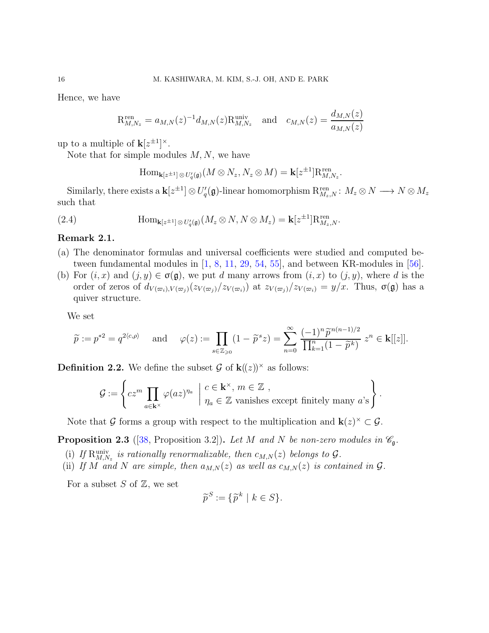Hence, we have

$$
R_{M,N_z}^{\text{ren}} = a_{M,N}(z)^{-1} d_{M,N}(z) R_{M,N_z}^{\text{univ}} \text{ and } c_{M,N}(z) = \frac{d_{M,N}(z)}{a_{M,N}(z)}
$$

up to a multiple of  $\mathbf{k}[z^{\pm 1}]^{\times}$ .

Note that for simple modules  $M, N$ , we have

$$
\operatorname{Hom}_{\mathbf{k}[z^{\pm 1}] \otimes U_q'(\mathfrak{g})}(M \otimes N_z, N_z \otimes M) = \mathbf{k}[z^{\pm 1}] \mathbf{R}_{M, N_z}^{\text{ren}}.
$$

Similarly, there exists a  $\mathbf{k}[z^{\pm 1}] \otimes U_q'(\mathfrak{g})$ -linear homomorphism  $\mathrm{R}^{\mathrm{ren}}_{M_z,N} \colon M_z \otimes N \longrightarrow N \otimes M_z$ such that

(2.4) 
$$
\text{Hom}_{\mathbf{k}[z^{\pm 1}] \otimes U_q'(\mathfrak{g})}(M_z \otimes N, N \otimes M_z) = \mathbf{k}[z^{\pm 1}] \mathbf{R}_{M_z,N}^{\text{ren}}.
$$

## Remark 2.1.

- (a) The denominator formulas and universal coefficients were studied and computed between fundamental modules in [\[1,](#page-89-8) [8,](#page-89-10) [11,](#page-90-19) [29,](#page-90-14) [54,](#page-92-8) [55\]](#page-92-6), and between KR-modules in [\[56\]](#page-92-9).
- (b) For  $(i, x)$  and  $(j, y) \in \sigma(\mathfrak{g})$ , we put d many arrows from  $(i, x)$  to  $(j, y)$ , where d is the order of zeros of  $d_{V(\varpi_i),V(\varpi_j)}(z_{V(\varpi_i)})/z_{V(\varpi_i)}$  at  $z_{V(\varpi_j)}/z_{V(\varpi_i)}=y/x$ . Thus,  $\sigma(\mathfrak{g})$  has a quiver structure.

We set

$$
\widetilde{p} := p^{*2} = q^{2\langle c,\rho\rangle} \quad \text{and} \quad \varphi(z) := \prod_{s \in \mathbb{Z}_{\geqslant 0}} (1 - \widetilde{p}^s z) = \sum_{n=0}^{\infty} \frac{(-1)^n \widetilde{p}^{n(n-1)/2}}{\prod_{k=1}^n (1 - \widetilde{p}^k)} z^n \in \mathbf{k}[[z]].
$$

**Definition 2.2.** We define the subset G of  $\mathbf{k}(\mathbf{z})^{\times}$  as follows:

$$
\mathcal{G} := \left\{ cz^m \prod_{a \in \mathbf{k}^\times} \varphi(az)^{\eta_a} \middle| \begin{array}{l} c \in \mathbf{k}^\times, m \in \mathbb{Z} \\ \eta_a \in \mathbb{Z} \text{ vanishes except finitely many } a\text{'s} \end{array} \right\}.
$$

Note that  $\mathcal G$  forms a group with respect to the multiplication and  $\mathbf k(z)^\times \subset \mathcal G$ .

**Proposition 2.3** ([\[38,](#page-91-10) Proposition 3.2]). Let M and N be non-zero modules in  $\mathcal{C}_{\mathfrak{g}}$ .

- (i) If  $R_{M,N_z}^{\text{univ}}$  is rationally renormalizable, then  $c_{M,N}(z)$  belongs to  $\mathcal{G}$ .
- (ii) If M and N are simple, then  $a_{M,N}(z)$  as well as  $c_{M,N}(z)$  is contained in  $\mathcal G$ .

For a subset  $S$  of  $\mathbb{Z}$ , we set

$$
\widetilde{p}^S := \{ \widetilde{p}^k \mid k \in S \}.
$$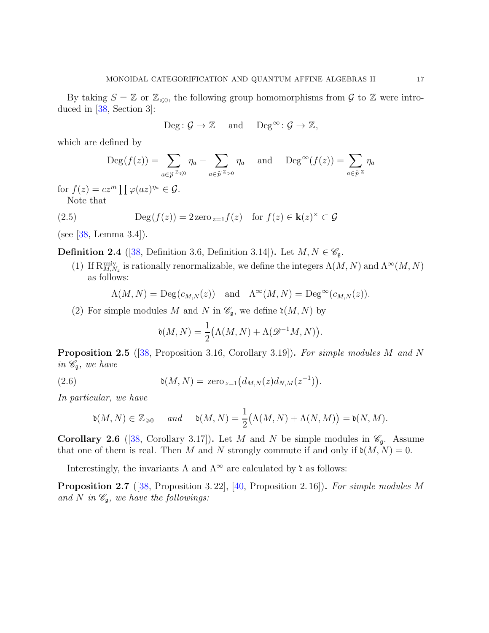By taking  $S = \mathbb{Z}$  or  $\mathbb{Z}_{\leq 0}$ , the following group homomorphisms from  $\mathcal G$  to  $\mathbb Z$  were introduced in [\[38,](#page-91-10) Section 3]:

$$
Deg: \mathcal{G} \to \mathbb{Z} \quad \text{ and } \quad Deg^{\infty}: \mathcal{G} \to \mathbb{Z},
$$

which are defined by

$$
\operatorname{Deg}(f(z)) = \sum_{a \in \widetilde{p}^{\mathbb{Z}} \leq 0} \eta_a - \sum_{a \in \widetilde{p}^{\mathbb{Z}} > 0} \eta_a \quad \text{and} \quad \operatorname{Deg}^{\infty}(f(z)) = \sum_{a \in \widetilde{p}^{\mathbb{Z}}} \eta_a
$$

for  $f(z) = cz^m \prod \varphi(az)^{\eta_a} \in \mathcal{G}$ . Note that

(2.5) 
$$
\operatorname{Deg}(f(z)) = 2 \operatorname{zero}_{z=1} f(z) \quad \text{for } f(z) \in \mathbf{k}(z)^{\times} \subset \mathcal{G}
$$

(see [\[38,](#page-91-10) Lemma 3.4]).

**Definition 2.4** ([\[38,](#page-91-10) Definition 3.6, Definition 3.14]). Let  $M, N \in \mathscr{C}_{\mathfrak{g}}$ .

(1) If  $R_{M,N_z}^{\text{univ}}$  is rationally renormalizable, we define the integers  $\Lambda(M,N)$  and  $\Lambda^\infty(M,N)$ as follows:

$$
\Lambda(M, N) = \text{Deg}(c_{M,N}(z))
$$
 and  $\Lambda^{\infty}(M, N) = \text{Deg}^{\infty}(c_{M,N}(z)).$ 

(2) For simple modules M and N in  $\mathcal{C}_{\mathfrak{g}}$ , we define  $\mathfrak{d}(M, N)$  by

$$
\mathfrak{d}(M,N) = \frac{1}{2} \big( \Lambda(M,N) + \Lambda(\mathscr{D}^{-1}M,N) \big).
$$

Proposition 2.5 ([\[38,](#page-91-10) Proposition 3.16, Corollary 3.19]). For simple modules M and N in  $\mathscr{C}_{\mathfrak{g}},$  we have

(2.6) 
$$
\mathfrak{d}(M, N) = \text{zero}_{z=1} (d_{M,N}(z) d_{N,M}(z^{-1})).
$$

In particular, we have

$$
\mathfrak{d}(M,N) \in \mathbb{Z}_{\geqslant 0} \quad \text{and} \quad \mathfrak{d}(M,N) = \frac{1}{2}(\Lambda(M,N) + \Lambda(N,M)) = \mathfrak{d}(N,M).
$$

**Corollary 2.6** ([\[38,](#page-91-10) Corollary 3.17]). Let M and N be simple modules in  $\mathscr{C}_{\mathfrak{g}}$ . Assume that one of them is real. Then M and N strongly commute if and only if  $\mathfrak{d}(M, N) = 0$ .

Interestingly, the invariants  $\Lambda$  and  $\Lambda^{\infty}$  are calculated by  $\mathfrak d$  as follows:

Proposition 2.7 ([\[38,](#page-91-10) Proposition 3.22], [\[40,](#page-91-12) Proposition 2.16]). For simple modules M and N in  $\mathcal{C}_{\mathfrak{g}},$  we have the followings: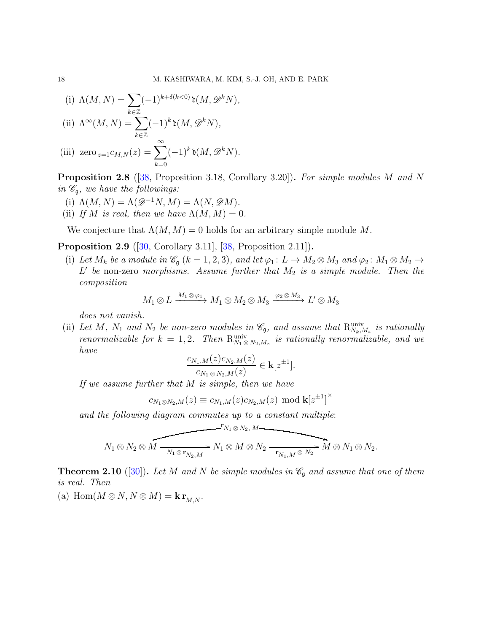(i) 
$$
\Lambda(M, N) = \sum_{k \in \mathbb{Z}} (-1)^{k + \delta(k < 0)} \mathfrak{d}(M, \mathcal{D}^k N),
$$
  
(ii)  $\Lambda^{\infty}(M, N) = \sum (-1)^k \mathfrak{d}(M, \mathcal{D}^k N),$ 

$$
\text{(iii)}\ \ \text{zero}_{z=1}c_{M,N}(z)=\sum_{k=0}^{\infty}(-1)^k\mathfrak{d}(M,\mathscr{D}^kN).
$$

Proposition 2.8 ([\[38,](#page-91-10) Proposition 3.18, Corollary 3.20]). For simple modules M and N in  $\mathscr{C}_{\mathfrak{g}},$  we have the followings:

- (i)  $\Lambda(M, N) = \Lambda(\mathcal{D}^{-1}N, M) = \Lambda(N, \mathcal{D}M).$
- (ii) If M is real, then we have  $\Lambda(M,M) = 0$ .

We conjecture that  $\Lambda(M, M) = 0$  holds for an arbitrary simple module M.

<span id="page-17-1"></span><span id="page-17-0"></span>**Proposition 2.9** ([\[30,](#page-90-20) Corollary 3.11], [\[38,](#page-91-10) Proposition 2.11]).

(i) Let  $M_k$  be a module in  $\mathscr{C}_{\mathfrak{g}}$   $(k = 1, 2, 3)$ , and let  $\varphi_1 \colon L \to M_2 \otimes M_3$  and  $\varphi_2 \colon M_1 \otimes M_2 \to$  $L'$  be non-zero morphisms. Assume further that  $M_2$  is a simple module. Then the composition

$$
M_1 \otimes L \xrightarrow{M_1 \otimes \varphi_1} M_1 \otimes M_2 \otimes M_3 \xrightarrow{\varphi_2 \otimes M_3} L' \otimes M_3
$$

does not vanish.

(ii) Let M, N<sub>1</sub> and N<sub>2</sub> be non-zero modules in  $\mathcal{C}_{\mathfrak{g}}$ , and assume that  $R_{N_k,M_z}^{\text{univ}}$  is rationally renormalizable for  $k = 1, 2$ . Then  $R_{N_1 \otimes N_2, M_z}^{\text{univ}}$  is rationally renormalizable, and we have

$$
\frac{c_{N_1,M}(z)c_{N_2,M}(z)}{c_{N_1\otimes N_2,M}(z)} \in \mathbf{k}[z^{\pm 1}].
$$

If we assume further that  $M$  is simple, then we have

$$
c_{N_1 \otimes N_2,M}(z) \equiv c_{N_1,M}(z) c_{N_2,M}(z) \text{ mod } \mathbf{k}[z^{\pm 1}]^{\times}
$$

and the following diagram commutes up to a constant multiple:

$$
N_1 \otimes N_2 \otimes M \xrightarrow[N_1 \otimes r_{N_2,M}]{\mathbf{r}_{N_1 \otimes N_2, M}} N_1 \otimes M \otimes N_2 \xrightarrow[\mathbf{r}_{N_1,M} \otimes N_2]{\mathbf{r}_{N_1,M} \otimes N_2} M \otimes N_1 \otimes N_2.
$$

<span id="page-17-2"></span>**Theorem 2.10** ([\[30\]](#page-90-20)). Let M and N be simple modules in  $\mathscr{C}_{\mathfrak{g}}$  and assume that one of them is real. Then

<span id="page-17-3"></span>(a) Hom $(M \otimes N, N \otimes M) =$ **k**  $\mathbf{r}_{M,N}$ .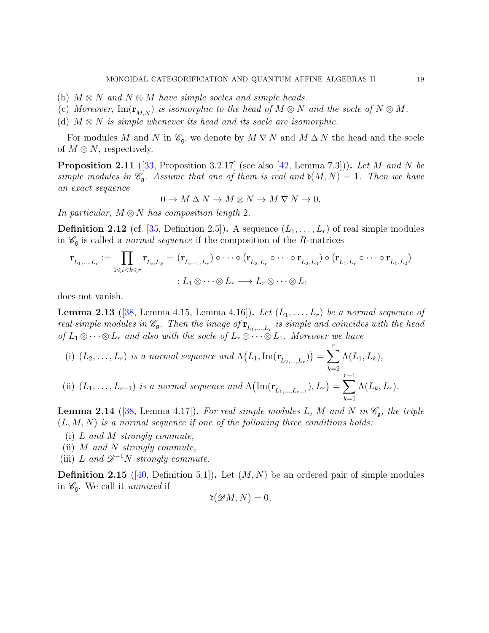- (b)  $M \otimes N$  and  $N \otimes M$  have simple socles and simple heads.
- (c) Moreover, Im( $\mathbf{r}_{M,N}$ ) is isomorphic to the head of  $M \otimes N$  and the socle of  $N \otimes M$ .
- (d)  $M \otimes N$  is simple whenever its head and its socle are isomorphic.

For modules M and N in  $\mathscr{C}_{\mathfrak{g}}$ , we denote by  $M \nabla N$  and  $M \Delta N$  the head and the socle of  $M \otimes N$ , respectively.

**Proposition 2.11** ([\[33,](#page-91-7) Proposition 3.2.17] (see also [\[42,](#page-91-9) Lemma 7.3])). Let M and N be simple modules in  $\mathcal{C}_{\mathfrak{g}}$ . Assume that one of them is real and  $\mathfrak{d}(M, N) = 1$ . Then we have an exact sequence

$$
0 \to M \Delta N \to M \otimes N \to M \nabla N \to 0.
$$

In particular,  $M \otimes N$  has composition length 2.

**Definition 2.12** (cf. [\[35,](#page-91-17) Definition 2.5]). A sequence  $(L_1, \ldots, L_r)$  of real simple modules in  $\mathscr{C}_{\mathfrak{g}}$  is called a *normal sequence* if the composition of the R-matrices

$$
\mathbf{r}_{L_1,\dots,L_r} := \prod_{1 \leq i < k \leq r} \mathbf{r}_{L_i,L_k} = (\mathbf{r}_{L_{r-1},L_r}) \circ \cdots \circ (\mathbf{r}_{L_2,L_r} \circ \cdots \circ \mathbf{r}_{L_2,L_3}) \circ (\mathbf{r}_{L_1,L_r} \circ \cdots \circ \mathbf{r}_{L_1,L_2})
$$
\n
$$
: L_1 \otimes \cdots \otimes L_r \longrightarrow L_r \otimes \cdots \otimes L_1
$$

does not vanish.

<span id="page-18-1"></span>**Lemma 2.13** ([\[38,](#page-91-10) Lemma 4.15, Lemma 4.16]). Let  $(L_1, \ldots, L_r)$  be a normal sequence of real simple modules in  $\mathscr{C}_{\mathfrak{g}}$ . Then the image of  $\mathbf{r}_{L_1,...,L_r}$  is simple and coincides with the head of  $L_1 \otimes \cdots \otimes L_r$  and also with the socle of  $L_r \otimes \cdots \otimes L_1$ . Moreover we have

(i)  $(L_2, ..., L_r)$  is a normal sequence and  $\Lambda(L_1, \text{Im}(\mathbf{r}_{L_2,...,L_r})) = \sum^r$  $_{k=2}$  $\Lambda(L_1,L_k),$ (ii)  $(L_1, ..., L_{r-1})$  is a normal sequence and  $\Lambda(\text{Im}(\mathbf{r}_{L_1,...,L_{r-1}}), L_r) = \sum_{r=1}^{r-1}$  $k=1$  $\Lambda(L_k,L_r).$ 

<span id="page-18-0"></span>**Lemma 2.14** ([\[38,](#page-91-10) Lemma 4.17]). For real simple modules L, M and N in  $\mathscr{C}_{\mathfrak{a}}$ , the triple  $(L, M, N)$  is a normal sequence if one of the following three conditions holds:

- (i) L and M strongly commute,
- (ii)  $M$  and  $N$  strongly commute,
- (iii) L and  $\mathscr{D}^{-1}N$  strongly commute.

**Definition 2.15** ([\[40,](#page-91-12) Definition 5.1]). Let  $(M, N)$  be an ordered pair of simple modules in  $\mathscr{C}_{\mathfrak{g}}$ . We call it unmixed if

$$
\mathfrak{d}(\mathscr{D}M,N)=0,
$$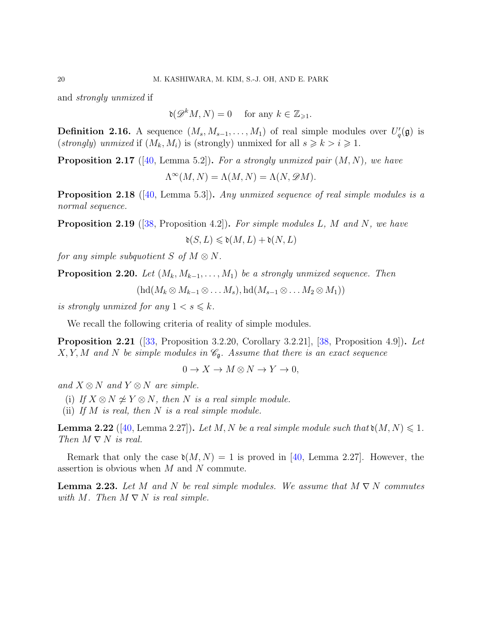and strongly unmixed if

 $\mathfrak{d}(\mathscr{D}^kM,N)=0$  for any  $k\in\mathbb{Z}_{\geqslant 1}.$ 

**Definition 2.16.** A sequence  $(M_s, M_{s-1}, \ldots, M_1)$  of real simple modules over  $U_q'(\mathfrak{g})$  is (strongly) unmixed if  $(M_k, M_i)$  is (strongly) unmixed for all  $s \geq k > i \geq 1$ .

**Proposition 2.17** ([\[40,](#page-91-12) Lemma 5.2]). For a strongly unmixed pair  $(M, N)$ , we have

$$
\Lambda^{\infty}(M, N) = \Lambda(M, N) = \Lambda(N, \mathcal{D}M).
$$

<span id="page-19-0"></span>**Proposition 2.18** ([\[40,](#page-91-12) Lemma 5.3]). Any unmixed sequence of real simple modules is a normal sequence.

<span id="page-19-1"></span>**Proposition 2.19** ([\[38,](#page-91-10) Proposition 4.2]). For simple modules L, M and N, we have  $\mathfrak{d}(S, L) \leqslant \mathfrak{d}(M, L) + \mathfrak{d}(N, L)$ 

for any simple subquotient S of  $M \otimes N$ .

**Proposition 2.20.** Let  $(M_k, M_{k-1}, \ldots, M_1)$  be a strongly unmixed sequence. Then

 $(\text{hd}(M_k \otimes M_{k-1} \otimes \ldots M_s), \text{hd}(M_{s-1} \otimes \ldots M_2 \otimes M_1))$ 

is strongly unmixed for any  $1 < s \leq k$ .

We recall the following criteria of reality of simple modules.

**Proposition 2.21** ([\[33,](#page-91-7) Proposition 3.2.20, Corollary 3.2.21], [\[38,](#page-91-10) Proposition 4.9]). Let  $X, Y, M$  and N be simple modules in  $\mathcal{C}_{\mathfrak{g}}$ . Assume that there is an exact sequence

$$
0 \to X \to M \otimes N \to Y \to 0,
$$

and  $X \otimes N$  and  $Y \otimes N$  are simple.

(i) If  $X \otimes N \not\cong Y \otimes N$ , then N is a real simple module.

(ii) If  $M$  is real, then  $N$  is a real simple module.

**Lemma 2.22** ([\[40,](#page-91-12) Lemma 2.27]). Let M, N be a real simple module such that  $\mathfrak{d}(M, N) \leq 1$ . Then  $M \nabla N$  is real.

Remark that only the case  $\mathfrak{d}(M, N) = 1$  is proved in [\[40,](#page-91-12) Lemma 2.27]. However, the assertion is obvious when  $M$  and  $N$  commute.

**Lemma 2.23.** Let M and N be real simple modules. We assume that  $M \nabla N$  commutes with M. Then  $M \nabla N$  is real simple.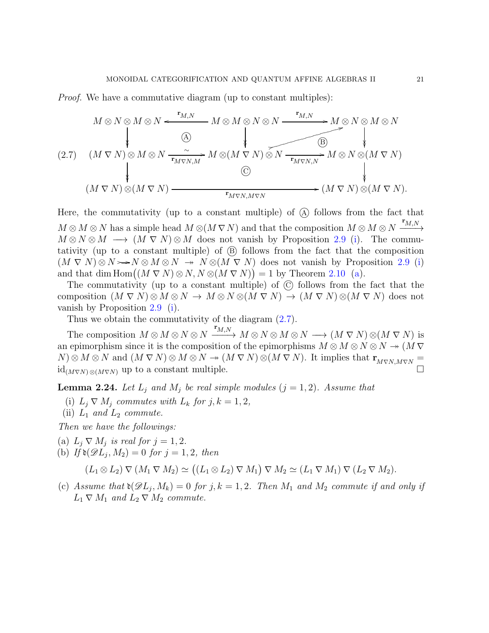Proof. We have a commutative diagram (up to constant multiples):

<span id="page-20-0"></span>
$$
(2.7) \quad (M \nabla N) \otimes (M \nabla N) \xrightarrow{\mathbf{r}_{M,N}} M \otimes (M \nabla N) \otimes \mathbf{r}_{M \nabla N,M} \otimes (M \nabla N) \otimes \mathbf{r}_{M \nabla N,M} \otimes (M \nabla N) \otimes (M \nabla N) \otimes \mathbf{r}_{M \nabla N,M \nabla N} \otimes (M \nabla N) \otimes (M \nabla N).
$$
\n
$$
(M \nabla N) \otimes (M \nabla N) \xrightarrow{\mathbf{r}_{M \nabla N,M \nabla N}} (M \nabla N) \otimes (M \nabla N).
$$

Here, the commutativity (up to a constant multiple) of  $(A)$  follows from the fact that  $M \otimes M \otimes N$  has a simple head  $M \otimes (M \nabla N)$  and that the composition  $M \otimes M \otimes N$  $\mathbf{r}_{M,N}$ −−−→  $M \otimes N \otimes M \longrightarrow (M \nabla N) \otimes M$  does not vanish by Proposition [2.9](#page-17-0) [\(i\)](#page-17-1). The commutativity (up to a constant multiple) of  $(B)$  follows from the fact that the composition  $(M \nabla N) \otimes N \rightarrow N \otimes M \otimes N \rightarrow N \otimes (M \nabla N)$  does not vanish by Proposition [2.9](#page-17-0) [\(i\)](#page-17-1) and that dim  $\text{Hom}((M \nabla N) \otimes N, N \otimes (M \nabla N)) = 1$  by Theorem [2.10](#page-17-2) [\(a\)](#page-17-3).

The commutativity (up to a constant multiple) of  $\odot$  follows from the fact that the composition  $(M \nabla N) \otimes M \otimes N \to M \otimes N \otimes (M \nabla N) \to (M \nabla N) \otimes (M \nabla N)$  does not vanish by Proposition [2.9](#page-17-0) [\(i\)](#page-17-1).

Thus we obtain the commutativity of the diagram [\(2.7\)](#page-20-0).

The composition  $M \otimes M \otimes N \otimes N$  $\mathbf{r}_{M,N}$  $\longrightarrow M \otimes N \otimes M \otimes N \longrightarrow (M \nabla N) \otimes (M \nabla N)$  is an epimorphism since it is the composition of the epimorphisms  $M \otimes M \otimes N \otimes N \rightarrow (M \nabla)^2$  $N) \otimes M \otimes N$  and  $(M \nabla N) \otimes M \otimes N \rightarrow (M \nabla N) \otimes (M \nabla N)$ . It implies that  $\mathbf{r}_{M \nabla N, M \nabla N} = \operatorname{id}_{(M \nabla N) \otimes (M \nabla N)}$  up to a constant multiple.  $id_{(M\nabla N)\otimes (M\nabla N)}$  up to a constant multiple.

**Lemma 2.24.** Let  $L_j$  and  $M_j$  be real simple modules  $(j = 1, 2)$ . Assume that

- (i)  $L_i \nabla M_i$  commutes with  $L_k$  for  $j, k = 1, 2$ ,
- (ii)  $L_1$  and  $L_2$  commute.

<span id="page-20-1"></span>Then we have the followings:

- <span id="page-20-2"></span>(a)  $L_j \nabla M_j$  is real for  $j = 1, 2$ .
- (b) If  $\mathfrak{d}(\mathscr{D} \tilde{L}_j, M_2) = 0$  for  $j = 1, 2$ , then

 $(L_1 \otimes L_2) \nabla (M_1 \nabla M_2) \simeq ((L_1 \otimes L_2) \nabla M_1) \nabla M_2 \simeq (L_1 \nabla M_1) \nabla (L_2 \nabla M_2).$ 

<span id="page-20-3"></span>(c) Assume that  $\mathfrak{d}(\mathscr{D}L_j, M_k) = 0$  for j,  $k = 1, 2$ . Then  $M_1$  and  $M_2$  commute if and only if  $L_1 \nabla M_1$  and  $L_2 \nabla M_2$  commute.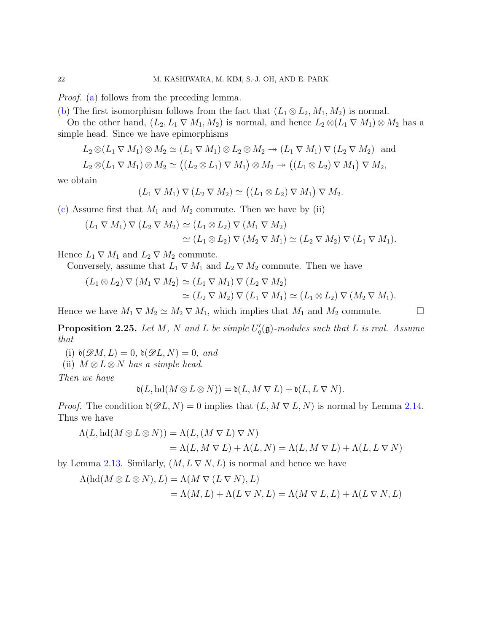*Proof.* [\(a\)](#page-20-1) follows from the preceding lemma.

[\(b\)](#page-20-2) The first isomorphism follows from the fact that  $(L_1 \otimes L_2, M_1, M_2)$  is normal.

On the other hand,  $(L_2, L_1 \nabla M_1, M_2)$  is normal, and hence  $L_2 \otimes (L_1 \nabla M_1) \otimes M_2$  has a simple head. Since we have epimorphisms

 $L_2 \otimes (L_1 \nabla M_1) \otimes M_2 \simeq (L_1 \nabla M_1) \otimes L_2 \otimes M_2 \rightarrow (L_1 \nabla M_1) \nabla (L_2 \nabla M_2)$  and

$$
L_2 \otimes (L_1 \nabla M_1) \otimes M_2 \simeq ((L_2 \otimes L_1) \nabla M_1) \otimes M_2 \rightarrow ((L_1 \otimes L_2) \nabla M_1) \nabla M_2,
$$

we obtain

$$
(L_1 \nabla M_1) \nabla (L_2 \nabla M_2) \simeq ((L_1 \otimes L_2) \nabla M_1) \nabla M_2.
$$

[\(c\)](#page-20-3) Assume first that  $M_1$  and  $M_2$  commute. Then we have by (ii)

$$
(L_1 \nabla M_1) \nabla (L_2 \nabla M_2) \simeq (L_1 \otimes L_2) \nabla (M_1 \nabla M_2)
$$
  
\n
$$
\simeq (L_1 \otimes L_2) \nabla (M_2 \nabla M_1) \simeq (L_2 \nabla M_2) \nabla (L_1 \nabla M_1).
$$

Hence  $L_1 \nabla M_1$  and  $L_2 \nabla M_2$  commute.

Conversely, assume that  $L_1 \nabla M_1$  and  $L_2 \nabla M_2$  commute. Then we have

$$
(L_1 \otimes L_2) \nabla (M_1 \nabla M_2) \simeq (L_1 \nabla M_1) \nabla (L_2 \nabla M_2)
$$
  
\n
$$
\simeq (L_2 \nabla M_2) \nabla (L_1 \nabla M_1) \simeq (L_1 \otimes L_2) \nabla (M_2 \nabla M_1).
$$

Hence we have  $M_1 \nabla M_2 \simeq M_2 \nabla M_1$ , which implies that  $M_1$  and  $M_2$  commute.

<span id="page-21-0"></span>**Proposition 2.25.** Let M, N and L be simple  $U_q'(\mathfrak{g})$ -modules such that L is real. Assume that

(i)  $\mathfrak{d}(\mathscr{D}M, L) = 0$ ,  $\mathfrak{d}(\mathscr{D}L, N) = 0$ , and

(ii)  $M \otimes L \otimes N$  has a simple head.

Then we have

$$
\mathfrak{d}(L, \mathrm{hd}(M \otimes L \otimes N)) = \mathfrak{d}(L, M \nabla L) + \mathfrak{d}(L, L \nabla N).
$$

*Proof.* The condition  $\mathfrak{d}(\mathscr{D}L, N) = 0$  implies that  $(L, M \nabla L, N)$  is normal by Lemma [2.14.](#page-18-0) Thus we have

$$
\Lambda(L, \mathrm{hd}(M \otimes L \otimes N)) = \Lambda(L, (M \nabla L) \nabla N)
$$
  
=  $\Lambda(L, M \nabla L) + \Lambda(L, N) = \Lambda(L, M \nabla L) + \Lambda(L, L \nabla N)$ 

by Lemma [2.13.](#page-18-1) Similarly,  $(M, L \nabla N, L)$  is normal and hence we have

$$
\Lambda(\text{hd}(M \otimes L \otimes N), L) = \Lambda(M \nabla(L \nabla N), L)
$$
  
=  $\Lambda(M, L) + \Lambda(L \nabla N, L) = \Lambda(M \nabla L, L) + \Lambda(L \nabla N, L)$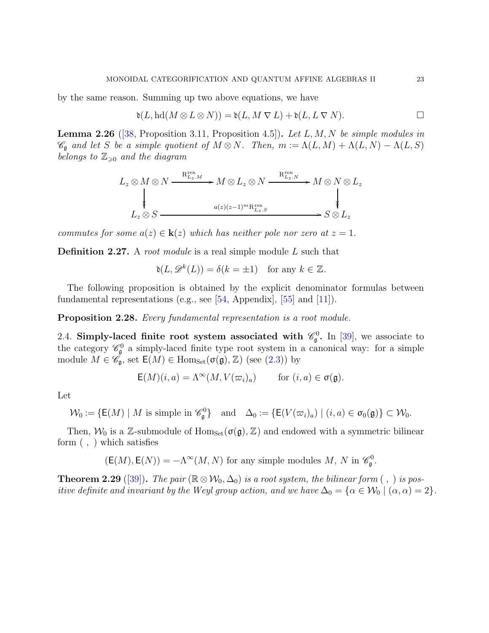by the same reason. Summing up two above equations, we have

$$
\mathfrak{d}(L,\mathrm{hd}(M\otimes L\otimes N))=\mathfrak{d}(L,M\mathrel{\nabla} L)+\mathfrak{d}(L,L\mathrel{\nabla} N). \qquad \qquad \Box
$$

**Lemma 2.26** ([\[38,](#page-91-10) Proposition 3.11, Proposition 4.5]). Let  $L, M, N$  be simple modules in  $\mathscr{C}_{\mathfrak{g}}$  and let S be a simple quotient of  $M \otimes N$ . Then,  $m := \Lambda(L, M) + \Lambda(L, N) - \Lambda(L, S)$ belongs to  $\mathbb{Z}_{\geqslant 0}$  and the diagram

$$
L_z \otimes M \otimes N \xrightarrow{\mathbf{R}_{L_z,M}^{\text{ren}}} M \otimes L_z \otimes N \xrightarrow{\mathbf{R}_{L_z,N}^{\text{ren}}} M \otimes N \otimes L_z
$$
  
\n
$$
L_z \otimes S \xrightarrow{a(z)(z-1)^m \mathbf{R}_{L_z,S}^{\text{ren}}} S \otimes L_z
$$

commutes for some  $a(z) \in \mathbf{k}(z)$  which has neither pole nor zero at  $z = 1$ .

<span id="page-22-1"></span>**Definition 2.27.** A root module is a real simple module L such that

$$
\mathfrak{d}(L, \mathscr{D}^k(L)) = \delta(k = \pm 1) \quad \text{for any } k \in \mathbb{Z}.
$$

The following proposition is obtained by the explicit denominator formulas between fundamental representations (e.g., see [\[54,](#page-92-8) Appendix], [\[55\]](#page-92-6) and [\[11\]](#page-90-19)).

<span id="page-22-0"></span>Proposition 2.28. Every fundamental representation is a root module.

2.4. Simply-laced finite root system associated with  $\mathcal{C}_{\mathfrak{g}}^0$ . In [\[39\]](#page-91-11), we associate to the category  $\mathscr{C}_{\mathfrak{g}}^0$  a simply-laced finite type root system in a canonical way: for a simple module  $M \in \tilde{\mathscr{C}_{\mathfrak{g}}}$ , set  $\mathsf{E}(M) \in \text{Hom}_{\text{Set}}(\sigma(\mathfrak{g}), \mathbb{Z})$  (see  $(2.3)$ ) by

$$
\mathsf{E}(M)(i,a) = \Lambda^\infty(M, V(\varpi_i)_a) \quad \text{for } (i,a) \in \sigma(\mathfrak{g}).
$$

Let

$$
\mathcal{W}_0 := \{ \mathsf{E}(M) \mid M \text{ is simple in } \mathscr{C}_\mathfrak{g}^0 \} \quad \text{and} \quad \Delta_0 := \{ \mathsf{E}(V(\varpi_i)_a) \mid (i, a) \in \sigma_0(\mathfrak{g}) \} \subset \mathcal{W}_0.
$$

Then,  $W_0$  is a Z-submodule of  $Hom_{Set}(\sigma(\mathfrak{g}), \mathbb{Z})$  and endowed with a symmetric bilinear form ( , ) which satisfies

 $(E(M), E(N)) = -\Lambda^{\infty}(M, N)$  for any simple modules  $M, N$  in  $\mathscr{C}_{\mathfrak{g}}^0$ .

**Theorem 2.29** ([\[39\]](#page-91-11)). The pair ( $\mathbb{R} \otimes \mathcal{W}_0$ ,  $\Delta_0$ ) is a root system, the bilinear form (, ) is positive definite and invariant by the Weyl group action, and we have  $\Delta_0 = {\alpha \in \mathcal{W}_0 \mid (\alpha, \alpha) = 2}$ .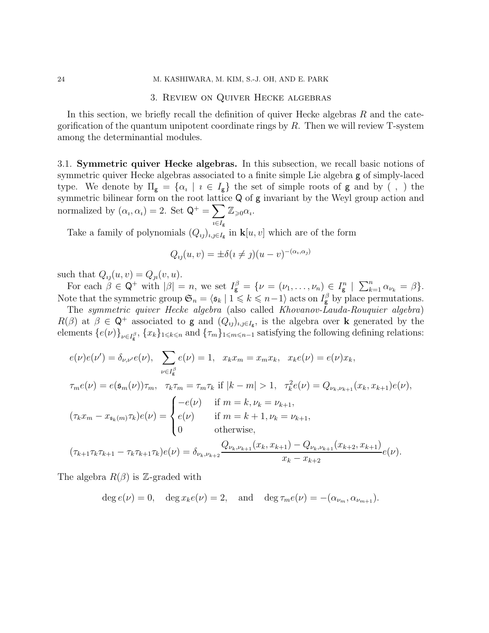#### 3. Review on Quiver Hecke algebras

<span id="page-23-0"></span>In this section, we briefly recall the definition of quiver Hecke algebras  $R$  and the categorification of the quantum unipotent coordinate rings by  $R$ . Then we will review T-system among the determinantial modules.

<span id="page-23-1"></span>3.1. Symmetric quiver Hecke algebras. In this subsection, we recall basic notions of symmetric quiver Hecke algebras associated to a finite simple Lie algebra g of simply-laced type. We denote by  $\Pi_{\mathbf{g}} = {\alpha_i \mid i \in I_{\mathbf{g}}}$  the set of simple roots of  $\mathbf{g}$  and by (, ) the symmetric bilinear form on the root lattice Q of g invariant by the Weyl group action and normalized by  $(\alpha_i, \alpha_i) = 2$ . Set  $\mathsf{Q}^+ = \sum$  $\imath{\in}I_{\tt{g}}$  $\mathbb{Z}_{\geqslant 0} \alpha_i$ .

Take a family of polynomials  $(Q_{ij})_{i,j\in I_{\mathbf{g}}}$  in  $\mathbf{k}[u, v]$  which are of the form

$$
Q_{ij}(u,v) = \pm \delta(i \neq j)(u - v)^{-(\alpha_i,\alpha_j)}
$$

such that  $Q_{ij}(u, v) = Q_{ji}(v, u)$ .

For each  $\beta \in \mathsf{Q}^+$  with  $|\beta|=n$ , we set  $I_{\mathsf{g}}^{\beta}=\{\nu=(\nu_1,\ldots,\nu_n)\in I_{\mathsf{g}}^n \mid \sum_{k=1}^n \alpha_{\nu_k}=\beta\}.$ Note that the symmetric group  $\mathfrak{S}_n = \langle \mathfrak{s}_k | 1 \leq k \leq n-1 \rangle$  acts on  $I_{\mathbf{g}}^{\beta}$  by place permutations.

The symmetric quiver Hecke algebra (also called Khovanov-Lauda-Rouquier algebra)  $R(\beta)$  at  $\beta \in \mathbb{Q}^+$  associated to g and  $(Q_{ij})_{i,j\in I_g}$ , is the algebra over k generated by the elements  $\{e(\nu)\}_{\nu \in I_g^{\beta}}, \{x_k\}_{1 \leqslant k \leqslant n}$  and  $\{\tau_m\}_{1 \leqslant m \leqslant n-1}$  satisfying the following defining relations:

$$
e(\nu)e(\nu') = \delta_{\nu,\nu'}e(\nu), \sum_{\nu \in I_{g}^{\beta}} e(\nu) = 1, x_{k}x_{m} = x_{m}x_{k}, x_{k}e(\nu) = e(\nu)x_{k},
$$
  

$$
\tau_{m}e(\nu) = e(\mathfrak{s}_{m}(\nu))\tau_{m}, \tau_{k}\tau_{m} = \tau_{m}\tau_{k} \text{ if } |k - m| > 1, \tau_{k}^{2}e(\nu) = Q_{\nu_{k},\nu_{k+1}}(x_{k},x_{k+1})e(\nu),
$$
  

$$
(\tau_{k}x_{m} - x_{\mathfrak{s}_{k}(m)}\tau_{k})e(\nu) = \begin{cases} -e(\nu) & \text{if } m = k, \nu_{k} = \nu_{k+1}, \\ e(\nu) & \text{if } m = k+1, \nu_{k} = \nu_{k+1}, \\ 0 & \text{otherwise}, \end{cases}
$$
  

$$
(\tau_{k+1}\tau_{k}\tau_{k+1} - \tau_{k}\tau_{k+1}\tau_{k})e(\nu) = \delta_{\nu_{k},\nu_{k+2}}\frac{Q_{\nu_{k},\nu_{k+1}}(x_{k},x_{k+1}) - Q_{\nu_{k},\nu_{k+1}}(x_{k+2},x_{k+1})}{x_{k} - x_{k+2}}e(\nu).
$$

The algebra  $R(\beta)$  is Z-graded with

$$
\deg e(\nu) = 0, \quad \deg x_k e(\nu) = 2, \quad \text{and} \quad \deg \tau_m e(\nu) = -(\alpha_{\nu_m}, \alpha_{\nu_{m+1}}).
$$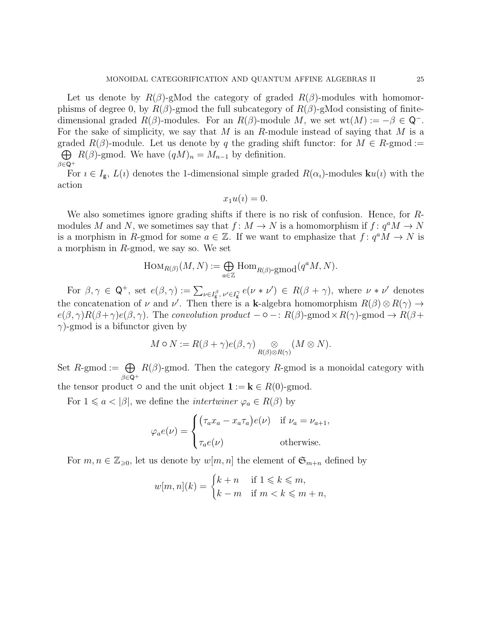Let us denote by  $R(\beta)$ -gMod the category of graded  $R(\beta)$ -modules with homomorphisms of degree 0, by  $R(\beta)$ -gmod the full subcategory of  $R(\beta)$ -gMod consisting of finitedimensional graded  $R(\beta)$ -modules. For an  $R(\beta)$ -module M, we set wt $(M) := -\beta \in \mathbb{Q}^{-}$ . For the sake of simplicity, we say that  $M$  is an  $R$ -module instead of saying that  $M$  is a graded  $R(\beta)$ -module. Let us denote by q the grading shift functor: for  $M \in R$ -gmod :=  $\bigoplus R(\beta)$ -gmod. We have  $(qM)_n = M_{n-1}$  by definition.  $\beta \in \mathsf{Q}^+$ 

For  $i \in I_g$ ,  $L(i)$  denotes the 1-dimensional simple graded  $R(\alpha_i)$ -modules  $\mathbf{k}u(i)$  with the action

$$
x_1u(i)=0.
$$

We also sometimes ignore grading shifts if there is no risk of confusion. Hence, for Rmodules M and N, we sometimes say that  $f: M \to N$  is a homomorphism if  $f: q^a M \to N$ is a morphism in R-gmod for some  $a \in \mathbb{Z}$ . If we want to emphasize that  $f: q^a M \to N$  is a morphism in R-gmod, we say so. We set

$$
\operatorname{Hom}_{R(\beta)}(M,N) := \bigoplus_{a \in \mathbb{Z}} \operatorname{Hom}_{R(\beta) \text{-}\operatorname{gmod}}(q^a M, N).
$$

For  $\beta, \gamma \in \mathbb{Q}^+$ , set  $e(\beta, \gamma) := \sum_{\nu \in I_{\mathbf{g}}^{\beta}, \nu' \in I_{\mathbf{g}}^{\gamma}} e(\nu * \nu') \in R(\beta + \gamma)$ , where  $\nu * \nu'$  denotes the concatenation of  $\nu$  and  $\nu'$ . Then there is a k-algebra homomorphism  $R(\beta) \otimes R(\gamma) \rightarrow$  $e(\beta, \gamma)R(\beta+\gamma)e(\beta, \gamma)$ . The convolution product  $-\circ -: R(\beta)$ -gmod  $\times R(\gamma)$ -gmod  $\to R(\beta+\gamma)$  $\gamma$ )-gmod is a bifunctor given by

$$
M \circ N := R(\beta + \gamma) e(\beta, \gamma) \underset{R(\beta) \otimes R(\gamma)}{\otimes} (M \otimes N).
$$

Set  $R$ -gmod :=  $\bigoplus$  $\beta \in$ Q<sup>+</sup>  $R(\beta)$ -gmod. Then the category R-gmod is a monoidal category with the tensor product  $\circ$  and the unit object  $\mathbf{1} := \mathbf{k} \in R(0)$ -gmod.

For  $1 \leq a < |\beta|$ , we define the *intertwiner*  $\varphi_a \in R(\beta)$  by

$$
\varphi_a e(\nu) = \begin{cases}\n(\tau_a x_a - x_a \tau_a) e(\nu) & \text{if } \nu_a = \nu_{a+1}, \\
\tau_a e(\nu) & \text{otherwise.} \n\end{cases}
$$

For  $m, n \in \mathbb{Z}_{\geqslant 0}$ , let us denote by  $w[m,n]$  the element of  $\mathfrak{S}_{m+n}$  defined by

$$
w[m,n](k) = \begin{cases} k+n & \text{if } 1 \leqslant k \leqslant m, \\ k-m & \text{if } m < k \leqslant m+n, \end{cases}
$$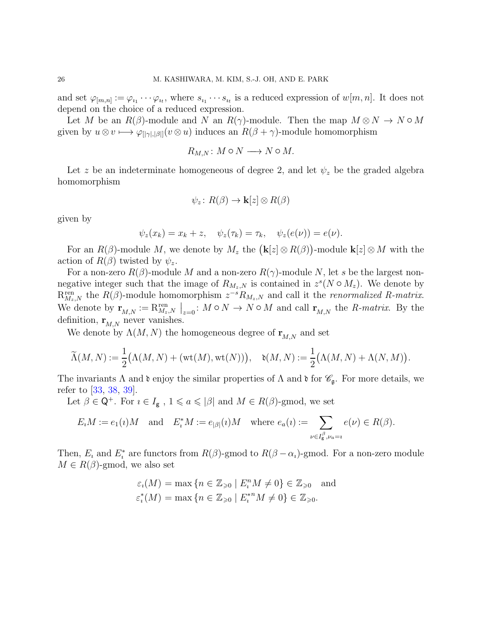and set  $\varphi_{[m,n]} := \varphi_{i_1} \cdots \varphi_{i_t}$ , where  $s_{i_1} \cdots s_{i_t}$  is a reduced expression of  $w[m,n]$ . It does not depend on the choice of a reduced expression.

Let M be an  $R(\beta)$ -module and N an  $R(\gamma)$ -module. Then the map  $M \otimes N \to N \circ M$ given by  $u \otimes v \mapsto \varphi_{\{|v\|,|\beta|\}}(v \otimes u)$  induces an  $R(\beta + \gamma)$ -module homomorphism

$$
R_{M,N}: M \circ N \longrightarrow N \circ M.
$$

Let z be an indeterminate homogeneous of degree 2, and let  $\psi_z$  be the graded algebra homomorphism

$$
\psi_z\colon R(\beta)\to \mathbf{k}[z]\otimes R(\beta)
$$

given by

$$
\psi_z(x_k) = x_k + z, \quad \psi_z(\tau_k) = \tau_k, \quad \psi_z(e(\nu)) = e(\nu).
$$

For an  $R(\beta)$ -module M, we denote by  $M_z$  the  $(\mathbf{k}[z] \otimes R(\beta))$ -module  $\mathbf{k}[z] \otimes M$  with the action of  $R(\beta)$  twisted by  $\psi_z$ .

For a non-zero  $R(\beta)$ -module M and a non-zero  $R(\gamma)$ -module N, let s be the largest nonnegative integer such that the image of  $R_{M_z,N}$  is contained in  $z^s(N \circ M_z)$ . We denote by  $R_{M_z,N}^{\text{ren}}$  the  $R(\beta)$ -module homomorphism  $z^{-s}R_{M_z,N}$  and call it the *renormalized* R-matrix. We denote by  $\mathbf{r}_{M,N} := \mathcal{R}_{M_z,N}^{\text{ren}} \mid_{z=0} : M \circ N \to N \circ M$  and call  $\mathbf{r}_{M,N}$  the *R-matrix*. By the definition,  $\mathbf{r}_{M,N}$  never vanishes.

We denote by  $\Lambda(M,N)$  the homogeneous degree of  $\mathbf{r}_{M,N}$  and set

$$
\widetilde{\Lambda}(M,N) := \frac{1}{2} \big( \Lambda(M,N) + (\mathrm{wt}(M),\mathrm{wt}(N)) \big), \quad \mathfrak{d}(M,N) := \frac{1}{2} \big( \Lambda(M,N) + \Lambda(N,M) \big).
$$

The invariants  $\Lambda$  and  $\mathfrak d$  enjoy the similar properties of  $\Lambda$  and  $\mathfrak d$  for  $\mathscr{C}_{\mathfrak g}$ . For more details, we refer to [\[33,](#page-91-7) [38,](#page-91-10) [39\]](#page-91-11).

Let  $\beta \in \mathsf{Q}^+$ . For  $i \in I_{\mathsf{g}}$ ,  $1 \leq a \leq |\beta|$  and  $M \in R(\beta)$ -gmod, we set

$$
E_i M := e_1(\iota) M \quad \text{and} \quad E_i^* M := e_{|\beta|}(\iota) M \quad \text{where } e_a(\iota) := \sum_{\nu \in I_g^{\beta}, \nu_a = \iota} e(\nu) \in R(\beta).
$$

Then,  $E_i$  and  $E_i^*$  are functors from  $R(\beta)$ -gmod to  $R(\beta - \alpha_i)$ -gmod. For a non-zero module  $M \in R(\beta)$ -gmod, we also set

$$
\varepsilon_i(M) = \max \left\{ n \in \mathbb{Z}_{\geqslant 0} \mid E_i^n M \neq 0 \right\} \in \mathbb{Z}_{\geqslant 0} \text{ and }
$$
  

$$
\varepsilon_i^*(M) = \max \left\{ n \in \mathbb{Z}_{\geqslant 0} \mid E_i^{*n} M \neq 0 \right\} \in \mathbb{Z}_{\geqslant 0}.
$$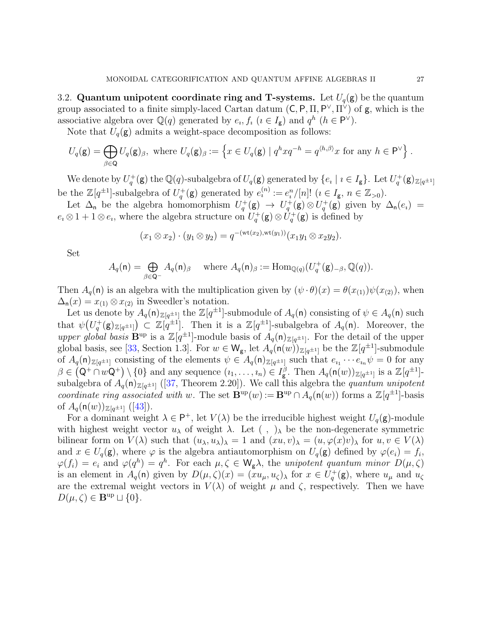<span id="page-26-0"></span>3.2. Quantum unipotent coordinate ring and T-systems. Let  $U_q(\mathbf{g})$  be the quantum group associated to a finite simply-laced Cartan datum  $(C, P, \Pi, P^{\vee}, \Pi^{\vee})$  of  $g$ , which is the associative algebra over  $\mathbb{Q}(q)$  generated by  $e_i, f_i$   $(i \in I_g)$  and  $q^h$   $(h \in \mathsf{P}^{\vee})$ .

Note that  $U_q(\mathbf{g})$  admits a weight-space decomposition as follows:

$$
U_q(\mathbf{g}) = \bigoplus_{\beta \in \mathbf{Q}} U_q(\mathbf{g})_\beta, \text{ where } U_q(\mathbf{g})_\beta := \left\{ x \in U_q(\mathbf{g}) \mid q^h x q^{-h} = q^{\langle h, \beta \rangle} x \text{ for any } h \in \mathsf{P}^{\vee} \right\}.
$$

We denote by  $U_q^+(\mathbf{g})$  the  $\mathbb{Q}(q)$ -subalgebra of  $U_q(\mathbf{g})$  generated by  $\{e_i \mid i \in I_\mathbf{g}\}$ . Let  $U_q^+(\mathbf{g})_{\mathbb{Z}[q^{\pm 1}]}$ be the  $\mathbb{Z}[q^{\pm 1}]$ -subalgebra of  $U_q^+(\mathbf{g})$  generated by  $e_i^{(n)} := e_i^n/[n]!$   $(i \in I_{\mathbf{g}}, n \in \mathbb{Z}_{>0})$ .

Let  $\Delta_n$  be the algebra homomorphism  $U_q^+(\mathbf{g}) \to U_q^+(\mathbf{g}) \otimes U_q^+(\mathbf{g})$  given by  $\Delta_n(e_i) =$  $e_i \otimes 1 + 1 \otimes e_i$ , where the algebra structure on  $U_q^+(\mathbf{g}) \otimes U_q^+(\mathbf{g})$  is defined by

$$
(x_1 \otimes x_2) \cdot (y_1 \otimes y_2) = q^{-(\mathrm{wt}(x_2),\mathrm{wt}(y_1))} (x_1 y_1 \otimes x_2 y_2).
$$

Set

$$
A_q(\mathsf{n}) = \bigoplus_{\beta \in \mathsf{Q}^-} A_q(\mathsf{n})_\beta \quad \text{ where } A_q(\mathsf{n})_\beta := \text{Hom}_{\mathbb{Q}(q)}(U_q^+(\mathsf{g})_{-\beta}, \mathbb{Q}(q)).
$$

Then  $A_q(\mathsf{n})$  is an algebra with the multiplication given by  $(\psi \cdot \theta)(x) = \theta(x_{(1)})\psi(x_{(2)})$ , when  $\Delta_{n}(x) = x_{(1)} \otimes x_{(2)}$  in Sweedler's notation.

Let us denote by  $A_q(\mathsf{n})_{\mathbb{Z}[q^{\pm 1}]}$  the  $\mathbb{Z}[q^{\pm 1}]$ -submodule of  $A_q(\mathsf{n})$  consisting of  $\psi \in A_q(\mathsf{n})$  such that  $\psi(U_q^+(\mathbf{g})_{\mathbb{Z}[q^{\pm 1}]}) \subset \mathbb{Z}[q^{\pm 1}]$ . Then it is a  $\mathbb{Z}[q^{\pm 1}]$ -subalgebra of  $A_q(\mathbf{n})$ . Moreover, the upper global basis  $\mathbf{B}^{\text{up}}$  is a  $\mathbb{Z}[q^{\pm 1}]$ -module basis of  $A_q(\mathsf{n})_{\mathbb{Z}[q^{\pm 1}]}$ . For the detail of the upper global basis, see [\[33,](#page-91-7) Section 1.3]. For  $w \in W_{g}$ , let  $A_q(\mathsf{n}(w))_{\mathbb{Z}[q^{\pm 1}]}$  be the  $\mathbb{Z}[q^{\pm 1}]$ -submodule of  $A_q(\mathsf{n})_{\mathbb{Z}[q^{\pm 1}]}$  consisting of the elements  $\psi \in A_q(\mathsf{n})_{\mathbb{Z}[q^{\pm 1}]}$  such that  $e_{i_1} \cdots e_{i_n} \psi = 0$  for any  $\beta \in (\mathsf{Q}^+\cap w\mathsf{Q}^+) \setminus \{0\}$  and any sequence  $(i_1,\ldots,i_n) \in I_{\mathsf{g}}^{\beta}$ . Then  $A_q(\mathsf{n}(w))_{\mathbb{Z}[q^{\pm 1}]}$  is a  $\mathbb{Z}[q^{\pm 1}]$ subalgebra of  $A_q(\mathsf{n})_{\mathbb{Z}[q^{\pm 1}]}$  ([\[37,](#page-91-18) Theorem 2.20]). We call this algebra the quantum unipotent coordinate ring associated with w. The set  $\mathbf{B}^{\text{up}}(w) := \mathbf{B}^{\text{up}} \cap A_q(\mathsf{n}(w))$  forms a  $\mathbb{Z}[q^{\pm 1}]$ -basis of  $A_q(\mathsf{n}(w))_{\mathbb{Z}[q^{\pm 1}]}$  ([\[43\]](#page-91-19)).

For a dominant weight  $\lambda \in \mathsf{P}^+$ , let  $V(\lambda)$  be the irreducible highest weight  $U_q(\mathsf{g})$ -module with highest weight vector  $u_\lambda$  of weight  $\lambda$ . Let  $( \ , \ )_\lambda$  be the non-degenerate symmetric bilinear form on  $V(\lambda)$  such that  $(u_\lambda, u_\lambda)_{\lambda} = 1$  and  $(xu, v)_{\lambda} = (u, \varphi(x)v)_{\lambda}$  for  $u, v \in V(\lambda)$ and  $x \in U_q(\mathbf{g})$ , where  $\varphi$  is the algebra antiautomorphism on  $U_q(\mathbf{g})$  defined by  $\varphi(e_i) = f_i$ ,  $\varphi(f_i) = e_i$  and  $\varphi(q^h) = q^h$ . For each  $\mu, \zeta \in W_g \lambda$ , the unipotent quantum minor  $D(\mu, \zeta)$ is an element in  $A_q(\mathsf{n})$  given by  $D(\mu,\zeta)(x) = (xu_\mu,u_\zeta)_\lambda$  for  $x \in U_q^+(\mathsf{g})$ , where  $u_\mu$  and  $u_\zeta$ are the extremal weight vectors in  $V(\lambda)$  of weight  $\mu$  and  $\zeta$ , respectively. Then we have  $D(\mu,\zeta) \in \mathbf{B}^{\text{up}} \sqcup \{0\}.$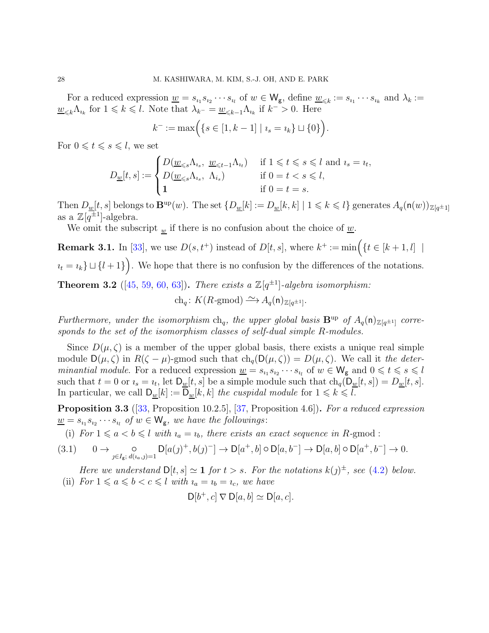For a reduced expression  $\underline{w} = s_{i_1} s_{i_2} \cdots s_{i_l}$  of  $w \in W_g$ , define  $\underline{w}_{\leq k} := s_{i_1} \cdots s_{i_k}$  and  $\lambda_k :=$  $\underline{w}_{\leq k}\Lambda_{i_k}$  for  $1 \leq k \leq l$ . Note that  $\lambda_{k^-} = \underline{w}_{\leq k-1}\Lambda_{i_k}$  if  $k^- > 0$ . Here

$$
k^- := \max\Big( \{ s \in [1, k-1] \mid \iota_s = \iota_k \} \sqcup \{ 0 \} \Big).
$$

For  $0 \leq t \leq s \leq l$ , we set

$$
D_{\underline{w}}[t,s] := \begin{cases} D(\underline{w}_{\leq s} \Lambda_{i_s}, \ \underline{w}_{\leq t-1} \Lambda_{i_t}) & \text{if } 1 \leq t \leq s \leq l \text{ and } i_s = i_t, \\ D(\underline{w}_{\leq s} \Lambda_{i_s}, \ \Lambda_{i_s}) & \text{if } 0 = t < s \leq l, \\ 1 & \text{if } 0 = t = s. \end{cases}
$$

Then  $D_{\underline{w}}[t,s]$  belongs to  $\mathbf{B}^{\text{up}}(w)$ . The set  $\{D_{\underline{w}}[k]:=D_{\underline{w}}[k,k] \mid 1 \leqslant k \leqslant l\}$  generates  $A_q(\mathsf{n}(w))_{\mathbb{Z}[q^{\pm 1}]}$ as a  $\mathbb{Z}[q^{\pm 1}]$ -algebra.

We omit the subscript  $_w$  if there is no confusion about the choice of  $\underline{w}$ .

**Remark 3.1.** In [\[33\]](#page-91-7), we use  $D(s, t^+)$  instead of  $D[t, s]$ , where  $k^+ := \min\left(\{t \in [k+1, l] \mid s\}$  $u_t = u_k$ }  $\cup$  { $l + 1$ }  $\big)$ . We hope that there is no confusion by the differences of the notations.

**Theorem 3.2** ([\[45,](#page-91-8) [59,](#page-92-3) [60,](#page-92-4) [63\]](#page-92-10)). There exists a  $\mathbb{Z}[q^{\pm 1}]$ -algebra isomorphism:

ch<sub>q</sub>:  $K(R\text{-gmod}) \longrightarrow A_q(\mathsf{n})_{\mathbb{Z}[q^{\pm 1}]}$ .

Furthermore, under the isomorphism  $ch_q$ , the upper global basis  $B^{up}$  of  $A_q(\mathsf{n})_{\mathbb{Z}[q^{\pm 1}]}$  corresponds to the set of the isomorphism classes of self-dual simple R-modules.

Since  $D(\mu, \zeta)$  is a member of the upper global basis, there exists a unique real simple module  $D(\mu, \zeta)$  in  $R(\zeta - \mu)$ -gmod such that  $ch_q(D(\mu, \zeta)) = D(\mu, \zeta)$ . We call it the determinantial module. For a reduced expression  $\underline{w} = s_{i_1} s_{i_2} \cdots s_{i_l}$  of  $w \in W_g$  and  $0 \leq t \leq s \leq l$ such that  $t = 0$  or  $i_s = i_t$ , let  $D_{\underline{w}}[t, s]$  be a simple module such that  $ch_q(D_{\underline{w}}[t, s]) = D_{\underline{w}}[t, s]$ . In particular, we call  $D_w[k] := D_w[k, k]$  the cuspidal module for  $1 \leq k \leq l$ .

**Proposition 3.3** ([\[33,](#page-91-7) Proposition 10.2.5], [\[37,](#page-91-18) Proposition 4.6]). For a reduced expression  $\underline{w} = s_{i_1} s_{i_2} \cdots s_{i_l}$  of  $w \in W_g$ , we have the followings:

(i) For  $1 \leq a < b \leq l$  with  $i_a = i_b$ , there exists an exact sequence in R-gmod:

<span id="page-27-0"></span>
$$
(3.1) \qquad 0 \to \bigcirc_{j \in I_g; \ d(a,j)=1} \mathsf{D}[a(j)^+, b(j)^-] \to \mathsf{D}[a^+, b] \circ \mathsf{D}[a, b^-] \to \mathsf{D}[a, b] \circ \mathsf{D}[a^+, b^-] \to 0.
$$

Here we understand  $D[t, s] \simeq 1$  for  $t > s$ . For the notations  $k(j)^{\pm}$ , see [\(4.2\)](#page-31-0) below. (ii) For  $1 \leq a \leq b < c \leq l$  with  $i_a = i_b = i_c$ , we have

$$
D[b^+, c] \nabla D[a, b] \simeq D[a, c].
$$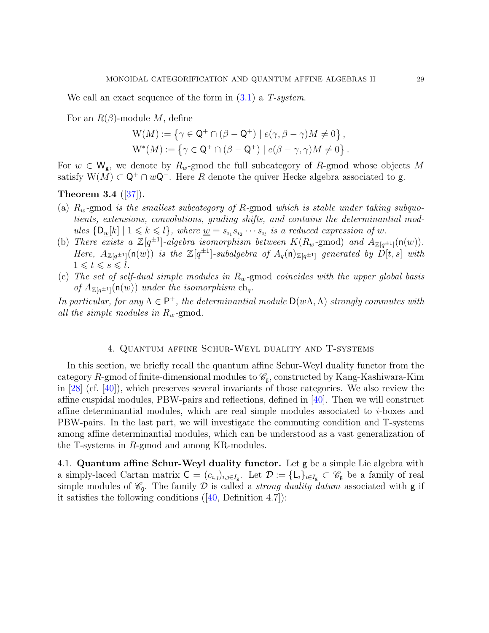We call an exact sequence of the form in  $(3.1)$  a T-system.

For an  $R(\beta)$ -module M, define

$$
W(M) := \{ \gamma \in \mathsf{Q}^+ \cap (\beta - \mathsf{Q}^+) \mid e(\gamma, \beta - \gamma)M \neq 0 \},
$$
  

$$
W^*(M) := \{ \gamma \in \mathsf{Q}^+ \cap (\beta - \mathsf{Q}^+) \mid e(\beta - \gamma, \gamma)M \neq 0 \}.
$$

For  $w \in W_{g}$ , we denote by  $R_w$ -gmod the full subcategory of R-gmod whose objects M satisfy  $W(M) \subset \mathsf{Q}^+ \cap w\mathsf{Q}^-$ . Here R denote the quiver Hecke algebra associated to **g**.

# <span id="page-28-2"></span>Theorem 3.4  $([37])$  $([37])$  $([37])$ .

- (a)  $R_w$ -gmod is the smallest subcategory of R-gmod which is stable under taking subquotients, extensions, convolutions, grading shifts, and contains the determinantial modules  $\{D_{\underline{w}}[k] \mid 1 \leq k \leq l\}$ , where  $\underline{w} = s_{i_1} s_{i_2} \cdots s_{i_l}$  is a reduced expression of w.
- (b) There exists a  $\mathbb{Z}[q^{\pm 1}]$ -algebra isomorphism between  $K(R_w$ -gmod) and  $A_{\mathbb{Z}[q^{\pm 1}]}(\mathsf{n}(w))$ . Here,  $A_{\mathbb{Z}[q^{\pm 1}]}(\mathsf{n}(w))$  is the  $\mathbb{Z}[q^{\pm 1}]$ -subalgebra of  $A_q(\mathsf{n})_{\mathbb{Z}[q^{\pm 1}]}$  generated by  $D[t,s]$  with  $1 \leqslant t \leqslant s \leqslant l$ .
- (c) The set of self-dual simple modules in  $R_w$ -gmod coincides with the upper global basis of  $A_{\mathbb{Z}[q^{\pm 1}]}(\mathsf{n}(w))$  under the isomorphism  $ch_q$ .

In particular, for any  $\Lambda \in \mathsf{P}^+$ , the determinantial module  $\mathsf{D}(w\Lambda,\Lambda)$  strongly commutes with all the simple modules in  $R_w$ -gmod.

#### 4. Quantum affine Schur-Weyl duality and T-systems

<span id="page-28-0"></span>In this section, we briefly recall the quantum affine Schur-Weyl duality functor from the category R-gmod of finite-dimensional modules to  $\mathscr{C}_{\mathfrak{a}}$ , constructed by Kang-Kashiwara-Kim in  $[28]$  (cf.  $[40]$ ), which preserves several invariants of those categories. We also review the affine cuspidal modules, PBW-pairs and reflections, defined in [\[40\]](#page-91-12). Then we will construct affine determinantial modules, which are real simple modules associated to  $i$ -boxes and PBW-pairs. In the last part, we will investigate the commuting condition and T-systems among affine determinantial modules, which can be understood as a vast generalization of the T-systems in R-gmod and among KR-modules.

<span id="page-28-1"></span>4.1. Quantum affine Schur-Weyl duality functor. Let g be a simple Lie algebra with a simply-laced Cartan matrix  $C = (c_{i,j})_{i,j \in I_g}$ . Let  $\mathcal{D} := \{L_i\}_{i \in I_g} \subset \mathscr{C}_g$  be a family of real simple modules of  $\mathscr{C}_{\mathfrak{g}}$ . The family D is called a *strong duality datum* associated with **g** if itsatisfies the following conditions  $([40, \text{Definition } 4.7])$  $([40, \text{Definition } 4.7])$  $([40, \text{Definition } 4.7])$ :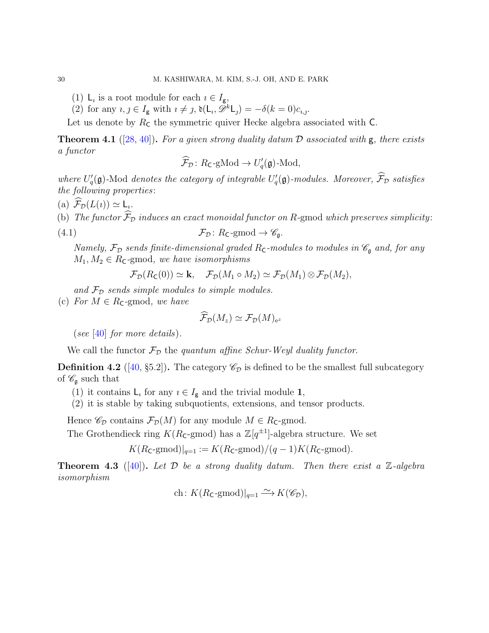- (1)  $\mathsf{L}_i$  is a root module for each  $i \in I_g$ ,
- (2) for any  $i, j \in I_{\mathbf{g}}$  with  $i \neq j$ ,  $\mathfrak{d}(\mathsf{L}_i, \tilde{\mathscr{D}}^k \mathsf{L}_j) = -\delta(k=0)c_{i,j}$ .

Let us denote by  $R_c$  the symmetric quiver Hecke algebra associated with  $C$ .

**Theorem 4.1** ([\[28,](#page-90-10) [40\]](#page-91-12)). For a given strong duality datum  $\mathcal D$  associated with  $g$ , there exists a functor

$$
\widehat{\mathcal{F}}_{\mathcal{D}}\colon R_{\mathsf{C}}\text{-}\mathrm{gMod}\to U_q'(\mathfrak{g})\text{-}\mathrm{Mod},
$$

where  $U_q'(\mathfrak{g})$ -Mod denotes the category of integrable  $U_q'(\mathfrak{g})$ -modules. Moreover,  $\mathcal{F}_{\mathcal{D}}$  satisfies the following properties :

(a)  $\mathcal{F}_{\mathcal{D}}(L(\iota)) \simeq \mathsf{L}_{\iota}.$ 

(b) The functor  $\widehat{\mathcal{F}}_{\mathcal{D}}$  induces an exact monoidal functor on R-gmod which preserves simplicity:

(4.1) 
$$
\mathcal{F}_{\mathcal{D}}\colon R_{\mathsf{C}}\text{-}\mathrm{gmod}\to\mathscr{C}_{\mathfrak{g}}.
$$

Namely,  $\mathcal{F}_{\mathcal{D}}$  sends finite-dimensional graded  $R_{\mathsf{C}}$ -modules to modules in  $\mathscr{C}_{\mathfrak{g}}$  and, for any  $M_1, M_2 \in R_{\mathsf{C}}$ -gmod, we have isomorphisms

 $\mathcal{F}_{\mathcal{D}}(R_{\mathsf{C}}(0)) \simeq \mathbf{k}, \quad \mathcal{F}_{\mathcal{D}}(M_1 \circ M_2) \simeq \mathcal{F}_{\mathcal{D}}(M_1) \otimes \mathcal{F}_{\mathcal{D}}(M_2),$ 

and  $\mathcal{F}_{\mathcal{D}}$  sends simple modules to simple modules.

(c) For  $M \in R_{\mathsf{C}}$ -gmod, we have

$$
\widehat{\mathcal{F}}_{\cal D}(M_z)\simeq \mathcal{F}_{\cal D}(M)_{\rm e^z}
$$

(see [\[40\]](#page-91-12) for more details).

We call the functor  $\mathcal{F}_{\mathcal{D}}$  the quantum affine Schur-Weyl duality functor.

**Definition 4.2** ([\[40,](#page-91-12) §5.2]). The category  $\mathcal{C}_{\mathcal{D}}$  is defined to be the smallest full subcategory of  $\mathscr{C}_{\mathfrak{g}}$  such that

(1) it contains  $L_i$  for any  $i \in I_g$  and the trivial module 1,

(2) it is stable by taking subquotients, extensions, and tensor products.

Hence  $\mathscr{C}_{\mathcal{D}}$  contains  $\mathcal{F}_{\mathcal{D}}(M)$  for any module  $M \in R_{\mathsf{C}}$ -gmod.

The Grothendieck ring  $K(R_{\mathsf{C}}\text{-}\mathrm{gmod})$  has a  $\mathbb{Z}[q^{\pm 1}]$ -algebra structure. We set

 $K(R_{\text{C}}\text{-}\text{gmod})|_{q=1} := K(R_{\text{C}}\text{-}\text{gmod})/(q-1)K(R_{\text{C}}\text{-}\text{gmod}).$ 

**Theorem 4.3** ([\[40\]](#page-91-12)). Let  $\mathcal{D}$  be a strong duality datum. Then there exist a  $\mathbb{Z}$ -algebra isomorphism

ch:  $K(R_{\mathsf{C}}\text{-}\mathrm{gmod})|_{q=1} \xrightarrow{\sim} K(\mathscr{C}_{\mathcal{D}}),$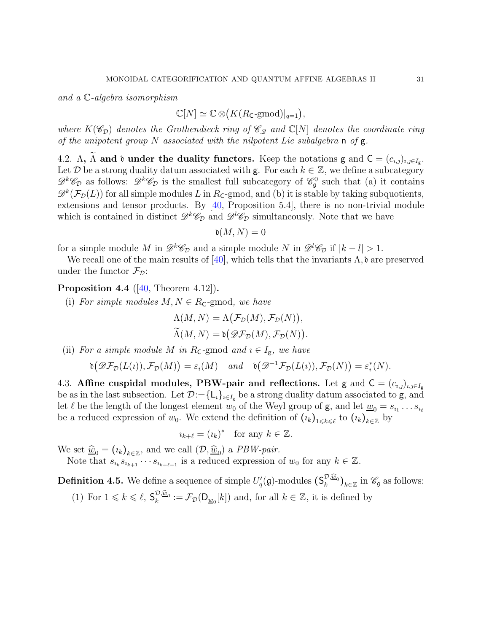and a C-algebra isomorphism

$$
\mathbb{C}[N] \simeq \mathbb{C} \otimes (K(R_{\mathsf{C}}\text{-}\mathrm{gmod})|_{q=1}),
$$

where  $K(\mathscr{C}_{\mathcal{D}})$  denotes the Grothendieck ring of  $\mathscr{C}_{\mathcal{D}}$  and  $\mathbb{C}[N]$  denotes the coordinate ring of the unipotent group N associated with the nilpotent Lie subalgebra n of  $g$ .

<span id="page-30-0"></span>4.2.  $\Lambda$ ,  $\widetilde{\Lambda}$  and  $\mathfrak d$  under the duality functors. Keep the notations g and  $C = (c_{i,j})_{i,j \in I_g}$ . Let  $\mathcal D$  be a strong duality datum associated with g. For each  $k \in \mathbb{Z}$ , we define a subcategory  $\mathscr{D}^k \mathscr{C}_D$  as follows:  $\mathscr{D}^k \mathscr{C}_D$  is the smallest full subcategory of  $\mathscr{C}_\mathfrak{g}^0$  such that (a) it contains  $\mathscr{D}^k(\mathcal{F}_\mathcal{D}(L))$  for all simple modules L in Rc-gmod, and (b) it is stable by taking subquotients, extensions and tensor products. By [\[40,](#page-91-12) Proposition 5.4], there is no non-trivial module which is contained in distinct  $\mathscr{D}^k\mathscr{C}_D$  and  $\mathscr{D}^l\mathscr{C}_D$  simultaneously. Note that we have

$$
\mathfrak{d}(M,N) = 0
$$

for a simple module M in  $\mathscr{D}^k \mathscr{C}_D$  and a simple module N in  $\mathscr{D}^l \mathscr{C}_D$  if  $|k - l| > 1$ .

We recall one of the main results of [\[40\]](#page-91-12), which tells that the invariants  $\Lambda$ ,  $\delta$  are preserved under the functor  $\mathcal{F}_{\mathcal{D}}$ :

# **Proposition 4.4** ( $[40,$  Theorem 4.12]).

(i) For simple modules  $M, N \in R_{\mathsf{C}}$ -gmod, we have

$$
\Lambda(M, N) = \Lambda(\mathcal{F}_D(M), \mathcal{F}_D(N)),
$$
  

$$
\widetilde{\Lambda}(M, N) = \mathfrak{d}(\mathscr{D}\mathcal{F}_D(M), \mathcal{F}_D(N)).
$$

(ii) For a simple module M in R<sub>C</sub>-gmod and  $i \in I_g$ , we have

$$
\mathfrak{d}\big(\mathscr{D}\mathcal{F}_{\mathcal{D}}(L(\imath)),\mathcal{F}_{\mathcal{D}}(M)\big)=\varepsilon_{\imath}(M)\quad and \quad \mathfrak{d}\big(\mathscr{D}^{-1}\mathcal{F}_{\mathcal{D}}(L(\imath)),\mathcal{F}_{\mathcal{D}}(N)\big)=\varepsilon_{\imath}^*(N).
$$

<span id="page-30-1"></span>4.3. Affine cuspidal modules, PBW-pair and reflections. Let g and  $C = (c_{i,j})_{i,j \in I_g}$ be as in the last subsection. Let  $\mathcal{D}:=\{L_i\}_{i\in I_g}$  be a strong duality datum associated to **g**, and let  $\ell$  be the length of the longest element  $w_0$  of the Weyl group of  $g$ , and let  $\underline{w}_0 = s_{i_1} \dots s_{i_\ell}$ be a reduced expression of  $w_0$ . We extend the definition of  $(\iota_k)_{1\leqslant k\leqslant\ell}$  to  $(\iota_k)_{k\in\mathbb{Z}}$  by

$$
i_{k+\ell} = (i_k)^* \text{ for any } k \in \mathbb{Z}.
$$

We set  $\hat{\underline{w}}_0 = (i_k)_{k \in \mathbb{Z}}$ , and we call  $(\mathcal{D}, \hat{\underline{w}}_0)$  a *PBW-pair.* 

Note that  $s_{i_k}s_{i_{k+1}}\cdots s_{i_{k+\ell-1}}$  is a reduced expression of  $w_0$  for any  $k\in\mathbb{Z}$ .

<span id="page-30-2"></span>**Definition 4.5.** We define a sequence of simple  $U_q'(\mathfrak{g})$ -modules  $(\mathsf{S}_k^{\mathcal{D},\widehat{\underline{w}}_0})_{k\in\mathbb{Z}}$  in  $\mathscr{C}_{\mathfrak{g}}$  as follows: (1) For  $1 \leq k \leq \ell$ ,  $S_k^{\mathcal{D},\widehat{\underline{w}}_0} := \mathcal{F}_{\mathcal{D}}(\mathsf{D}_{\underline{w}_0}[k])$  and, for all  $k \in \mathbb{Z}$ , it is defined by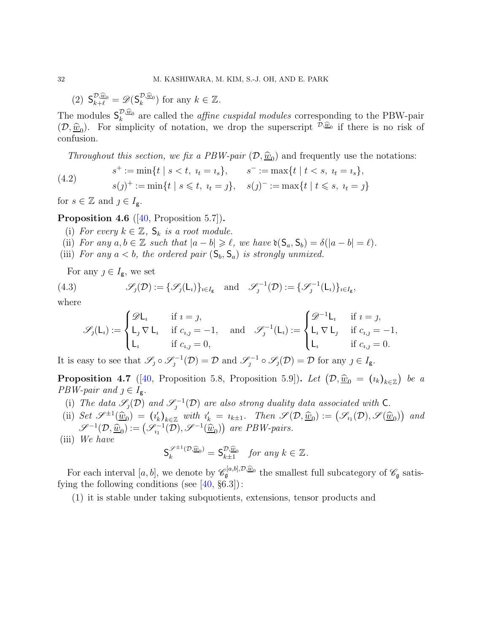(2)  $S_{k+\ell}^{\mathcal{D},\widehat{\underline{w}}_0} = \mathscr{D}(S_k^{\mathcal{D},\widehat{\underline{w}}_0})$  for any  $k \in \mathbb{Z}$ .

The modules  $S_k^{\mathcal{D},\widehat{\omega}_0}$  are called the *affine cuspidal modules* corresponding to the PBW-pair  $(\mathcal{D}, \underline{\widehat{w}}_0)$ . For simplicity of notation, we drop the superscript  $\mathcal{D}, \underline{\widehat{w}}_0$  if there is no risk of confusion.

<span id="page-31-0"></span>Throughout this section, we fix a PBW-pair  $(\mathcal{D}, \underline{\hat{w}}_0)$  and frequently use the notations:

(4.2) 
$$
s^{+} := \min\{t \mid s < t, \ t_{t} = t_{s}\}, \qquad s^{-} := \max\{t \mid t < s, \ t_{t} = t_{s}\}, s(j)^{+} := \min\{t \mid s \leq t, \ t_{t} = j\}, \quad s(j)^{-} := \max\{t \mid t \leq s, \ t_{t} = j\}
$$

for  $s \in \mathbb{Z}$  and  $j \in I_{\mathbf{g}}$ .

<span id="page-31-3"></span><span id="page-31-2"></span>**Proposition 4.6** ( $[40,$  Proposition 5.7).

- (i) For every  $k \in \mathbb{Z}$ ,  $S_k$  is a root module.
- <span id="page-31-4"></span>(ii) For any  $a, b \in \mathbb{Z}$  such that  $|a - b| \geq \ell$ , we have  $\mathfrak{d}(S_a, S_b) = \delta(|a - b| = \ell)$ .
- (iii) For any  $a < b$ , the ordered pair  $(S_b, S_a)$  is strongly unmixed.

For any  $j \in I_{\mathsf{g}}$ , we set

(4.3) 
$$
\mathscr{S}_j(\mathcal{D}) := \{ \mathscr{S}_j(L_i) \}_{i \in I_g} \text{ and } \mathscr{S}_j^{-1}(\mathcal{D}) := \{ \mathscr{S}_j^{-1}(L_i) \}_{i \in I_g},
$$

where

$$
\mathscr{S}_\jmath(\mathsf{L}_\imath) := \begin{cases} \mathscr{D}\mathsf{L}_\imath & \text{if } \imath = \jmath, \\ \mathsf{L}_\jmath \nabla \mathsf{L}_\imath & \text{if } c_{\imath,\jmath} = -1, \\ \mathsf{L}_\imath & \text{if } c_{\imath,\jmath} = 0, \end{cases} \quad \text{and} \quad \mathscr{S}_\jmath^{-1}(\mathsf{L}_\imath) := \begin{cases} \mathscr{D}^{-1}\mathsf{L}_\imath & \text{if } \imath = \jmath, \\ \mathsf{L}_\imath \nabla \mathsf{L}_\jmath & \text{if } c_{\imath,\jmath} = -1, \\ \mathsf{L}_\imath & \text{if } c_{\imath,\jmath} = 0. \end{cases}
$$

It is easy to see that  $\mathscr{S}_j \circ \mathscr{S}_j^{-1}(\mathcal{D}) = \mathcal{D}$  and  $\mathscr{S}_j^{-1} \circ \mathscr{S}_j(\mathcal{D}) = \mathcal{D}$  for any  $j \in I_g$ .

<span id="page-31-1"></span>**Proposition 4.7** ([\[40,](#page-91-12) Proposition 5.8, Proposition 5.9]). Let  $(\mathcal{D}, \hat{\underline{w}}_0 = (i_k)_{k \in \mathbb{Z}})$  be a  $PBW\text{-}pair$  and  $j \in I_g$ .

- (i) The data  $\mathscr{S}_j(\mathcal{D})$  and  $\mathscr{S}_j^{-1}(\mathcal{D})$  are also strong duality data associated with C.
- (ii) Set  $\mathscr{S}^{\pm 1}(\widehat{\underline{w}}_0) = (i'_k)_{k \in \mathbb{Z}}$  with  $i'_k = i_{k \pm 1}$ . Then  $\mathscr{S}(\mathcal{D}, \widehat{\underline{w}}_0) := (\mathscr{S}_{i_1}(\mathcal{D}), \mathscr{S}(\widehat{\underline{w}}_0))$  and  $\mathscr{S}^{-1}(\mathcal{D}, \underline{\widehat{w}}_0) := (\mathscr{S}_{i_1}^{-1}(\mathcal{D}), \mathscr{S}^{-1}(\underline{\widehat{w}}_0))$  are PBW-pairs.

(iii) We have

$$
\mathsf{S}_k^{\mathscr{S}^{\pm 1}(\mathcal{D},\widehat{\underline{w}}_0)} = \mathsf{S}_{k\pm 1}^{\mathcal{D},\widehat{\underline{w}}_0} \quad \text{for any } k \in \mathbb{Z}.
$$

For each interval  $[a, b]$ , we denote by  $\mathscr{C}_{\mathfrak{g}}^{[a,b], \mathcal{D}, \hat{\underline{w}}_0}$  the smallest full subcategory of  $\mathscr{C}_{\mathfrak{g}}$  satisfying the following conditions (see  $[40, §6.3]$ ):

(1) it is stable under taking subquotients, extensions, tensor products and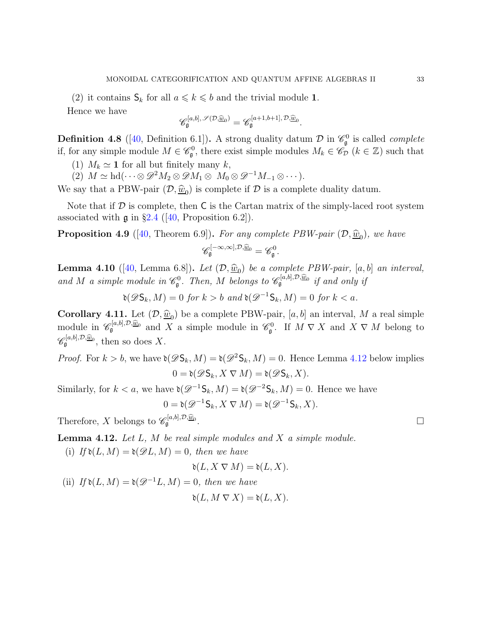(2) it contains  $\mathsf{S}_k$  for all  $a \leq k \leq b$  and the trivial module 1.

Hence we have

$$
\mathscr{C}^{[a,b],\,\mathscr{S}(\mathcal{D},\widehat{\underline{w}}_0)}_{\mathfrak{g}}=\mathscr{C}^{[a+1,b+1],\,\mathcal{D},\widehat{\underline{w}}_0}_{\mathfrak{g}}.
$$

<span id="page-32-0"></span>**Definition 4.8** ([\[40,](#page-91-12) Definition 6.1]). A strong duality datum  $\mathcal{D}$  in  $\mathcal{C}_{\mathfrak{g}}^0$  is called *complete* if, for any simple module  $M \in \mathscr{C}_{\mathfrak{g}}^0$ , there exist simple modules  $M_k \in \tilde{\mathscr{C}}_{\mathcal{D}}(k \in \mathbb{Z})$  such that

- (1)  $M_k \simeq 1$  for all but finitely many k,
- (2)  $M \simeq \text{hd}(\cdots \otimes \mathscr{D}^2 M_2 \otimes \mathscr{D} M_1 \otimes M_0 \otimes \mathscr{D}^{-1} M_{-1} \otimes \cdots).$

We say that a PBW-pair  $(D, \underline{\hat{w}}_0)$  is complete if  $D$  is a complete duality datum.

Note that if  $D$  is complete, then  $C$  is the Cartan matrix of the simply-laced root system associated with  $\mathfrak g$  in §[2.4](#page-22-0) ([\[40,](#page-91-12) Proposition 6.2]).

**Proposition 4.9** ([\[40,](#page-91-12) Theorem 6.9]). For any complete PBW-pair  $(\mathcal{D}, \underline{\hat{w}}_0)$ , we have  $\mathscr{C}^{[-\infty,\infty],\mathcal{D},\widehat{\underline{w}}_0}_{\mathfrak{g}}=\mathscr{C}^0_{\mathfrak{g}}.$ 

**Lemma 4.10** ([\[40,](#page-91-12) Lemma 6.8]). Let  $(D, \widehat{w}_0)$  be a complete PBW-pair, [a, b] an interval, and M a simple module in  $\mathcal{C}_{\mathfrak{g}}^0$ . Then, M belongs to  $\mathcal{C}_{\mathfrak{g}}^{[a,b],\mathcal{D},\widehat{\underline{w}}_0}$  if and only if

 $\mathfrak{d}(\mathscr{D}\mathsf{S}_k, M) = 0$  for  $k > b$  and  $\mathfrak{d}(\mathscr{D}^{-1}\mathsf{S}_k, M) = 0$  for  $k < a$ .

**Corollary 4.11.** Let  $(D, \hat{w}_0)$  be a complete PBW-pair,  $[a, b]$  an interval, M a real simple module in  $\mathscr{C}_{\mathfrak{g}}^{[a,b],\mathcal{D},\widehat{\underline{w}}_0}$  and X a simple module in  $\mathscr{C}_{\mathfrak{g}}^0$ . If  $M \nabla X$  and  $X \nabla M$  belong to  $\mathscr{C}_{\mathfrak{g}}^{[a,b],\mathcal{D},\widehat{\underline{w}}_0}$ , then so does X.

*Proof.* For  $k > b$ , we have  $\delta(\mathscr{D}S_k, M) = \delta(\mathscr{D}^2S_k, M) = 0$ . Hence Lemma [4.12](#page-32-1) below implies  $0 = \mathfrak{d}(\mathscr{D}\mathsf{S}_k, X \nabla M) = \mathfrak{d}(\mathscr{D}\mathsf{S}_k, X).$ 

Similarly, for  $k < a$ , we have  $\mathfrak{d}(\mathscr{D}^{-1} \mathsf{S}_k, M) = \mathfrak{d}(\mathscr{D}^{-2} \mathsf{S}_k, M) = 0$ . Hence we have

$$
0 = \mathfrak{d}(\mathcal{D}^{-1} \mathsf{S}_k, X \nabla M) = \mathfrak{d}(\mathcal{D}^{-1} \mathsf{S}_k, X).
$$

Therefore, X belongs to  $\mathscr{C}_{\mathfrak{g}}^{[a,b],\mathcal{D},\widehat{\underline{w}}_0}$ .

<span id="page-32-2"></span><span id="page-32-1"></span>**Lemma 4.12.** Let  $L$ ,  $M$  be real simple modules and  $X$  a simple module.

(i) If  $\mathfrak{d}(L, M) = \mathfrak{d}(\mathscr{D}L, M) = 0$ , then we have

$$
\mathfrak{d}(L, X \nabla M) = \mathfrak{d}(L, X).
$$

<span id="page-32-3"></span>(ii) If  $\mathfrak{d}(L, M) = \mathfrak{d}(\mathcal{D}^{-1}L, M) = 0$ , then we have

$$
\mathfrak{d}(L, M \nabla X) = \mathfrak{d}(L, X).
$$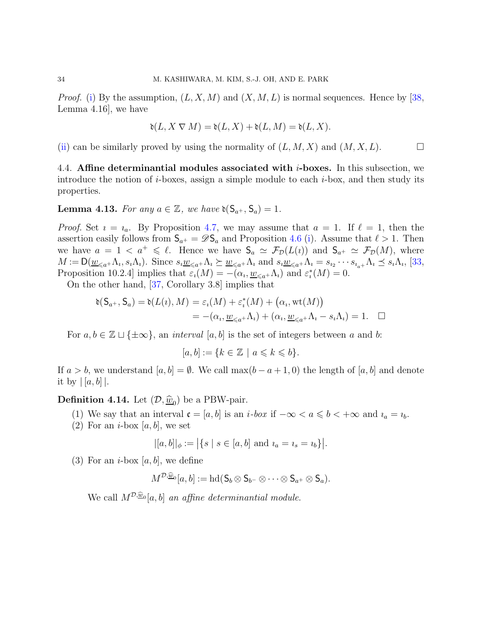*Proof.* [\(i\)](#page-32-2) By the assumption,  $(L, X, M)$  and  $(X, M, L)$  is normal sequences. Hence by [\[38,](#page-91-10) Lemma 4.16], we have

$$
\mathfrak{d}(L,X\mathbin{\nabla} M)=\mathfrak{d}(L,X)+\mathfrak{d}(L,M)=\mathfrak{d}(L,X).
$$

<span id="page-33-0"></span>[\(ii\)](#page-32-3) can be similarly proved by using the normality of  $(L, M, X)$  and  $(M, X, L)$ .

4.4. Affine determinantial modules associated with  $i$ -boxes. In this subsection, we introduce the notion of *i*-boxes, assign a simple module to each *i*-box, and then study its properties.

**Lemma 4.13.** For any  $a \in \mathbb{Z}$ , we have  $\mathfrak{d}(S_{a^+}, S_a) = 1$ .

*Proof.* Set  $i = i_a$ . By Proposition [4.7,](#page-31-1) we may assume that  $a = 1$ . If  $\ell = 1$ , then the assertion easily follows from  $S_{a^+} = \mathscr{D}S_a$  and Proposition [4.6](#page-31-2) [\(i\)](#page-31-3). Assume that  $\ell > 1$ . Then we have  $a = 1 < a^+ \leq \ell$ . Hence we have  $S_a \simeq \mathcal{F}_D(L(i))$  and  $S_{a^+} \simeq \mathcal{F}_D(M)$ , where  $M := \mathsf{D}(\underline{w}_{\leq a^+} \Lambda_i, s_i \Lambda_i)$ . Since  $s_i \underline{w}_{\leq a^+} \Lambda_i \succeq \underline{w}_{\leq a^+} \Lambda_i$  and  $s_i \underline{w}_{\leq a^+} \Lambda_i = s_{i_2} \cdots s_{i_{a^+}} \Lambda_i \preceq s_i \Lambda_i$ , [\[33,](#page-91-7) Proposition 10.2.4] implies that  $\varepsilon_i(M) = -(\alpha_i, \underline{w}_{\leq a^+} \Lambda_i)$  and  $\varepsilon_i^*(M) = 0$ .

On the other hand, [\[37,](#page-91-18) Corollary 3.8] implies that

$$
\delta(\mathsf{S}_{a^+}, \mathsf{S}_a) = \delta(L(\iota), M) = \varepsilon_{\iota}(M) + \varepsilon_{\iota}^*(M) + (\alpha_{\iota}, \text{wt}(M))
$$
  
= -(\alpha\_{\iota}, \underline{w}\_{\leqslant a^+} \Lambda\_{\iota}) + (\alpha\_{\iota}, \underline{w}\_{\leqslant a^+} \Lambda\_{\iota} - s\_{\iota} \Lambda\_{\iota}) = 1. \quad \Box

For  $a, b \in \mathbb{Z} \sqcup \{\pm \infty\}$ , an *interval* [a, b] is the set of integers between a and b:

 $[a, b] := \{k \in \mathbb{Z} \mid a \leqslant k \leqslant b\}.$ 

If  $a > b$ , we understand  $[a, b] = \emptyset$ . We call  $\max(b - a + 1, 0)$  the length of  $[a, b]$  and denote it by  $\vert [a, b] \vert$ .

**Definition 4.14.** Let  $(\mathcal{D}, \underline{\hat{w}}_0)$  be a PBW-pair.

- (1) We say that an interval  $\mathfrak{c} = [a, b]$  is an *i*-box if  $-\infty < a \leqslant b < +\infty$  and  $i_a = i_b$ .
- (2) For an *i*-box [a, b], we set

$$
|[a, b]|_{\phi} := | \{ s \mid s \in [a, b] \text{ and } i_a = i_s = i_b \} |.
$$

(3) For an *i*-box  $[a, b]$ , we define

$$
M^{\mathcal{D},\widehat{\underline{w}}_0}[a,b]:=\mathrm{hd}(\mathsf{S}_b\otimes \mathsf{S}_{b^-}\otimes \cdots \otimes \mathsf{S}_{a^+}\otimes \mathsf{S}_a).
$$

We call  $M^{D,\widehat{\underline{w}}_0}[a, b]$  an affine determinantial module.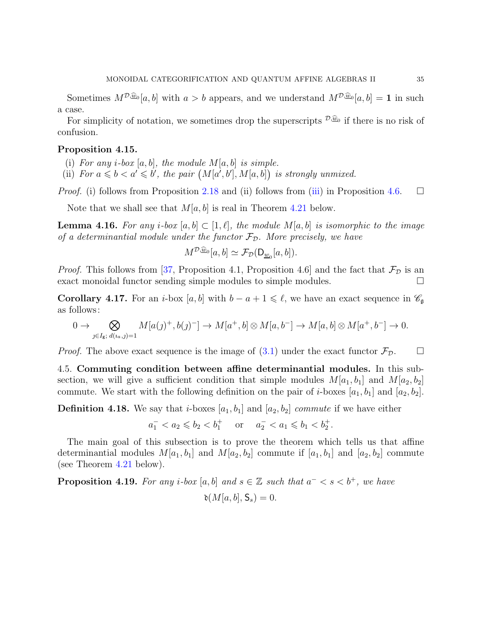Sometimes  $M^{D,\widehat{\underline{w}}_0}[a, b]$  with  $a > b$  appears, and we understand  $M^{D,\widehat{\underline{w}}_0}[a, b] = 1$  in such a case.

For simplicity of notation, we sometimes drop the superscripts  $\mathcal{D}, \widehat{\omega}$  if there is no risk of confusion.

#### <span id="page-34-1"></span>Proposition 4.15.

(i) For any *i*-box  $[a, b]$ , the module  $M[a, b]$  is simple.

(ii) For  $a \leq b < a' \leq b'$ , the pair  $(M[a',b'], M[a,b])$  is strongly unmixed.

*Proof.* (i) follows from Proposition [2.18](#page-19-0) and (ii) follows from [\(iii\)](#page-31-4) in Proposition [4.6.](#page-31-2)  $\Box$ 

Note that we shall see that  $M[a, b]$  is real in Theorem [4.21](#page-36-0) below.

<span id="page-34-2"></span>**Lemma 4.16.** For any i-box  $[a, b] \subset [1, \ell],$  the module  $M[a, b]$  is isomorphic to the image of a determinantial module under the functor  $\mathcal{F}_{\mathcal{D}}$ . More precisely, we have

$$
M^{\mathcal{D},\widehat{\underline{w}}_0}[a,b] \simeq \mathcal{F}_{\mathcal{D}}(\mathsf{D}_{\underline{w}_0}[a,b]).
$$

*Proof.* This follows from [\[37,](#page-91-18) Proposition 4.1, Proposition 4.6] and the fact that  $\mathcal{F}_{\mathcal{D}}$  is an exact monoidal functor sending simple modules to simple modules.

**Corollary 4.17.** For an *i*-box [a, b] with  $b - a + 1 \leq \ell$ , we have an exact sequence in  $\mathscr{C}_{\mathfrak{g}}$ as follows:

$$
0 \to \bigotimes_{j \in I_g; d(i_a, j) = 1} M[a(j)^+, b(j)^-] \to M[a^+, b] \otimes M[a, b^-] \to M[a, b] \otimes M[a^+, b^-] \to 0.
$$

<span id="page-34-0"></span>*Proof.* The above exact sequence is the image of  $(3.1)$  under the exact functor  $\mathcal{F}_{\mathcal{D}}$ .

4.5. Commuting condition between affine determinantial modules. In this subsection, we will give a sufficient condition that simple modules  $M[a_1, b_1]$  and  $M[a_2, b_2]$ commute. We start with the following definition on the pair of *i*-boxes  $[a_1, b_1]$  and  $[a_2, b_2]$ .

**Definition 4.18.** We say that *i*-boxes  $[a_1, b_1]$  and  $[a_2, b_2]$  *commute* if we have either

 $a_1^- < a_2 \leq b_2 < b_1^+$  or  $a_2^- < a_1 \leq b_1 < b_2^+$ .

The main goal of this subsection is to prove the theorem which tells us that affine determinantial modules  $M[a_1, b_1]$  and  $M[a_2, b_2]$  commute if  $[a_1, b_1]$  and  $[a_2, b_2]$  commute (see Theorem [4.21](#page-36-0) below).

**Proposition 4.19.** For any i-box  $[a, b]$  and  $s \in \mathbb{Z}$  such that  $a^- < s < b^+$ , we have  $\mathfrak{d}(M[a, b], \mathsf{S}_s) = 0.$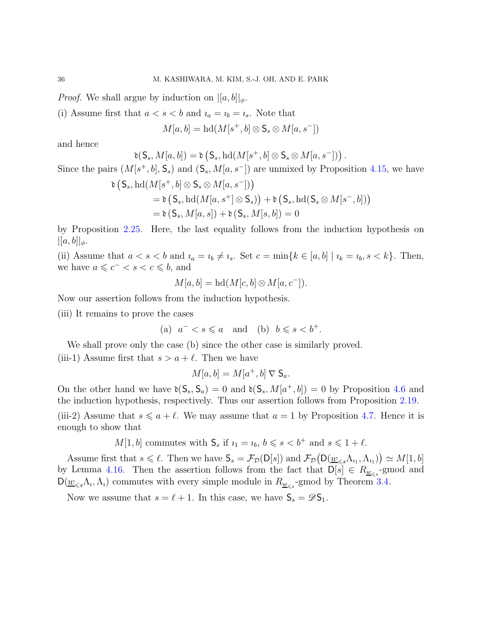*Proof.* We shall argue by induction on  $\left|\left[a,b\right]\right|_{\phi}$ .

(i) Assume first that  $a < s < b$  and  $i_a = i_b = i_s$ . Note that

$$
M[a, b] = \mathrm{hd}(M[s^+, b] \otimes \mathsf{S}_s \otimes M[a, s^-])
$$

and hence

$$
\mathfrak{d}(S_s,M[a,b])=\mathfrak{d}\left(S_s,\mathrm{hd}(M[s^+,b]\otimes \mathsf{S}_s\otimes M[a,s^-])\right).
$$

Since the pairs  $(M[s^+,b], \mathsf{S}_s)$  and  $(\mathsf{S}_s, M[a, s^-])$  are unmixed by Proposition [4.15,](#page-34-1) we have

$$
\delta\left(\mathsf{S}_s, \mathrm{hd}(M[s^+, b] \otimes \mathsf{S}_s \otimes M[a, s^-])\right) \n= \delta\left(\mathsf{S}_s, \mathrm{hd}(M[a, s^+] \otimes \mathsf{S}_s)\right) + \delta\left(\mathsf{S}_s, \mathrm{hd}(\mathsf{S}_s \otimes M[s^-, b])\right) \n= \delta\left(\mathsf{S}_s, M[a, s]) + \delta\left(\mathsf{S}_s, M[s, b]\right) = 0
$$

by Proposition [2.25.](#page-21-0) Here, the last equality follows from the induction hypothesis on  $|[a, b]|_{\phi}.$ 

(ii) Assume that  $a < s < b$  and  $i_a = i_b \neq i_s$ . Set  $c = \min\{k \in [a, b] \mid i_k = i_b, s < k\}$ . Then, we have  $a \leqslant c^- < s < c \leqslant b$ , and

$$
M[a, b] = \mathrm{hd}(M[c, b] \otimes M[a, c^{-}]).
$$

Now our assertion follows from the induction hypothesis.

(iii) It remains to prove the cases

(a) 
$$
a^- < s \leq a
$$
 and (b)  $b \leq s < b^+$ .

We shall prove only the case (b) since the other case is similarly proved. (iii-1) Assume first that  $s > a + \ell$ . Then we have

$$
M[a, b] = M[a^+, b] \nabla \mathsf{S}_a.
$$

On the other hand we have  $\mathfrak{d}(S_s, S_a) = 0$  and  $\mathfrak{d}(S_s, M[a^+,b]) = 0$  by Proposition [4.6](#page-31-2) and the induction hypothesis, respectively. Thus our assertion follows from Proposition [2.19.](#page-19-1)

(iii-2) Assume that  $s \leq a + \ell$ . We may assume that  $a = 1$  by Proposition [4.7.](#page-31-1) Hence it is enough to show that

 $M[1, b]$  commutes with  $S_s$  if  $i_1 = i_b, b \leq s < b^+$  and  $s \leq 1 + \ell$ .

Assume first that  $s \leq \ell$ . Then we have  $S_s = \mathcal{F}_D(D[s])$  and  $\mathcal{F}_D(D(\underline{w}_{\leq s} \Lambda_{i_1}, \Lambda_{i_1})) \simeq M[1, b]$ by Lemma [4.16.](#page-34-2) Then the assertion follows from the fact that  $\mathsf{D}[s] \in R_{\underline{w}_{\leq s}}$ -gmod and  $D(\underline{w}_{\leq s}\Lambda_i, \Lambda_i)$  commutes with every simple module in  $R_{\underline{w}_{\leq s}}$ -gmod by Theorem [3.4.](#page-28-2)

Now we assume that  $s = \ell + 1$ . In this case, we have  $S_s = \mathscr{D}S_1$ .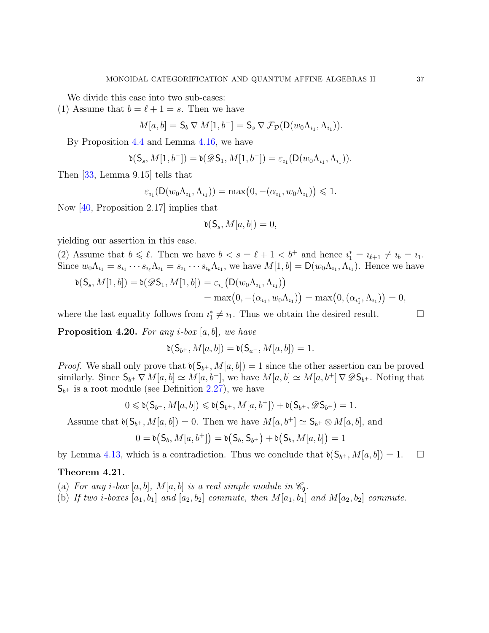We divide this case into two sub-cases:

(1) Assume that  $b = \ell + 1 = s$ . Then we have

$$
M[a, b] = \mathsf{S}_b \nabla M[1, b^-] = \mathsf{S}_s \nabla \mathcal{F}_\mathcal{D}(\mathsf{D}(w_0 \Lambda_{i_1}, \Lambda_{i_1})).
$$

By Proposition [4.4](#page-30-0) and Lemma [4.16,](#page-34-0) we have

$$
\mathfrak{d}( \mathsf{S}_s, M[1,b^-]) = \mathfrak{d}(\mathscr{D}\mathsf{S}_1, M[1,b^-]) = \varepsilon_{\imath_1}( \mathsf{D}(w_0\Lambda_{\imath_1}, \Lambda_{\imath_1})).
$$

Then [\[33,](#page-91-0) Lemma 9.15] tells that

$$
\varepsilon_{i_1}(D(w_0\Lambda_{i_1},\Lambda_{i_1})) = \max(0,-(\alpha_{i_1},w_0\Lambda_{i_1})) \leq 1.
$$

Now [\[40,](#page-91-1) Proposition 2.17] implies that

$$
\mathfrak{d}(S_s, M[a, b]) = 0,
$$

yielding our assertion in this case.

(2) Assume that  $b \leq \ell$ . Then we have  $b < s = \ell + 1 < b^+$  and hence  $i_1^* = i_{\ell+1} \neq i_b = i_1$ . Since  $w_0\Lambda_{i_1}=s_{i_1}\cdots s_{i_\ell}\Lambda_{i_1}=s_{i_1}\cdots s_{i_b}\Lambda_{i_1}$ , we have  $M[1,b]=\mathsf{D}(w_0\Lambda_{i_1},\Lambda_{i_1})$ . Hence we have

$$
\delta(S_s, M[1, b]) = \delta(\mathscr{D}S_1, M[1, b]) = \varepsilon_{i_1}(D(w_0 \Lambda_{i_1}, \Lambda_{i_1}))
$$
  
= max $(0, -(\alpha_{i_1}, w_0 \Lambda_{i_1}))$  = max $(0, (\alpha_{i_1^*}, \Lambda_{i_1}))$  = 0,

where the last equality follows from  $i_1^* \neq i_1$ . Thus we obtain the desired result.  $\Box$ 

<span id="page-36-1"></span>**Proposition 4.20.** For any *i*-box  $[a, b]$ , we have

$$
\mathfrak{d}(S_{b^+}, M[a, b]) = \mathfrak{d}(S_{a^-}, M[a, b]) = 1.
$$

*Proof.* We shall only prove that  $\mathfrak{d}(S_{b^+}, M[a, b]) = 1$  since the other assertion can be proved similarly. Since  $S_{b^+} \nabla M[a, b] \simeq M[a, b^+]$ , we have  $M[a, b] \simeq M[a, b^+] \nabla \mathscr{D} S_{b^+}$ . Noting that  $S_{b+}$  is a root module (see Definition [2.27\)](#page-22-0), we have

$$
0 \leqslant \mathfrak{d}(\mathsf{S}_{b^+},M[a,b]) \leqslant \mathfrak{d}(\mathsf{S}_{b^+},M[a,b^+]) + \mathfrak{d}(\mathsf{S}_{b^+},\mathscr{D}\mathsf{S}_{b^+}) = 1.
$$

Assume that  $\mathfrak{d}(S_{b^+}, M[a, b]) = 0$ . Then we have  $M[a, b^+] \simeq S_{b^+} \otimes M[a, b]$ , and

$$
0 = \mathfrak{d}(S_b, M[a, b^+]) = \mathfrak{d}(S_b, S_{b^+}) + \mathfrak{d}(S_b, M[a, b]) = 1
$$

by Lemma [4.13,](#page-33-0) which is a contradiction. Thus we conclude that  $\mathfrak{d}(S_{b^+}, M[a, b]) = 1.$ 

### <span id="page-36-3"></span><span id="page-36-0"></span>Theorem 4.21.

- <span id="page-36-2"></span>(a) For any i-box [a, b],  $M[a, b]$  is a real simple module in  $\mathcal{C}_{\mathfrak{g}}$ .
- (b) If two i-boxes  $[a_1, b_1]$  and  $[a_2, b_2]$  commute, then  $M[a_1, b_1]$  and  $M[a_2, b_2]$  commute.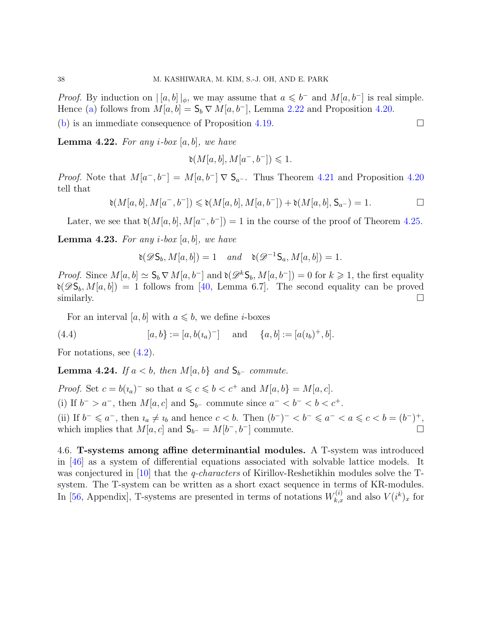*Proof.* By induction on  $\vert [a, b] \vert_{\phi}$ , we may assume that  $a \leq b^-$  and  $M[a, b^-]$  is real simple. Hence [\(a\)](#page-36-0) follows from  $M[a, b] = \mathsf{S}_b \nabla M[a, b^-]$ , Lemma [2.22](#page-19-0) and Proposition [4.20.](#page-36-1)

[\(b\)](#page-36-2) is an immediate consequence of Proposition [4.19.](#page-34-1)  $\Box$ 

<span id="page-37-0"></span>**Lemma 4.22.** For any *i*-box  $[a, b]$ , we have

$$
\mathfrak{d}(M[a,b],M[a^-,b^-]) \leq 1.
$$

*Proof.* Note that  $M[a^-, b^-] = M[a, b^-] \nabla \mathsf{S}_{a^-}$ . Thus Theorem [4.21](#page-36-3) and Proposition [4.20](#page-36-1) tell that

$$
\mathfrak{d}(M[a,b],M[a^-,b^-])\leqslant \mathfrak{d}(M[a,b],M[a,b^-])+\mathfrak{d}(M[a,b],\mathsf{S}_{a^-})=1.
$$

Later, we see that  $\mathfrak{d}(M[a, b], M[a^-, b^-]) = 1$  in the course of the proof of Theorem [4.25.](#page-38-0)

<span id="page-37-1"></span>**Lemma 4.23.** For any *i*-box  $[a, b]$ , we have

 $\mathfrak{d}(\mathscr{D}\mathsf{S}_b, M[a, b]) = 1 \quad and \quad \mathfrak{d}(\mathscr{D}^{-1}\mathsf{S}_a, M[a, b]) = 1.$ 

*Proof.* Since  $M[a, b] \simeq \mathsf{S}_b \nabla M[a, b^-]$  and  $\mathfrak{d}(\mathscr{D}^k \mathsf{S}_b, M[a, b^-]) = 0$  for  $k \geq 1$ , the first equality  $\delta(\mathscr{D}S_b, M[a, b]) = 1$  follows from [\[40,](#page-91-1) Lemma 6.7]. The second equality can be proved  $\Box$  similarly.

For an interval [a, b] with  $a \leq b$ , we define *i*-boxes

<span id="page-37-2"></span>(4.4) 
$$
[a, b] := [a, b(i_a)^-] \text{ and } \{a, b\} := [a(i_b)^+, b].
$$

For notations, see  $(4.2)$ .

Lemma 4.24. If  $a < b$ , then  $M[a, b]$  and  $S_{b-}$  commute.

*Proof.* Set  $c = b(i_a)^-$  so that  $a \leq c \leq b < c^+$  and  $M[a, b] = M[a, c]$ . (i) If  $b^- > a^-$ , then  $M[a, c]$  and  $S_{b^-}$  commute since  $a^- < b^- < b < c^+$ . (ii) If  $b^- \leq a^-$ , then  $u_a \neq u_b$  and hence  $c < b$ . Then  $(b^-)^- < b^- \leq a^- < a \leq c < b = (b^-)^+$ . which implies that  $M[a, c]$  and  $S_{b^-} = M[b^-, b^-]$  commute.

4.6. T-systems among affine determinantial modules. A T-system was introduced in [\[46\]](#page-91-2) as a system of differential equations associated with solvable lattice models. It was conjectured in [\[10\]](#page-89-0) that the *q-characters* of Kirillov-Reshetikhin modules solve the Tsystem. The T-system can be written as a short exact sequence in terms of KR-modules. In [\[56,](#page-92-0) Appendix], T-systems are presented in terms of notations  $W_{k,x}^{(i)}$  and also  $V(i^k)_x$  for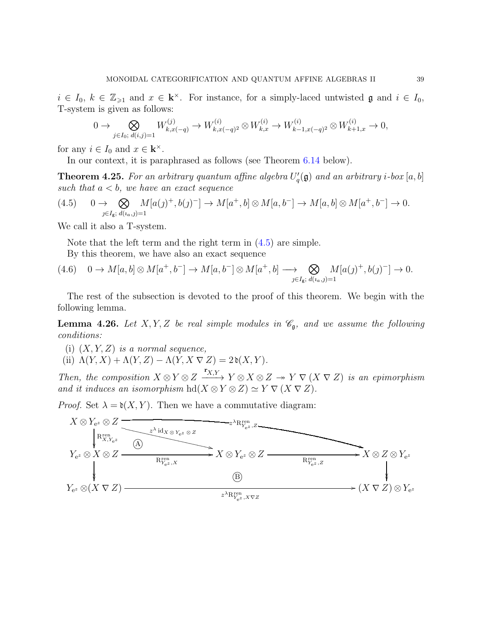$i \in I_0, k \in \mathbb{Z}_{\geqslant 1}$  and  $x \in \mathbf{k}^\times$ . For instance, for a simply-laced untwisted  $\mathfrak{g}$  and  $i \in I_0$ , T-system is given as follows:

$$
0 \to \bigotimes_{j \in I_0; d(i,j)=1} W_{k,x(-q)}^{(j)} \to W_{k,x(-q)^2}^{(i)} \otimes W_{k,x}^{(i)} \to W_{k-1,x(-q)^2}^{(i)} \otimes W_{k+1,x}^{(i)} \to 0,
$$

for any  $i \in I_0$  and  $x \in \mathbf{k}^{\times}$ .

In our context, it is paraphrased as follows (see Theorem [6.14](#page-59-0) below).

<span id="page-38-0"></span>**Theorem 4.25.** For an arbitrary quantum affine algebra  $U_q'(\mathfrak{g})$  and an arbitrary i-box  $[a, b]$ such that  $a < b$ , we have an exact sequence

<span id="page-38-1"></span>
$$
(4.5) \qquad 0 \to \bigotimes_{j \in I_g; \ d(u_a, j) = 1} M[a(j)^+, b(j)^-] \to M[a^+, b] \otimes M[a, b^-] \to M[a, b] \otimes M[a^+, b^-] \to 0.
$$

We call it also a T-system.

Note that the left term and the right term in [\(4.5\)](#page-38-1) are simple.

By this theorem, we have also an exact sequence

$$
(4.6) \quad 0 \to M[a, b] \otimes M[a^+, b^-] \to M[a, b^-] \otimes M[a^+, b] \longrightarrow \bigotimes_{j \in I_g; d(u, j) = 1} M[a(j)^+, b(j)^-] \to 0.
$$

The rest of the subsection is devoted to the proof of this theorem. We begin with the following lemma.

<span id="page-38-3"></span>**Lemma 4.26.** Let X, Y, Z be real simple modules in  $\mathcal{C}_{\mathfrak{g}}$ , and we assume the following conditions:

- <span id="page-38-2"></span>(i)  $(X, Y, Z)$  is a normal sequence,
- (ii)  $\Lambda(Y, X) + \Lambda(Y, Z) \Lambda(Y, X \nabla Z) = 2\mathfrak{d}(X, Y)$ .

Then, the composition  $X \otimes Y \otimes Z$  $\mathbf{r}_{X,Y}$  $-\frac{A, I}{\longrightarrow} Y \otimes X \otimes Z \to Y \nabla (X \nabla Z)$  is an epimorphism and it induces an isomorphism hd( $X \otimes Y \otimes Z$ )  $\simeq Y \nabla (X \nabla Z)$ .

*Proof.* Set  $\lambda = \mathfrak{d}(X, Y)$ . Then we have a commutative diagram:

$$
X \otimes Y_{e^z} \otimes Z
$$
\n
$$
Y_{e^z} \otimes X \otimes Z
$$
\n
$$
Y_{e^z} \otimes (X \nabla Z)
$$
\n
$$
Y_{e^z} \otimes (X \nabla Z)
$$
\n
$$
Y_{e^z} \otimes (X \nabla Z)
$$
\n
$$
Y_{e^z} \otimes (X \nabla Z)
$$
\n
$$
Y_{e^z} \otimes (X \nabla Z)
$$
\n
$$
Y_{e^z} \otimes (X \nabla Z)
$$
\n
$$
Y_{e^z} \otimes (X \nabla Z)
$$
\n
$$
Y_{e^z} \otimes (X \nabla Z)
$$
\n
$$
Y_{e^z} \otimes (X \nabla Z)
$$
\n
$$
Y_{e^z} \otimes (X \nabla Z)
$$
\n
$$
Y_{e^z} \otimes (X \nabla Z)
$$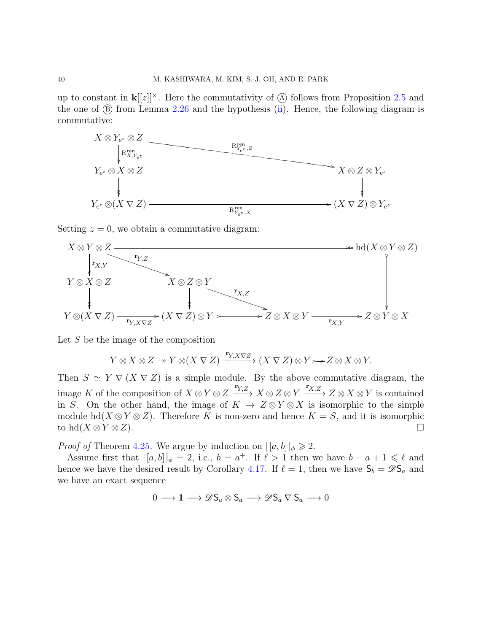up to constant in  $\mathbf{k}[[z]]^{\times}$ . Here the commutativity of  $\hat{A}$  follows from Proposition [2.5](#page-16-0) and the one of  $(\overline{B})$  from Lemma [2.26](#page-22-1) and the hypothesis [\(ii\)](#page-38-2). Hence, the following diagram is commutative:



Setting  $z = 0$ , we obtain a commutative diagram:



Let S be the image of the composition

$$
Y \otimes X \otimes Z \twoheadrightarrow Y \otimes (X \nabla Z) \xrightarrow{\mathbf{r}_{Y, X} \nabla Z} (X \nabla Z) \otimes Y \rightarrowtail Z \otimes X \otimes Y.
$$

Then  $S \simeq Y \nabla (X \nabla Z)$  is a simple module. By the above commutative diagram, the image K of the composition of  $X \otimes Y \otimes Z$  $\mathbf{r}_{Y,Z}$  $\longrightarrow X \otimes Z \otimes Y$  $\mathbf{r}_{X,Z}$  $\longrightarrow Z \otimes X \otimes Y$  is contained in S. On the other hand, the image of  $K \to Z \otimes Y \otimes X$  is isomorphic to the simple module hd( $X \otimes Y \otimes Z$ ). Therefore K is non-zero and hence  $K = S$ , and it is isomorphic to hd( $X \otimes Y \otimes Z$ ). to hd( $X \otimes Y \otimes Z$ ).

*Proof of* Theorem [4.25](#page-38-0). We argue by induction on  $|[a, b]|_{\phi} \geq 2$ .

Assume first that  $|[a, b]|_\phi = 2$ , i.e.,  $b = a^+$ . If  $\ell > 1$  then we have  $b - a + 1 \leq \ell$  and hence we have the desired result by Corollary [4.17.](#page-34-2) If  $\ell = 1$ , then we have  $S_b = \mathscr{D}S_a$  and we have an exact sequence

$$
0\longrightarrow {\bf 1}\longrightarrow \mathscr{D} \mathsf{S}_a \otimes \mathsf{S}_a \longrightarrow \mathscr{D} \mathsf{S}_a \nabla \mathsf{S}_a \longrightarrow 0
$$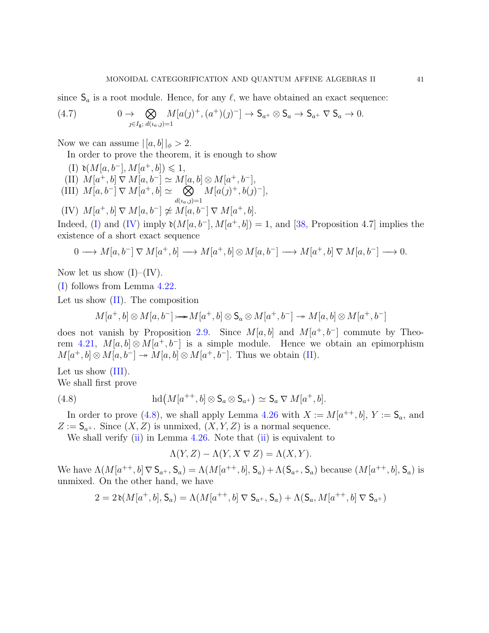since  $S_a$  is a root module. Hence, for any  $\ell$ , we have obtained an exact sequence:

<span id="page-40-5"></span>(4.7) 
$$
0 \to \bigotimes_{j \in I_{\mathsf{g}}; d(i_a, j) = 1} M[a(j)^+, (a^+)(j)^-] \to \mathsf{S}_{a^+} \otimes \mathsf{S}_{a} \to \mathsf{S}_{a^+} \nabla \mathsf{S}_{a} \to 0.
$$

Now we can assume  $|[a, b]|_{\phi} > 2$ .

<span id="page-40-0"></span>In order to prove the theorem, it is enough to show

<span id="page-40-3"></span><span id="page-40-2"></span>(I) 
$$
\mathfrak{d}(M[a, b^{-}], M[a^{+}, b]) \leq 1
$$
,  
\n(II)  $M[a^{+}, b] \nabla M[a, b^{-}] \simeq M[a, b] \otimes M[a^{+}, b^{-}]$ ,  
\n(III)  $M[a, b^{-}] \nabla M[a^{+}, b] \simeq \bigotimes_{d(a, j)=1} M[a(j)^{+}, b(j)^{-}]$ ,  
\n(IV)  $M[a^{+}, b] \nabla M[a, b^{-}] \ncong M[a, b^{-}] \nabla M[a^{+}, b]$ .

<span id="page-40-1"></span>Indeed, [\(I\)](#page-40-0) and [\(IV\)](#page-40-1) imply  $\mathfrak{d}(M[a, b^{-}], M[a^{+}, b]) = 1$ , and [\[38,](#page-91-3) Proposition 4.7] implies the existence of a short exact sequence

$$
0 \longrightarrow M[a, b^-] \nabla M[a^+, b] \longrightarrow M[a^+, b] \otimes M[a, b^-] \longrightarrow M[a^+, b] \nabla M[a, b^-] \longrightarrow 0.
$$

Now let us show  $(I)$ – $(IV)$ .

[\(I\)](#page-40-0) follows from Lemma [4.22.](#page-37-0)

Let us show [\(II\)](#page-40-2). The composition

 $M[a^+,b] \otimes M[a,b^-] \rightarrow M[a^+,b] \otimes \mathsf{S}_a \otimes M[a^+,b^-] \rightarrow M[a,b] \otimes M[a^+,b^-]$ 

does not vanish by Proposition [2.9.](#page-17-0) Since  $M[a, b]$  and  $M[a^+, b^-]$  commute by Theo-rem [4.21,](#page-36-3)  $M[a, b] \otimes M[a^+, b^-]$  is a simple module. Hence we obtain an epimorphism  $M[a^+,b] \otimes M[a,b^-] \to M[a,b] \otimes M[a^+,b^-]$ . Thus we obtain [\(II\)](#page-40-2).

Let us show  $(III)$ .

We shall first prove

(4.8) 
$$
\operatorname{hd}(M[a^{++},b]\otimes \mathsf{S}_a\otimes \mathsf{S}_{a^+})\simeq \mathsf{S}_a \nabla M[a^+,b].
$$

In order to prove [\(4.8\)](#page-40-4), we shall apply Lemma [4.26](#page-38-3) with  $X := M[a^{++}, b]$ ,  $Y := S_a$ , and  $Z := \mathsf{S}_{a^+}$ . Since  $(X, Z)$  is unmixed,  $(X, Y, Z)$  is a normal sequence.

We shall verify  $(ii)$  in Lemma [4.26.](#page-38-3) Note that  $(ii)$  is equivalent to

<span id="page-40-4"></span>
$$
\Lambda(Y, Z) - \Lambda(Y, X \nabla Z) = \Lambda(X, Y).
$$

We have  $\Lambda(M[a^{++},b] \nabla \mathsf{S}_{a^+}, \mathsf{S}_a) = \Lambda(M[a^{++},b], \mathsf{S}_a) + \Lambda(\mathsf{S}_{a^+}, \mathsf{S}_a)$  because  $(M[a^{++},b], \mathsf{S}_a)$  is unmixed. On the other hand, we have

$$
2=2\operatorname{\mathfrak{d}}(M[a^+,b],{\mathsf S}_a)=\Lambda(M[a^{++},b]\operatorname{\nabla}{\mathsf S}_{a^+},{\mathsf S}_a)+\Lambda({\mathsf S}_a,M[a^{++},b]\operatorname{\nabla}{\mathsf S}_{a^+})
$$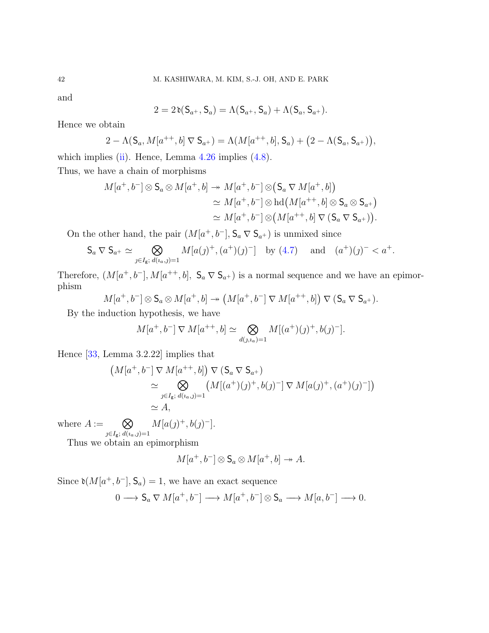and

$$
2=2\,\mathfrak{d}( \mathsf{S}_{a^+}, \mathsf{S}_{a})=\Lambda(\mathsf{S}_{a^+}, \mathsf{S}_{a})+\Lambda(\mathsf{S}_{a}, \mathsf{S}_{a^+}).
$$

Hence we obtain

$$
2 - \Lambda(S_a, M[a^{++}, b] \nabla S_{a^+}) = \Lambda(M[a^{++}, b], S_a) + (2 - \Lambda(S_a, S_{a^+})),
$$

which implies [\(ii\)](#page-38-2). Hence, Lemma  $4.26$  implies  $(4.8)$ . Thus, we have a chain of morphisms

$$
M[a^+,b^-] \otimes \mathsf{S}_a \otimes M[a^+,b] \to M[a^+,b^-] \otimes (\mathsf{S}_a \nabla M[a^+,b])
$$
  
\n
$$
\simeq M[a^+,b^-] \otimes \mathrm{hd}\big(M[a^{++},b] \otimes \mathsf{S}_a \otimes \mathsf{S}_{a^+}\big)
$$
  
\n
$$
\simeq M[a^+,b^-] \otimes \big(M[a^{++},b] \nabla (\mathsf{S}_a \nabla \mathsf{S}_{a^+})\big).
$$

On the other hand, the pair  $(M[a^+, b^-], S_a \nabla S_{a^+})$  is unmixed since

$$
S_a \nabla S_{a^+} \simeq \bigotimes_{j \in I_g; \ d(u_a, j) = 1} M[a(j)^+, (a^+)(j)^-] \text{ by (4.7) and } (a^+)(j)^- < a^+.
$$

Therefore,  $(M[a^+, b^-], M[a^{++}, b], S_a \nabla S_{a^+})$  is a normal sequence and we have an epimorphism

$$
M[a^+,b^-] \otimes \mathsf{S}_a \otimes M[a^+,b] \to \left(M[a^+,b^-] \nabla M[a^{++},b]\right) \nabla (\mathsf{S}_a \nabla \mathsf{S}_{a^+}).
$$

By the induction hypothesis, we have

$$
M[a^+, b^-] \nabla M[a^{++}, b] \simeq \bigotimes_{d(j, i_0) = 1} M[(a^+)(j)^+, b(j)^-].
$$

Hence [\[33,](#page-91-0) Lemma 3.2.22] implies that

$$
(M[a^+, b^-] \nabla M[a^{++}, b]) \nabla (S_a \nabla S_{a^+})
$$
  
\n
$$
\simeq \bigotimes_{j \in I_g; d(a_a, j) = 1} (M[(a^+)(j)^+, b(j)^-] \nabla M[a(j)^+, (a^+)(j)^-])
$$
  
\n
$$
\simeq A,
$$

where  $A := \bigotimes$ 

 $j \in I_g$ ;  $d(i_a, j) = 1$  $M[a(j)^+, b(j)^-].$ 

Thus we obtain an epimorphism

$$
M[a^+,b^-] \otimes \mathsf{S}_a \otimes M[a^+,b] \to A.
$$

Since  $\mathfrak{d}(M[a^+, b^-], \mathsf{S}_a) = 1$ , we have an exact sequence

$$
0 \longrightarrow \mathsf{S}_a \nabla M[a^+, b^-] \longrightarrow M[a^+, b^-] \otimes \mathsf{S}_a \longrightarrow M[a, b^-] \longrightarrow 0.
$$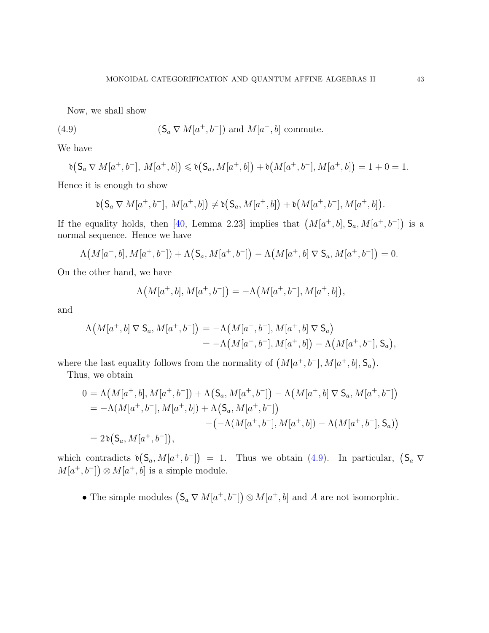<span id="page-42-0"></span>Now, we shall show

(4.9) 
$$
(\mathsf{S}_a \nabla M[a^+, b^-]) \text{ and } M[a^+, b] \text{ commute.}
$$

We have

$$
\mathfrak{d}\big(\mathsf{S}_a \nabla M[a^+, b^-], M[a^+, b]\big) \leq \mathfrak{d}\big(\mathsf{S}_a, M[a^+, b]\big) + \mathfrak{d}\big(M[a^+, b^-], M[a^+, b]\big) = 1 + 0 = 1.
$$

Hence it is enough to show

$$
\mathfrak{d}\big(\mathsf{S}_a\,\nabla\,M[a^+,b^-],\,M[a^+,b]\big)\neq\mathfrak{d}\big(\mathsf{S}_a,M[a^+,b]\big)+\mathfrak{d}\big(M[a^+,b^-],M[a^+,b]\big).
$$

If the equality holds, then [\[40,](#page-91-1) Lemma 2.23] implies that  $(M[a^+,b], S_a, M[a^+,b^-])$  is a normal sequence. Hence we have

$$
\Lambda\big(M[a^+,b], M[a^+,b^-]\big) + \Lambda\big(S_a, M[a^+,b^-]\big) - \Lambda\big(M[a^+,b]\nabla S_a, M[a^+,b^-]\big) = 0.
$$

On the other hand, we have

$$
\Lambda\big(M[a^+,b], M[a^+,b^-]\big) = -\Lambda\big(M[a^+,b^-], M[a^+,b]\big),
$$

and

$$
\Lambda(M[a^+,b] \nabla \mathsf{S}_a, M[a^+,b^-]) = -\Lambda(M[a^+,b^-], M[a^+,b] \nabla \mathsf{S}_a)
$$
  
= -\Lambda(M[a^+,b^-], M[a^+,b]) - \Lambda(M[a^+,b^-], \mathsf{S}\_a),

where the last equality follows from the normality of  $(M[a^+, b^-], M[a^+, b], \mathsf{S}_a)$ .

Thus, we obtain

$$
0 = \Lambda(M[a^+,b], M[a^+,b^-]) + \Lambda(S_a, M[a^+,b^-]) - \Lambda(M[a^+,b] \nabla S_a, M[a^+,b^-])
$$
  
=  $-\Lambda(M[a^+,b^-], M[a^+,b]) + \Lambda(S_a, M[a^+,b^-])$   
 $-(-\Lambda(M[a^+,b^-], M[a^+,b]) - \Lambda(M[a^+,b^-], S_a))$   
=  $2\delta(S_a, M[a^+,b^-])$ ,

which contradicts  $\mathfrak{d}(S_a, M[a^+, b^-]) = 1$ . Thus we obtain [\(4.9\)](#page-42-0). In particular,  $(S_a \nabla)$  $M[a^+,b^-] \geq M[a^+,b]$  is a simple module.

• The simple modules  $(S_a \nabla M[a^+, b^-]) \otimes M[a^+, b]$  and A are not isomorphic.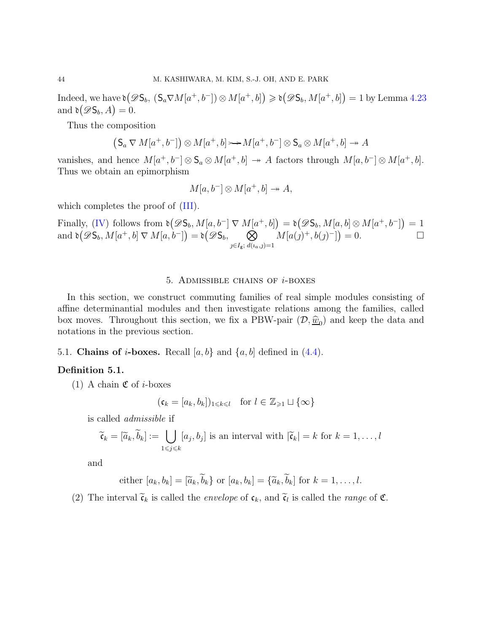Indeed, we have  $\mathfrak{d}(\mathscr{D}\mathsf{S}_b, \, (\mathsf{S}_a \nabla M[a^+, b^-]) \otimes M[a^+, b]) \geq \mathfrak{d}(\mathscr{D}\mathsf{S}_b, M[a^+, b]) = 1$  by Lemma [4.23](#page-37-1) and  $\mathfrak{d}(\mathscr{D}\mathsf{S}_b, A) = 0$ .

Thus the composition

$$
(\mathsf{S}_a \nabla M[a^+, b^-]) \otimes M[a^+, b] \rightarrow M[a^+, b^-] \otimes \mathsf{S}_a \otimes M[a^+, b] \rightarrow A
$$

vanishes, and hence  $M[a^+, b^-] \otimes \mathsf{S}_a \otimes M[a^+, b] \to A$  factors through  $M[a, b^-] \otimes M[a^+, b]$ . Thus we obtain an epimorphism

$$
M[a, b^-] \otimes M[a^+, b] \to A,
$$

which completes the proof of  $(III)$ .

Finally, [\(IV\)](#page-40-1) follows from  $\mathfrak{d}(\mathscr{D}S_b, M[a, b^-] \nabla M[a^+, b]) = \mathfrak{d}(\mathscr{D}S_b, M[a, b] \otimes M[a^+, b^-]) = 1$ and  $\mathfrak{d}(\mathscr{D}\mathsf{S}_b, M[a^+,b] \nabla M[a, b^-]) = \mathfrak{d}(\mathscr{D}\mathsf{S}_b, \quad \bullet)$  $j \in I_g$ ;  $d(i_a, j) = 1$  $M[a(j)^+, b(j)^-]) = 0.$ 

#### 5. ADMISSIBLE CHAINS OF  $i$ -BOXES

In this section, we construct commuting families of real simple modules consisting of affine determinantial modules and then investigate relations among the families, called box moves. Throughout this section, we fix a PBW-pair  $(D, \hat{w}_0)$  and keep the data and notations in the previous section.

# 5.1. Chains of *i*-boxes. Recall  $[a, b]$  and  $\{a, b\}$  defined in  $(4.4)$ .

#### Definition 5.1.

(1) A chain  $\mathfrak C$  of *i*-boxes

$$
(\mathfrak{c}_k = [a_k, b_k])_{1 \leq k \leq l} \quad \text{for } l \in \mathbb{Z}_{\geq 1} \sqcup \{\infty\}
$$

is called admissible if

$$
\widetilde{\mathfrak{c}}_k = [\widetilde{a}_k, \widetilde{b}_k] := \bigcup_{1 \leq j \leq k} [a_j, b_j] \text{ is an interval with } |\widetilde{\mathfrak{c}}_k| = k \text{ for } k = 1, \ldots, l
$$

and

either 
$$
[a_k, b_k] = [\widetilde{a}_k, \widetilde{b}_k]
$$
 or  $[a_k, b_k] = {\widetilde{a}_k, \widetilde{b}_k}$  for  $k = 1, ..., l$ .

(2) The interval  $\tilde{\mathfrak{c}}_k$  is called the *envelope* of  $\mathfrak{c}_k$ , and  $\tilde{\mathfrak{c}}_l$  is called the *range* of  $\mathfrak{C}$ .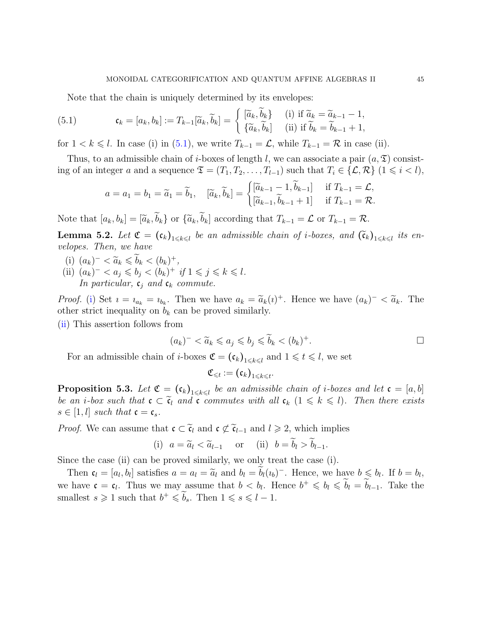Note that the chain is uniquely determined by its envelopes:

<span id="page-44-0"></span>(5.1) 
$$
\mathfrak{c}_k = [a_k, b_k] := T_{k-1}[\widetilde{a}_k, \widetilde{b}_k] = \begin{cases} [\widetilde{a}_k, \widetilde{b}_k] & \text{(i) if } \widetilde{a}_k = \widetilde{a}_{k-1} - 1, \\ {\{\widetilde{a}_k, \widetilde{b}_k\}} & \text{(ii) if } \widetilde{b}_k = \widetilde{b}_{k-1} + 1, \end{cases}
$$

for  $1 < k \leq l$ . In case (i) in [\(5.1\)](#page-44-0), we write  $T_{k-1} = \mathcal{L}$ , while  $T_{k-1} = \mathcal{R}$  in case (ii).

Thus, to an admissible chain of *i*-boxes of length *l*, we can associate a pair  $(a, \mathfrak{T})$  consisting of an integer a and a sequence  $\mathfrak{T} = (T_1, T_2, \ldots, T_{l-1})$  such that  $T_i \in \{L, \mathcal{R}\}$   $(1 \leq i \leq l)$ ,

$$
a = a_1 = b_1 = \widetilde{a}_1 = \widetilde{b}_1, \quad [\widetilde{a}_k, \widetilde{b}_k] = \begin{cases} [\widetilde{a}_{k-1} - 1, \widetilde{b}_{k-1}] & \text{if } T_{k-1} = \mathcal{L}, \\ [\widetilde{a}_{k-1}, \widetilde{b}_{k-1} + 1] & \text{if } T_{k-1} = \mathcal{R}. \end{cases}
$$

Note that  $[a_k, b_k] = [\widetilde{a}_k, \widetilde{b}_k]$  or  $\{\widetilde{a}_k, \widetilde{b}_k\}$  according that  $T_{k-1} = \mathcal{L}$  or  $T_{k-1} = \mathcal{R}$ .

<span id="page-44-3"></span>**Lemma 5.2.** Let  $\mathfrak{C} = (\mathfrak{c}_k)_{1 \leq k \leq l}$  be an admissible chain of *i*-boxes, and  $(\widetilde{\mathfrak{c}}_k)_{1 \leq k \leq l}$  its envelopes. Then, we have

- <span id="page-44-2"></span><span id="page-44-1"></span>(i)  $(a_k)^- < \widetilde{a}_k \leq b_k < (b_k)^+,$ <br>(ii)  $(a_k)^- < \widetilde{a}_k \leq b_k < (b_k)^+$
- (ii)  $(a_k)^{-} < a_j \leqslant b_j < (b_k)^{+}$  if  $1 \leqslant j \leqslant k \leqslant l$ .

In particular,  $c_j$  and  $c_k$  commute.

*Proof.* [\(i\)](#page-44-1) Set  $i = i_{a_k} = i_{b_k}$ . Then we have  $a_k = \tilde{a}_k(i)^+$ . Hence we have  $(a_k)^- < \tilde{a}_k$ . The other strict inequality on  $b_k$  can be proved similarly.

[\(ii\)](#page-44-2) This assertion follows from

$$
(a_k)^{-} < \widetilde{a}_k \leq a_j \leq b_j \leq \widetilde{b}_k < (b_k)^{+}.
$$

For an admissible chain of *i*-boxes  $\mathfrak{C} = (\mathfrak{c}_k)_{1 \leq k \leq l}$  and  $1 \leq k \leq l$ , we set

$$
\mathfrak{C}_{\leqslant t}:=\left(\mathfrak{c}_{k}\right)_{1\leqslant k\leqslant t}.
$$

**Proposition 5.3.** Let  $\mathfrak{C} = (\mathfrak{c}_k)_{1 \leq k \leq l}$  be an admissible chain of *i*-boxes and let  $\mathfrak{c} = [a, b]$ be an *i*-box such that  $c \subset \tilde{c}_l$  and  $c$  commutes with all  $c_k$   $(1 \leq k \leq l)$ . Then there exists  $s \in [1, l]$  such that  $\mathfrak{c} = \mathfrak{c}_s$ .

*Proof.* We can assume that  $\mathfrak{c} \subset \tilde{\mathfrak{c}}_l$  and  $\mathfrak{c} \not\subset \tilde{\mathfrak{c}}_{l-1}$  and  $l \geq 2$ , which implies

(i) 
$$
a = \tilde{a}_l < \tilde{a}_{l-1}
$$
 or (ii)  $b = \tilde{b}_l > \tilde{b}_{l-1}$ .

Since the case (ii) can be proved similarly, we only treat the case (i).

Then  $\mathfrak{c}_l = [a_l, b_l]$  satisfies  $a = a_l = \tilde{a}_l$  and  $b_l = \tilde{b}_l (i_b)^-$ . Hence, we have  $b \leqslant b_l$ . If  $b = b_l$ , we have  $\mathfrak{c} = \mathfrak{c}_l$ . Thus we may assume that  $b < b_l$ . Hence  $b^+ \leqslant b_l \leqslant b_l = b_{l-1}$ . Take the smallest  $s \geq 1$  such that  $b^+ \leq b_s$ . Then  $1 \leq s \leq l-1$ .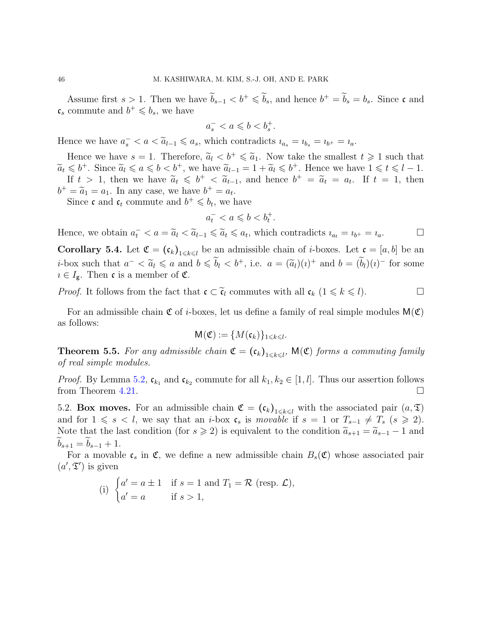Assume first  $s > 1$ . Then we have  $b_{s-1} < b^+ \leq b_s$ , and hence  $b^+ = b_s = b_s$ . Since c and  $\mathfrak{c}_s$  commute and  $b^+ \leqslant b_s$ , we have

$$
a_s^- < a \leqslant b < b_s^+.
$$

Hence we have  $a_s^- < a < \tilde{a}_{l-1} \leq a_s$ , which contradicts  $i_{a_s} = i_{b_s} = i_{b^+} = i_a$ .

Hence we have  $s = 1$ . Therefore,  $\tilde{a}_l < b^+ \leq \tilde{a}_1$ . Now take the smallest  $t \geq 1$  such that  $\widetilde{a}_t \leqslant b^+$ . Since  $\widetilde{a}_l \leqslant a \leqslant b < b^+$ , we have  $\widetilde{a}_{l-1} = 1 + \widetilde{a}_l \leqslant b^+$ . Hence we have  $1 \leqslant t \leqslant l-1$ . If  $t > 1$ , then we have  $\tilde{a}_t \leqslant b^+ < \tilde{a}_{t-1}$ , and hence  $b^+ = \tilde{a}_t = a_t$ . If  $t = 1$ , then  $b^+ = \widetilde{a}_1 = a_1$ . In any case, we have  $b^+ = a_t$ .

Since **c** and  $c_t$  commute and  $b^+ \leq b_t$ , we have

$$
a_t^- < a \leqslant b < b_t^+.
$$

Hence, we obtain  $a_t^- < a = \tilde{a}_l < \tilde{a}_{l-1} \leq \tilde{a}_t \leq a_t$ , which contradicts  $i_{a_t} = i_{b^+} = i_a$ .

<span id="page-45-0"></span>**Corollary 5.4.** Let  $\mathfrak{C} = (\mathfrak{c}_k)_{1 \leq k \leq l}$  be an admissible chain of *i*-boxes. Let  $\mathfrak{c} = [a, b]$  be an *i*-box such that  $a^- < \tilde{a}_l \le a$  and  $b \le b_l < b^+$ , i.e.  $a = (\tilde{a}_l)(i)^+$  and  $b = (b_l)(i)^-$  for some  $i \in I_{\mathbf{g}}$ . Then **c** is a member of **C**.

*Proof.* It follows from the fact that  $\mathfrak{c} \subset \widetilde{\mathfrak{c}}_l$  commutes with all  $\mathfrak{c}_k$   $(1 \leq k \leq l)$ .

For an admissible chain  $\mathfrak C$  of *i*-boxes, let us define a family of real simple modules  $M(\mathfrak C)$ as follows:

$$
\mathsf{M}(\mathfrak{C}):=\{M(\mathfrak{c}_k)\}_{1\leqslant k\leqslant l}.
$$

<span id="page-45-1"></span>**Theorem 5.5.** For any admissible chain  $\mathfrak{C} = (\mathfrak{c}_k)_{1 \leq k \leq l}$ ,  $\mathsf{M}(\mathfrak{C})$  forms a commuting family of real simple modules.

*Proof.* By Lemma [5.2,](#page-44-3)  $\mathfrak{c}_{k_1}$  and  $\mathfrak{c}_{k_2}$  commute for all  $k_1, k_2 \in [1, l]$ . Thus our assertion follows from Theorem [4.21.](#page-36-3)

5.2. Box moves. For an admissible chain  $\mathfrak{C} = (\mathfrak{c}_k)_{1 \leq k \leq l}$  with the associated pair  $(a, \mathfrak{T})$ and for  $1 \le s < l$ , we say that an *i*-box  $c_s$  is movable if  $s = 1$  or  $T_{s-1} \neq T_s$   $(s \ge 2)$ . Note that the last condition (for  $s \ge 2$ ) is equivalent to the condition  $\tilde{a}_{s+1} = \tilde{a}_{s-1} - 1$  and  $b_{s+1} = b_{s-1} + 1.$ 

For a movable  $\mathfrak{c}_s$  in  $\mathfrak{C}$ , we define a new admissible chain  $B_s(\mathfrak{C})$  whose associated pair  $(a', \mathfrak{T}')$  is given

(i) 
$$
\begin{cases} a' = a \pm 1 & \text{if } s = 1 \text{ and } T_1 = \mathcal{R} \text{ (resp. } \mathcal{L}), \\ a' = a & \text{if } s > 1, \end{cases}
$$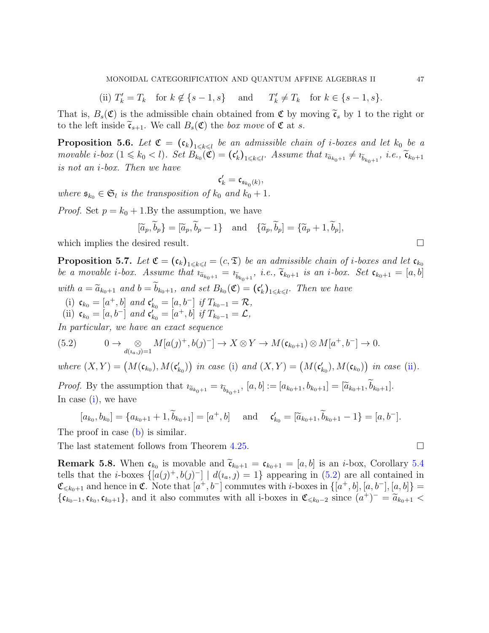(ii)  $T'_k = T_k$  for  $k \notin \{s-1, s\}$  and T  $C'_{k} \neq T_{k}$  for  $k \in \{s-1, s\}.$ 

That is,  $B_s(\mathfrak{C})$  is the admissible chain obtained from  $\mathfrak{C}$  by moving  $\tilde{\mathfrak{c}}_s$  by 1 to the right or to the left inside  $\tilde{\mathfrak{c}}_{s+1}$ . We call  $B_s(\mathfrak{C})$  the *box move* of  $\mathfrak{C}$  at s.

<span id="page-46-3"></span>**Proposition 5.6.** Let  $\mathfrak{C} = (\mathfrak{c}_k)_{1 \leq k \leq l}$  be an admissible chain of *i*-boxes and let  $k_0$  be a movable *i*-box  $(1 \leq k_0 < l)$ . Set  $B_{k_0}(\mathfrak{C}) = (\mathfrak{c}'_k)_{1 \leq k \leq l}$ . Assume that  $i\tilde{a}_{k_0+1} \neq i\tilde{b}_{k_0+1}$ , *i.e.*,  $\tilde{\mathfrak{c}}_{k_0+1}$ is not an i-box. Then we have

$$
\mathfrak{c}'_k=\mathfrak{c}_{\mathfrak{s}_{k_0}(k)},
$$

where  $\mathfrak{s}_{k_0} \in \mathfrak{S}_l$  is the transposition of  $k_0$  and  $k_0 + 1$ .

*Proof.* Set  $p = k_0 + 1$ . By the assumption, we have

$$
[\widetilde{a}_p, \widetilde{b}_p] = [\widetilde{a}_p, \widetilde{b}_p - 1]
$$
 and  $\{\widetilde{a}_p, \widetilde{b}_p\} = \{\widetilde{a}_p + 1, \widetilde{b}_p\},\}$ 

which implies the desired result.  $\Box$ 

<span id="page-46-4"></span>**Proposition 5.7.** Let  $\mathfrak{C} = (\mathfrak{c}_k)_{1 \leq k \leq l} = (c, \mathfrak{T})$  be an admissible chain of *i*-boxes and let  $\mathfrak{c}_{k_0}$ be a movable *i*-box. Assume that  $i_{\tilde{a}_{k_0+1}} = i_{\tilde{b}_{k_0+1}}$ , *i.e.*,  $\tilde{\mathfrak{c}}_{k_0+1}$  *is an i-box. Set*  $\mathfrak{c}_{k_0+1} = [a, b]$ with  $a = \widetilde{a}_{k_0+1}$  and  $b = b_{k_0+1}$ , and set  $B_{k_0}(\mathfrak{C}) = (\mathfrak{c}'_k)_{1 \leq k \leq l}$ . Then we have

- <span id="page-46-1"></span><span id="page-46-0"></span>(i)  $\mathfrak{c}_{k_0} = [a^+, b]$  and  $\mathfrak{c}'_{k_0} = [a, b^-]$  if  $T_{k_0 - 1} = \mathcal{R}$ ,
- (ii)  $\mathfrak{c}_{k_0} = [a, b^-]$  and  $\mathfrak{c}'_{k_0} = [a^+, b]$  if  $T_{k_0 1} = \mathcal{L}$ ,

In particular, we have an exact sequence

<span id="page-46-2"></span>(5.2) 
$$
0 \to \bigotimes_{d(\iota_a, j)=1} M[a(j)^+, b(j)^-] \to X \otimes Y \to M(\mathfrak{c}_{k_0+1}) \otimes M[a^+, b^-] \to 0.
$$

where  $(X, Y) = (M(\mathfrak{c}_{k_0}), M(\mathfrak{c}'_{k_0}))$  in case [\(i\)](#page-46-0) and  $(X, Y) = (M(\mathfrak{c}'_{k_0}), M(\mathfrak{c}_{k_0}))$  in case [\(ii\)](#page-46-1).

*Proof.* By the assumption that  $i\tilde{a}_{k_0+1} = i\tilde{b}_{k_0+1}$ ,  $[a, b] := [a_{k_0+1}, b_{k_0+1}] = [\tilde{a}_{k_0+1}, b_{k_0+1}]$ . In case [\(i\)](#page-46-0), we have

$$
[a_{k_0}, b_{k_0}] = \{a_{k_0+1} + 1, \widetilde{b}_{k_0+1}\} = [a^+, b] \quad \text{and} \quad \mathfrak{c}'_{k_0} = [\widetilde{a}_{k_0+1}, \widetilde{b}_{k_0+1} - 1\} = [a, b^-].
$$

The proof in case [\(b\)](#page-55-0) is similar.

The last statement follows from Theorem [4.25.](#page-38-0)  $\Box$ 

<span id="page-46-5"></span>**Remark 5.8.** When  $\mathfrak{c}_{k_0}$  is movable and  $\widetilde{\mathfrak{c}}_{k_0+1} = \mathfrak{c}_{k_0+1} = [a, b]$  is an *i*-box, Corollary [5.4](#page-45-0) tells that the *i*-boxes  $\{[a(j)^+, b(j)^-] \mid d(i_a, j) = 1\}$  appearing in [\(5.2\)](#page-46-2) are all contained in  $\mathfrak{C}_{\leqslant k_0+1}$  and hence in  $\mathfrak{C}$ . Note that  $[a^+, b^-]$  commutes with *i*-boxes in  $\{[a^+, b], [a, b^-], [a, b]\}$  =  $\{\mathfrak{c}_{k_0-1}, \mathfrak{c}_{k_0}, \mathfrak{c}_{k_0+1}\}$ , and it also commutes with all i-boxes in  $\mathfrak{C}_{\leq k_0-2}$  since  $(a^+)^- = \widetilde{a}_{k_0+1} <$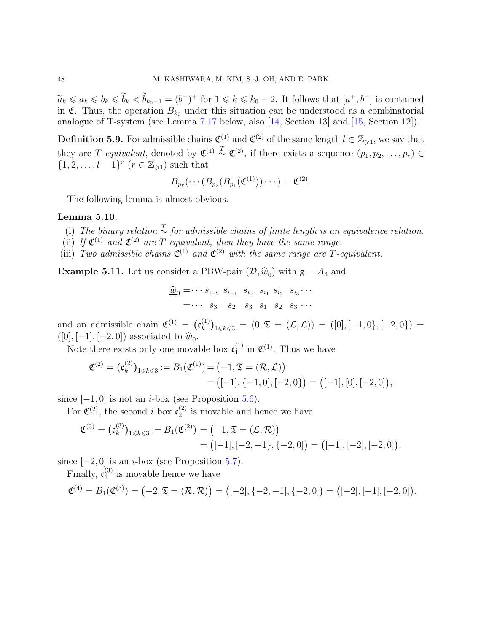$\widetilde{a}_k \leq a_k \leq b_k \leq b_k < b_{k_0+1} = (b^-)^+$  for  $1 \leq k \leq k_0 - 2$ . It follows that  $[a^+, b^-]$  is contained in  $\mathfrak{C}$ . Thus, the operation  $B_{k_0}$  under this situation can be understood as a combinatorial analogue of T-system (see Lemma [7.17](#page-69-0) below, also [\[14,](#page-90-0) Section 13] and [\[15,](#page-90-1) Section 12]).

**Definition 5.9.** For admissible chains  $\mathfrak{C}^{(1)}$  and  $\mathfrak{C}^{(2)}$  of the same length  $l \in \mathbb{Z}_{\geqslant 1}$ , we say that they are T-equivalent, denoted by  $\mathfrak{C}^{(1)} \overset{T}{\sim} \mathfrak{C}^{(2)}$ , if there exists a sequence  $(p_1, p_2, \ldots, p_r) \in$  $\{1, 2, \ldots, l-1\}^r$   $(r \in \mathbb{Z}_{\geq 1})$  such that

$$
B_{p_r}(\cdots (B_{p_2}(B_{p_1}(\mathfrak{C}^{(1)}))\cdots)=\mathfrak{C}^{(2)}.
$$

The following lemma is almost obvious.

### Lemma 5.10.

- (i) The binary relation  $\frac{T}{\sim}$  for admissible chains of finite length is an equivalence relation.
- (ii) If  $\mathfrak{C}^{(1)}$  and  $\mathfrak{C}^{(2)}$  are T-equivalent, then they have the same range.
- (iii) Two admissible chains  $\mathfrak{C}^{(1)}$  and  $\mathfrak{C}^{(2)}$  with the same range are T-equivalent.

**Example 5.11.** Let us consider a PBW-pair  $(D, \underline{\hat{w}}_0)$  with  $g = A_3$  and

$$
\begin{aligned}\n\widehat{\underline{w}}_0 &= \cdots s_{i-2} \ s_{i-1} \ s_{i_0} \ s_{i_1} \ s_{i_2} \ s_{i_3} \cdots \\
&= \cdots \ s_3 \ s_2 \ s_3 \ s_1 \ s_2 \ s_3 \ \cdots\n\end{aligned}
$$

and an admissible chain  $\mathfrak{C}^{(1)} = (\mathfrak{c}_k^{(1)})$  $\binom{N^{(1)}}{k}_{1\leq k\leq 3} = (0, \mathfrak{T} = (\mathcal{L}, \mathcal{L})) = ([0], [-1, 0], [-2, 0]) =$  $([0], [-1], [-2, 0])$  associated to  $\hat{\underline{w}}_0$ .

Note there exists only one movable box  $\mathfrak{c}_1^{(1)}$  $_1^{(1)}$  in  $\mathfrak{C}^{(1)}$ . Thus we have

$$
\mathfrak{C}^{(2)} = (\mathfrak{c}_k^{(2)})_{1 \leq k \leq 3} := B_1(\mathfrak{C}^{(1)}) = (-1, \mathfrak{T} = (\mathcal{R}, \mathcal{L}))
$$
  
= ([-1], { -1, 0}, [-2, 0]) = ([-1], [0], [-2, 0]),

since  $[-1, 0]$  is not an *i*-box (see Proposition [5.6\)](#page-46-3).

For  $\mathfrak{C}^{(2)}$ , the second i box  $\mathfrak{c}_2^{(2)}$  $\binom{2}{2}$  is movable and hence we have

$$
\mathfrak{C}^{(3)} = (\mathfrak{c}_k^{(3)})_{1 \leq k \leq 3} := B_1(\mathfrak{C}^{(2)}) = (-1, \mathfrak{T} = (\mathcal{L}, \mathcal{R}))
$$
  
=  $([-1], [-2, -1], \{-2, 0]\} = ([-1], [-2], [-2, 0]),$ 

since  $[-2, 0]$  is an *i*-box (see Proposition [5.7\)](#page-46-4).

Finally,  $\mathfrak{c}_1^{(3)}$  $_1^{(5)}$  is movable hence we have

$$
\mathfrak{C}^{(4)} = B_1(\mathfrak{C}^{(3)}) = (-2, \mathfrak{T} = (\mathcal{R}, \mathcal{R})) = ([-2], \{-2, -1], \{-2, 0\}) = ([-2], [-1], [-2, 0]).
$$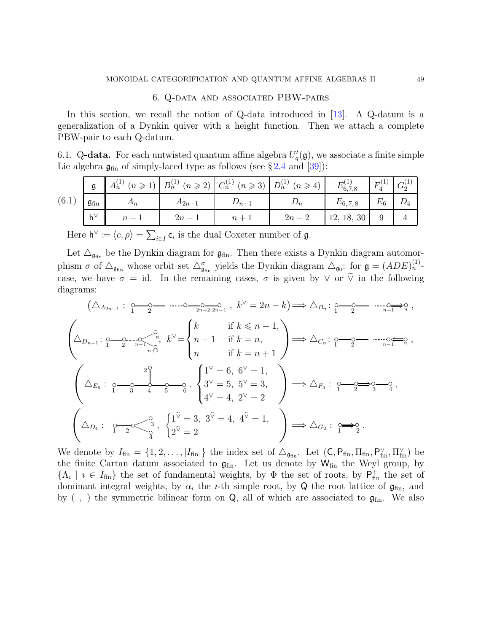## 6. Q-data and associated PBW-pairs

In this section, we recall the notion of Q-data introduced in [\[13\]](#page-90-2). A Q-datum is a generalization of a Dynkin quiver with a height function. Then we attach a complete PBW-pair to each Q-datum.

6.1. Q-data. For each untwisted quantum affine algebra  $U_q'(\mathfrak{g})$ , we associate a finite simple Lie algebra  $\mathfrak{g}_{fin}$  of simply-laced type as follows (see §[2.4](#page-22-2) and [\[39\]](#page-91-4)):

|       |                             | $(n \geqslant 1)$<br>$\mathbf{u}_n$ | $B_n^{(1)}$ $(n \ge 2)$ $C_n^{(1)}$ $(n \ge 3)$ |           | $D_n^{(1)}$<br>$(n \geqslant$ | $E_{6,7,8}^{(1)}$ | г     |  |
|-------|-----------------------------|-------------------------------------|-------------------------------------------------|-----------|-------------------------------|-------------------|-------|--|
| (6.1) | $\mathfrak{g}_{\text{fin}}$ | An                                  | $A_{2n-1}$                                      | $D_{n+1}$ | $D_n$                         | $E_{6,7,8}$       | $E_6$ |  |
|       | $-h^{\vee}$                 | $n +$                               | $2n -$                                          | $n +$     | $2n - 1$                      | 12, 18, 30        |       |  |

Here  $h^{\vee} := \langle c, \rho \rangle = \sum_{i \in I} c_i$  is the dual Coxeter number of  $\mathfrak{g}$ .

Let  $\Delta_{\mathfrak{g}_{fin}}$  be the Dynkin diagram for  $\mathfrak{g}_{fin}$ . Then there exists a Dynkin diagram automorphism  $\sigma$  of  $\Delta_{\mathfrak{g}_{fin}}$  whose orbit set  $\Delta_{\mathfrak{g}_{fin}}^{\sigma}$  yields the Dynkin diagram  $\Delta_{\mathfrak{g}_{0}}$ : for  $\mathfrak{g} = (ADE)^{(1)}_{n}$ . case, we have  $\sigma = id$ . In the remaining cases,  $\sigma$  is given by  $\vee$  or  $\tilde{\vee}$  in the following diagrams:

$$
(\triangle_{A_{2n-1}}: \underbrace{\circ \xrightarrow{\circ} \circ \cdots \circ \xrightarrow{\circ}_{2n-2 \text{ } 2n-1} , k^{\vee} = 2n - k}) \Rightarrow \triangle_{B_n}: \underbrace{\circ \xrightarrow{\circ} \circ \cdots \circ \xrightarrow{\circ}_{n-1 \rightarrow n} \circ}_{n-1 \rightarrow n},
$$
\n
$$
\left(\triangle_{D_{n+1}}: \underbrace{\circ \xrightarrow{\circ} \circ \cdots \circ \circ}_{2n-1 \rightarrow n} \circ_{n} k^{\vee} =\n\begin{cases}\nk & \text{if } k \leq n-1, \\
n+1 & \text{if } k = n, \\
n & \text{if } k = n+1\n\end{cases}\n\right) \Rightarrow \triangle_{C_n}: \underbrace{\circ \xrightarrow{\circ} \circ \cdots \circ \circ \cdots \circ}_{n-1 \rightarrow n} \circ_{n-1} \circ_{n} \circ_{n} k^{\vee} =\n\begin{cases}\n1^{\vee} = 6, 6^{\vee} = 1, \\
3^{\vee} = 5, 5^{\vee} = 3, \\
4^{\vee} = 4, 2^{\vee} = 2\n\end{cases}\n\right) \Rightarrow \triangle_{F_4}: \underbrace{\circ \xrightarrow{\circ} \circ \searrow}_{1 \rightarrow 2 \rightarrow 3} \circ_{3} \circ_{4},
$$
\n
$$
\left(\triangle_{D_4}: \underbrace{\circ \xrightarrow{\circ} \circ}_{1 \rightarrow 2} \circ_{\frac{\circ}{2}} \circ_{\frac{\circ}{2}} 3, \left\{\n\begin{matrix}\n1^{\vee} = 3, 3^{\vee} = 4, 4^{\vee} = 1, \\
2^{\vee} = 2\n\end{matrix}\n\right)\n\right) \Rightarrow \triangle_{G_2}: \underbrace{\circ \xrightarrow{\circ} \circ}_{1 \rightarrow 2} \circ_{\frac{\circ}{2}}.
$$

We denote by  $I_{fin} = \{1, 2, ..., |I_{fin}|\}$  the index set of  $\Delta_{\mathfrak{g}_{fin}}$ . Let  $(C, P_{fin}, \Pi_{fin}, P_{fin}^{\vee}, \Pi_{fin}^{\vee})$  be the finite Cartan datum associated to  $\mathfrak{g}_{fin}$ . Let us denote by  $W_{fin}$  the Weyl group, by  $\{\Lambda_i \mid i \in I_{fin}\}\$  the set of fundamental weights, by  $\Phi$  the set of roots, by  $P_{fin}^+$  the set of dominant integral weights, by  $\alpha_i$  the *i*-th simple root, by Q the root lattice of  $\mathfrak{g}_{fin}$ , and by  $( , )$  the symmetric bilinear form on Q, all of which are associated to  $\mathfrak{g}_{fin}$ . We also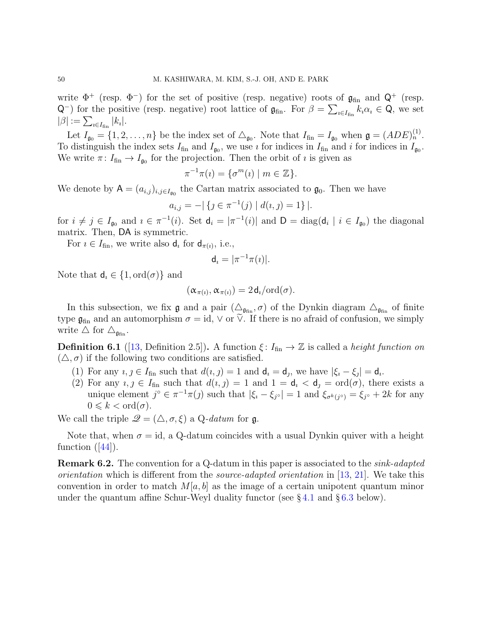write  $\Phi^+$  (resp.  $\Phi^-$ ) for the set of positive (resp. negative) roots of  $\mathfrak{g}_{fin}$  and  $\mathsf{Q}^+$  (resp.  $Q^{-}$ ) for the positive (resp. negative) root lattice of  $\mathfrak{g}_{fin}$ . For  $\beta = \sum_{i \in I_{fin}} k_i \alpha_i \in Q$ , we set  $|\beta| := \sum_{\imath \in I_\mathrm{fin}} |k_\imath|.$ 

Let  $I_{\mathfrak{g}_0} = \{1, 2, \ldots, n\}$  be the index set of  $\Delta_{\mathfrak{g}_0}$ . Note that  $I_{\text{fin}} = I_{\mathfrak{g}_0}$  when  $\mathfrak{g} = (ADE)^{(1)}_n$ . To distinguish the index sets  $I_{fin}$  and  $I_{g_0}$ , we use *i* for indices in  $I_{fin}$  and *i* for indices in  $I_{g_0}$ . We write  $\pi: I_{fin} \to I_{\mathfrak{g}_0}$  for the projection. Then the orbit of  $\imath$  is given as

$$
\pi^{-1}\pi(\iota) = \{\sigma^m(\iota) \mid m \in \mathbb{Z}\}.
$$

We denote by  $A = (a_{i,j})_{i,j \in I_{g_0}}$  the Cartan matrix associated to  $\mathfrak{g}_0$ . Then we have

$$
a_{i,j} = -|\{j \in \pi^{-1}(j) \mid d(i,j) = 1\}|.
$$

for  $i \neq j \in I_{\mathfrak{g}_0}$  and  $i \in \pi^{-1}(i)$ . Set  $\mathsf{d}_i = |\pi^{-1}(i)|$  and  $\mathsf{D} = \text{diag}(\mathsf{d}_i | i \in I_{\mathfrak{g}_0})$  the diagonal matrix. Then, DA is symmetric.

For  $i \in I_{fin}$ , we write also  $\mathsf{d}_i$  for  $\mathsf{d}_{\pi(i)}$ , i.e.,

$$
\mathsf{d}_i = |\pi^{-1}\pi(i)|.
$$

Note that  $d_i \in \{1, \text{ord}(\sigma)\}\$ and

$$
(\alpha_{\pi(i)}, \alpha_{\pi(i)}) = 2d_i/\mathrm{ord}(\sigma).
$$

In this subsection, we fix  $\mathfrak g$  and a pair  $(\Delta_{\mathfrak{g}_{fin}}, \sigma)$  of the Dynkin diagram  $\Delta_{\mathfrak{g}_{fin}}$  of finite type  $\mathfrak{g}_{fin}$  and an automorphism  $\sigma = id$ ,  $\vee$  or  $\vee$ . If there is no afraid of confusion, we simply write  $\triangle$  for  $\triangle_{\mathfrak{g}_{fin}}$ .

<span id="page-49-1"></span><span id="page-49-0"></span>**Definition 6.1** ([\[13,](#page-90-2) Definition 2.5]). A function  $\xi: I_{fin} \to \mathbb{Z}$  is called a *height function on*  $(\triangle, \sigma)$  if the following two conditions are satisfied.

- (1) For any  $i, j \in I_{fin}$  such that  $d(i, j) = 1$  and  $d_i = d_j$ , we have  $|\xi_i \xi_j| = d_i$ .
- (2) For any  $i, j \in I_{fin}$  such that  $d(i, j) = 1$  and  $1 = d_i < d_j = \text{ord}(\sigma)$ , there exists a unique element  $j^{\circ} \in \pi^{-1}\pi(j)$  such that  $|\xi_i - \xi_{j^{\circ}}| = 1$  and  $\xi_{\sigma^k(j^{\circ})} = \xi_{j^{\circ}} + 2k$  for any  $0 \leqslant k < \text{ord}(\sigma).$

We call the triple  $\mathscr{Q} = (\triangle, \sigma, \xi)$  a Q-datum for  $\mathfrak{q}$ .

Note that, when  $\sigma = id$ , a Q-datum coincides with a usual Dynkin quiver with a height function $([44])$  $([44])$  $([44])$ .

**Remark 6.2.** The convention for a Q-datum in this paper is associated to the *sink-adapted orientation* which is different from the *source-adapted orientation* in [\[13,](#page-90-2) [21\]](#page-90-3). We take this convention in order to match  $M[a, b]$  as the image of a certain unipotent quantum minor under the quantum affine Schur-Weyl duality functor (see  $\S 4.1$  $\S 4.1$  and  $\S 6.3$  $\S 6.3$  below).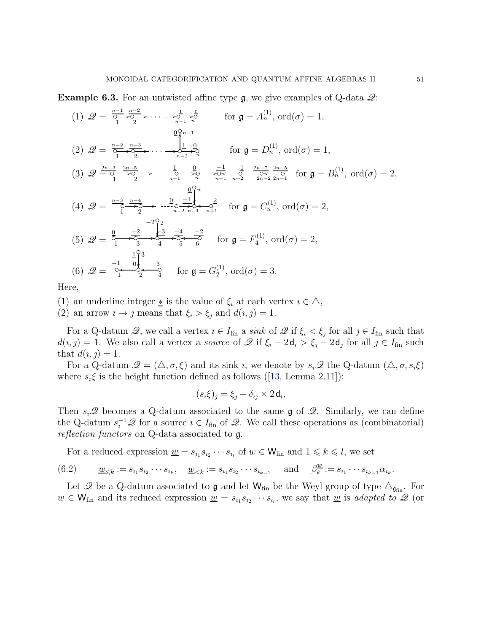**Example 6.3.** For an untwisted affine type  $\mathfrak{g}$ , we give examples of Q-data  $\mathcal{Q}$ :

$$
(1) \ \mathscr{Q} = \frac{\frac{n-1}{0} \cdot \frac{n-2}{0}}{\frac{1}{1} \cdot \frac{n-3}{2}} \cdots \longrightarrow \frac{\frac{1}{0} \cdot \frac{0}{0}}{\frac{1}{1} \cdot \frac{0}{2}} \quad \text{for } \mathfrak{g} = A_n^{(1)}, \text{ ord}(\sigma) = 1,
$$
\n
$$
(2) \ \mathscr{Q} = \frac{\frac{n-2}{0} \cdot \frac{n-3}{0}}{\frac{n-3}{1} \cdot \frac{2n-5}{2}} \cdots \longrightarrow \frac{\frac{1}{0} \cdot \frac{0}{1} \cdot \frac{0}{0}}{\frac{1}{n-2} \cdot \frac{0}{n}} \quad \text{for } \mathfrak{g} = D_n^{(1)}, \text{ ord}(\sigma) = 1,
$$
\n
$$
(3) \ \mathscr{Q} \stackrel{\frac{2n-3}{0} \cdot \frac{2n-5}{0} \cdot \frac{n-4}{0}}{\frac{2n-2}{1} \cdot \frac{2n-1}{2}} \cdots \longrightarrow \frac{\frac{0}{0} \cdot \frac{1}{0} \cdot \frac{1}{0} \cdot \frac{1}{0} \cdot \frac{2n-7}{2n-2}}{\frac{2n-2}{2n-1} \cdot \frac{2n-5}{2n-1}} \quad \text{for } \mathfrak{g} = B_n^{(1)}, \text{ ord}(\sigma) = 2,
$$
\n
$$
(4) \ \mathscr{Q} = \frac{\frac{n-3}{0} \cdot \frac{n-4}{0} \cdot \frac{0}{2} \cdot \frac{1}{0} \cdot \frac{1}{0} \cdot \frac{2}{n-2}}{\frac{1}{n-2} \cdot \frac{1}{n-1} \cdot \frac{1}{n+1}} \quad \text{for } \mathfrak{g} = C_n^{(1)}, \text{ ord}(\sigma) = 2,
$$
\n
$$
(5) \ \mathscr{Q} = \frac{\frac{1}{0} \cdot \frac{1}{0} \cdot \frac{3}{0} \cdot \frac{1}{0} \cdot \frac{3}{0} \cdot \frac{1}{0} \cdot \frac{2}{0} \cdot \frac{1}{0} \cdot \frac{2}{0} \cdot \frac{1}{0} \cdot \frac{2}{0} \cdot \frac{1}{0} \cdot \frac{1}{0} \cdot \frac{2}{0} \cdot \frac{1}{0} \cdot \frac{1}{0} \cdot
$$

Here,

(1) an underline integer  $*$  is the value of  $\xi_i$  at each vertex  $i \in \Delta$ ,

(2) an arrow  $i \to j$  means that  $\xi_i > \xi_j$  and  $d(i, j) = 1$ .

For a Q-datum  $\mathscr{Q}$ , we call a vertex  $i \in I_{fin}$  a sink of  $\mathscr{Q}$  if  $\xi_i < \xi_j$  for all  $j \in I_{fin}$  such that  $d(i, j) = 1$ . We also call a vertex a *source* of  $\mathscr Q$  if  $\xi_i - 2\mathsf{d}_i > \xi_j - 2\mathsf{d}_j$  for all  $j \in I_{fin}$  such that  $d(i, j) = 1$ .

For a Q-datum  $\mathcal{Q} = (\triangle, \sigma, \xi)$  and its sink *i*, we denote by  $s_i\mathcal{Q}$  the Q-datum  $(\triangle, \sigma, s_i\xi)$ where $s_i \xi$  is the height function defined as follows ([\[13,](#page-90-2) Lemma 2.11]):

$$
(s_i \xi)_j = \xi_j + \delta_{ij} \times 2 \mathsf{d}_i,
$$

Then  $s_i\mathscr{Q}$  becomes a Q-datum associated to the same g of  $\mathscr{Q}$ . Similarly, we can define the Q-datum  $s_i^{-1}\mathscr{Q}$  for a source  $i \in I_{fin}$  of  $\mathscr{Q}$ . We call these operations as (combinatorial) reflection functors on Q-data associated to g.

For a reduced expression  $\underline{w} = s_{i_1} s_{i_2} \cdots s_{i_l}$  of  $w \in W_{fin}$  and  $1 \leq k \leq l$ , we set

$$
(6.2) \qquad \underline{w}_{\leq k} := s_{i_1} s_{i_2} \cdots s_{i_k}, \quad \underline{w}_{\leq k} := s_{i_1} s_{i_2} \cdots s_{i_{k-1}} \quad \text{and} \quad \beta^{\underline{w}}_k := s_{i_1} \cdots s_{i_{k-1}} \alpha_{i_k}.
$$

Let  $\mathscr Q$  be a Q-datum associated to  $\mathfrak g$  and let  $\mathsf W_{\text{fin}}$  be the Weyl group of type  $\Delta_{\mathfrak g_{\text{fin}}}$ . For  $w \in W_{fin}$  and its reduced expression  $\underline{w} = s_{i_1} s_{i_2} \cdots s_{i_l}$ , we say that  $\underline{w}$  is *adapted to*  $\mathscr{Q}$  (or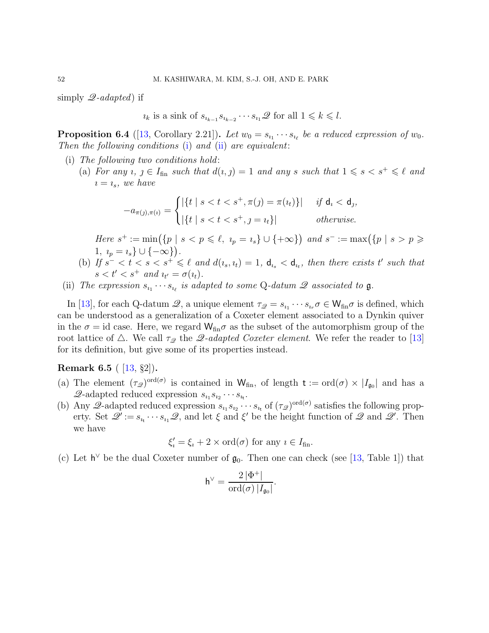simply  $\mathscr{Q}\text{-}adapted$  if

 $i_k$  is a sink of  $s_{i_{k-1}} s_{i_{k-2}} \cdots s_{i_1} \mathscr{Q}$  for all  $1 \leq k \leq l$ .

**Proposition 6.4** ([\[13,](#page-90-2) Corollary 2.21]). Let  $w_0 = s_{i_1} \cdots s_{i_\ell}$  be a reduced expression of  $w_0$ . Then the following conditions  $(i)$  and  $(ii)$  are equivalent:

- <span id="page-51-0"></span>(i) The following two conditions hold:
	- (a) For any  $i, j \in I_{fin}$  such that  $d(i, j) = 1$  and any s such that  $1 \leq s < s^+ \leq \ell$  and  $i = i_s$ , we have

$$
-a_{\pi(j),\pi(i)} = \begin{cases} |\{t \mid s < t < s^+, \pi(j) = \pi(i_t)\}| & \text{if } \mathsf{d}_i < \mathsf{d}_j, \\ |\{t \mid s < t < s^+, j = i_t\}| & \text{otherwise.} \end{cases}
$$

Here  $s^+ := \min(\{p \mid s < p \leqslant \ell, \ i_p = i_s\} \cup \{+\infty\})$  and  $s^- := \max(\{p \mid s > p \geqslant \ell\})$ 1,  $i_p = i_s \} \cup \{-\infty\}$ .

- (b) If  $s^- < t < s < s^+ \leq \ell$  and  $d(i_s, i_t) = 1$ ,  $d_{i_s} < d_{i_t}$ , then there exists t' such that  $s < t' < s^+$  and  $u_{t'} = \sigma(u_t)$ .
- <span id="page-51-1"></span>(ii) The expression  $s_{i_1}\cdots s_{i_\ell}$  is adapted to some Q-datum  $\mathscr Q$  associated to  $\mathfrak g$ .

In [\[13\]](#page-90-2), for each Q-datum  $\mathscr{Q}$ , a unique element  $\tau_{\mathscr{Q}} = s_{i_1} \cdots s_{i_r} \sigma \in \mathsf{W}_{\text{fin}} \sigma$  is defined, which can be understood as a generalization of a Coxeter element associated to a Dynkin quiver in the  $\sigma = id$  case. Here, we regard  $W_{fin}\sigma$  as the subset of the automorphism group of the root lattice of  $\triangle$ . We call  $\tau_{\mathscr{Q}}$  the  $\mathscr{Q}\text{-}adapted$  Coxeter element. We refer the reader to [\[13\]](#page-90-2) for its definition, but give some of its properties instead.

# <span id="page-51-2"></span>Remark 6.5 ( [\[13,](#page-90-2) §2]).

- (a) The element  $(\tau_{\mathscr{D}})^{\text{ord}(\sigma)}$  is contained in  $W_{fin}$ , of length  $t := \text{ord}(\sigma) \times |I_{\mathfrak{g}_0}|$  and has a  $\mathscr{Q}\text{-adapted reduced expression } s_{i_1} s_{i_2} \cdots s_{i_t}.$
- (b) Any 2-adapted reduced expression  $s_{i_1}s_{i_2}\cdots s_{i_t}$  of  $(\tau_{\mathscr{D}})^{\text{ord}(\sigma)}$  satisfies the following property. Set  $\mathscr{Q}' := s_{i_1} \cdots s_{i_n} \mathscr{Q}$ , and let  $\xi$  and  $\xi'$  be the height function of  $\mathscr{Q}$  and  $\mathscr{Q}'$ . Then we have

$$
\xi_i' = \xi_i + 2 \times \text{ord}(\sigma) \text{ for any } i \in I_{\text{fin}}.
$$

<span id="page-51-3"></span>(c) Let  $h^{\vee}$  be the dual Coxeter number of  $\mathfrak{g}_0$ . Then one can check (see [\[13,](#page-90-2) Table 1]) that

$$
\mathsf{h}^{\vee} = \frac{2\,|\Phi^+|}{\operatorname{ord}(\sigma)\,|I_{\mathfrak{g}_0}|}.
$$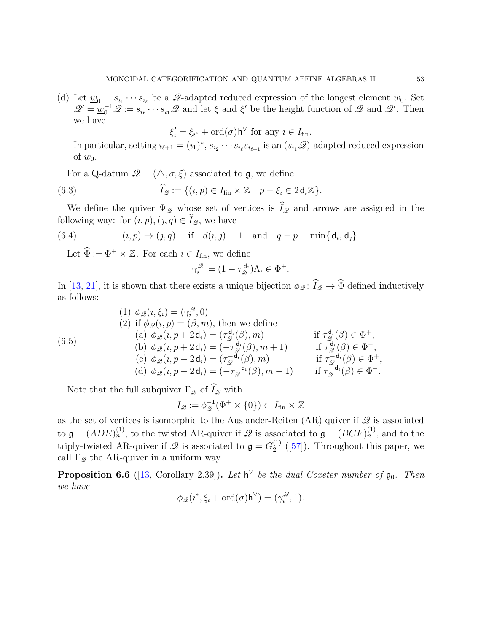(d) Let  $\underline{w}_0 = s_{i_1} \cdots s_{i_\ell}$  be a  $\mathscr{Q}$ -adapted reduced expression of the longest element  $w_0$ . Set  $\mathscr{Q}' = \underline{w}_0^{-1} \mathscr{Q} := s_{i_\ell} \cdots s_{i_1} \mathscr{Q}$  and let  $\xi$  and  $\xi'$  be the height function of  $\mathscr{Q}$  and  $\mathscr{Q}'$ . Then we have

$$
\xi_i' = \xi_{i^*} + \text{ord}(\sigma) \mathsf{h}^\vee \text{ for any } i \in I_{\text{fin}}.
$$

In particular, setting  $i_{\ell+1} = (i_1)^*, s_{i_2} \cdots s_{i_\ell} s_{i_{\ell+1}}$  is an  $(s_{i_1} \mathcal{Q})$ -adapted reduced expression of  $w_0$ .

For a Q-datum  $\mathcal{Q} = (\triangle, \sigma, \xi)$  associated to g, we define

(6.3) 
$$
\widehat{I}_{\mathscr{Q}} := \{ (\iota, p) \in I_{\text{fin}} \times \mathbb{Z} \mid p - \xi_{\iota} \in 2 \mathsf{d}_{\iota} \mathbb{Z} \}.
$$

We define the quiver  $\Psi_{\mathscr{Q}}$  whose set of vertices is  $\widehat{I}_{\mathscr{Q}}$  and arrows are assigned in the following way: for  $(i, p), (j, q) \in \widehat{I}_{\mathscr{Q}}$ , we have

(6.4) 
$$
(i, p) \to (j, q)
$$
 if  $d(i, j) = 1$  and  $q - p = \min\{d_i, d_j\}.$ 

Let  $\widehat{\Phi} := \Phi^+ \times \mathbb{Z}$ . For each  $i \in I_{fin}$ , we define

$$
\gamma_i^{\mathcal{Q}} := (1 - \tau_{\mathcal{Q}}^{\mathsf{d}_i}) \Lambda_i \in \Phi^+.
$$

In [\[13,](#page-90-2) [21\]](#page-90-3), it is shown that there exists a unique bijection  $\phi_{\mathscr{Q}}\colon \widehat{I}_{\mathscr{Q}} \to \widehat{\Phi}$  defined inductively as follows:

(6.5)  
\n(1) 
$$
\phi_{\mathcal{Q}}(\iota, \xi_i) = (\gamma_i^{\mathcal{Q}}, 0)
$$
  
\n(2) if  $\phi_{\mathcal{Q}}(\iota, p) = (\beta, m)$ , then we define  
\n(a)  $\phi_{\mathcal{Q}}(\iota, p + 2\mathbf{d}_i) = (\tau_{\mathcal{Q}}^{\mathbf{d}_i}(\beta), m)$  if  $\tau_{\mathcal{Q}}^{\mathbf{d}_i}(\beta) \in \Phi^+$ ,  
\n(b)  $\phi_{\mathcal{Q}}(\iota, p + 2\mathbf{d}_i) = (-\tau_{\mathcal{Q}}^{\mathbf{d}_i}(\beta), m + 1)$  if  $\tau_{\mathcal{Q}}^{\mathbf{d}_i}(\beta) \in \Phi^-,$   
\n(c)  $\phi_{\mathcal{Q}}(\iota, p - 2\mathbf{d}_i) = (\tau_{\mathcal{Q}}^{-\mathbf{d}_i}(\beta), m)$  if  $\tau_{\mathcal{Q}}^{-\mathbf{d}_i}(\beta) \in \Phi^+,$   
\n(d)  $\phi_{\mathcal{Q}}(\iota, p - 2\mathbf{d}_i) = (-\tau_{\mathcal{Q}}^{-\mathbf{d}_i}(\beta), m - 1)$  if  $\tau_{\mathcal{Q}}^{-\mathbf{d}_i}(\beta) \in \Phi^-,$ 

Note that the full subquiver  $\Gamma_{\mathscr{Q}}$  of  $\widehat{I}_{\mathscr{Q}}$  with

$$
I_{\mathscr{Q}} := \phi_{\mathscr{Q}}^{-1}(\Phi^+ \times \{0\}) \subset I_{\text{fin}} \times \mathbb{Z}
$$

as the set of vertices is isomorphic to the Auslander-Reiten (AR) quiver if  $\mathscr Q$  is associated to  $\mathfrak{g} = (ADE)_n^{(1)}$ , to the twisted AR-quiver if  $\mathscr Q$  is associated to  $\mathfrak{g} = (BCF)_n^{(1)}$ , and to the triply-twisted AR-quiver if  $\mathscr Q$  is associated to  $\mathfrak g = G_2^{(1)}$  $2^{(1)}$  ([\[57\]](#page-92-1)). Throughout this paper, we call  $\Gamma_{\mathscr{Q}}$  the AR-quiver in a uniform way.

**Proposition 6.6** ([\[13,](#page-90-2) Corollary 2.39]). Let  $h^{\vee}$  be the dual Coxeter number of  $\mathfrak{g}_0$ . Then we have

$$
\phi_{\mathscr{Q}}(\imath^*, \xi_i + \mathrm{ord}(\sigma) \mathsf{h}^\vee) = (\gamma_i^{\mathscr{Q}}, 1).
$$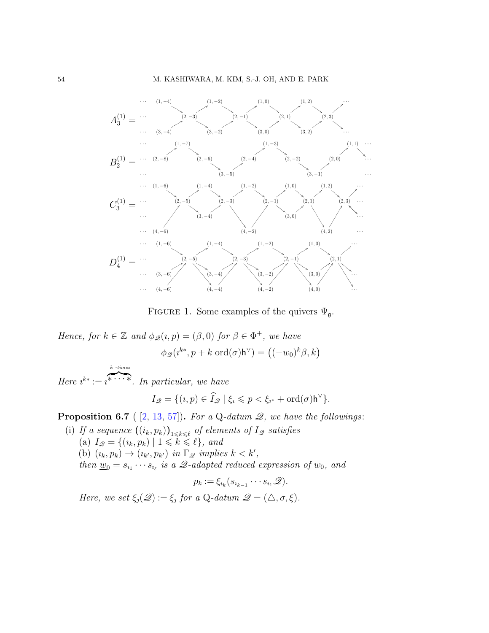

FIGURE 1. Some examples of the quivers  $\Psi_{\mathfrak{q}}$ .

Hence, for  $k \in \mathbb{Z}$  and  $\phi_{\mathscr{Q}}(i, p) = (\beta, 0)$  for  $\beta \in \Phi^+$ , we have

 $\phi_{\mathscr{Q}}(i^{k*}, p+k \text{ ord}(\sigma) \mathsf{h}^{\vee}) = ((-w_0)^k \beta, k)$ 

Here  $i^* := i^* \cdots$ . In particular, we have  $|k|$ -times

$$
I_{\mathscr{Q}} = \{ (\iota, p) \in \widehat{I}_{\mathscr{Q}} \mid \xi_i \leqslant p < \xi_{i^*} + \mathrm{ord}(\sigma) \mathsf{h}^{\vee} \}.
$$

<span id="page-53-1"></span><span id="page-53-0"></span>**Proposition 6.7** (  $[2, 13, 57]$  $[2, 13, 57]$  $[2, 13, 57]$  $[2, 13, 57]$ ). For a Q-datum  $\mathscr{Q}$ , we have the followings:

(i) If a sequence  $((i_k, p_k))_{1 \leq k \leq \ell}$  of elements of  $I_{\mathscr{Q}}$  satisfies (a)  $I_{\mathscr{Q}} = \{ (i_k, p_k) \mid 1 \leq k \leq \ell \}, \text{ and}$ (b)  $(i_k, p_k) \rightarrow (i_{k'}, p_{k'})$  in  $\Gamma_{\mathscr{Q}}$  implies  $k < k'$ , then  $\underline{w}_0 = s_{i_1} \cdots s_{i_\ell}$  is a  $\mathscr{Q}\text{-adapted reduced expression of } w_0$ , and  $p_k := \xi_{i_k} (s_{i_{k-1}} \cdots s_{i_1} \mathscr{Q}).$ 

Here, we set  $\xi_j(\mathscr{Q}) := \xi_j$  for a Q-datum  $\mathscr{Q} = (\triangle, \sigma, \xi)$ .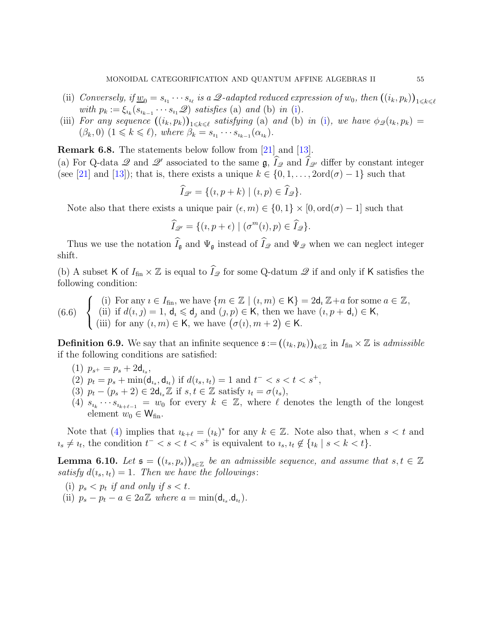- (ii) Conversely, if  $\underline{w}_0 = s_{i_1} \cdots s_{i_\ell}$  is a  $\mathscr{Q}$ -adapted reduced expression of  $w_0$ , then  $((i_k, p_k))_{1 \leq k \leq \ell}$ with  $p_k := \xi_{i_k}(s_{i_{k-1}} \cdots s_{i_1} \mathcal{Q})$  satisfies (a) and (b) in [\(i\)](#page-53-0).
- (iii) For any sequence  $((i_k, p_k))_{1 \leq k \leq \ell}$  satisfying (a) and (b) in [\(i\)](#page-53-0), we have  $\phi_{\mathscr{Q}}(i_k, p_k) =$  $(\beta_k, 0)$   $(1 \leq k \leq \ell)$ , where  $\beta_k = s_{i_1} \cdots s_{i_{k-1}}(\alpha_{i_k})$ .

**Remark 6.8.** The statements below follow from [\[21\]](#page-90-3) and [\[13\]](#page-90-2).

(a) For Q-data  $\mathscr Q$  and  $\mathscr Q'$  associated to the same  $\mathfrak g$ ,  $I_{\mathscr Q}$  and  $I_{\mathscr Q'}$  differ by constant integer (see [\[21\]](#page-90-3) and [\[13\]](#page-90-2)); that is, there exists a unique  $k \in \{0, 1, \ldots, 2 \text{ord}(\sigma) - 1\}$  such that

$$
\widehat{I}_{\mathscr{Q}'} = \{ (\iota, p + k) \mid (\iota, p) \in \widehat{I}_{\mathscr{Q}} \}.
$$

Note also that there exists a unique pair  $(\epsilon, m) \in \{0, 1\} \times [0, \text{ord}(\sigma) - 1]$  such that

$$
\widehat{I}_{\mathscr{Q}'} = \{ (\iota, p + \epsilon) \mid (\sigma^m(\iota), p) \in \widehat{I}_{\mathscr{Q}} \}.
$$

Thus we use the notation  $\widehat{I}_{\mathfrak{g}}$  and  $\Psi_{\mathfrak{g}}$  instead of  $\widehat{I}_{\mathfrak{g}}$  and  $\Psi_{\mathfrak{g}}$  when we can neglect integer shift.

(b) A subset K of  $I_{fin} \times \mathbb{Z}$  is equal to  $\hat{I}_{\mathscr{Q}}$  for some Q-datum  $\mathscr{Q}$  if and only if K satisfies the following condition:

<span id="page-54-5"></span>(6.6) 
$$
\begin{cases} (i) \text{ For any } i \in I_{\text{fin}}, \text{ we have } \{m \in \mathbb{Z} \mid (i, m) \in \mathsf{K}\} = 2\mathsf{d}_i \mathbb{Z} + a \text{ for some } a \in \mathbb{Z}, \\ (ii) \text{ if } d(i,j) = 1, \mathsf{d}_i \leq \mathsf{d}_j \text{ and } (j,p) \in \mathsf{K}, \text{ then we have } (i, p + \mathsf{d}_i) \in \mathsf{K}, \\ (iii) \text{ for any } (i, m) \in \mathsf{K}, \text{ we have } (\sigma(i), m + 2) \in \mathsf{K}. \end{cases}
$$

<span id="page-54-4"></span><span id="page-54-2"></span>**Definition 6.9.** We say that an infinite sequence  $\mathfrak{s} := ((i_k, p_k))_{k \in \mathbb{Z}}$  in  $I_{\text{fin}} \times \mathbb{Z}$  is *admissible* if the following conditions are satisfied:

- <span id="page-54-1"></span>(1)  $p_{s^+} = p_s + 2d_{i_s}$ ,
- <span id="page-54-3"></span>(2)  $p_t = p_s + \min(\mathsf{d}_{i_s}, \mathsf{d}_{i_t})$  if  $d(i_s, i_t) = 1$  and  $t^- < s < t < s^+$ ,
- <span id="page-54-0"></span>(3)  $p_t - (p_s + 2) \in 2\mathsf{d}_{i_s}\mathbb{Z}$  if  $s, t \in \mathbb{Z}$  satisfy  $i_t = \sigma(i_s)$ ,
- (4)  $s_{i_k} \cdots s_{i_{k+\ell-1}} = w_0$  for every  $k \in \mathbb{Z}$ , where  $\ell$  denotes the length of the longest element  $w_0 \in W_{fin}$ .

Note that [\(4\)](#page-54-0) implies that  $i_{k+\ell} = (i_k)^*$  for any  $k \in \mathbb{Z}$ . Note also that, when  $s < t$  and  $u_s \neq u_t$ , the condition  $t^- < s < t < s^+$  is equivalent to  $u_s, u_t \notin \{u_k \mid s < k < t\}.$ 

<span id="page-54-6"></span>**Lemma 6.10.** Let  $\mathfrak{s} = ((i_s, p_s))_{s \in \mathbb{Z}}$  be an admissible sequence, and assume that  $s, t \in \mathbb{Z}$ satisfy  $d(i_s, i_t) = 1$ . Then we have the followings:

- <span id="page-54-8"></span><span id="page-54-7"></span>(i)  $p_s < p_t$  if and only if  $s < t$ .
- (ii)  $p_s p_t a \in 2a\mathbb{Z}$  where  $a = \min(\mathsf{d}_{i_s} \mathsf{d}_{i_t}).$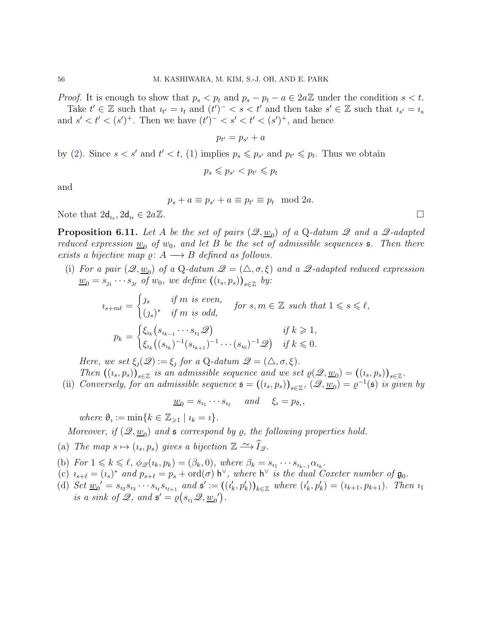*Proof.* It is enough to show that  $p_s < p_t$  and  $p_s - p_t - a \in 2a\mathbb{Z}$  under the condition  $s < t$ . Take  $t' \in \mathbb{Z}$  such that  $i_{t'} = i_t$  and  $(t')^{-} < s < t'$  and then take  $s' \in \mathbb{Z}$  such that  $i_{s'} = i_s$ and  $s' < t' < (s')^+$ . Then we have  $(t')^- < s' < t' < (s')^+$ , and hence

$$
p_{t'}=p_{s'}+a
$$

by [\(2\)](#page-54-1). Since  $s < s'$  and  $t' < t$ , [\(1\)](#page-54-2) implies  $p_s \leqslant p_{s'}$  and  $p_{t'} \leqslant p_t$ . Thus we obtain

$$
p_s \leqslant p_{s'} < p_{t'} \leqslant p_t
$$

and

$$
p_s + a \equiv p_{s'} + a \equiv p_{t'} \equiv p_t \mod 2a.
$$

Note that  $2d_{i_s}$ ,  $2d_{i_t} \in 2a\mathbb{Z}$ .

<span id="page-55-6"></span>**Proposition 6.11.** Let A be the set of pairs  $(\mathscr{Q}, \underline{w}_0)$  of a Q-datum  $\mathscr{Q}$  and a  $\mathscr{Q}$ -adapted reduced expression  $w_0$  of  $w_0$ , and let B be the set of admissible sequences **5**. Then there exists a bijective map  $\rho: A \longrightarrow B$  defined as follows.

<span id="page-55-1"></span>(i) For a pair  $(\mathscr{Q}, \underline{w}_0)$  of a Q-datum  $\mathscr{Q} = (\triangle, \sigma, \xi)$  and a  $\mathscr{Q}$ -adapted reduced expression  $\underline{w}_0 = s_{j_1} \cdots s_{j_\ell}$  of  $w_0$ , we define  $((i_s, p_s))_{s \in \mathbb{Z}}$  by:

$$
i_{s+m\ell} = \begin{cases} j_s & \text{if } m \text{ is even,} \\ (j_s)^* & \text{if } m \text{ is odd,} \end{cases} \quad \text{for } s, m \in \mathbb{Z} \text{ such that } 1 \leq s \leq \ell,
$$

$$
p_k = \begin{cases} \xi_{i_k} (s_{i_{k-1}} \cdots s_{i_1} \mathcal{Q}) & \text{if } k \geq 1, \\ \xi_{i_k} ((s_{i_k})^{-1} (s_{i_{k+1}})^{-1} \cdots (s_{i_0})^{-1} \mathcal{Q}) & \text{if } k \leq 0. \end{cases}
$$

Here, we set  $\xi_j(\mathscr{Q}) := \xi_j$  for a Q-datum  $\mathscr{Q} = (\triangle, \sigma, \xi)$ .

<span id="page-55-2"></span>Then  $((i_s, p_s))_{s \in \mathbb{Z}}$  is an admissible sequence and we set  $\varrho(\mathscr{Q}, \underline{w}_0) = ((i_s, p_s))_{s \in \mathbb{Z}}$ . (ii) Conversely, for an admissible sequence  $\mathfrak{s} = ((i_s, p_s))_{s \in \mathbb{Z}}$ ,  $(\mathscr{Q}, \underline{w}_0) = \varrho^{-1}(\mathfrak{s})$  is given by

 $\underline{w}_0 = s_{i_1} \cdots s_{i_\ell}$  and  $\xi_i = p_{\vartheta_i},$ 

where  $\vartheta_i := \min\{k \in \mathbb{Z}_{\geq 1} \mid i_k = i\}.$ 

Moreover, if  $(\mathscr{Q}, \underline{w}_0)$  and  $\mathfrak s$  correspond by  $\varrho$ , the following properties hold.

- <span id="page-55-3"></span><span id="page-55-0"></span>(a) The map  $s \mapsto (i_s, p_s)$  gives a bijection  $\mathbb{Z} \xrightarrow{\sim} \widehat{I}_{\mathscr{Q}}$ .
- <span id="page-55-4"></span>(b) For  $1 \leq k \leq \ell$ ,  $\phi_{\mathcal{Q}}(i_k, p_k) = (\beta_k, 0)$ , where  $\beta_k = s_{i_1} \cdots s_{i_{k-1}} \alpha_{i_k}$ .
- <span id="page-55-5"></span>(c)  $i_{s+\ell} = (i_s)^*$  and  $p_{s+\ell} = p_s + \text{ord}(\sigma)$  h<sup> $\vee$ </sup>, where h<sup> $\vee$ </sup> is the dual Coxeter number of  $\mathfrak{g}_0$ .
- (d) Set  $\underline{w}_0' = s_{i_2}s_{i_3}\cdots s_{i_\ell}s_{i_{\ell+1}}$  and  $\mathfrak{s}' := ((i'_k, p'_k))_{k \in \mathbb{Z}}$  where  $(i'_k, p'_k) = (i_{k+1}, p_{k+1})$ . Then  $i_1$ is a sink of  $\mathscr{Q}$ , and  $\mathfrak{s}' = \varrho(s_{i_1} \mathscr{Q}, \underline{w_0}')$ .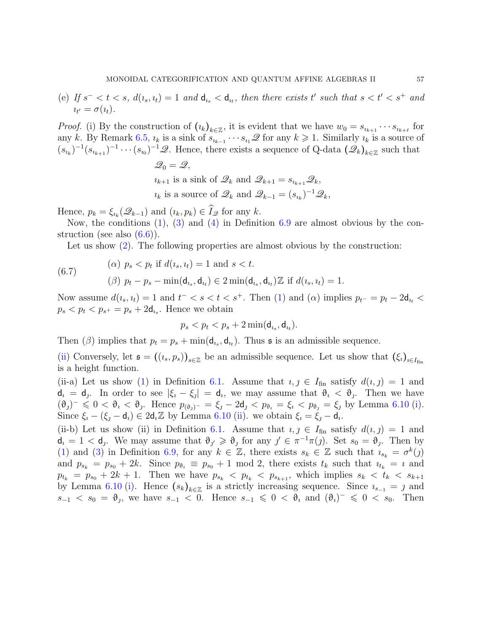<span id="page-56-0"></span>(e) If  $s^- < t < s$ ,  $d(i_s, i_t) = 1$  and  $d_{i_s} < d_{i_t}$ , then there exists t' such that  $s < t' < s^+$  and  $\iota_{t'} = \sigma(\iota_t).$ 

*Proof.* [\(i\)](#page-55-1) By the construction of  $(\iota_k)_{k \in \mathbb{Z}}$ , it is evident that we have  $w_0 = s_{\iota_{k+1}} \cdots s_{\iota_{k+\ell}}$  for any k. By Remark [6.5,](#page-51-2)  $i_k$  is a sink of  $s_{i_{k-1}} \cdots s_{i_1} \mathscr{Q}$  for any  $k \geq 1$ . Similarly  $i_k$  is a source of  $(s_{i_k})^{-1}(s_{i_{k+1}})^{-1}\cdots(s_{i_0})^{-1}\mathscr{Q}$ . Hence, there exists a sequence of Q-data  $(\mathscr{Q}_k)_{k\in\mathbb{Z}}$  such that

> $\mathscr{Q}_0 = \mathscr{Q},$  $i_{k+1}$  is a sink of  $\mathscr{Q}_k$  and  $\mathscr{Q}_{k+1} = s_{i_{k+1}}\mathscr{Q}_k$ ,  $u_k$  is a source of  $\mathscr{Q}_k$  and  $\mathscr{Q}_{k-1} = (s_{u_k})^{-1} \mathscr{Q}_k$ ,

Hence,  $p_k = \xi_{i_k}(\mathcal{Q}_{k-1})$  and  $(i_k, p_k) \in \widehat{I}_{\mathcal{Q}}$  for any k.

Now, the conditions [\(1\)](#page-54-2), [\(3\)](#page-54-3) and [\(4\)](#page-54-0) in Definition [6.9](#page-54-4) are almost obvious by the construction (see also  $(6.6)$ ).

Let us show [\(2\)](#page-54-1). The following properties are almost obvious by the construction:

(6.7)   
\n(a) 
$$
p_s < p_t
$$
 if  $d(i_s, i_t) = 1$  and  $s < t$ .  
\n
$$
\text{(6.7)} \quad (\beta) \ p_t - p_s - \min(\mathbf{d}_{i_s}, \mathbf{d}_{i_t}) \in 2 \min(\mathbf{d}_{i_s}, \mathbf{d}_{i_t}) \mathbb{Z} \text{ if } d(i_s, i_t) = 1.
$$

Now assume  $d(i_s, i_t) = 1$  and  $t^- < s < t < s^+$ . Then [\(1\)](#page-54-2) and ( $\alpha$ ) implies  $p_{t^-} = p_t - 2d_{i_t} <$  $p_s < p_t < p_{s^+} = p_s + 2d_{i_s}$ . Hence we obtain

$$
p_s < p_t < p_s + 2\min(\mathsf{d}_{i_s}, \mathsf{d}_{i_t}).
$$

Then ( $\beta$ ) implies that  $p_t = p_s + \min(\mathsf{d}_{i_s}, \mathsf{d}_{i_t})$ . Thus **s** is an admissible sequence.

[\(ii\)](#page-55-2) Conversely, let  $\mathfrak{s} = ((i_s, p_s))_{s \in \mathbb{Z}}$  be an admissible sequence. Let us show that  $(\xi_i)_{i \in I_{fin}}$ is a height function.

(ii-a) Let us show [\(1\)](#page-49-0) in Definition [6.1.](#page-49-1) Assume that  $i, j \in I_{fin}$  satisfy  $d(i, j) = 1$  and  $d_i = d_j$ . In order to see  $|\xi_i - \xi_j| = d_i$ , we may assume that  $\vartheta_i < \vartheta_j$ . Then we have  $(\vartheta_j)^{-} \leq 0 < \vartheta_i < \vartheta_j$ . Hence  $p_{(\vartheta_j)^{-}} = \xi_j - 2d_j < p_{\vartheta_i} = \xi_i < p_{\vartheta_j} = \xi_j$  by Lemma [6.10](#page-54-6) [\(i\)](#page-54-7). Since  $\xi_i - (\xi_j - \mathsf{d}_i) \in 2\mathsf{d}_i \mathbb{Z}$  by Lemma [6.10](#page-54-6) [\(ii\)](#page-54-8). we obtain  $\xi_i = \xi_j - \mathsf{d}_i$ .

(ii-b) Let us show (ii) in Definition [6.1.](#page-49-1) Assume that  $i, j \in I_{fin}$  satisfy  $d(i, j) = 1$  and  $\mathsf{d}_i = 1 < \mathsf{d}_j$ . We may assume that  $\vartheta_{j'} \geq \vartheta_j$  for any  $j' \in \pi^{-1}\pi(j)$ . Set  $s_0 = \vartheta_j$ . Then by [\(1\)](#page-54-2) and [\(3\)](#page-54-3) in Definition [6.9,](#page-54-4) for any  $k \in \mathbb{Z}$ , there exists  $s_k \in \mathbb{Z}$  such that  $i_{s_k} = \sigma^k(j)$ and  $p_{s_k} = p_{s_0} + 2k$ . Since  $p_{\theta_i} \equiv p_{s_0} + 1 \mod 2$ , there exists  $t_k$  such that  $i_{t_k} = i$  and  $p_{t_k} = p_{s_0} + 2k + 1$ . Then we have  $p_{s_k} < p_{t_k} < p_{s_{k+1}}$ , which implies  $s_k < t_k < s_{k+1}$ by Lemma [6.10](#page-54-6) [\(i\)](#page-54-7). Hence  $(s_k)_{k \in \mathbb{Z}}$  is a strictly increasing sequence. Since  $i_{s-1} = j$  and  $s_{-1} < s_0 = \vartheta_j$ , we have  $s_{-1} < 0$ . Hence  $s_{-1} \leq 0 < \vartheta_i$  and  $(\vartheta_i)^- \leq 0 < s_0$ . Then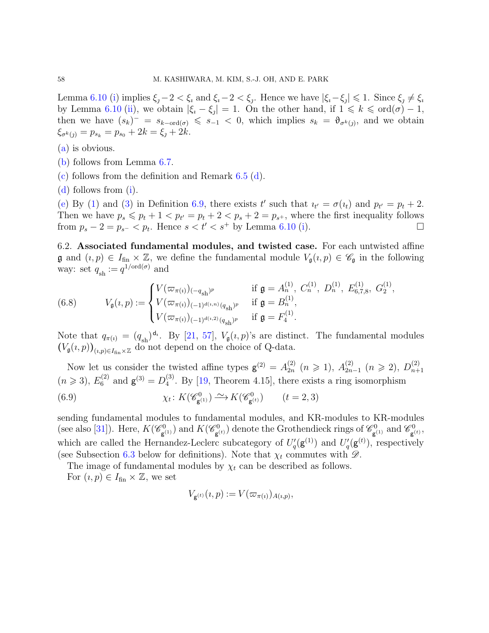Lemma [6.10](#page-54-6) [\(i\)](#page-54-7) implies  $\xi_j - 2 < \xi_i$  and  $\xi_i - 2 < \xi_j$ . Hence we have  $|\xi_i - \xi_j| \leq 1$ . Since  $\xi_j \neq \xi_i$ by Lemma [6.10](#page-54-6) [\(ii\)](#page-54-8), we obtain  $|\xi_i - \xi_j| = 1$ . On the other hand, if  $1 \leq k \leq \text{ord}(\sigma) - 1$ , then we have  $(s_k)^{-} = s_{k-{\rm ord}(\sigma)} \leq s_{-1} < 0$ , which implies  $s_k = \vartheta_{\sigma^k(j)}$ , and we obtain  $\xi_{\sigma^k(j)} = p_{s_k} = p_{s_0} + 2k = \xi_j + 2k.$ 

- [\(a\)](#page-55-3) is obvious.
- [\(b\)](#page-55-0) follows from Lemma [6.7.](#page-53-1)
- [\(c\)](#page-55-4) follows from the definition and Remark [6.5](#page-51-2) [\(d\)](#page-51-3).
- [\(d\)](#page-55-5) follows from [\(i\)](#page-55-1).

[\(e\)](#page-56-0) By [\(1\)](#page-54-2) and [\(3\)](#page-54-3) in Definition [6.9,](#page-54-4) there exists t' such that  $u_{t'} = \sigma(u_t)$  and  $p_{t'} = p_t + 2$ . Then we have  $p_s \leqslant p_t + 1 < p_{t'} = p_t + 2 < p_s + 2 = p_{s^+}$ , where the first inequality follows from  $p_s - 2 = p_{s^-} < p_t$ . Hence  $s < t' < s^+$  by Lemma [6.10](#page-54-6) [\(i\)](#page-54-7).

6.2. Associated fundamental modules, and twisted case. For each untwisted affine  $\mathfrak g$  and  $(i, p) \in I_{\text{fin}} \times \mathbb Z$ , we define the fundamental module  $V_{\mathfrak g}(i, p) \in \mathscr C_{\mathfrak g}$  in the following way: set  $q_{\rm sh} := q^{1/\text{ord}(\sigma)}$  and

<span id="page-57-0"></span>(6.8) 
$$
V_{\mathfrak{g}}(\iota, p) := \begin{cases} V(\varpi_{\pi(\iota)})_{(-q_{\mathrm{sh}})^p} & \text{if } \mathfrak{g} = A_n^{(1)}, C_n^{(1)}, D_n^{(1)}, E_{6,7,8}^{(1)}, G_2^{(1)}, \\ V(\varpi_{\pi(\iota)})_{(-1)^{d(\iota,n)}}_{(-1)^{d(\iota,2)}(q_{\mathrm{sh}})^p} & \text{if } \mathfrak{g} = B_n^{(1)}, \\ V(\varpi_{\pi(\iota)})_{(-1)^{d(\iota,2)}(q_{\mathrm{sh}})^p} & \text{if } \mathfrak{g} = F_4^{(1)}. \end{cases}
$$

Note that  $q_{\pi(i)} = (q_{sh})^{d_i}$ . By [\[21,](#page-90-3) [57\]](#page-92-1),  $V_{\mathfrak{g}}(i, p)$ 's are distinct. The fundamental modules  $(V_{\mathfrak{g}}(\iota, p))_{(\iota, p)\in I_{\text{fin}}\times \mathbb{Z}}$  do not depend on the choice of Q-data.

Now let us consider the twisted affine types  $\mathbf{g}^{(2)} = A_{2n}^{(2)}$  $_{2n}^{(2)}$   $(n \geq 1)$ ,  $A_{2n}^{(2)}$  $_{2n-1}^{(2)}$  (*n* ≥ 2),  $D_{n+}^{(2)}$  $n+1$  $(n \ge 3)$ ,  $E_6^{(2)}$  and  $\mathsf{g}^{(3)} = D_4^{(3)}$  $_{4}^{\circ}$ . By [\[19,](#page-90-4) Theorem 4.15], there exists a ring isomorphism  $\chi_t\colon K(\mathscr{C}^0_{\mathfrak{g}^0_0})$  $g^{(1)}(s) \longrightarrow K(\mathscr{C}_{\mathbf{g}}^{0})$ (6.9)  $\chi_t \colon K(\mathscr{C}^0_{\mathsf{g}^{(1)}}) \xrightarrow{\sim} K(\mathscr{C}^0_{\mathsf{g}^{(t)}}) \qquad (t = 2, 3)$ 

<span id="page-57-1"></span>sending fundamental modules to fundamental modules, and KR-modules to KR-modules (see also [\[31\]](#page-90-5)). Here,  $K(\mathscr{C}^0_{\sigma})$  $\mathbf{g}^{(1)}_{\mathbf{g}}$ ) and  $K(\mathscr{C}_{\mathbf{g}}^{0})$  $\mathbf{g}^{(t)}_{\mathbf{g}}(t)$  denote the Grothendieck rings of  $\mathscr{C}_{\mathbf{g}}^{(t)}$  $\epsilon_{\mathbf{g}^{(1)}}^{_{(1)}}$  and  $\mathscr{C}_{\mathbf{g}^{(1)}}^{0}$  $_{\mathsf{g}\left( t\right) }^{_{\mathfrak{H}\left( t\right) },$ which are called the Hernandez-Leclerc subcategory of  $U_q'(\mathbf{g}^{(1)})$  and  $U_q'(\mathbf{g}^{(t)})$ , respectively (see Subsection [6.3](#page-59-1) below for definitions). Note that  $\chi_t$  commutes with  $\mathscr{D}$ .

The image of fundamental modules by  $\chi_t$  can be described as follows.

For  $(i, p) \in I_{fin} \times \mathbb{Z}$ , we set

$$
V_{\mathsf{g}^{(t)}}(\iota,p) := V(\varpi_{\pi(\iota)})_{A(\iota,p)},
$$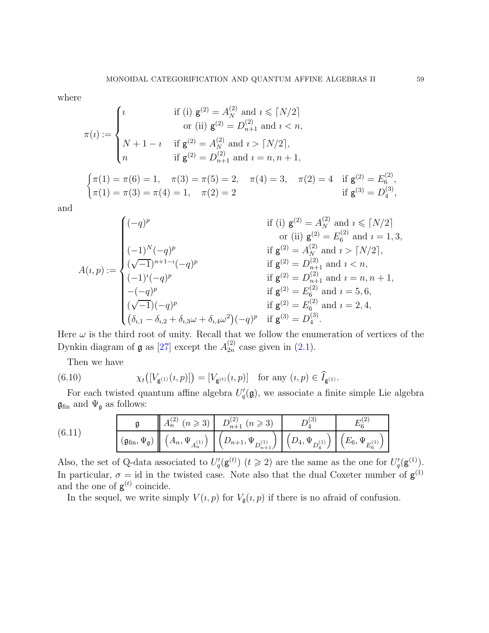where

$$
\pi(i) := \begin{cases}\ni & \text{if (i) } g^{(2)} = A_N^{(2)} \text{ and } i \leq [N/2] \\
& \text{or (ii) } g^{(2)} = D_{n+1}^{(2)} \text{ and } i < n, \\
N + 1 - i & \text{if } g^{(2)} = A_N^{(2)} \text{ and } i > [N/2], \\
n & \text{if } g^{(2)} = D_{n+1}^{(2)} \text{ and } i = n, n + 1, \\
\pi(1) = \pi(6) = 1, \quad \pi(3) = \pi(5) = 2, \quad \pi(4) = 3, \quad \pi(2) = 4 \quad \text{if } g^{(2)} = E_6^{(2)}, \\
\pi(1) = \pi(3) = \pi(4) = 1, \quad \pi(2) = 2 \quad \text{if } g^{(3)} = D_4^{(3)},\n\end{cases}
$$

and

$$
A(i,p) := \begin{cases} (-q)^p & \text{if (i) } g^{(2)} = A_N^{(2)} \text{ and } i \leq [N/2] \\ ( -1)^N (-q)^p & \text{if } g^{(2)} = A_N^{(2)} \text{ and } i = 1, 3, \\ (\sqrt{-1})^{n+1-i} (-q)^p & \text{if } g^{(2)} = D_{n+1}^{(2)} \text{ and } i < n, \\ (-1)^i (-q)^p & \text{if } g^{(2)} = D_{n+1}^{(2)} \text{ and } i < n, \\ -(-q)^p & \text{if } g^{(2)} = D_{n+1}^{(2)} \text{ and } i = n, n+1, \\ (\sqrt{-1})(-q)^p & \text{if } g^{(2)} = E_6^{(2)} \text{ and } i = 5, 6, \\ (\sqrt{-1})(-q)^p & \text{if } g^{(2)} = E_6^{(2)} \text{ and } i = 2, 4, \\ (\delta_{i,1} - \delta_{i,2} + \delta_{i,3}\omega + \delta_{i,4}\omega^2)(-q)^p & \text{if } g^{(3)} = D_4^{(3)}. \end{cases}
$$

Here  $\omega$  is the third root of unity. Recall that we follow the enumeration of vertices of the Dynkin diagram of  $\mathfrak g$  as [\[27\]](#page-90-6) except the  $A_{2n}^{(2)}$  $_{2n}^{(2)}$  case given in  $(2.1)$ .

Then we have

(6.10) 
$$
\chi_t\big([V_{\mathsf{g}^{(1)}}(i,p)]\big) = [V_{\mathsf{g}^{(t)}}(i,p)] \text{ for any } (i,p) \in \widehat{I}_{\mathsf{g}^{(1)}}.
$$

For each twisted quantum affine algebra  $U_q'(\mathfrak{g})$ , we associate a finite simple Lie algebra  $\mathfrak{g}_{\text{fin}}$  and  $\Psi_{\mathfrak{g}}$  as follows:

(6.11) 
$$
\frac{\mathfrak{g}}{\left(\mathfrak{g}_{\text{fin}}, \Psi_{\mathfrak{g}}\right)} \frac{A_n^{(2)}\ (n \geq 3)}{\left(A_n, \Psi_{A_n^{(1)}}\right)} \frac{D_{n+1}^{(2)}\ (n \geq 3)}{\left(D_{n+1}, \Psi_{D_{n+1}^{(1)}}\right)} \frac{D_4^{(3)}}{\left(D_4, \Psi_{D_4^{(1)}}\right)} \frac{E_6^{(2)}}{\left(E_6, \Psi_{E_6^{(1)}}\right)}
$$

Also, the set of Q-data associated to  $U_q'(\mathbf{g}^{(t)})$   $(t \geq 2)$  are the same as the one for  $U_q'(\mathbf{g}^{(1)})$ . In particular,  $\sigma = id$  in the twisted case. Note also that the dual Coxeter number of  $g^{(1)}$ and the one of  $g^{(t)}$  coincide.

In the sequel, we write simply  $V(i, p)$  for  $V_{\mathfrak{g}}(i, p)$  if there is no afraid of confusion.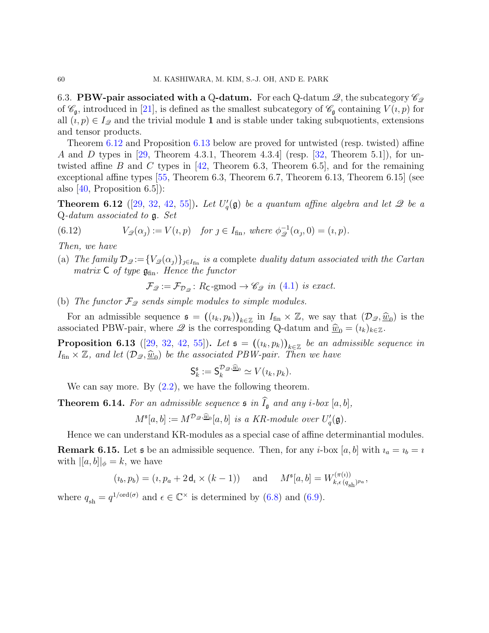<span id="page-59-1"></span>6.3. **PBW-pair associated with a Q-datum.** For each Q-datum  $\mathscr{Q}$ , the subcategory  $\mathscr{C}_{\mathscr{Q}}$ of  $\mathscr{C}_{\mathfrak{a}}$ , introduced in [\[21\]](#page-90-3), is defined as the smallest subcategory of  $\mathscr{C}_{\mathfrak{a}}$  containing  $V(i, p)$  for all  $(i, p) \in I_{\mathcal{Q}}$  and the trivial module 1 and is stable under taking subquotients, extensions and tensor products.

Theorem [6.12](#page-59-2) and Proposition [6.13](#page-59-3) below are proved for untwisted (resp. twisted) affine A and D types in [\[29,](#page-90-7) Theorem 4.3.1, Theorem 4.3.4] (resp. [\[32,](#page-90-8) Theorem 5.1]), for un-twisted affine B and C types in [\[42,](#page-91-6) Theorem 6.3, Theorem 6.5], and for the remaining exceptional affine types [\[55,](#page-92-2) Theorem 6.3, Theorem 6.7, Theorem 6.13, Theorem 6.15] (see also  $[40,$  Proposition 6.5]):

<span id="page-59-2"></span>**Theorem 6.12** ([\[29,](#page-90-7) [32,](#page-90-8) [42,](#page-91-6) [55\]](#page-92-2)). Let  $U_q'(\mathfrak{g})$  be a quantum affine algebra and let  $\mathscr Q$  be a Q-datum associated to g. Set

(6.12) 
$$
V_{\mathcal{D}}(\alpha_j) := V(i, p) \quad \text{for } j \in I_{\text{fin}}, \text{ where } \phi_{\mathcal{D}}^{-1}(\alpha_j, 0) = (i, p).
$$

Then, we have

(a) The family  $\mathcal{D}_{\mathscr{Q}}:=\{V_{\mathscr{Q}}(\alpha_j)\}_{j\in I_{fin}}$  is a complete duality datum associated with the Cartan matrix  $C$  of type  $\mathfrak{g}_{fin}$ . Hence the functor

$$
\mathcal{F}_{\mathscr{Q}} := \mathcal{F}_{\mathcal{D}_{\mathscr{Q}}}\colon R_{\mathsf{C}}\text{-}\mathrm{gmod} \to \mathscr{C}_{\mathscr{Q}}\ \text{in}\ (4.1)\ \text{is exact.}
$$

(b) The functor  $\mathcal{F}_{\mathcal{Q}}$  sends simple modules to simple modules.

For an admissible sequence  $\mathfrak{s} = ((i_k, p_k))_{k \in \mathbb{Z}}$  in  $I_{fin} \times \mathbb{Z}$ , we say that  $(\mathcal{D}_{\mathscr{Q}}, \hat{w}_0)$  is the associated PBW-pair, where  $\mathscr Q$  is the corresponding Q-datum and  $\hat w_0 = (i_k)_{k \in \mathbb Z}$ .

<span id="page-59-3"></span>**Proposition 6.13** ([\[29,](#page-90-7) [32,](#page-90-8) [42,](#page-91-6) [55\]](#page-92-2)). Let  $\mathfrak{s} = ((i_k, p_k))_{k \in \mathbb{Z}}$  be an admissible sequence in  $I_{fin} \times \mathbb{Z}$ , and let  $(\mathcal{D}_{\mathscr{Q}}, \underline{\widehat{w}}_0)$  be the associated PBW-pair. Then we have

$$
\mathsf{S}_k^{\mathfrak{s}} := \mathsf{S}_k^{\mathcal{D}_\mathscr{Q}, \underline{\widehat{w}}_0} \simeq V(\iota_k, p_k).
$$

We can say more. By  $(2.2)$ , we have the following theorem.

<span id="page-59-0"></span>**Theorem 6.14.** For an admissible sequence  $\mathfrak{s}$  in  $\widehat{I}_{\mathfrak{g}}$  and any *i*-box [a, b],

$$
M^{\mathfrak{s}}[a,b]:=M^{\mathcal{D}_\mathscr{Q},\widehat{\underline{w}}_0}[a,b]\ \ is\ a\ KR-module\ over\ U_q'(\mathfrak{g}).
$$

Hence we can understand KR-modules as a special case of affine determinantial modules.

**Remark 6.15.** Let **s** be an admissible sequence. Then, for any *i*-box [a, b] with  $i_a = i_b = i$ with  $\|a, b\|_{\phi} = k$ , we have

$$
(\imath_b, p_b) = (\imath, p_a + 2\,\mathsf{d}_\imath \times (k-1)) \quad \text{ and } \quad M^{\mathfrak{s}}[a, b] = W^{(\pi(\imath))}_{k, \epsilon\, (q_{\mathrm{sh}})^{p_a}},
$$

where  $q_{\rm sh} = q^{1/\text{ord}(\sigma)}$  and  $\epsilon \in \mathbb{C}^{\times}$  is determined by [\(6.8\)](#page-57-0) and [\(6.9\)](#page-57-1).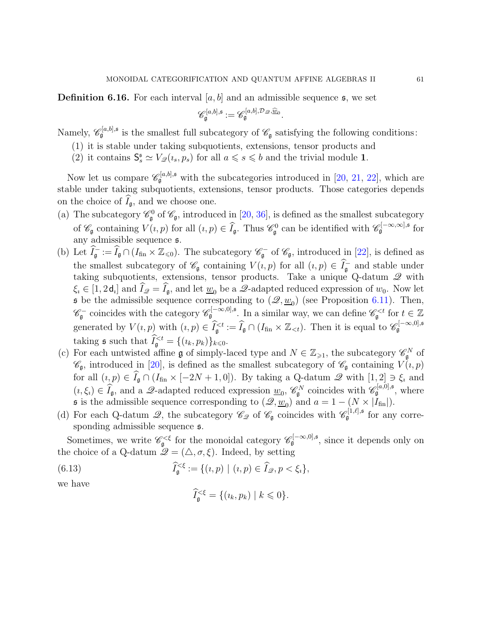**Definition 6.16.** For each interval  $[a, b]$  and an admissible sequence  $\boldsymbol{\mathfrak{s}}$ , we set

$$
\mathscr{C}^{[a,b],\mathfrak{s}}_{\mathfrak{g}}:=\mathscr{C}^{[a,b],\mathcal{D}_{\mathscr{Q}},\widehat{\underline{w}}_{0}}_{\mathfrak{g}}.
$$

Namely,  $\mathscr{C}_{\mathfrak{g}}^{[a,b],\mathfrak{s}}$  is the smallest full subcategory of  $\mathscr{C}_{\mathfrak{g}}$  satisfying the following conditions:

- (1) it is stable under taking subquotients, extensions, tensor products and
- (2) it contains  $\mathsf{S}_s^{\mathsf{s}} \simeq V_{\mathscr{Q}}(\iota_s, p_s)$  for all  $a \leq s \leq b$  and the trivial module 1.

Now let us compare  $\mathscr{C}_{\mathfrak{g}}^{[a,b],\mathfrak{s}}$  with the subcategories introduced in [\[20,](#page-90-9) [21,](#page-90-3) [22\]](#page-90-10), which are stable under taking subquotients, extensions, tensor products. Those categories depends on the choice of  $I_{\mathfrak{g}}$ , and we choose one.

- (a) The subcategory  $\mathscr{C}_{\mathfrak{g}}^0$  of  $\mathscr{C}_{\mathfrak{g}}$ , introduced in [\[20,](#page-90-9) [36\]](#page-91-7), is defined as the smallest subcategory of  $\mathscr{C}_{\mathfrak{g}}$  containing  $V(i, p)$  for all  $(i, p) \in \widehat{I}_{\mathfrak{g}}$ . Thus  $\mathscr{C}_{\mathfrak{g}}^{0}$  can be identified with  $\mathscr{C}_{\mathfrak{g}}^{[-\infty,\infty],\mathfrak{s}}$  for any admissible sequence s.
- (b) Let  $\hat{I}_{\mathfrak{g}}^- := \hat{I}_{\mathfrak{g}} \cap (I_{\text{fin}} \times \mathbb{Z}_{\leq 0})$ . The subcategory  $\mathscr{C}_{\mathfrak{g}}^-$  of  $\mathscr{C}_{\mathfrak{g}}$ , introduced in [\[22\]](#page-90-10), is defined as the smallest subcategory of  $\mathscr{C}_{\mathfrak{g}}$  containing  $V(i, p)$  for all  $(i, p) \in \widehat{I}_{\mathfrak{g}}^-$  and stable under taking subquotients, extensions, tensor products. Take a unique Q-datum  $\mathscr Q$  with  $\xi_i \in [1, 2d_i]$  and  $\widehat{I}_{\mathscr{Q}} = \widehat{I}_{\mathfrak{g}}$ , and let  $\underline{w}_0$  be a  $\mathscr{Q}$ -adapted reduced expression of  $w_0$ . Now let **s** be the admissible sequence corresponding to  $(\mathcal{Q}, \underline{w}_0)$  (see Proposition [6.11\)](#page-55-6). Then,  $\mathscr{C}_{\mathfrak{g}}^-$  coincides with the category  $\mathscr{C}_{\mathfrak{g}}^{[-\infty,0],\mathfrak{s}}$ . In a similar way, we can define  $\mathscr{C}_{\mathfrak{g}}^{ for  $t \in \mathbb{Z}$$ generated by  $V(i, p)$  with  $(i, p) \in \widehat{I}_{\mathfrak{g}}^{\leq t} := \widehat{I}_{\mathfrak{g}} \cap (I_{\text{fin}} \times \mathbb{Z}_{\leq t})$ . Then it is equal to  $\mathscr{C}_{\mathfrak{g}}^{[-\infty, 0], \mathfrak{s}}$ taking  $\mathfrak s$  such that  $\widetilde{I}_{\mathfrak g}^{< t} = \{(i_k, p_k)\}_{k \leq 0}$ .
- (c) For each untwisted affine **g** of simply-laced type and  $N \in \mathbb{Z}_{\geq 1}$ , the subcategory  $\mathscr{C}_{\mathfrak{g}}^N$  of  $\mathscr{C}_{\mathfrak{g}}$ , introduced in [\[20\]](#page-90-9), is defined as the smallest subcategory of  $\mathscr{C}_{\mathfrak{g}}$  containing  $V(i, p)$ for all  $(i, p) \in \hat{I}_{\mathfrak{g}} \cap (I_{\text{fin}} \times [-2N + 1, 0])$ . By taking a Q-datum  $\mathscr{Q}$  with  $[1, 2] \ni \xi_i$  and  $(i, \xi_i) \in \widehat{I}_{\mathfrak{g}},$  and a  $\mathscr{Q}$ -adapted reduced expression  $\underline{w}_0$ ,  $\mathscr{C}_{\mathfrak{g}}^N$  coincides with  $\mathscr{C}_{\mathfrak{g}}^{[a,0],\mathfrak{s}}$ , where **s** is the admissible sequence corresponding to  $(\mathscr{Q}, \underline{w}_0)$  and  $a = 1 - (N \times |I_{fin}|)$ .
- (d) For each Q-datum  $\mathscr{Q}$ , the subcategory  $\mathscr{C}_{\mathscr{Q}}$  of  $\mathscr{C}_{\mathfrak{g}}$  coincides with  $\mathscr{C}_{\mathfrak{g}}^{[1,\ell],\mathfrak{s}}$  for any corresponding admissible sequence  $\mathfrak{s}$ .

Sometimes, we write  $\mathscr{C}_{\mathfrak{g}}^{\leq \xi}$  for the monoidal category  $\mathscr{C}_{\mathfrak{g}}^{[-\infty,0],\mathfrak{s}}$ , since it depends only on the choice of a Q-datum  $\mathscr{Q} = (\triangle, \sigma, \xi)$ . Indeed, by setting

(6.13) 
$$
\widehat{I}_{\mathfrak{g}}^{\leq \xi} := \{ (i, p) \mid (i, p) \in \widehat{I}_{\mathscr{Q}}, p < \xi_i \},
$$

we have

$$
\widehat{I}_{\mathfrak{g}}^{<\xi} = \{ (i_k, p_k) \mid k \leq 0 \}.
$$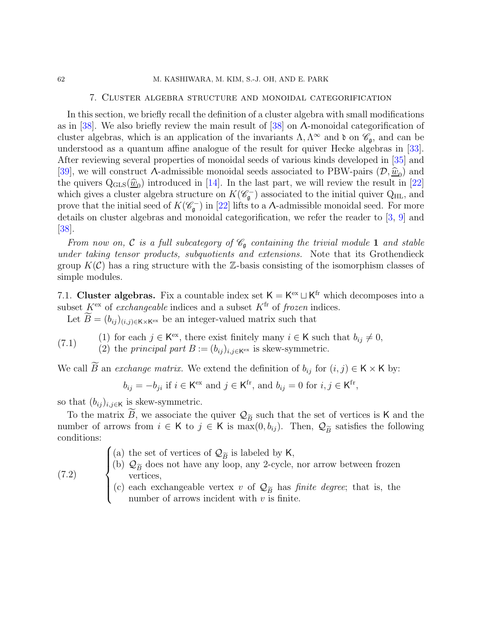## 7. Cluster algebra structure and monoidal categorification

In this section, we briefly recall the definition of a cluster algebra with small modifications as in [\[38\]](#page-91-3). We also briefly review the main result of [\[38\]](#page-91-3) on Λ-monoidal categorification of cluster algebras, which is an application of the invariants  $\Lambda, \Lambda^{\infty}$  and  $\mathfrak{d}$  on  $\mathscr{C}_{\mathfrak{g}}$ , and can be understood as a quantum affine analogue of the result for quiver Hecke algebras in [\[33\]](#page-91-0). After reviewing several properties of monoidal seeds of various kinds developed in [\[35\]](#page-91-8) and [\[39\]](#page-91-4), we will construct  $\Lambda$ -admissible monoidal seeds associated to PBW-pairs  $(\mathcal{D}, \hat{w}_0)$  and<br>the minimal  $\Omega$  of  $(\hat{\mathcal{D}}_0)$  introduced in [14]. In the last next are will assign the next in [20] the quivers  $Q_{GLS}(\underline{\hat{w}}_0)$  introduced in [\[14\]](#page-90-0). In the last part, we will review the result in [\[22\]](#page-90-10) which gives a cluster algebra structure on  $K(\mathscr{C}_{\mathfrak{g}})$  associated to the initial quiver  $Q_{\text{HL}}$ , and prove that the initial seed of  $K(\mathscr{C}_{\mathfrak{g}})$  in [\[22\]](#page-90-10) lifts to a A-admissible monoidal seed. For more details on cluster algebras and monoidal categorification, we refer the reader to [\[3,](#page-89-2) [9\]](#page-89-3) and [\[38\]](#page-91-3).

From now on, C is a full subcategory of  $\mathscr{C}_{\mathfrak{a}}$  containing the trivial module 1 and stable under taking tensor products, subquotients and extensions. Note that its Grothendieck group  $K(\mathcal{C})$  has a ring structure with the Z-basis consisting of the isomorphism classes of simple modules.

7.1. Cluster algebras. Fix a countable index set  $K = K^{ex} \sqcup K^{fr}$  which decomposes into a subset  $K^{\text{ex}}$  of *exchangeable* indices and a subset  $K^{\text{fr}}$  of *frozen* indices.

Let  $B = (b_{ij})_{(i,j)\in K\times K^{ex}}$  be an integer-valued matrix such that

<span id="page-61-1"></span>(7.1) (1) for each 
$$
j \in K^{\text{ex}}
$$
, there exist finitely many  $i \in K$  such that  $b_{ij} \neq 0$ ,

(7.1) (2) the principal part  $B := (b_{ij})_{i,j \in K^{\text{ex}}}$  is skew-symmetric.

We call B an *exchange matrix*. We extend the definition of  $b_{ij}$  for  $(i, j) \in K \times K$  by:

 $b_{ij} = -b_{ji}$  if  $i \in K^{\text{ex}}$  and  $j \in K^{\text{fr}}$ , and  $b_{ij} = 0$  for  $i, j \in K^{\text{fr}}$ ,

so that  $(b_{ij})_{i,j\in\mathsf{K}}$  is skew-symmetric.

 $\overline{\mathcal{L}}$ 

(7.2)

To the matrix B, we associate the quiver  $\mathcal{Q}_{\widetilde{B}}$  such that the set of vertices is K and the number of arrows from  $i \in K$  to  $j \in K$  is  $\max(0, b_{ij})$ . Then,  $\mathcal{Q}_{\widetilde{B}}$  satisfies the following conditions:

> $\sqrt{ }$ (a) the set of vertices of  $\mathcal{Q}_{\widetilde{B}}$  is labeled by K,

 $\Big\}$ (b)  $\mathcal{Q}_{\widetilde{B}}$  does not have any loop, any 2-cycle, nor arrow between frozen vertices,

<span id="page-61-0"></span>(c) each exchangeable vertex v of  $\mathcal{Q}_{\widetilde{B}}$  has *finite degree*; that is, the number of arrows incident with  $v$  is finite.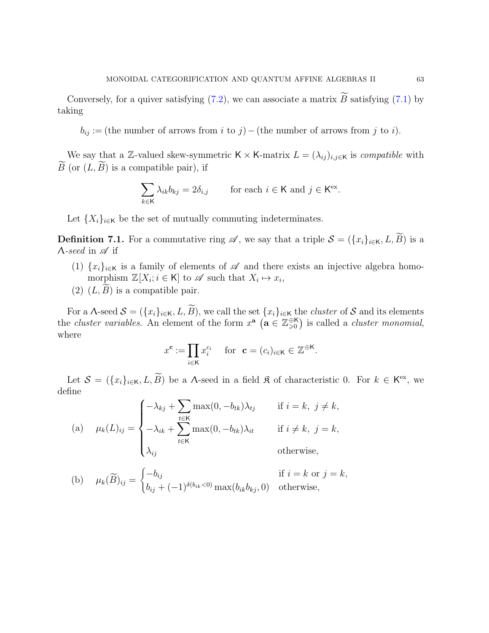Conversely, for a quiver satisfying  $(7.2)$ , we can associate a matrix B satisfying  $(7.1)$  by taking

 $b_{ij} :=$  (the number of arrows from i to j) – (the number of arrows from j to i).

We say that a Z-valued skew-symmetric K × K-matrix  $L = (\lambda_{ij})_{i,j \in \mathsf{K}}$  is compatible with  $B$  (or  $(L, B)$  is a compatible pair), if

$$
\sum_{k \in \mathsf{K}} \lambda_{ik} b_{kj} = 2\delta_{i,j} \quad \text{for each } i \in \mathsf{K} \text{ and } j \in \mathsf{K}^{\text{ex}}.
$$

Let  $\{X_i\}_{i\in\mathsf{K}}$  be the set of mutually commuting indeterminates.

**Definition 7.1.** For a commutative ring  $\mathscr A$ , we say that a triple  $\mathcal S = (\{x_i\}_{i\in\mathsf K}, L, \widetilde B)$  is a  $\Lambda$ -seed in  $\mathscr A$  if

- (1)  $\{x_i\}_{i\in\mathsf{K}}$  is a family of elements of  $\mathscr A$  and there exists an injective algebra homomorphism  $\mathbb{Z}[X_i; i \in \mathsf{K}]$  to  $\mathscr{A}$  such that  $X_i \mapsto x_i$ ,
- (2)  $(L, B)$  is a compatible pair.

For a  $\Lambda$ -seed  $\mathcal{S} = (\{x_i\}_{i\in\mathsf{K}}, L, B)$ , we call the set  $\{x_i\}_{i\in\mathsf{K}}$  the *cluster* of  $\mathcal{S}$  and its elements the *cluster variables*. An element of the form  $x^{\mathbf{a}}$  ( $\mathbf{a} \in \mathbb{Z}_{\geqslant 0}^{\oplus \mathsf{K}}$ ) is called a *cluster monomial*, where

$$
x^{\mathbf{c}} := \prod_{i \in \mathsf{K}} x_i^{c_i} \quad \text{ for } \mathbf{c} = (c_i)_{i \in \mathsf{K}} \in \mathbb{Z}^{\oplus \mathsf{K}}.
$$

Let  $S = (\{x_i\}_{i \in \mathsf{K}}, L, B)$  be a  $\Lambda$ -seed in a field  $\mathfrak K$  of characteristic 0. For  $k \in \mathsf{K}^{\text{ex}}$ , we define

(a) 
$$
\mu_k(L)_{ij} = \begin{cases}\n-\lambda_{kj} + \sum_{t \in \mathsf{K}} \max(0, -b_{tk})\lambda_{tj} & \text{if } i = k, j \neq k, \\
-\lambda_{ik} + \sum_{t \in \mathsf{K}} \max(0, -b_{tk})\lambda_{it} & \text{if } i \neq k, j = k, \\
\lambda_{ij} & \text{otherwise,} \n\end{cases}
$$

(b) 
$$
\mu_k(\widetilde{B})_{ij} = \begin{cases} -b_{ij} & \text{if } i = k \text{ or } j = k, \\ b_{ij} + (-1)^{\delta(b_{ik} < 0)} \max(b_{ik}b_{kj}, 0) & \text{otherwise,} \end{cases}
$$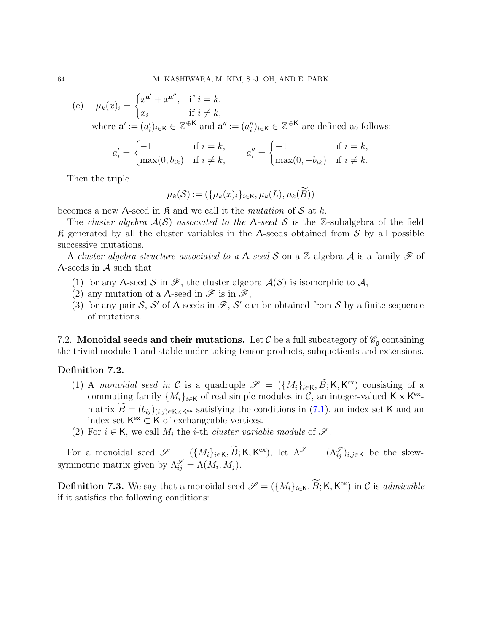(c)  $\mu_k(x)_i =$  $\int x^{a'} + x^{a''}, \text{ if } i = k,$  $x_i$  if  $i \neq k$ , where  $\mathbf{a}' := (a'_i)_{i \in \mathsf{K}} \in \mathbb{Z}^{\oplus \mathsf{K}}$  and  $\mathbf{a}'' := (a''_i)_{i \in \mathsf{K}} \in \mathbb{Z}^{\oplus \mathsf{K}}$  are defined as follows:

$$
a'_{i} = \begin{cases} -1 & \text{if } i = k, \\ \max(0, b_{ik}) & \text{if } i \neq k, \end{cases} \qquad a''_{i} = \begin{cases} -1 & \text{if } i = k, \\ \max(0, -b_{ik}) & \text{if } i \neq k. \end{cases}
$$

Then the triple

$$
\mu_k(\mathcal{S}) := (\{\mu_k(x)_i\}_{i \in \mathsf{K}}, \mu_k(L), \mu_k(B))
$$

becomes a new  $\Lambda$ -seed in  $\mathfrak K$  and we call it the *mutation* of  $\mathcal S$  at k.

The cluster algebra  $A(S)$  associated to the  $\Lambda$ -seed S is the Z-subalgebra of the field  $\mathcal R$  generated by all the cluster variables in the  $\Lambda$ -seeds obtained from S by all possible successive mutations.

A cluster algebra structure associated to a  $\Lambda$ -seed S on a Z-algebra A is a family F of  $\Lambda$ -seeds in  $\mathcal A$  such that

- (1) for any  $\Lambda$ -seed  $\mathcal S$  in  $\mathscr F$ , the cluster algebra  $\mathcal A(\mathcal S)$  is isomorphic to  $\mathcal A$ ,
- (2) any mutation of a  $\Lambda$ -seed in  $\mathscr{F}$  is in  $\mathscr{F}$ ,
- (3) for any pair S, S' of  $\Lambda$ -seeds in  $\mathscr{F}, S'$  can be obtained from S by a finite sequence of mutations.

7.2. Monoidal seeds and their mutations. Let  $\mathcal C$  be a full subcategory of  $\mathscr C_{\mathfrak g}$  containing the trivial module 1 and stable under taking tensor products, subquotients and extensions.

## Definition 7.2.

- (1) A monoidal seed in C is a quadruple  $\mathscr{S} = (\{M_i\}_{i\in\mathsf{K}}, \widetilde{B}; \mathsf{K}, \mathsf{K}^{\text{ex}})$  consisting of a commuting family  $\{M_i\}_{i\in\mathsf{K}}$  of real simple modules in  $\mathcal{C}$ , an integer-valued  $\mathsf{K}\times\mathsf{K}^{\text{ex}}$ matrix  $B = (b_{ij})_{(i,j)\in K\times K^{ex}}$  satisfying the conditions in  $(7.1)$ , an index set K and an index set  $\mathsf{K}^{\text{ex}} \subset \mathsf{K}$  of exchangeable vertices.
- (2) For  $i \in \mathsf{K}$ , we call  $M_i$  the *i*-th *cluster variable module* of  $\mathscr{S}$ .

For a monoidal seed  $\mathscr{S} = \{ \{M_i\}_{i\in \mathsf{K}}, \widetilde{B}; \mathsf{K}, \mathsf{K}^{\mathrm{ex}}\},\}$  let  $\Lambda^{\mathscr{S}} = (\Lambda^{\mathscr{S}}_{ij})_{i,j\in \mathsf{K}}$  be the skewsymmetric matrix given by  $\Lambda_{ij}^{\mathscr{S}} = \Lambda(M_i, M_j)$ .

<span id="page-63-0"></span>**Definition 7.3.** We say that a monoidal seed  $\mathscr{S} = (\{M_i\}_{i\in\mathsf{K}}, \widetilde{B}; \mathsf{K}, \mathsf{K}^{\text{ex}})$  in C is *admissible* if it satisfies the following conditions: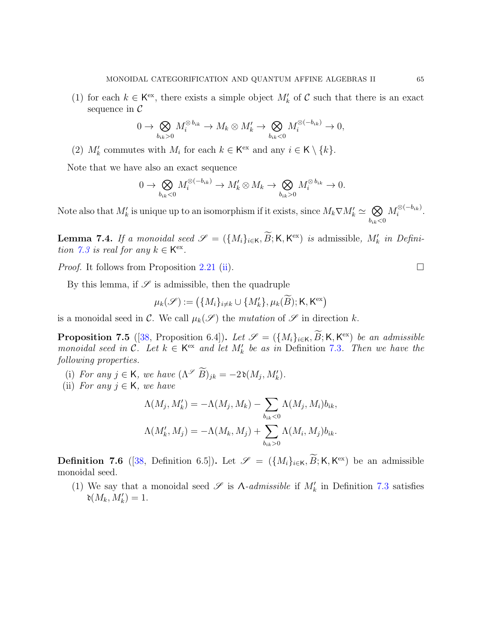(1) for each  $k \in \mathsf{K}^{\text{ex}}$ , there exists a simple object  $M'_{k}$  of C such that there is an exact sequence in  $\mathcal C$ 

$$
0 \to \bigotimes_{b_{ik}>0} M_i^{\otimes b_{ik}} \to M_k \otimes M'_k \to \bigotimes_{b_{ik}<0} M_i^{\otimes(-b_{ik})} \to 0,
$$

(2)  $M'_k$  commutes with  $M_i$  for each  $k \in \mathsf{K}^{\text{ex}}$  and any  $i \in \mathsf{K} \setminus \{k\}.$ 

Note that we have also an exact sequence

$$
0 \to \bigotimes_{b_{ik}<0} M_i^{\otimes(-b_{ik})} \to M'_k \otimes M_k \to \bigotimes_{b_{ik}>0} M_i^{\otimes b_{ik}} \to 0.
$$

Note also that  $M'_k$  is unique up to an isomorphism if it exists, since  $M_k \nabla M'_k \simeq \bigotimes$  $b_{ik}$ <0  $M_i^{\otimes (-b_{ik})}$  $\frac{1}{i}^{\otimes (-b_{ik})}$ .

**Lemma 7.4.** If a monoidal seed  $\mathscr{S} = (\{M_i\}_{i\in\mathsf{K}}, \overline{B}; \mathsf{K}, \mathsf{K}^{\text{ex}})$  is admissible,  $M'_k$  in Defini-tion [7.3](#page-63-0) is real for any  $k \in K^{\text{ex}}$ .

*Proof.* It follows from Proposition [2.21](#page-19-1) [\(ii\)](#page-19-2).

By this lemma, if  $\mathscr S$  is admissible, then the quadruple

$$
\mu_k(\mathcal{S}) := (\{M_i\}_{i \neq k} \cup \{M'_k\}, \mu_k(\widetilde{B}); \mathsf{K}, \mathsf{K}^{\mathrm{ex}})
$$

is a monoidal seed in C. We call  $\mu_k(\mathscr{S})$  the mutation of  $\mathscr{S}$  in direction k.

<span id="page-64-0"></span>**Proposition 7.5** ([\[38,](#page-91-3) Proposition 6.4]). Let  $\mathscr{S} = (\{M_i\}_{i\in\mathsf{K}}, \widetilde{B}; \mathsf{K}, \mathsf{K}^{\text{ex}})$  be an admissible monoidal seed in C. Let  $k \in \mathsf{K}^{\text{ex}}$  and let  $M'_k$  be as in Definition [7.3](#page-63-0). Then we have the following properties.

- (i) For any  $j \in \mathsf{K}$ , we have  $(\Lambda^{\mathscr{S}} \widetilde{B})_{jk} = -2\mathfrak{d}(M_j, M'_k)$ .
- (ii) For any  $j \in K$ , we have

$$
\Lambda(M_j, M'_k) = -\Lambda(M_j, M_k) - \sum_{b_{ik} < 0} \Lambda(M_j, M_i) b_{ik},
$$
\n
$$
\Lambda(M'_k, M_j) = -\Lambda(M_k, M_j) + \sum_{b_{ik} > 0} \Lambda(M_i, M_j) b_{ik}.
$$

**Definition 7.6** ([\[38,](#page-91-3) Definition 6.5]). Let  $\mathscr{S} = (\{M_i\}_{i\in\mathsf{K}}, \widetilde{B}; \mathsf{K}, \mathsf{K}^{\text{ex}})$  be an admissible monoidal seed.

(1) We say that a monoidal seed  $\mathscr S$  is  $\Lambda$ -admissible if  $M'_k$  in Definition [7.3](#page-63-0) satisfies  $\mathfrak{d}(M_k,M'_k)=1.$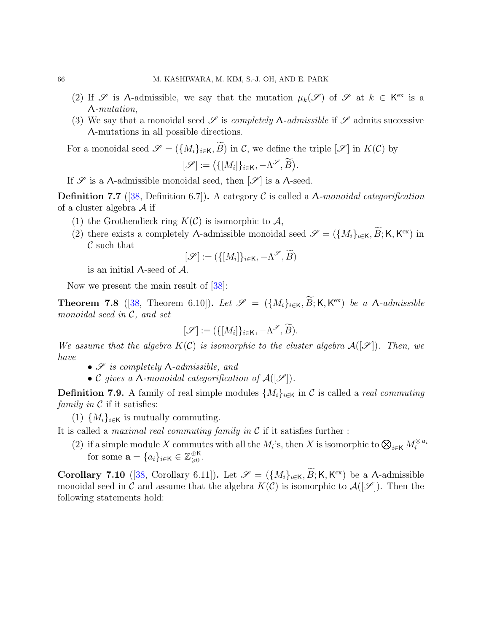- (2) If  $\mathscr S$  is A-admissible, we say that the mutation  $\mu_k(\mathscr S)$  of  $\mathscr S$  at  $k \in K^{\text{ex}}$  is a Λ-mutation,
- (3) We say that a monoidal seed  $\mathscr S$  is *completely*  $\Lambda$ -admissible if  $\mathscr S$  admits successive Λ-mutations in all possible directions.

For a monoidal seed  $\mathscr{S} = (\{M_i\}_{i\in\mathsf{K}}, \widetilde{B})$  in C, we define the triple  $[\mathscr{S}]$  in  $K(\mathcal{C})$  by

$$
[\mathscr{S}] := \big(\{[M_i]\}_{i \in \mathsf{K}}, -\Lambda^{\mathscr{S}}, \widetilde{B}\big).
$$

If  $\mathscr S$  is a  $\Lambda$ -admissible monoidal seed, then  $[\mathscr S]$  is a  $\Lambda$ -seed.

**Definition 7.7** ([\[38,](#page-91-3) Definition 6.7]). A category C is called a  $\Lambda$ -monoidal categorification of a cluster algebra  $\mathcal A$  if

- (1) the Grothendieck ring  $K(\mathcal{C})$  is isomorphic to  $\mathcal{A}$ ,
- (2) there exists a completely  $\Lambda$ -admissible monoidal seed  $\mathscr{S} = (\{M_i\}_{i\in\mathsf{K}}, \widetilde{B}; \mathsf{K}, \mathsf{K}^{\text{ex}})$  in  $\mathcal C$  such that

$$
[\mathcal{S}] := (\{[M_i]\}_{i \in \mathsf{K}}, -\Lambda^{\mathcal{S}}, \widetilde{B})
$$

is an initial Λ-seed of A.

Now we present the main result of [\[38\]](#page-91-3):

**Theorem 7.8** ([\[38,](#page-91-3) Theorem 6.10]). Let  $\mathscr{S} = (\{M_i\}_{i\in\mathsf{K}}, \widetilde{B}; \mathsf{K}, \mathsf{K}^{\text{ex}})$  be a  $\Lambda$ -admissible monoidal seed in  $C$ , and set

$$
[\mathcal{S}] := (\{[M_i]\}_{i \in \mathsf{K}}, -\Lambda^{\mathscr{S}}, \widetilde{B}).
$$

We assume that the algebra  $K(\mathcal{C})$  is isomorphic to the cluster algebra  $\mathcal{A}([\mathscr{S}])$ . Then, we have

- $\mathscr S$  is completely  $\Lambda$ -admissible, and
- C gives a  $\Lambda$ -monoidal categorification of  $\mathcal{A}([\mathscr{S}])$ .

**Definition 7.9.** A family of real simple modules  $\{M_i\}_{i\in\mathsf{K}}$  in C is called a *real commuting* family in  $\mathcal C$  if it satisfies:

(1)  $\{M_i\}_{i\in\mathsf{K}}$  is mutually commuting.

It is called a *maximal real commuting family in*  $\mathcal C$  if it satisfies further :

(2) if a simple module X commutes with all the  $M_i$ 's, then X is isomorphic to  $\bigotimes_{i\in\mathsf{K}}M_i^{\otimes a_i}$ for some  $\mathbf{a} = \{a_i\}_{i \in \mathsf{K}} \in \mathbb{Z}_{\geqslant 0}^{\oplus \mathsf{K}}$ .

**Corollary 7.10** ([\[38,](#page-91-3) Corollary 6.11]). Let  $\mathscr{S} = (\{M_i\}_{i\in\mathsf{K}}, \widetilde{B}; \mathsf{K}, \mathsf{K}^{\text{ex}})$  be a  $\Lambda$ -admissible monoidal seed in C and assume that the algebra  $K(\mathcal{C})$  is isomorphic to  $\mathcal{A}([\mathscr{S}])$ . Then the following statements hold: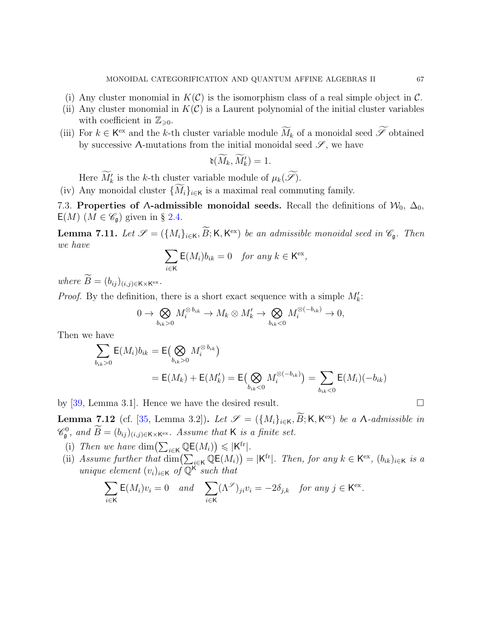- (i) Any cluster monomial in  $K(\mathcal{C})$  is the isomorphism class of a real simple object in  $\mathcal{C}$ .
- (ii) Any cluster monomial in  $K(\mathcal{C})$  is a Laurent polynomial of the initial cluster variables with coefficient in  $\mathbb{Z}_{\geq 0}$ .
- (iii) For  $k \in \mathsf{K}^{\text{ex}}$  and the k-th cluster variable module  $\widetilde{M}_k$  of a monoidal seed  $\widetilde{\mathscr{S}}$  obtained by successive  $\Lambda$ -mutations from the initial monoidal seed  $\mathscr{S}$ , we have

$$
\mathfrak{d}(\widetilde{M}_k,\widetilde{M}_k')=1.
$$

Here  $\widetilde{M}'_k$  is the k-th cluster variable module of  $\mu_k(\widetilde{\mathscr{S}})$ .

(iv) Any monoidal cluster  $\{\widetilde{M}_i\}_{i\in\mathsf{K}}$  is a maximal real commuting family.

7.3. Properties of  $\Lambda$ -admissible monoidal seeds. Recall the definitions of  $\mathcal{W}_0$ ,  $\Delta_0$ ,  $E(M)$   $(M \in \mathscr{C}_{\mathfrak{g}})$  given in § [2.4.](#page-22-2)

<span id="page-66-0"></span>**Lemma 7.11.** Let  $\mathscr{S} = (\{M_i\}_{i \in \mathsf{K}}, \widetilde{B}; \mathsf{K}, \mathsf{K}^{\text{ex}})$  be an admissible monoidal seed in  $\mathscr{C}_{\mathfrak{g}}$ . Then we have

$$
\sum_{i \in \mathsf{K}} \mathsf{E}(M_i) b_{ik} = 0 \quad \text{for any } k \in \mathsf{K}^{\text{ex}},
$$

where  $B = (b_{ij})_{(i,j)\in K\times K^{ex}}$ .

*Proof.* By the definition, there is a short exact sequence with a simple  $M'_k$ :

$$
0 \to \bigotimes_{b_{ik}>0} M_i^{\otimes b_{ik}} \to M_k \otimes M'_k \to \bigotimes_{b_{ik}<0} M_i^{\otimes(-b_{ik})} \to 0,
$$

Then we have

$$
\sum_{b_{ik}>0} \mathsf{E}(M_i) b_{ik} = \mathsf{E}(\bigotimes_{b_{ik}>0} M_i^{\otimes b_{ik}})
$$
  
=  $\mathsf{E}(M_k) + \mathsf{E}(M'_k) = \mathsf{E}(\bigotimes_{b_{ik}<0} M_i^{\otimes (-b_{ik})}) = \sum_{b_{ik}<0} \mathsf{E}(M_i)(-b_{ik})$ 

by [\[39,](#page-91-4) Lemma 3.1]. Hence we have the desired result.  $\square$ 

<span id="page-66-1"></span>**Lemma 7.12** (cf. [\[35,](#page-91-8) Lemma 3.2]). Let  $\mathscr{S} = (\{M_i\}_{i\in\mathsf{K}}, \widetilde{B}; \mathsf{K}, \mathsf{K}^{\text{ex}})$  be a  $\Lambda$ -admissible in  $\mathscr{C}_{\mathfrak{g}}^0$ , and  $\widetilde{B} = (b_{ij})_{(i,j)\in K\times K^{ex}}$ . Assume that K is a finite set.

- (i) Then we have  $\dim\left(\sum_{i\in\mathsf{K}}\mathbb{Q}\mathsf{E}(M_i)\right)\leqslant |\mathsf{K}^{\text{fr}}|$ .
- (ii) Assume further that  $\dim\left(\sum_{i\in\mathsf{K}}\mathbb{Q}\mathsf{E}(M_i)\right)=|\mathsf{K}^{\text{fr}}|$ . Then, for any  $k\in\mathsf{K}^{\text{ex}},$   $(b_{ik})_{i\in\mathsf{K}}$  is a unique element  $(v_i)_{i \in \mathsf{K}}$  of  $\mathbb{Q}^{\mathsf{K}}$  such that

$$
\sum_{i\in\mathsf{K}}\mathsf{E}(M_i)v_i=0 \quad and \quad \sum_{i\in\mathsf{K}}(\Lambda^\mathscr{S})_{ji}v_i=-2\delta_{j,k} \quad \text{for any } j\in\mathsf{K}^\mathrm{ex}.
$$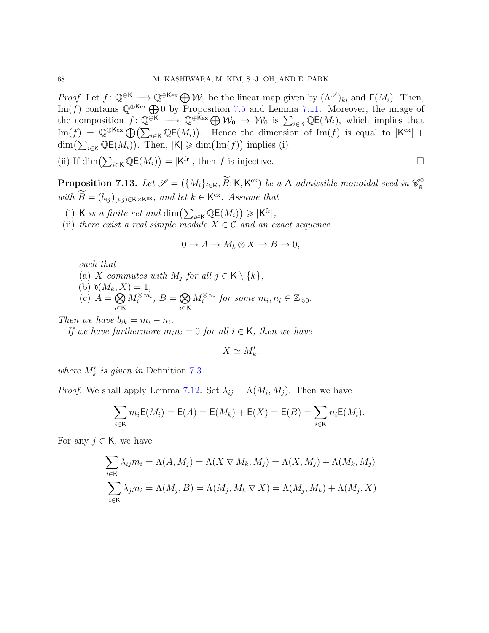*Proof.* Let  $f: \mathbb{Q}^{\oplus K} \longrightarrow \mathbb{Q}^{\oplus \text{Kex}} \bigoplus \mathcal{W}_0$  be the linear map given by  $(\Lambda^{\mathscr{S}})_{ki}$  and  $\mathsf{E}(M_i)$ . Then, Im(f) contains  $\mathbb{Q}^{\oplus \mathsf{K}^{\ominus}} \oplus 0$  by Proposition [7.5](#page-64-0) and Lemma [7.11.](#page-66-0) Moreover, the image of the composition  $f: \mathbb{Q}^{\oplus K} \longrightarrow \mathbb{Q}^{\oplus \text{Kex}} \bigoplus \mathcal{W}_0 \to \mathcal{W}_0$  is  $\sum_{i \in K} \mathbb{Q} \mathsf{E}(M_i)$ , which implies that  $\text{Im}(f) = \mathbb{Q}^{\oplus \text{Kex}} \bigoplus (\sum_{i \in \mathsf{K}} \mathbb{Q} \mathsf{E}(M_i)).$  Hence the dimension of  $\text{Im}(f)$  is equal to  $|\mathsf{K}^{\text{ex}}|$  +  $\dim\left(\sum_{i\in\mathsf{K}}\mathbb{Q}\mathsf{E}(M_i)\right)$ . Then,  $|\mathsf{K}|\geqslant \dim\big(\mathrm{Im}(f)\big)$  implies (i).

(ii) If dim
$$
(\sum_{i\in K} \mathbb{Q}\mathsf{E}(M_i)) = |\mathsf{K}^{\mathrm{fr}}|
$$
, then *f* is injective.

<span id="page-67-0"></span>**Proposition 7.13.** Let  $\mathscr{S} = (\{M_i\}_{i\in\mathsf{K}}, \widetilde{B}; \mathsf{K}, \mathsf{K}^{\text{ex}})$  be a  $\Lambda$ -admissible monoidal seed in  $\mathscr{C}_\mathfrak{g}^0$ with  $B = (b_{ij})_{(i,j) \in K \times K^{ex}}$ , and let  $k \in K^{ex}$ . Assume that

- (i) K is a finite set and  $\dim\left(\sum_{i\in K}\mathbb{Q}\mathsf{E}(M_i)\right)\geqslant |K^{\text{fr}}|,$
- (ii) there exist a real simple module  $X \in \mathcal{C}$  and an exact sequence

$$
0 \to A \to M_k \otimes X \to B \to 0,
$$

such that

- (a) X commutes with  $M_j$  for all  $j \in K \setminus \{k\},$
- (b)  $\mathfrak{d}(M_k, X) = 1$ ,
- $\overrightarrow{c}$   $\overrightarrow{A} = \bigotimes$ i∈K  $M_i^{\otimes m_i}, B = \bigotimes$ i∈K  $M_i^{\otimes n_i}$  for some  $m_i, n_i \in \mathbb{Z}_{\geqslant 0}$ .

Then we have  $b_{ik} = m_i - n_i$ .

If we have furthermore  $m_i n_i = 0$  for all  $i \in K$ , then we have

$$
X \simeq M'_{k},
$$

where  $M'_k$  is given in Definition [7.3](#page-63-0).

*Proof.* We shall apply Lemma [7.12.](#page-66-1) Set  $\lambda_{ij} = \Lambda(M_i, M_j)$ . Then we have

$$
\sum_{i \in K} m_i E(M_i) = E(A) = E(M_k) + E(X) = E(B) = \sum_{i \in K} n_i E(M_i).
$$

For any  $j \in K$ , we have

$$
\sum_{i \in \mathsf{K}} \lambda_{ij} m_i = \Lambda(A, M_j) = \Lambda(X \nabla M_k, M_j) = \Lambda(X, M_j) + \Lambda(M_k, M_j)
$$
  

$$
\sum_{i \in \mathsf{K}} \lambda_{ji} n_i = \Lambda(M_j, B) = \Lambda(M_j, M_k \nabla X) = \Lambda(M_j, M_k) + \Lambda(M_j, X)
$$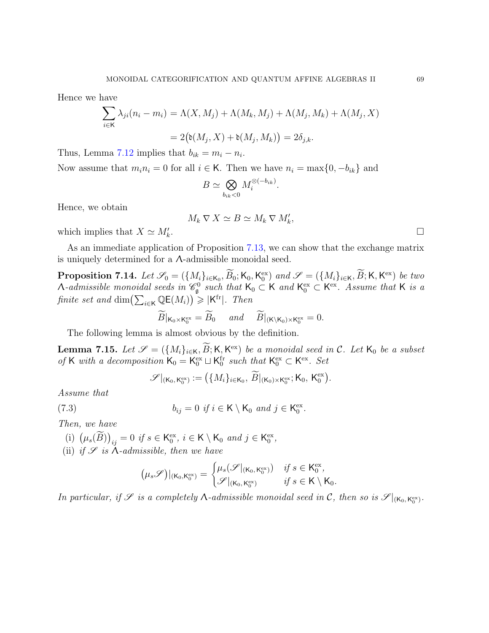Hence we have

$$
\sum_{i \in \mathsf{K}} \lambda_{ji}(n_i - m_i) = \Lambda(X, M_j) + \Lambda(M_k, M_j) + \Lambda(M_j, M_k) + \Lambda(M_j, X)
$$

$$
= 2(\mathfrak{d}(M_j, X) + \mathfrak{d}(M_j, M_k)) = 2\delta_{j,k}.
$$

Thus, Lemma [7.12](#page-66-1) implies that  $b_{ik} = m_i - n_i$ .

Now assume that  $m_i n_i = 0$  for all  $i \in K$ . Then we have  $n_i = \max\{0, -b_{ik}\}\$  and

$$
B \simeq \bigotimes_{b_{ik} < 0} M_i^{\otimes (-b_{ik})}
$$

.

.

Hence, we obtain

$$
M_k \nabla X \simeq B \simeq M_k \nabla M'_k,
$$

which implies that  $X \simeq M'_{k}$ 

As an immediate application of Proposition [7.13,](#page-67-0) we can show that the exchange matrix is uniquely determined for a  $\Lambda$ -admissible monoidal seed.

**Proposition 7.14.** Let  $\mathscr{S}_0 = (\{M_i\}_{i \in \mathsf{K}_0}, \widetilde{B}_0; \mathsf{K}_0, \mathsf{K}_0^{\text{ex}})$  and  $\mathscr{S} = (\{M_i\}_{i \in \mathsf{K}}, \widetilde{B}; \mathsf{K}, \mathsf{K}^{\text{ex}})$  be two A-admissible monoidal seeds in  $\mathscr{C}_{\mathfrak{g}}^0$  such that  $\mathsf{K}_0 \subset \mathsf{K}$  and  $\mathsf{K}_0^{\text{ex}} \subset \mathsf{K}^{\text{ex}}$ . Assume that  $\mathsf{K}$  is a finite set and  $\dim\left(\sum_{i\in\mathsf{K}}\mathbb{Q}\mathsf{E}(M_i)\right) \geqslant |\mathsf{K}^{\text{fr}}|$ . Then

$$
\widetilde{B}|_{\mathsf{K}_0\times\mathsf{K}_0^{\text{ex}}}=\widetilde{B}_0 \quad \text{and} \quad \widetilde{B}|_{(\mathsf{K}\backslash\mathsf{K}_0)\times\mathsf{K}_0^{\text{ex}}}=0.
$$

The following lemma is almost obvious by the definition.

**Lemma 7.15.** Let  $\mathscr{S} = (\{M_i\}_{i \in \mathsf{K}}, \widetilde{B}; \mathsf{K}, \mathsf{K}^{\text{ex}})$  be a monoidal seed in C. Let  $\mathsf{K}_0$  be a subset of K with a decomposition  $K_0 = K_0^{\text{ex}} \sqcup K_0^{\text{fr}}$  such that  $K_0^{\text{ex}} \subset K^{\text{ex}}$ . Set

 $\mathscr{S}|_{(\mathsf{K}_0,\mathsf{K}_0^{\mathrm{ex}})}:=\big(\{M_i\}_{i\in\mathsf{K}_0},\ \widetilde{B}|_{(\mathsf{K}_0)\times\mathsf{K}_0^{\mathrm{ex}}};\mathsf{K}_0,\,\mathsf{K}_0^{\mathrm{ex}}\big).$ 

Assume that

(7.3) 
$$
b_{ij} = 0 \text{ if } i \in \mathsf{K} \setminus \mathsf{K}_0 \text{ and } j \in \mathsf{K}_0^{\text{ex}}.
$$

Then, we have

- (i)  $(\mu_s(\widetilde{B}))_{ij} = 0$  if  $s \in \mathsf{K}_0^{\text{ex}}, i \in \mathsf{K} \setminus \mathsf{K}_0$  and  $j \in \mathsf{K}_0^{\text{ex}},$
- (ii) if  $\mathscr S$  is  $\Lambda$ -admissible, then we have

$$
(\mu_s \mathscr{S})|_{(\mathsf{K}_0,\mathsf{K}_0^{\mathrm{ex}})} = \begin{cases} \mu_s(\mathscr{S}|_{(\mathsf{K}_0,\mathsf{K}_0^{\mathrm{ex}})}) & \text{if } s \in \mathsf{K}_0^{\mathrm{ex}}, \\ \mathscr{S}|_{(\mathsf{K}_0,\mathsf{K}_0^{\mathrm{ex}})} & \text{if } s \in \mathsf{K} \setminus \mathsf{K}_0. \end{cases}
$$

In particular, if  $\mathscr S$  is a completely  $\Lambda$ -admissible monoidal seed in  $\mathcal C$ , then so is  $\mathscr S|_{(\mathsf K_0,\mathsf K_0^{\mathrm{ex}})}$ .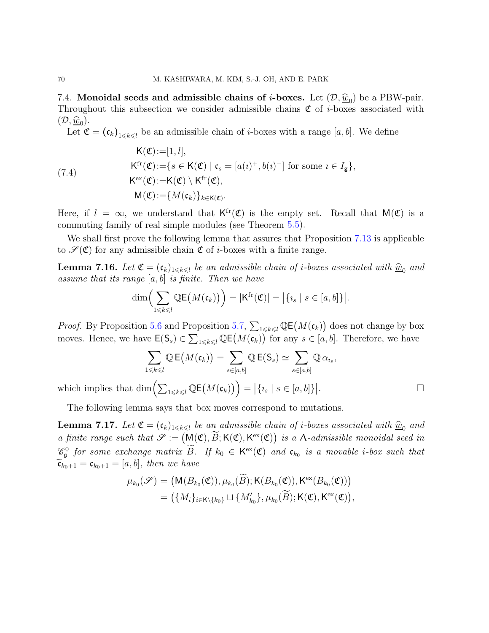7.4. Monoidal seeds and admissible chains of *i*-boxes. Let  $(D, \hat{w}_0)$  be a PBW-pair.<br>Throughout this subsection are considered wiscible shains  $\mathcal{F}$  of *i* have acceptived with Throughout this subsection we consider admissible chains  $\mathfrak C$  of *i*-boxes associated with  $(\mathcal{D}, \underline{\widehat{w}}_0).$ 

Let  $\mathfrak{C} = (\mathfrak{c}_k)_{1 \leq k \leq l}$  be an admissible chain of *i*-boxes with a range [a, b]. We define

(7.4)  
\n
$$
\begin{aligned}\n\mathsf{K}(\mathfrak{C}):&=[1,l],\\ \mathsf{K}^{\mathrm{fr}}(\mathfrak{C}):&=\{s \in \mathsf{K}(\mathfrak{C}) \mid \mathfrak{c}_s=[a(\iota)^+,b(\iota)^-] \text{ for some } \iota \in I_{\mathsf{g}}\},\\ \mathsf{K}^{\mathrm{ex}}(\mathfrak{C}):&=\mathsf{K}(\mathfrak{C}) \setminus \mathsf{K}^{\mathrm{fr}}(\mathfrak{C}),\\ \mathsf{M}(\mathfrak{C}):&=\{M(\mathfrak{c}_k)\}_{k\in\mathsf{K}(\mathfrak{C})}.\n\end{aligned}
$$

Here, if  $l = \infty$ , we understand that  $K^{fr}(\mathfrak{C})$  is the empty set. Recall that  $M(\mathfrak{C})$  is a commuting family of real simple modules (see Theorem [5.5\)](#page-45-1).

We shall first prove the following lemma that assures that Proposition [7.13](#page-67-0) is applicable to  $\mathscr{S}(\mathfrak{C})$  for any admissible chain  $\mathfrak{C}$  of *i*-boxes with a finite range.

<span id="page-69-1"></span>**Lemma 7.16.** Let  $\mathfrak{C} = (\mathfrak{c}_k)_{1 \leq k \leq l}$  be an admissible chain of *i*-boxes associated with  $\widehat{\underline{w}}_0$  and assume that its range  $[a, b]$  is finite. Then we have

$$
\dim\Big(\sum_{1\leq k\leq l}\mathbb{Q}\mathsf{E}\big(M(\mathfrak{c}_k)\big)\Big)=|\mathsf{K}^{\mathrm{fr}}(\mathfrak{C})|= \big|\{ \iota_s\mid s\in [a,b]\}\big|.
$$

*Proof.* By Proposition [5.6](#page-46-3) and Proposition [5.7,](#page-46-4)  $\sum_{1 \leq k \leq l} \mathbb{Q} \mathsf{E}(M(\mathfrak{c}_k))$  does not change by box moves. Hence, we have  $\mathsf{E}(\mathsf{S}_s) \in \sum_{1 \leq k \leq l} \mathbb{Q}\mathsf{E}\big(M(\mathfrak{c}_k)\big)$  for any  $s \in [a, b]$ . Therefore, we have

$$
\sum_{1 \leq k \leq l} \mathbb{Q} \mathsf{E}\big(M(\mathfrak{c}_k)\big) = \sum_{s \in [a,b]} \mathbb{Q} \mathsf{E}(S_s) \simeq \sum_{s \in [a,b]} \mathbb{Q} \alpha_{i_s},
$$
\n
$$
\text{im}\Big(\sum_{1 \leq k \leq l} \mathbb{Q} \mathsf{E}\big(M(\mathfrak{c}_k)\big)\Big) = \big|\{i_s \mid s \in [a,b]\}\big|.
$$

which implies that  $\dim\left(\sum_{1\leq k\leq l}\mathbb{Q}\mathsf{E}\big(M(\mathfrak{c}_k)\big)\right)=\big|\{i_s\mid s\in[a,b]\}\big|$ 

The following lemma says that box moves correspond to mutations.

<span id="page-69-0"></span>**Lemma 7.17.** Let  $\mathfrak{C} = (\mathfrak{c}_k)_{1 \leq k \leq l}$  be an admissible chain of *i*-boxes associated with  $\widehat{\underline{w}}_0$  and a finite range such that  $\mathscr{S} := (\mathsf{M}(\mathfrak{C}), \widetilde{B}; \mathsf{K}(\mathfrak{C}), \mathsf{K}^{\text{ex}}(\mathfrak{C}))$  is a  $\Lambda$ -admissible monoidal seed in  $\mathscr{C}_{\mathfrak{g}}^0$  for some exchange matrix  $\widetilde{B}$ . If  $k_0 \in \mathsf{K}^{\text{ex}}(\mathfrak{C})$  and  $\mathfrak{c}_{k_0}$  is a movable *i*-box such that  $\widetilde{\mathfrak{c}}_{k_0+1} = \mathfrak{c}_{k_0+1} = [a, b]$ , then we have

$$
\mu_{k_0}(\mathscr{S}) = (\mathsf{M}(B_{k_0}(\mathfrak{C})), \mu_{k_0}(\widetilde{B}); \mathsf{K}(B_{k_0}(\mathfrak{C})), \mathsf{K}^{\text{ex}}(B_{k_0}(\mathfrak{C})))
$$
  
= (\{M\_i\}\_{i \in \mathsf{K}\setminus \{k\_0\}} \sqcup \{M'\_{k\_0}\}, \mu\_{k\_0}(\widetilde{B}); \mathsf{K}(\mathfrak{C}), \mathsf{K}^{\text{ex}}(\mathfrak{C})),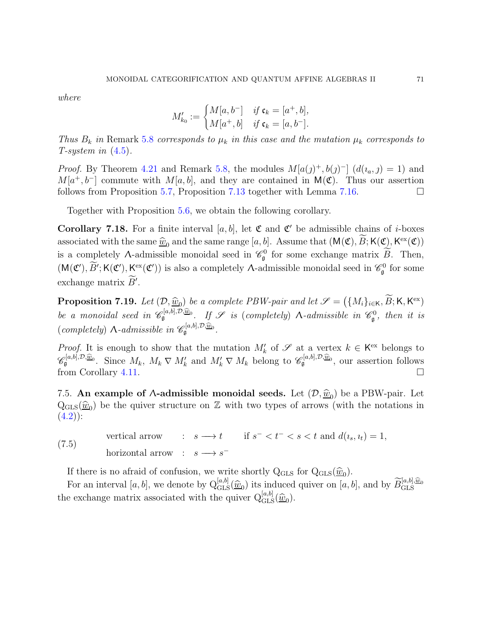where

$$
M'_{k_0} := \begin{cases} M[a, b^-] & \text{if } \mathfrak{c}_k = [a^+, b], \\ M[a^+, b] & \text{if } \mathfrak{c}_k = [a, b^-]. \end{cases}
$$

Thus  $B_k$  in Remark [5.8](#page-46-5) corresponds to  $\mu_k$  in this case and the mutation  $\mu_k$  corresponds to T-system in  $(4.5)$ .

*Proof.* By Theorem [4.21](#page-36-3) and Remark [5.8,](#page-46-5) the modules  $M[a(j)^+, b(j)^-]$   $(d(i_a, j) = 1)$  and  $M[a^+,b^-]$  commute with  $M[a,b]$ , and they are contained in  $\mathsf{M}(\mathfrak{C})$ . Thus our assertion follows from Proposition [5.7,](#page-46-4) Proposition [7.13](#page-67-0) together with Lemma [7.16.](#page-69-1)

Together with Proposition [5.6,](#page-46-3) we obtain the following corollary.

**Corollary 7.18.** For a finite interval [a, b], let  $\mathfrak{C}$  and  $\mathfrak{C}'$  be admissible chains of *i*-boxes associated with the same  $\hat{w}_0$  and the same range  $[a, b]$ . Assume that  $(M(\mathfrak{C}), B; K(\mathfrak{C}), K^{\text{ex}}(\mathfrak{C}))$ is a completely  $\Lambda$ -admissible monoidal seed in  $\mathcal{C}_{\mathfrak{g}}^0$  for some exchange matrix  $\widetilde{B}$ . Then,  $(M(\mathfrak{C}'), \widetilde{B}'; K(\mathfrak{C}'), \underline{K}^{\mathrm{ex}}(\mathfrak{C}'))$  is also a completely *A*-admissible monoidal seed in  $\mathcal{C}_{\mathfrak{g}}^0$  for some exchange matrix  $B'$ .

**Proposition 7.19.** Let  $(D, \hat{w}_0)$  be a complete PBW-pair and let  $\mathscr{S} = (\{M_i\}_{i\in\mathsf{K}}, \widetilde{B}; \mathsf{K}, \mathsf{K}^{\text{ex}})$ be a monoidal seed in  $\mathscr{C}_{\mathfrak{g}}^{[a,b],\mathcal{D},\widehat{\underline{w}}_0}$ . If  $\mathscr{S}$  is (completely)  $\Lambda$ -admissible in  $\mathscr{C}_{\mathfrak{g}}^0$ , then it is (completely)  $\Lambda$ -admissible in  $\mathscr{C}_{\mathfrak{g}}^{[a,b],\mathcal{D},\widehat{\underline{w}}_0}$ .

Proof. It is enough to show that the mutation  $M'_k$  of  $\mathscr S$  at a vertex  $k \in K^{\text{ex}}$  belongs to  $\mathscr{C}_{\mathfrak{g}}^{[a,b],\mathcal{D},\widehat{\underline{w}}_0}$ . Since  $M_k$ ,  $M_k \nabla M'_k$  and  $M'_k \nabla M_k$  belong to  $\mathscr{C}_{\mathfrak{g}}^{[a,b],\mathcal{D},\widehat{\underline{w}}_0}$ , our assertion follows from Corollary [4.11.](#page-32-0)

7.5. An example of  $\Lambda$ -admissible monoidal seeds. Let  $(\mathcal{D}, \hat{w}_0)$  be a PBW-pair. Let  $Q_{GLS}(\hat{w}_0)$  be the quiver structure on Z with two types of arrows (with the notations in  $(4.2)$ ).  $(4.2)$ :

<span id="page-70-0"></span>vertical arrow :  $s \longrightarrow t$  if  $s^- < t^- < s < t$  and  $d(i_s, i_t) = 1$ , horizontal arrow :  $s \longrightarrow s^-$ (7.5)

If there is no afraid of confusion, we write shortly  $Q_{\text{GLS}}$  for  $Q_{\text{GLS}}(\hat{w}_0)$ .

For an interval [a, b], we denote by  $Q_{\text{GLS}}^{[a,b]}(\hat{\underline{w}}_0)$  its induced quiver on [a, b], and by  $\widetilde{B}_{\text{GLS}}^{[a,b],\hat{\underline{w}}_0}$ the exchange matrix associated with the quiver  $Q_{\text{GLS}}^{[a,b]}(\hat{\underline{w}}_0)$ .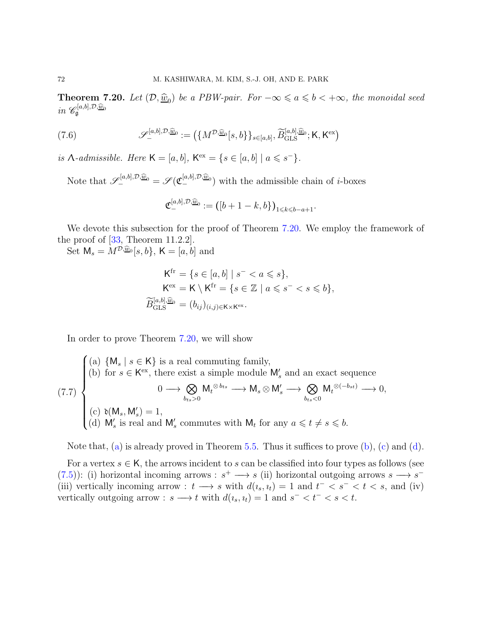<span id="page-71-0"></span>**Theorem 7.20.** Let  $(\mathcal{D}, \hat{\underline{w}}_0)$  be a PBW-pair. For  $-\infty \leq a \leq b < +\infty$ , the monoidal seed in  $\mathscr{C}_{\mathfrak{g}}^{[a,b],\mathcal{D},\widehat{\underline{w}}_0}$ 

(7.6) 
$$
\mathscr{S}_{-}^{[a,b],\mathcal{D},\widehat{\underline{w}}_{0}} := (\{M^{\mathcal{D},\widehat{\underline{w}}_{0}}[s,b\}\}_{s\in[a,b]},\widetilde{B}_{\mathrm{GLS}}^{[a,b],\widehat{\underline{w}}_{0}}; \mathsf{K},\mathsf{K}^{\mathrm{ex}})
$$

is  $\Lambda$ -admissible. Here  $\mathsf{K} = [a, b]$ ,  $\mathsf{K}^{\text{ex}} = \{s \in [a, b] \mid a \leq s^{-}\}.$ 

Note that  $\mathscr{S}_{-}^{[a,b],\mathcal{D},\widehat{\underline{w}}_0} = \mathscr{S}(\mathfrak{C}_{-}^{[a,b],\mathcal{D},\widehat{\underline{w}}_0})$  with the admissible chain of *i*-boxes

$$
\mathfrak{C}_{-}^{[a,b],\mathcal{D},\widehat{\underline{w}}_0} := ([b+1-k,b])_{1 \leq k \leq b-a+1}.
$$

We devote this subsection for the proof of Theorem [7.20.](#page-71-0) We employ the framework of the proof of [\[33,](#page-91-0) Theorem 11.2.2].

Set  $\mathsf{M}_{s} = M^{\mathcal{D}, \widehat{\underline{w}}_{0}}[s, b], \mathsf{K} = [a, b]$  and

$$
\mathsf{K}^{\mathrm{fr}} = \{ s \in [a, b] \mid s^- < a \leq s \},
$$
\n
$$
\mathsf{K}^{\mathrm{ex}} = \mathsf{K} \setminus \mathsf{K}^{\mathrm{fr}} = \{ s \in \mathbb{Z} \mid a \leq s^- < s \leq b \},
$$
\n
$$
\widetilde{B}_{\mathrm{GLS}}^{[a, b], \widehat{\underline{w}}_0} = (b_{ij})_{(i, j) \in \mathsf{K} \times \mathsf{K}^{\mathrm{ex}}}.
$$

<span id="page-71-1"></span>In order to prove Theorem [7.20,](#page-71-0) we will show

<span id="page-71-2"></span>(7.7)  
\n(a) 
$$
\{M_s \mid s \in K\}
$$
 is a real commuting family,  
\n(b) for  $s \in K^{ex}$ , there exist a simple module  $M'_s$  and an exact sequence  
\n $0 \longrightarrow \bigotimes_{b_{ts}>0} M_t^{\otimes b_{ts}} \longrightarrow M_s \otimes M'_s \longrightarrow \bigotimes_{b_{ts}<0} M_t^{\otimes(-b_{st})} \longrightarrow 0,$   
\n(c)  $\mathfrak{d}(M_s, M'_s) = 1,$   
\n(d)  $M'_s$  is real and  $M'_s$  commutes with  $M_t$  for any  $a \leq t \neq s \leq b$ .

<span id="page-71-4"></span><span id="page-71-3"></span>Note that, [\(a\)](#page-71-1) is already proved in Theorem [5.5.](#page-45-1) Thus it suffices to prove [\(b\)](#page-71-2), [\(c\)](#page-71-3) and [\(d\)](#page-71-4).

For a vertex  $s \in K$ , the arrows incident to s can be classified into four types as follows (see [\(7.5\)](#page-70-0)): (i) horizontal incoming arrows :  $s^+ \longrightarrow s$  (ii) horizontal outgoing arrows  $s \longrightarrow s^-$ (iii) vertically incoming arrow :  $t \longrightarrow s$  with  $d(i_s, i_t) = 1$  and  $t^- < s^- < t < s$ , and (iv) vertically outgoing arrow :  $s \longrightarrow t$  with  $d(i_s, i_t) = 1$  and  $s^- < t^- < s < t$ .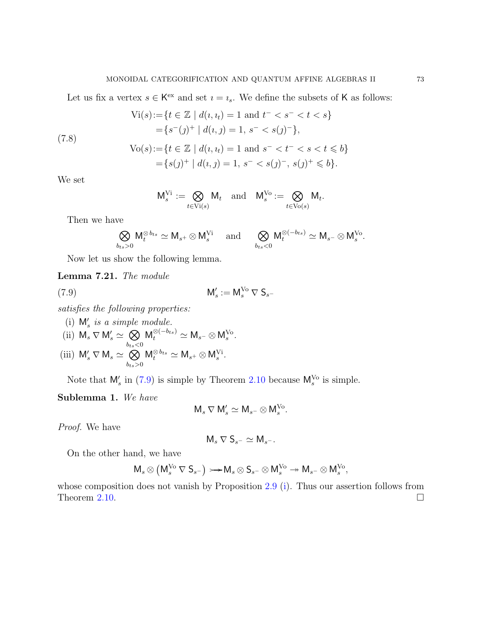Let us fix a vertex  $s \in K^{\text{ex}}$  and set  $i = i_s$ . We define the subsets of K as follows:

$$
\text{Vi}(s) := \{ t \in \mathbb{Z} \mid d(i, i_t) = 1 \text{ and } t^- < s^- < t < s \}
$$
\n
$$
= \{ s^-(j)^+ \mid d(i, j) = 1, s^- < s(j)^- \},
$$
\n
$$
\text{Vo}(s) := \{ t \in \mathbb{Z} \mid d(i, i_t) = 1 \text{ and } s^- < t^- < s < t \leq b \}
$$
\n
$$
= \{ s(j)^+ \mid d(i, j) = 1, s^- < s(j)^-, s(j)^+ \leq b \}.
$$

We set

<span id="page-72-3"></span>
$$
\mathsf{M}_s^{\mathrm{Vi}}:=\bigotimes_{t\in \mathrm{Vi}(s)} \mathsf{M}_t \quad \text{and} \quad \mathsf{M}_s^{\mathrm{Vo}}:=\bigotimes_{t\in \mathrm{Vo}(s)} \mathsf{M}_t.
$$

Then we have

$$
\bigotimes_{b_{ts}>0}\mathsf{M}_{t}^{\otimes b_{ts}}\simeq \mathsf{M}_{s^{+}}\otimes \mathsf{M}_{s}^{\mathrm{Vi}} \quad \text{ and } \quad \bigotimes_{b_{ts}<0}\mathsf{M}_{t}^{\otimes(-b_{ts})}\simeq \mathsf{M}_{s^{-}}\otimes \mathsf{M}_{s}^{\mathrm{Vo}}.
$$

Now let us show the following lemma.

<span id="page-72-2"></span>Lemma 7.21. The module

<span id="page-72-0"></span>
$$
\mathsf{M}'_s := \mathsf{M}_s^{\mathsf{V}\mathsf{o}} \nabla \mathsf{S}_{s^-}
$$

satisfies the following properties:

- (i)  $M'_s$  is a simple module.
- (ii)  $M_s \nabla M'_s \simeq \bigotimes$  $b_{ts}$  $<$ 0  $M_t^{\otimes (-b_{ts})} \simeq M_{s^-} \otimes M_s^{\text{Vo}}.$
- <span id="page-72-1"></span>(iii)  $\mathsf{M}'_s \nabla \mathsf{M}_s \simeq \bigotimes$  $b_{ts}$ >0  $M_t^{\otimes b_{ts}} \simeq M_{s^+} \otimes M_s^{\vee i}.$

Note that  $\mathsf{M}_s'$  in [\(7.9\)](#page-72-0) is simple by Theorem [2.10](#page-17-0) because  $\mathsf{M}_s^{\mathsf{V}\mathsf{o}}$  is simple.

Sublemma 1. We have

$$
\mathsf{M}_{s} \nabla \mathsf{M}'_{s} \simeq \mathsf{M}_{s}^{\vphantom{\mathsf{M}}^{\phantom{\mathsf{M}}}} \otimes \mathsf{M}_{s}^{\mathsf{V}^{\mathsf{G}}}.
$$

Proof. We have

$$
\mathsf{M}_{s} \nabla \mathsf{S}_{s^{-}} \simeq \mathsf{M}_{s^{-}}.
$$

On the other hand, we have

$$
\mathsf{M}_{s} \otimes \left( \mathsf{M}_{s}^{\mathsf{V}\mathrm{o}} \, \nabla \, \mathsf{S}_{s^{-}} \right) \rightarrowtail \mathsf{M}_{s} \otimes \mathsf{S}_{s^{-}} \otimes \mathsf{M}_{s}^{\mathsf{V}\mathrm{o}} \twoheadrightarrow \mathsf{M}_{s^{-}} \otimes \mathsf{M}_{s}^{\mathsf{V}\mathrm{o}},
$$

whose composition does not vanish by Proposition [2.9](#page-17-1) [\(i\)](#page-17-2). Thus our assertion follows from Theorem [2.10.](#page-17-0)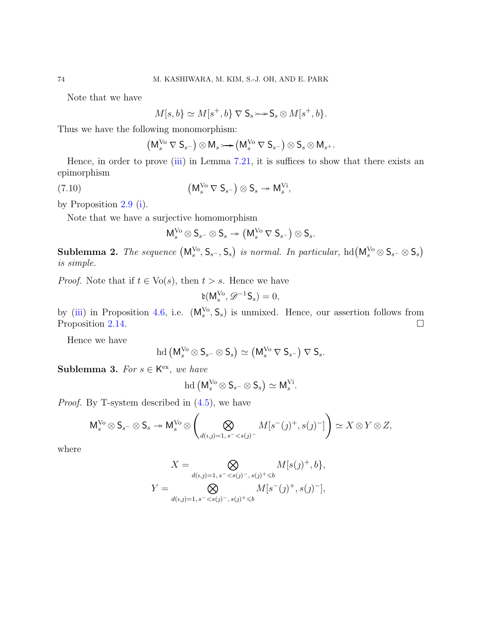Note that we have

$$
M[s, b] \simeq M[s^+, b] \nabla \mathsf{S}_s \rightarrowtail \mathsf{S}_s \otimes M[s^+, b].
$$

Thus we have the following monomorphism:

$$
\left(\mathsf M_s^{\mathrm {Vo}} \, \nabla \, \mathsf S_{s^-} \right) \otimes \mathsf M_s \mathop{ \mathop{ \,\rightarrow\,}} \left(\mathsf M_s^{\mathrm {Vo}} \, \nabla \, \mathsf S_{s^-} \right) \otimes \mathsf S_s \otimes \mathsf M_{s^+}.
$$

Hence, in order to prove  $(iii)$  in Lemma [7.21,](#page-72-2) it is suffices to show that there exists an epimorphism

(7.10) 
$$
(M_s^{V_0} \nabla S_{s^-}) \otimes S_s \twoheadrightarrow M_s^{Vi},
$$

by Proposition [2.9](#page-17-1) [\(i\)](#page-17-2).

Note that we have a surjective homomorphism

<span id="page-73-0"></span>
$$
\mathsf M_s^{\mathrm {Vo}} \otimes \mathsf S_{s^-} \otimes \mathsf S_s \twoheadrightarrow \left(\mathsf M_s^{\mathrm {Vo}} \, \nabla \, \mathsf S_{s^-} \right) \otimes \mathsf S_s.
$$

Sublemma 2. The sequence  $(M_s^{\vee o}, S_{s^-}, S_s)$  is normal. In particular,  $hd(M_s^{\vee o} \otimes S_{s^-} \otimes S_s)$ is simple.

*Proof.* Note that if  $t \in \text{Vo}(s)$ , then  $t > s$ . Hence we have

$$
\mathfrak{d}(\mathsf{M}_s^{\mathrm{Vo}}, \mathscr{D}^{-1}\mathsf{S}_s) = 0,
$$

by [\(iii\)](#page-31-0) in Proposition [4.6,](#page-31-1) i.e.  $(M_s^{\vee o}, S_s)$  is unmixed. Hence, our assertion follows from Proposition [2.14.](#page-18-0)

Hence we have

$$
\mathrm{hd} \left(\mathsf{M}^{\mathrm{Vo}}_s \otimes \mathsf{S}_{s^-} \otimes \mathsf{S}_{s}\right) \simeq \left(\mathsf{M}^{\mathrm{Vo}}_s \, \nabla \, \mathsf{S}_{s^-}\right) \, \nabla \, \mathsf{S}_{s}.
$$

<span id="page-73-1"></span>Sublemma 3. For  $s \in K^{\text{ex}}$ , we have

$$
\mathrm{hd}\left(\mathsf{M}_s^{\mathrm{Vo}}\otimes \mathsf{S}_{s^-}\otimes \mathsf{S}_s\right)\simeq \mathsf{M}_s^{\mathrm{Vi}}.
$$

Proof. By T-system described in [\(4.5\)](#page-38-0), we have

$$
\mathsf M_s^{\mathrm{Vo}}\otimes \mathsf S_{s^-}\otimes \mathsf S_s \twoheadrightarrow \mathsf M_s^{\mathrm{Vo}}\otimes \left(\bigotimes_{d(\imath,\jmath)=1,\,s^=
$$

where

$$
X = \bigotimes_{d(i,j)=1, s^{-} < s(j)^{-}, s(j)^{+} \leq b} M[s(j)^{+}, b],
$$
  

$$
Y = \bigotimes_{d(i,j)=1, s^{-} < s(j)^{-}, s(j)^{+} \leq b} M[s^{-}(j)^{+}, s(j)^{-}],
$$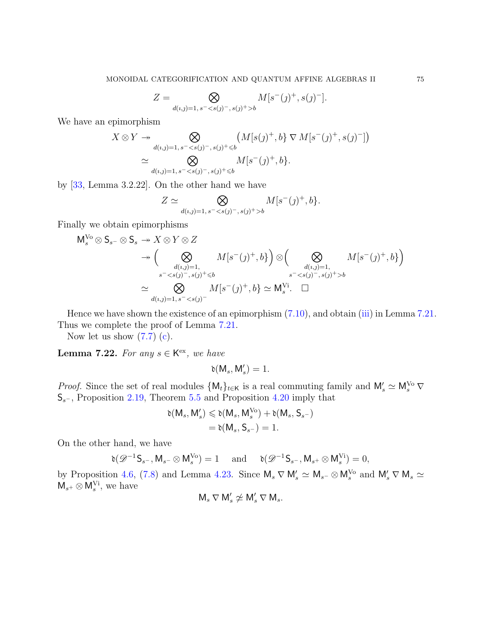$$
Z = \bigotimes_{d(\imath, \jmath) = 1, \, s^- < s(\jmath)^-, \, s(\jmath)^+ > b} M[s^-(\jmath)^+, s(\jmath)^-].
$$

We have an epimorphism

$$
X \otimes Y \twoheadrightarrow \bigotimes_{d(i,j)=1, s^{-}< s(j)^{-}, s(j)^{+}< b} (M[s(j)^{+}, b] \nabla M[s^{-}(j)^{+}, s(j)^{-}])
$$
  

$$
\simeq \bigotimes_{d(i,j)=1, s^{-}< s(j)^{-}, s(j)^{+}< b} M[s^{-}(j)^{+}, b].
$$

by [\[33,](#page-91-0) Lemma 3.2.22]. On the other hand we have

$$
Z \simeq \bigotimes_{d(i,j)=1, s^{-} < s(j)^{-}, s(j)^{+} > b} M[s^{-}(j)^{+}, b].
$$

Finally we obtain epimorphisms

$$
M_s^{V_0} \otimes S_{s^-} \otimes S_s \to X \otimes Y \otimes Z
$$
  
\n
$$
\to \left( \bigotimes_{\substack{d(i,j)=1, \\ s^- < s(j)^-, s(j)^+ \le b}} M[s^-(j)^+, b] \right) \otimes \left( \bigotimes_{\substack{d(i,j)=1, \\ s^- < s(j)^-, s(j)^+ > b}} M[s^-(j)^+, b] \right)
$$
  
\n
$$
\simeq \bigotimes_{d(i,j)=1, s^- < s(j)^-} M[s^-(j)^+, b] \simeq M_s^{Vi}. \quad \Box
$$

Hence we have shown the existence of an epimorphism  $(7.10)$ , and obtain [\(iii\)](#page-72-1) in Lemma [7.21.](#page-72-2) Thus we complete the proof of Lemma [7.21.](#page-72-2)

Now let us show  $(7.7)$  [\(c\)](#page-71-1).

**Lemma 7.22.** For any  $s \in K^{\text{ex}}$ , we have

$$
\mathfrak{d}(\mathsf{M}_{s},\mathsf{M}'_{s})=1.
$$

*Proof.* Since the set of real modules  $\{M_t\}_{t\in\mathsf{K}}$  is a real commuting family and  $M'_s \simeq M_s^{\vee o} \nabla$  $S_{s^-}$ , Proposition [2.19,](#page-19-0) Theorem [5.5](#page-45-0) and Proposition [4.20](#page-36-0) imply that

$$
\begin{aligned} \mathfrak{d}(M_s,M'_s) &\leqslant \mathfrak{d}(M_s,M_s^{\mathrm{Vo}})+\mathfrak{d}(M_s,S_{s^-})\\ &=\mathfrak{d}(M_s,S_{s^-})=1. \end{aligned}
$$

On the other hand, we have

$$
\mathfrak{d}(\mathscr{D}^{-1}\mathsf{S}_{s^-},\mathsf{M}_{s^-}\otimes \mathsf{M}_s^{\mathrm{Vo}})=1\quad \text{ and }\quad \mathfrak{d}(\mathscr{D}^{-1}\mathsf{S}_{s^-},\mathsf{M}_{s^+}\otimes \mathsf{M}_s^{\mathrm{Vi}})=0,
$$

by Proposition [4.6,](#page-31-1) [\(7.8\)](#page-72-3) and Lemma [4.23.](#page-37-0) Since  $\mathsf{M}_s \nabla \mathsf{M}_s' \simeq \mathsf{M}_{s^-} \otimes \mathsf{M}_s^{\mathrm{V}_0}$  and  $\mathsf{M}_s' \nabla \mathsf{M}_s \simeq$  $\mathsf{M}_{s+} \otimes \mathsf{M}_{s}^{\mathrm{Vi}},$  we have

$$
\mathsf{M}_{s} \nabla \mathsf{M}'_{s} \not\simeq \mathsf{M}'_{s} \nabla \mathsf{M}_{s}.
$$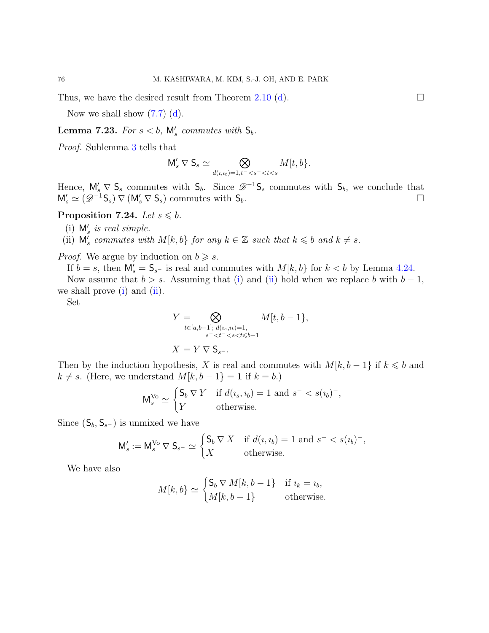Thus, we have the desired result from Theorem [2.10](#page-17-0) [\(d\)](#page-18-1).  $\Box$ 

Now we shall show  $(7.7)$  (d).

<span id="page-75-2"></span>**Lemma 7.23.** For  $s < b$ ,  $\mathsf{M}'_s$  commutes with  $\mathsf{S}_b$ .

Proof. Sublemma [3](#page-73-1) tells that

$$
\mathsf{M}'_s \, \nabla \, \mathsf{S}_s \simeq \bigotimes_{d(\iota,\iota_t)=1,t^- < s^- < t < s} M[t,b].
$$

Hence,  $\mathsf{M}'_s \nabla \mathsf{S}_s$  commutes with  $\mathsf{S}_b$ . Since  $\mathscr{D}^{-1}\mathsf{S}_s$  commutes with  $\mathsf{S}_b$ , we conclude that  $M'_s \simeq (\mathscr{D}^{-1} \mathsf{S}_s) \nabla (M'_s \nabla \mathsf{S}_s)$  commutes with  $\mathsf{S}_b$ .

# <span id="page-75-0"></span>Proposition 7.24. Let  $s \leq b$ .

<span id="page-75-1"></span>(i)  $M'_s$  is real simple.

(ii)  $\mathsf{M}'_s$  commutes with  $M[k, b]$  for any  $k \in \mathbb{Z}$  such that  $k \leq b$  and  $k \neq s$ .

*Proof.* We argue by induction on  $b \geq s$ .

If  $b = s$ , then  $\mathsf{M}'_s = \mathsf{S}_{s^-}$  is real and commutes with  $M[k, b]$  for  $k < b$  by Lemma [4.24.](#page-37-1)

Now assume that  $b > s$ . Assuming that [\(i\)](#page-75-0) and [\(ii\)](#page-75-1) hold when we replace b with  $b - 1$ , we shall prove  $(i)$  and  $(ii)$ .

Set

$$
Y = \bigotimes_{t \in [a,b-1]; \ d(i_s, i_t) = 1, \atop s^- < t^- < s < t \le b-1} M[t, b-1],
$$
\n
$$
X = Y \nabla S_{s^-}.
$$

Then by the induction hypothesis, X is real and commutes with  $M[k, b-1]$  if  $k \leq b$  and  $k \neq s$ . (Here, we understand  $M[k, b-1] = 1$  if  $k = b$ .)

$$
\mathsf{M}_{s}^{\mathsf{V}_{o}} \simeq \begin{cases} \mathsf{S}_{b} \, \nabla \, Y & \text{if } d(i_s, i_b) = 1 \text{ and } s^{-} < s(i_b)^{-}, \\ Y & \text{otherwise.} \end{cases}
$$

Since  $(S_b, S_{s^-})$  is unmixed we have

$$
\mathsf{M}'_s := \mathsf{M}_s^{\mathsf{V}\mathsf{o}} \nabla \mathsf{S}_{s^-} \simeq \begin{cases} \mathsf{S}_b \, \nabla \, X & \text{if } d(\iota, \iota_b) = 1 \text{ and } s^- < s(\iota_b)^-, \\ X & \text{otherwise.} \end{cases}
$$

We have also

$$
M[k, b] \simeq \begin{cases} \mathsf{S}_b \nabla M[k, b-1] & \text{if } i_k = i_b, \\ M[k, b-1] & \text{otherwise.} \end{cases}
$$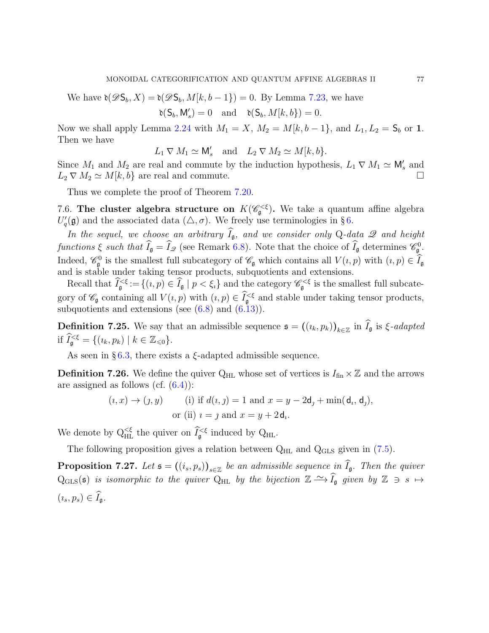We have  $\delta(\mathscr{D}S_b, X) = \delta(\mathscr{D}S_b, M[k, b-1]) = 0$ . By Lemma [7.23,](#page-75-2) we have

$$
\mathfrak{d}(\mathsf{S}_b,\mathsf{M}'_s)=0\quad\text{and}\quad\mathfrak{d}(\mathsf{S}_b,M[k,b])=0.
$$

Now we shall apply Lemma [2.24](#page-20-0) with  $M_1 = X$ ,  $M_2 = M[k, b-1]$ , and  $L_1, L_2 = S_b$  or 1. Then we have

$$
L_1 \nabla M_1 \simeq \mathsf{M}_s'
$$
 and  $L_2 \nabla M_2 \simeq M[k, b].$ 

Since  $M_1$  and  $M_2$  are real and commute by the induction hypothesis,  $L_1 \nabla M_1 \simeq M'_s$  and  $L_2 \nabla M_2 \simeq M[k, b]$  are real and commute.

Thus we complete the proof of Theorem [7.20.](#page-71-2)

7.6. The cluster algebra structure on  $K(\mathscr{C}_{\mathfrak{g}}^{\ltq \xi})$ . We take a quantum affine algebra  $U_q'(\mathfrak{g})$  and the associated data  $(\triangle, \sigma)$ . We freely use terminologies in §[6.](#page-48-0)

In the sequel, we choose an arbitrary  $\widehat{I}_{\mathfrak{g}}$ , and we consider only Q-data  $\mathscr Q$  and height functions  $\xi$  such that  $\widehat{I}_{\mathfrak{g}} = \widehat{I}_{\mathscr{Q}}$  (see Remark [6.8\)](#page-54-0). Note that the choice of  $\widehat{I}_{\mathfrak{g}}$  determines  $\mathscr{C}_{\mathfrak{g}}^0$ . Indeed,  $\mathscr{C}_{\mathfrak{g}}^0$  is the smallest full subcategory of  $\mathscr{C}_{\mathfrak{g}}$  which contains all  $V(i,p)$  with  $(i,p) \in \widehat{I}_{\mathfrak{g}}$ and is stable under taking tensor products, subquotients and extensions.

Recall that  $\widehat{I}_{\mathfrak{g}}^{<\xi} := \{(i, p) \in \widehat{I}_{\mathfrak{g}} \mid p < \xi_i\}$  and the category  $\mathscr{C}_{\mathfrak{g}}^{<\xi}$  is the smallest full subcategory of  $\mathscr{C}_{\mathfrak{g}}$  containing all  $V(i, p)$  with  $(i, p) \in \widehat{I}_{\mathfrak{g}}^{\leq \xi}$  and stable under taking tensor products, subquotients and extensions (see  $(6.8)$  and  $(6.13)$ ).

**Definition 7.25.** We say that an admissible sequence  $\mathfrak{s} = ((i_k, p_k))_{k \in \mathbb{Z}}$  in  $I_{\mathfrak{g}}$  is  $\xi$ -adapted if  $\tilde{I}_{\mathfrak{g}}^{\leq \xi} = \{ (i_k, p_k) \mid k \in \mathbb{Z}_{\leq 0} \}.$ 

As seen in  $\S 6.3$ , there exists a  $\xi$ -adapted admissible sequence.

**Definition 7.26.** We define the quiver  $Q_{HL}$  whose set of vertices is  $I_{fin} \times \mathbb{Z}$  and the arrows are assigned as follows (cf.  $(6.4)$ ):

$$
(i, x) \rightarrow (j, y) \qquad \text{(i) if } d(i, j) = 1 \text{ and } x = y - 2d_j + \min(d_i, d_j),
$$
  
or (ii)  $i = j$  and  $x = y + 2d_i$ .

We denote by  $Q_{HL}^{<\xi}$  the quiver on  $\widehat{I}_{\mathfrak{g}}^{<\xi}$  induced by  $Q_{HL}$ .

The following proposition gives a relation between  $Q_{HL}$  and  $Q_{GLS}$  given in [\(7.5\)](#page-70-0).

<span id="page-76-0"></span>**Proposition 7.27.** Let  $\mathfrak{s} = ((i_s, p_s))_{s \in \mathbb{Z}}$  be an admissible sequence in  $I_{\mathfrak{g}}$ . Then the quiver Q<sub>GLS</sub>(s) is isomorphic to the quiver Q<sub>HL</sub> by the bijection  $\mathbb{Z} \xrightarrow{\sim} \widehat{I}_{\mathfrak{g}}$  given by  $\mathbb{Z} \ni s \mapsto$  $(i_s, p_s) \in \widehat{I}_{\mathfrak{a}}.$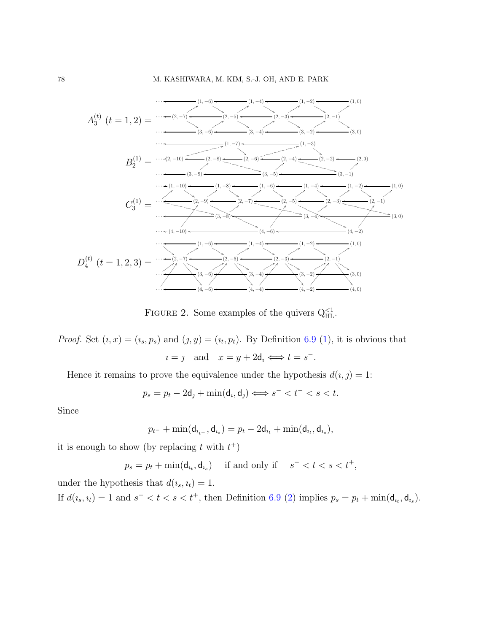

FIGURE 2. Some examples of the quivers  $Q_{HL}^{<1}$ .

*Proof.* Set  $(i, x) = (i_s, p_s)$  and  $(j, y) = (i_t, p_t)$ . By Definition [6.9](#page-54-1) [\(1\)](#page-54-2), it is obvious that  $i = j$  and  $x = y + 2d_i \Longleftrightarrow t = s^{-}$ .

Hence it remains to prove the equivalence under the hypothesis  $d(i, j) = 1$ :

$$
p_s = p_t - 2\mathbf{d}_j + \min(\mathbf{d}_i, \mathbf{d}_j) \Longleftrightarrow s^- < t^- < s < t.
$$

Since

$$
p_{t-}+\min(\mathsf{d}_{i_{t-}},\mathsf{d}_{i_s})=p_t-2\mathsf{d}_{i_t}+\min(\mathsf{d}_{i_t},\mathsf{d}_{i_s}),
$$

it is enough to show (by replacing t with  $t^+$ )

$$
p_s = p_t + \min(\mathsf{d}_{i_t}, \mathsf{d}_{i_s}) \quad \text{ if and only if } \quad s^- < t < s < t^+,
$$

under the hypothesis that  $d(i_s, i_t) = 1$ . If  $d(i_s, i_t) = 1$  and  $s^- < t < s < t^+$ , then Definition [6.9](#page-54-1) [\(2\)](#page-54-3) implies  $p_s = p_t + \min(\mathsf{d}_{i_t}, \mathsf{d}_{i_s})$ .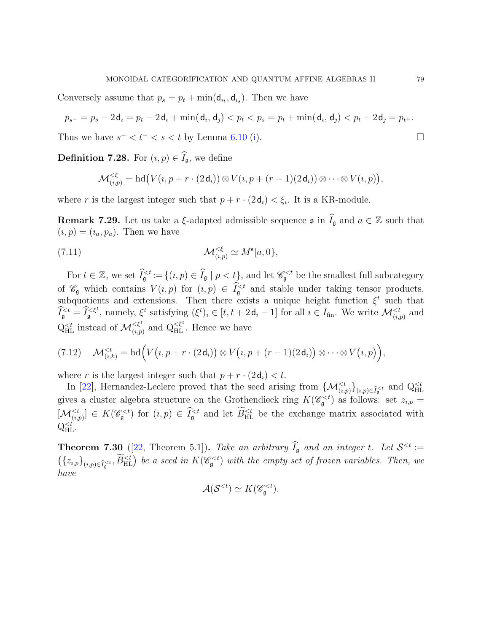Conversely assume that  $p_s = p_t + \min(\mathsf{d}_{u_t}, \mathsf{d}_{u_s})$ . Then we have

$$
p_{s^-} = p_s - 2\mathbf{d}_i = p_t - 2\mathbf{d}_i + \min(\mathbf{d}_i, \mathbf{d}_j) < p_t < p_s = p_t + \min(\mathbf{d}_i, \mathbf{d}_j) < p_t + 2\mathbf{d}_j = p_{t^+}.
$$

Thus we have  $s^- < t^- < s < t$  by Lemma [6.10](#page-54-4) [\(i\)](#page-54-5).

<span id="page-78-1"></span>**Definition 7.28.** For  $(i, p) \in \hat{I}_{\mathfrak{a}}$ , we define

$$
\mathcal{M}_{(i,p)}^{\leq \xi} = \mathrm{hd}\big(V(i,p+r\cdot(2\,\mathsf{d}_i))\otimes V(i,p+(r-1)(2\,\mathsf{d}_i))\otimes\cdots\otimes V(i,p)\big),
$$

where r is the largest integer such that  $p + r \cdot (2d_i) < \xi_i$ . It is a KR-module.

**Remark 7.29.** Let us take a  $\xi$ -adapted admissible sequence  $\mathfrak{s}$  in  $\widehat{I}_{\mathfrak{g}}$  and  $a \in \mathbb{Z}$  such that  $(i, p) = (i_a, p_a)$ . Then we have

(7.11) 
$$
\mathcal{M}_{(i,p)}^{\leq \xi} \simeq M^{\mathfrak{s}}[a,0],
$$

For  $t \in \mathbb{Z}$ , we set  $\widehat{I}_{\mathfrak{g}}^{< t} := \{(i, p) \in \widehat{I}_{\mathfrak{g}} \mid p < t\}$ , and let  $\mathscr{C}_{\mathfrak{g}}^{< t}$  be the smallest full subcategory of  $\mathscr{C}_{\mathfrak{g}}$  which contains  $V(i,p)$  for  $(i,p) \in \widehat{I}_{\mathfrak{g}}^{< t}$  and stable under taking tensor products, subquotients and extensions. Then there exists a unique height function  $\xi^t$  such that  $\widehat{I}_{\mathfrak{g}}^{, namely,  $\xi^t$  satisfying  $(\xi^t)_i \in [t, t + 2d_i - 1]$  for all  $i \in I_{\text{fin}}$ . We write  $\mathcal{M}_{(i,p)}^{ and$$  $Q_{\text{HL}}^{< t}$  instead of  $\mathcal{M}_{(i,p)}^{< \xi^t}$  and  $Q_{\text{HL}}^{< \xi^t}$ . Hence we have

<span id="page-78-0"></span>
$$
(7.12) \quad \mathcal{M}_{(i,k)}^{
$$

where r is the largest integer such that  $p + r \cdot (2d_i) < t$ .

In [\[22\]](#page-90-0), Hernandez-Leclerc proved that the seed arising from  $\{\mathcal{M}_{(i,p)}^{ and  $Q_{\text{HL}}^{$$ gives a cluster algebra structure on the Grothendieck ring  $K(\mathscr{C}_{\mathfrak{g}}^{ as follows: set  $z_{i,p} =$$  $[\mathcal{M}_{(i,p)}^{\leq t}] \in K(\mathscr{C}_{\mathfrak{g}}^{\leq t})$  for  $(i,p) \in \widehat{I}_{\mathfrak{g}}^{\leq t}$  and let  $\widetilde{B}_{\text{HL}}^{\leq t}$  be the exchange matrix associated with  $Q_{HL}^{.$ 

<span id="page-78-2"></span>**Theorem 7.30** ([\[22,](#page-90-0) Theorem 5.1]). Take an arbitrary  $I_{\mathfrak{g}}$  and an integer t. Let  $\mathcal{S}^{< t} :=$  $({z_{i,p}})_{(i,p)\in \widehat{I}_{\mathfrak{g}}^{ be a seed in  $K(\mathscr{C}_{\mathfrak{g}}^{ with the empty set of frozen variables. Then, we$$ have

$$
\mathcal{A}(\mathcal{S}^{<};\Sigma) \simeq K(\mathscr{C}_{\mathfrak{g}}^{< t}).
$$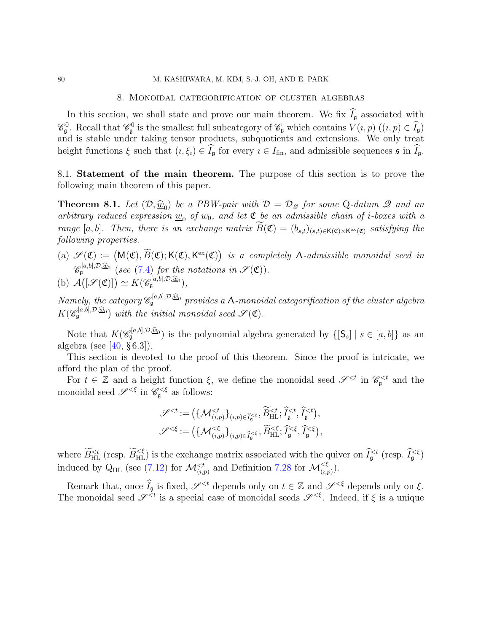### 8. Monoidal categorification of cluster algebras

In this section, we shall state and prove our main theorem. We fix  $\hat{I}_{\mathfrak{g}}$  associated with  $\mathscr{C}_{\mathfrak{g}}^0$ . Recall that  $\mathscr{C}_{\mathfrak{g}}^0$  is the smallest full subcategory of  $\mathscr{C}_{\mathfrak{g}}$  which contains  $V(i,p)$   $((i,p) \in \widehat{I}_{\mathfrak{g}})$ and is stable under taking tensor products, subquotients and extensions. We only treat height functions  $\xi$  such that  $(i, \xi_i) \in \widehat{I}_{\mathfrak{g}}$  for every  $i \in I_{\text{fin}}$ , and admissible sequences  $\mathfrak{s}$  in  $\widehat{I}_{\mathfrak{g}}$ .

8.1. Statement of the main theorem. The purpose of this section is to prove the following main theorem of this paper.

<span id="page-79-0"></span>**Theorem 8.1.** Let  $(D, \hat{w}_0)$  be a PBW-pair with  $D = D_{\mathscr{Q}}$  for some Q-datum  $\mathscr{Q}$  and an arbitrary reduced expression  $\underline{w}_0$  of  $w_0$ , and let  $\mathfrak{C}$  be an admissible chain of *i*-boxes with a range [a, b]. Then, there is an exchange matrix  $B(\mathfrak{C}) = (b_{s,t})_{(s,t) \in \mathsf{K}(\mathfrak{C}) \times \mathsf{K}^{\text{ex}}(\mathfrak{C})}$  satisfying the following properties.

- <span id="page-79-1"></span>(a)  $\mathscr{S}(\mathfrak{C}) := (M(\mathfrak{C}), \widetilde{B}(\mathfrak{C}); K(\mathfrak{C}), K^{\text{ex}}(\mathfrak{C}))$  is a completely  $\Lambda$ -admissible monoidal seed in  $\mathscr{C}_{\mathfrak{g}}^{[a,b],\mathcal{D},\widehat{\underline{w}}_0}$  (see [\(7.4\)](#page-69-0) for the notations in  $\mathscr{S}(\mathfrak{C})$ ).
- (b)  $\mathcal{A}([\mathscr{S}(\mathfrak{C})]) \simeq K(\mathscr{C}_{\mathfrak{g}}^{[a,b],\mathcal{D},\widehat{w}_0}),$

Namely, the category  $\mathscr{C}_{\mathfrak{g}}^{[a,b],\mathcal{D},\widehat{\underline{w}}_0}$  provides a *N*-monoidal categorification of the cluster algebra  $K(\mathscr{C}_{\mathfrak{g}}^{[a,b],\mathcal{D},\widehat{\underline{w}}_0})$  with the initial monoidal seed  $\mathscr{S}(\mathfrak{C})$ .

Note that  $K(\mathscr{C}_{\mathfrak{g}}^{[a,b],\mathcal{D},\widehat{\omega}_0})$  is the polynomial algebra generated by  $\{[\mathsf{S}_s] \mid s \in [a,b]\}$  as an algebra (see  $[40, §6.3]$ ).

This section is devoted to the proof of this theorem. Since the proof is intricate, we afford the plan of the proof.

For  $t \in \mathbb{Z}$  and a height function  $\xi$ , we define the monoidal seed  $\mathscr{S}^{ in  $\mathscr{C}_{\mathfrak{g}}^{ and the$$ monoidal seed  $\mathscr{S}^{<\xi}$  in  $\mathscr{C}_{\mathfrak{g}}^{<\xi}$  as follows:

$$
\mathscr{S}^{< t} := \left( \{ \mathcal{M}_{(i,p)}^{< t} \}_{(i,p) \in \widehat{I}_{\mathfrak{g}}^{< t}}, \widetilde{B}_{\mathrm{HL}}^{< t}, \widehat{I}_{\mathfrak{g}}^{< t}, \widehat{I}_{\mathfrak{g}}^{< t} \right), \n\mathscr{S}^{< \xi} := \left( \{ \mathcal{M}_{(i,p)}^{< \xi} \}_{(i,p) \in \widehat{I}_{\mathfrak{g}}^{< \xi}}, \widetilde{B}_{\mathrm{HL}}^{< \xi}, \widehat{I}_{\mathfrak{g}}^{< \xi}, \widehat{I}_{\mathfrak{g}}^{< \xi} \right),
$$

where  $\widetilde{B}_{\text{HL}}^{ (resp.  $\widetilde{B}_{\text{HL}}^{<\xi}$ ) is the exchange matrix associated with the quiver on  $\widehat{I}_{\mathfrak{g}}^{ (resp.  $\widehat{I}_{\mathfrak{g}}^{<\xi}$ )$$ induced by  $Q_{HL}$  (see [\(7.12\)](#page-78-0) for  $\mathcal{M}_{(i,p)}^{\leq t}$  and Definition [7.28](#page-78-1) for  $\mathcal{M}_{(i,p)}^{\leq \xi}$ ).

Remark that, once  $\widehat{I}_{\mathfrak{g}}$  is fixed,  $\mathscr{S}^{ depends only on  $t \in \mathbb{Z}$  and  $\mathscr{S}^{<\xi}$  depends only on  $\xi$ .$ The monoidal seed  $\mathscr{S}^{\leq t}$  is a special case of monoidal seeds  $\mathscr{S}^{\leq \xi}$ . Indeed, if  $\xi$  is a unique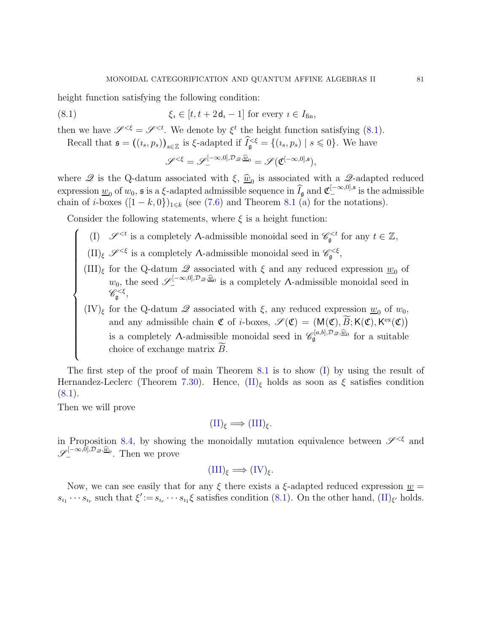height function satisfying the following condition:

(8.1) 
$$
\xi_i \in [t, t+2\mathbf{d}_i-1] \text{ for every } i \in I_{\text{fin}},
$$

then we have  $\mathscr{S}^{\leq \xi} = \mathscr{S}^{\leq t}$ . We denote by  $\xi^t$  the height function satisfying [\(8.1\)](#page-80-0).

Recall that  $\mathfrak{s} = ((i_s, p_s))_{s \in \mathbb{Z}}$  is  $\xi$ -adapted if  $\widetilde{I}_{\mathfrak{g}} \xi = \{(i_s, p_s) \mid s \leq 0\}$ . We have

<span id="page-80-0"></span>
$$
\mathscr{S}^{<\xi} = \mathscr{S}^{[-\infty,0],\mathcal{D}_{\mathscr{Q}},\underline{\widehat{w}}_0}_{-} = \mathscr{S}(\mathfrak{C}^{[-\infty,0],\mathfrak{s}}),
$$

where  $\mathscr Q$  is the Q-datum associated with  $\xi$ ,  $\hat w_0$  is associated with a  $\mathscr Q$ -adapted reduced expression  $\underline{w}_0$  of  $w_0$ , s is a  $\xi$ -adapted admissible sequence in  $\widehat{I}_{\mathfrak{g}}$  and  $\mathfrak{C}^{[-\infty,0],\mathfrak{s}}_{-}$  is the admissible chain of *i*-boxes  $([1 - k, 0])_{1 \le k}$  (see [\(7.6\)](#page-71-3) and Theorem [8.1](#page-79-0) [\(a\)](#page-79-1) for the notations).

Consider the following statements, where  $\xi$  is a height function:

- <span id="page-80-1"></span>(I)  $\mathscr{S}^{< t}$  is a completely  $\Lambda$ -admissible monoidal seed in  $\mathscr{C}_{\mathfrak{g}}^{< t}$  for any  $t \in \mathbb{Z}$ ,
	- $(\text{II})_{\xi}$   $\mathscr{S}^{<\xi}$  is a completely A-admissible monoidal seed in  $\mathscr{C}_{\mathfrak{g}}^{<\xi}$ ,
	- $(III)_{\xi}$  for the Q-datum  $\mathcal{Q}$  associated with  $\xi$  and any reduced expression  $\underline{w}_0$  of  $w_0$ , the seed  $\mathscr{S}^{[-\infty,0], \mathcal{D}_{\mathscr{Q}}, \underline{\widehat{w}}_0}$  is a completely A-admissible monoidal seed in  $\mathscr{C}^{<\xi}_\mathfrak{g},$
	- $(IV)_{\xi}$  for the Q-datum  $\mathscr Q$  associated with  $\xi$ , any reduced expression  $\underline{w}_0$  of  $w_0$ , and any admissible chain  $\mathfrak{C}$  of *i*-boxes,  $\mathscr{S}(\mathfrak{C}) = (M(\mathfrak{C}), \widetilde{B}; K(\mathfrak{C}), K^{\text{ex}}(\mathfrak{C}))$ is a completely  $\Lambda$ -admissible monoidal seed in  $\mathscr{C}_{\mathfrak{g}}^{[a,b], \mathcal{D}_{\mathscr{Q}}, \widehat{\underline{w}}_0}$  for a suitable choice of exchange matrix  $B$ .

The first step of the proof of main Theorem [8.1](#page-79-0) is to show [\(I\)](#page-80-1) by using the result of Hernandez-Leclerc (Theorem [7.30\)](#page-78-2). Hence,  $(\text{II})_{\xi}$  holds as soon as  $\xi$  satisfies condition  $(8.1).$  $(8.1).$ 

Then we will prove

<span id="page-80-3"></span><span id="page-80-2"></span> $\begin{array}{c} \hline \end{array}$ 

<span id="page-80-4"></span>

$$
(\mathrm{II})_{\xi} \Longrightarrow (\mathrm{III})_{\xi}.
$$

in Proposition [8.4,](#page-82-0) by showing the monoidally mutation equivalence between  $\mathscr{S}^{\leq \xi}$  and  $\mathscr{S}_{-}^{[-\infty,0],\mathcal{D}_{\mathscr{Q}},\underline{\widehat{w}}_0}$ . Then we prove

$$
(III)_{\xi} \Longrightarrow (IV)_{\xi}.
$$

Now, we can see easily that for any  $\xi$  there exists a  $\xi$ -adapted reduced expression  $\underline{w}$  =  $s_{i_1}\cdots s_{i_r}$  such that  $\xi' := s_{i_r}\cdots s_{i_1}\xi$  satisfies condition [\(8.1\)](#page-80-0). On the other hand,  $(\text{II})_{\xi'}$  holds.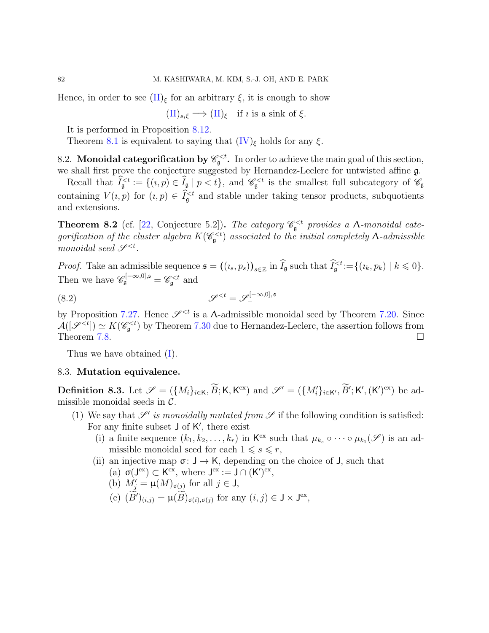Hence, in order to see  $(\Pi)_{\xi}$  for an arbitrary  $\xi$ , it is enough to show

 $(\text{II})_{s_i\xi} \Longrightarrow (\text{II})_{\xi}$  if *i* is a sink of  $\xi$ .

It is performed in Proposition [8.12.](#page-88-0)

Theorem [8.1](#page-79-0) is equivalent to saying that  $(IV)_{\xi}$  holds for any  $\xi$ .

8.2. Monoidal categorification by  $\mathscr{C}_{\mathfrak{g}}^{. In order to achieve the main goal of this section,$ we shall first prove the conjecture suggested by Hernandez-Leclerc for untwisted affine g.

Recall that  $\widehat{I}_{\mathfrak{g}}^{and  $\mathscr{C}_{\mathfrak{g}}^{ is the smallest full subcategory of  $\mathscr{C}_{\mathfrak{g}}$$$ containing  $V(i, p)$  for  $(i, p) \in \tilde{I}_{\mathfrak{g}}^{\leq t}$  and stable under taking tensor products, subquotients and extensions.

<span id="page-81-0"></span>**Theorem 8.2** (cf. [\[22,](#page-90-0) Conjecture 5.2]). The category  $\mathcal{C}_{\mathfrak{g}}^{\lt}\langle t \rangle$  provides a  $\Lambda$ -monoidal categorification of the cluster algebra  $K(\mathscr{C}^{ associated to the initial completely  $\Lambda$ -admissible$ monoidal seed  $\mathscr{S}^{.$ 

*Proof.* Take an admissible sequence  $\mathfrak{s} = ((i_s, p_s))_{s \in \mathbb{Z}}$  in  $\tilde{I}_{\mathfrak{g}}$  such that  $\tilde{I}_{\mathfrak{g}}^{< t} := \{(i_k, p_k) \mid k \leq 0\}.$ Then we have  $\mathscr{C}_{\mathfrak{g}}^{[-\infty,0],\mathfrak{s}} = \mathscr{C}_{\mathfrak{g}}^{ and$ 

$$
\mathcal{S}^{
$$

by Proposition [7.27.](#page-76-0) Hence  $\mathscr{S}^{ is a A-admissible monoidal seed by Theorem [7.20.](#page-71-2) Since$  $\mathcal{A}([\mathscr{S}^{ by Theorem [7.30](#page-78-2) due to Hernandez-Leclerc, the assertion follows from$ Theorem [7.8.](#page-65-0)  $\Box$ 

Thus we have obtained [\(I\)](#page-80-1).

## 8.3. Mutation equivalence.

<span id="page-81-1"></span>**Definition 8.3.** Let  $\mathscr{S} = (\{M_i\}_{i\in\mathsf{K}}, \widetilde{B}; \mathsf{K}, \mathsf{K}^{\text{ex}})$  and  $\mathscr{S}' = (\{M'_i\}_{i\in\mathsf{K}'}, \widetilde{B}'; \mathsf{K}', (\mathsf{K}')^{\text{ex}})$  be admissible monoidal seeds in  $C$ .

- (1) We say that  $\mathscr{S}'$  is monoidally mutated from  $\mathscr S$  if the following condition is satisfied: For any finite subset  $J$  of  $K'$ , there exist
	- (i) a finite sequence  $(k_1, k_2, \ldots, k_r)$  in  $\mathsf{K}^{\text{ex}}$  such that  $\mu_{k_s} \circ \cdots \circ \mu_{k_1}(\mathscr{S})$  is an admissible monoidal seed for each  $1 \leq s \leq r$ ,
	- (ii) an injective map  $\sigma: J \to K$ , depending on the choice of J, such that (a)  $\sigma(J^{ex}) \subset K^{ex}$ , where  $J^{ex} := J \cap (K')^{ex}$ ,
		- (b)  $M'_{j} = \mu(M)_{\sigma(j)}$  for all  $j \in J$ ,
		- (c)  $(B')_{(i,j)} = \mu(B)_{\sigma(i),\sigma(j)}$  for any  $(i,j) \in J \times J^{ex}$ ,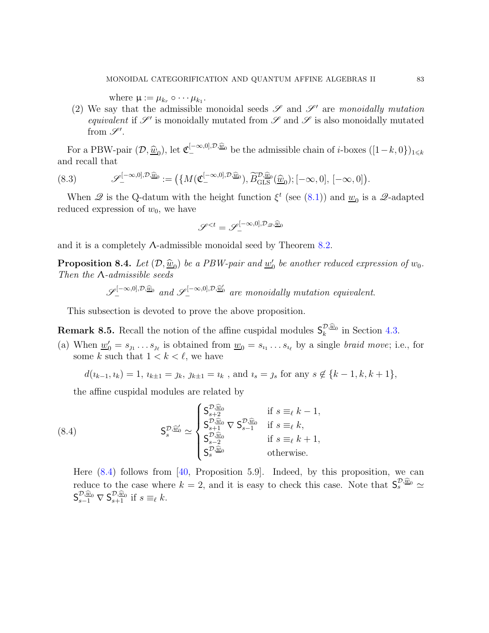where  $\mu := \mu_{k_r} \circ \cdots \mu_{k_1}$ .

(2) We say that the admissible monoidal seeds  $\mathscr S$  and  $\mathscr S'$  are monoidally mutation equivalent if  $\mathscr{S}'$  is monoidally mutated from  $\mathscr{S}$  and  $\mathscr{S}$  is also monoidally mutated from  $\mathscr{S}^{\prime}$ .

For a PBW-pair  $(\mathcal{D}, \hat{\underline{w}}_0)$ , let  $\mathfrak{C}_{-}^{[-\infty,0], \mathcal{D}, \hat{\underline{w}}_0}$  be the admissible chain of *i*-boxes  $([1-k,0])_{1\leq k}$ and recall that

(8.3) 
$$
\mathscr{S}_{-}^{[-\infty,0],\mathcal{D},\widehat{\underline{w}}_0} := \big(\{M(\mathfrak{C}_{-}^{[-\infty,0],\mathcal{D},\widehat{\underline{w}}_0}), \widetilde{B}_{\mathrm{GLS}}^{\mathcal{D},\widehat{\underline{w}}_0}(\widehat{\underline{w}}_0); [-\infty,0], [-\infty,0]\big).
$$

When  $\mathscr Q$  is the Q-datum with the height function  $\xi^t$  (see [\(8.1\)](#page-80-0)) and  $\underline{w}_0$  is a  $\mathscr Q$ -adapted reduced expression of  $w_0$ , we have

$$
\mathscr{S}^{
$$

and it is a completely  $\Lambda$ -admissible monoidal seed by Theorem [8.2.](#page-81-0)

<span id="page-82-0"></span>**Proposition 8.4.** Let  $(D, \hat{w}_0)$  be a PBW-pair and  $w'_0$  be another reduced expression of  $w_0$ . Then the Λ-admissible seeds

 $\mathscr{S}_{-}^{[-\infty,0],\mathcal{D},\widehat{\underline{w}}_0}$  and  $\mathscr{S}_{-}^{[-\infty,0],\mathcal{D},\widehat{\underline{w}}_0}$  are monoidally mutation equivalent.

This subsection is devoted to prove the above proposition.

<span id="page-82-3"></span><span id="page-82-2"></span>**Remark 8.5.** Recall the notion of the affine cuspidal modules  $S_k^{\mathcal{D},\widehat{\underline{w}}_0}$  in Section [4.3.](#page-30-0)

(a) When  $\underline{w}'_0 = s_{j_1} \dots s_{j_\ell}$  is obtained from  $\underline{w}_0 = s_{i_1} \dots s_{i_\ell}$  by a single *braid move*; i.e., for some k such that  $1 < k < \ell$ , we have

 $d(i_{k-1}, i_k) = 1$ ,  $i_{k+1} = j_k$ ,  $j_{k+1} = i_k$ , and  $i_s = j_s$  for any  $s \notin \{k-1, k, k+1\}$ ,

the affine cuspidal modules are related by

<span id="page-82-1"></span>(8.4) 
$$
\mathsf{S}_{s}^{\mathcal{D},\widetilde{\underline{w}}'} \simeq \begin{cases} \mathsf{S}_{s+2}^{\mathcal{D},\widehat{\underline{w}}_{0}} & \text{if } s \equiv_{\ell} k-1, \\ \mathsf{S}_{s+1}^{\mathcal{D},\widehat{\underline{w}}_{0}} \nabla \mathsf{S}_{s-1}^{\mathcal{D},\widehat{\underline{w}}_{0}} & \text{if } s \equiv_{\ell} k, \\ \mathsf{S}_{s-2}^{\mathcal{D},\widehat{\underline{w}}_{0}} & \text{if } s \equiv_{\ell} k+1, \\ \mathsf{S}_{s}^{\mathcal{D},\widehat{\underline{w}}_{0}} & \text{otherwise.} \end{cases}
$$

Here  $(8.4)$  follows from [\[40,](#page-91-1) Proposition 5.9]. Indeed, by this proposition, we can reduce to the case where  $k = 2$ , and it is easy to check this case. Note that  $S_s^{\mathcal{D},\widehat{\underline{w}}_0} \simeq \widehat{S_s^{\mathcal{D}}}$  $\mathsf{S}_{s-1}^{\mathcal{D},\widehat{\underline{w}}_0} \nabla \mathsf{S}_{s+1}^{\mathcal{D},\widehat{\underline{w}}_0}$  if  $s \equiv_{\ell} k$ .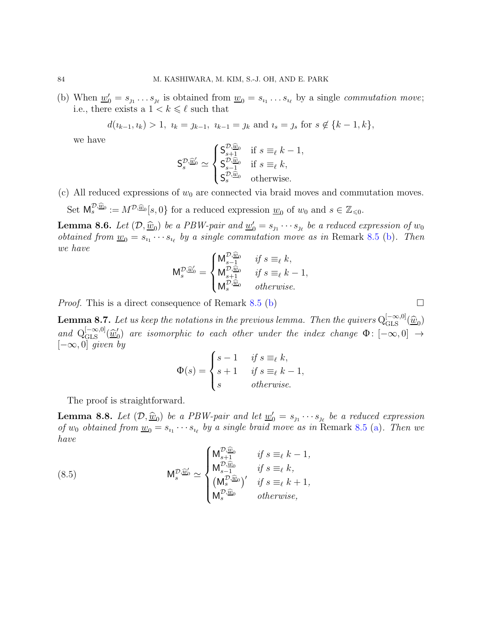(b) When  $\underline{w}'_0 = s_{j_1} \dots s_{j_\ell}$  is obtained from  $\underline{w}_0 = s_{i_1} \dots s_{i_\ell}$  by a single *commutation move*; i.e., there exists a  $1 < k \leq \ell$  such that

$$
d(i_{k-1}, i_k) > 1, i_k = j_{k-1}, i_{k-1} = j_k \text{ and } i_s = j_s \text{ for } s \notin \{k-1, k\},
$$

we have

$$
\mathsf{S}_{s}^{\mathcal{D},\underline{\widehat{w}}'_{0}} \simeq \begin{cases} \mathsf{S}_{s+1}^{\mathcal{D},\underline{\widehat{w}}_{0}} & \text{if } s \equiv_{\ell} k - 1, \\ \mathsf{S}_{s-1}^{\mathcal{D},\underline{\widehat{w}}_{0}} & \text{if } s \equiv_{\ell} k, \\ \mathsf{S}_{s}^{\mathcal{D},\underline{\widehat{w}}_{0}} & \text{otherwise.} \end{cases}
$$

<span id="page-83-1"></span>(c) All reduced expressions of  $w_0$  are connected via braid moves and commutation moves.

Set  $M_s^{\mathcal{D},\widehat{\underline{w}}_0} := M^{\mathcal{D},\widehat{\underline{w}}_0}[s,0]$  for a reduced expression  $\underline{w}_0$  of  $w_0$  and  $s \in \mathbb{Z}_{\leq 0}$ .

**Lemma 8.6.** Let  $(D, \underline{\widehat{w}}_0)$  be a PBW-pair and  $\underline{w}'_0 = s_{j_1} \cdots s_{j_\ell}$  be a reduced expression of  $w_0$ <br>attained from any space because in large simple commutation many space in Democratic Charles Theory *obtained from*  $\underline{w}_0 = s_{i_1} \cdots s_{i_\ell}$  *by a single commutation move as in* Remark [8.5](#page-82-2) [\(b\)](#page-83-0). Then we have

$$
\mathsf{M}^{\mathcal{D},\widehat{\underline{w}}_0'}_s = \begin{cases} \mathsf{M}^{\mathcal{D},\widehat{\underline{w}}_0}_{s-1} & \text{ if } s \equiv_\ell k, \\ \mathsf{M}^{\mathcal{D},\widehat{\underline{w}}_0}_{s+1} & \text{ if } s \equiv_\ell k-1, \\ \mathsf{M}^{\mathcal{D},\widehat{\underline{w}}_0}_{s} & \text{ otherwise.} \end{cases}
$$

*Proof.* This is a direct consequence of Remark [8.5](#page-82-2) [\(b\)](#page-83-0)  $\Box$ 

**Lemma 8.7.** Let us keep the notations in the previous lemma. Then the quivers  $Q_{\text{GLS}}^{[-\infty,0]}(\hat{\underline{w}}_0)$ and  $Q_{\text{GLS}}^{[-\infty,0]}(\hat{\underline{w}}'_{0})$  $\zeta_0'$  are isomorphic to each other under the index change  $\Phi\colon [-\infty,0]\to \mathbb{R}$  $[-\infty, 0]$  given by

$$
\Phi(s) = \begin{cases} s - 1 & \text{if } s \equiv_{\ell} k, \\ s + 1 & \text{if } s \equiv_{\ell} k - 1, \\ s & \text{otherwise.} \end{cases}
$$

The proof is straightforward.

**Lemma 8.8.** Let  $(D, \hat{w}_0)$  be a PBW-pair and let  $w'_0 = s_1 \cdots s_{\ell}$  be a reduced expression of  $w_0$  obtained from  $\underline{w}_0 = s_{i_1} \cdots s_{i_\ell}$  by a single braid move as in Remark [8.5](#page-82-2) [\(a\)](#page-82-3). Then we have

(8.5) 
$$
\mathsf{M}_{s}^{\mathcal{D},\widetilde{\underline{w}}_{0}} \simeq \begin{cases} \mathsf{M}_{s+1}^{\mathcal{D},\widehat{\underline{w}}_{0}} & \text{if } s \equiv_{\ell} k - 1, \\ \mathsf{M}_{s-1}^{\mathcal{D},\widehat{\underline{w}}_{0}} & \text{if } s \equiv_{\ell} k, \\ (\mathsf{M}_{s}^{\mathcal{D},\widehat{\underline{w}}_{0}})' & \text{if } s \equiv_{\ell} k + 1, \\ \mathsf{M}_{s}^{\mathcal{D},\widehat{\underline{w}}_{0}} & \text{otherwise,} \end{cases}
$$

<span id="page-83-0"></span>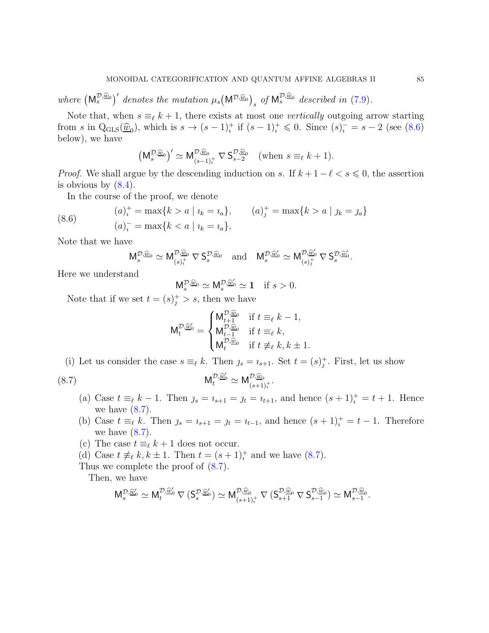where  $(M_s^{\mathcal{D},\widehat{\underline{w}}_0})'$  denotes the mutation  $\mu_s(M^{\mathcal{D},\widehat{\underline{w}}_0})_s$  of  $M_s^{\mathcal{D},\widehat{\underline{w}}_0}$  described in [\(7.9\)](#page-72-0).

Note that, when  $s \equiv_{\ell} k + 1$ , there exists at most one *vertically* outgoing arrow starting from s in  $Q_{GLS}(\hat{w}_0)$ , which is  $s \to (s-1)^+_i$  if  $(s-1)^+_i \leq 0$ . Since  $(s)^-_i = s-2$  (see  $(8.6)$ ) below), we have

$$
\left(\mathsf M_s^{\mathcal{D},\widehat{\underline{w}}_0}\right)' \simeq \mathsf M_{(s-1)_t^+}^{\mathcal{D},\widehat{\underline{w}}_0} \nabla \mathsf S_{s-2}^{\mathcal{D},\widehat{\underline{w}}_0} \quad \text{(when } s \equiv_\ell k+1\text{)}.
$$

*Proof.* We shall argue by the descending induction on s. If  $k + 1 - \ell < s \leq 0$ , the assertion is obvious by  $(8.4)$ .

In the course of the proof, we denote

(8.6) 
$$
(a)_i^+ = \max\{k > a \mid u_k = u_a\}, \qquad (a)_j^+ = \max\{k > a \mid y_k = y_a\} (a)_i^- = \max\{k < a \mid u_k = u_a\},
$$

Note that we have

<span id="page-84-0"></span>
$$
\mathsf M_s^{\mathcal{D},\widehat{\underline{w}}_0}\simeq \mathsf M_{(s)_t^{+}}^{\mathcal{D},\widehat{\underline{w}}_0}\nabla\, \mathsf S_s^{\mathcal{D},\widehat{\underline{w}}_0}\quad\text{and}\quad \mathsf M_s^{\mathcal{D},\widehat{\underline{w}}'_0}\simeq \mathsf M_{(s)_J^{+}}^{\mathcal{D},\widehat{\underline{w}}'_0}\nabla\, \mathsf S_s^{\mathcal{D},\widehat{\underline{w}}'_0}.
$$

Here we understand

$$
\mathsf{M}_{s}^{\mathcal{D},\widehat{\underline{w}}_0} \simeq \mathsf{M}_{s}^{\mathcal{D},\widehat{\underline{w}}'_0} \simeq 1 \quad \text{if } s > 0.
$$

Note that if we set  $t = (s)^+_j > s$ , then we have

<span id="page-84-1"></span>
$$
\mathsf{M}_t^{\mathcal{D},\widehat{\underline{w}}_0'}=\begin{cases} \mathsf{M}_{t+1}^{\mathcal{D},\widehat{\underline{w}}_0} & \text{if } t\equiv_\ell k-1,\\ \mathsf{M}_{t-1}^{\mathcal{D},\widehat{\underline{w}}_0} & \text{if } t\equiv_\ell k,\\ \mathsf{M}_t^{\mathcal{D},\widehat{\underline{w}}_0} & \text{if } t\not\equiv_\ell k, k\pm 1. \end{cases}
$$

(i) Let us consider the case  $s \equiv_{\ell} k$ . Then  $j_s = i_{s+1}$ . Set  $t = (s)^+_j$ . First, let us show

(8.7) 
$$
\mathsf{M}_{t}^{\mathcal{D},\widetilde{\underline{w}}'_{0}} \simeq \mathsf{M}_{(s+1)t}^{\mathcal{D},\widehat{\underline{w}}_{0}}.
$$

- (a) Case  $t \equiv_{\ell} k 1$ . Then  $s = i_{s+1} = j_t = i_{t+1}$ , and hence  $(s+1)^+_i = t+1$ . Hence we have  $(8.7)$ .
- (b) Case  $t \equiv_{\ell} k$ . Then  $s = i_{s+1} = j_t = i_{t-1}$ , and hence  $(s+1)^+_i = t-1$ . Therefore we have  $(8.7)$ .
- (c) The case  $t \equiv_{\ell} k + 1$  does not occur.
- (d) Case  $t \neq_{\ell} k, k \pm 1$ . Then  $t = (s+1)^{+}_{i}$  and we have [\(8.7\)](#page-84-1).
- Thus we complete the proof of  $(8.7)$ .

Then, we have

$$
\mathsf M_s^{\mathcal{D},\widehat{\underline{w}}'_0}\simeq \mathsf M_t^{\mathcal{D},\widehat{\underline{w}}'_0}\, \nabla\, (\mathsf S_s^{\mathcal{D},\widehat{\underline{w}}'_0})\simeq \mathsf M_{(s+1)_t^+}^{\mathcal{D},\widehat{\underline{w}}_0}\, \nabla\, (\mathsf S_{s+1}^{\mathcal{D},\widehat{\underline{w}}_0}\, \nabla\, \mathsf S_{s-1}^{\mathcal{D},\widehat{\underline{w}}_0})\simeq \mathsf M_{s-1}^{\mathcal{D},\widehat{\underline{w}}_0}.
$$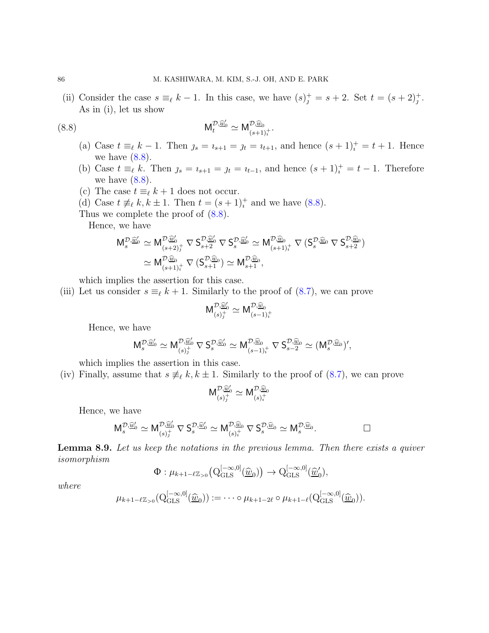(ii) Consider the case  $s \equiv_{\ell} k - 1$ . In this case, we have  $(s)^{+}_{j} = s + 2$ . Set  $t = (s + 2)^{+}_{j}$ . As in (i), let us show

(8.8) 
$$
\mathsf{M}_{t}^{\mathcal{D},\widetilde{\underline{w}}_{0}'} \simeq \mathsf{M}_{(s+1)t}^{\mathcal{D},\widehat{\underline{w}}_{0}}.
$$

- <span id="page-85-0"></span>(a) Case  $t \equiv_{\ell} k - 1$ . Then  $s = i_{s+1} = j_t = i_{t+1}$ , and hence  $(s+1)^+_i = t+1$ . Hence we have  $(8.8)$ .
- (b) Case  $t \equiv_{\ell} k$ . Then  $s = i_{s+1} = j_t = i_{t-1}$ , and hence  $(s+1)^+_i = t-1$ . Therefore we have  $(8.8)$ .
- (c) The case  $t \equiv_{\ell} k + 1$  does not occur.
- (d) Case  $t \neq_{\ell} k, k \pm 1$ . Then  $t = (s+1)^{+}_{i}$  and we have [\(8.8\)](#page-85-0).
- Thus we complete the proof of  $(8.8)$ .

Hence, we have

$$
\begin{aligned} \mathsf{M}^{\mathcal{D},\widetilde{\underline{w}}_0'}_{s} & \simeq \mathsf{M}^{\mathcal{D},\widetilde{\underline{w}}_0'}_{(s+2)_J^+} \nabla \, \mathsf{S}^{\mathcal{D},\widetilde{\underline{w}}_0}_{s+2} \nabla \, \mathsf{S}^{\mathcal{D},\widetilde{\underline{w}}_0}_{s} \simeq \mathsf{M}^{\mathcal{D},\widetilde{\underline{w}}_0}_{(s+1)_t^+} \nabla \, (\mathsf{S}^{\mathcal{D},\widetilde{\underline{w}}_0}_{s+2}) \\ & \simeq \mathsf{M}^{\mathcal{D},\widetilde{\underline{w}}_0}_{(s+1)_t^+} \nabla \, (\mathsf{S}^{\mathcal{D},\widetilde{\underline{w}}_0}_{s+1}) \simeq \mathsf{M}^{\mathcal{D},\widetilde{\underline{w}}_0}_{s+1}, \end{aligned}
$$

which implies the assertion for this case.

(iii) Let us consider  $s \equiv_{\ell} k + 1$ . Similarly to the proof of [\(8.7\)](#page-84-1), we can prove

$$
\mathsf{M}_{(s)j}^{\mathcal{D},\widehat{\underline{w}}'_0} \simeq \mathsf{M}_{(s-1)j}^{\mathcal{D},\widehat{\underline{w}}_0}
$$

Hence, we have

$$
M_s^{\mathcal{D},\widehat{\underline{w}}'_0} \simeq M_{(s)_j^+}^{\mathcal{D},\widehat{\underline{w}}'_0} \nabla S_s^{\mathcal{D},\widehat{\underline{w}}'_0} \simeq M_{(s-1)_i^+}^{\mathcal{D},\widehat{\underline{w}}_0} \nabla S_{s-2}^{\mathcal{D},\widehat{\underline{w}}_0} \simeq (M_s^{\mathcal{D},\widehat{\underline{w}}_0})',
$$

which implies the assertion in this case.

(iv) Finally, assume that  $s \neq_{\ell} k, k \pm 1$ . Similarly to the proof of [\(8.7\)](#page-84-1), we can prove

$$
\mathsf{M}_{(s)_{j}^{+}}^{\mathcal{D},\widehat{\underline{w}}'_{0}}\simeq \mathsf{M}_{(s)_{i}^{+}}^{\mathcal{D},\widehat{\underline{w}}_{0}}
$$

Hence, we have

$$
\mathsf M_s^{\mathcal{D},\widehat{\underline{w}}_0'}\simeq \mathsf M_{(s)_J^{+}}^{\mathcal{D},\widehat{\underline{w}}_0'} \nabla \mathsf S_s^{\mathcal{D},\widehat{\underline{w}}_0'}\simeq \mathsf M_{(s)_t^{+}}^{\mathcal{D},\widehat{\underline{w}}_0}\nabla \mathsf S_s^{\mathcal{D},\widehat{\underline{w}}_0}\simeq \mathsf M_s^{\mathcal{D},\widehat{\underline{w}}_0}.
$$

Lemma 8.9. Let us keep the notations in the previous lemma. Then there exists a quiver isomorphism

$$
\Phi: \mu_{k+1-\ell\mathbb{Z}_{>0}}\big(\mathrm{Q}^{[-\infty,0]}_{\mathrm{GLS}}(\underline{\widehat{w}}_0)\big) \to \mathrm{Q}^{[-\infty,0]}_{\mathrm{GLS}}(\underline{\widehat{w}}'_0),
$$

where

$$
\mu_{k+1-\ell\mathbb{Z}_{>0}}(\mathbf{Q}_{\mathrm{GLS}}^{[-\infty,0]}(\underline{\widehat{w}}_0)):=\cdots\circ\mu_{k+1-2\ell}\circ\mu_{k+1-\ell}(\mathbf{Q}_{\mathrm{GLS}}^{[-\infty,0]}(\underline{\widehat{w}}_0)).
$$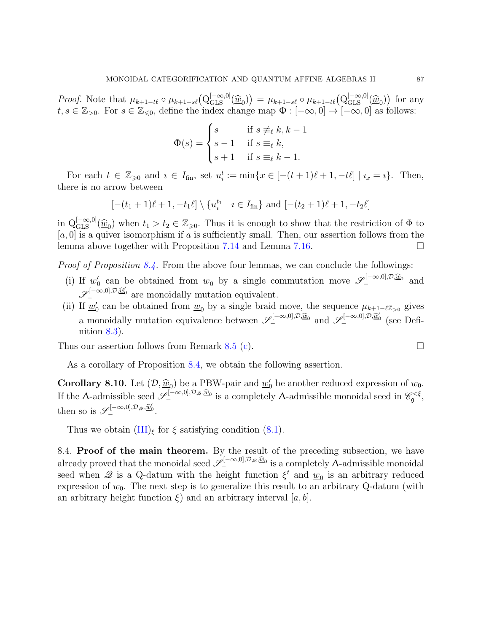Proof. Note that  $\mu_{k+1-t\ell} \circ \mu_{k+1-s\ell} (Q_{\text{GLS}}^{[-\infty,0]}(\hat{w}_0)) = \mu_{k+1-s\ell} \circ \mu_{k+1-t\ell} (Q_{\text{GLS}}^{[-\infty,0]}(\hat{w}_0))$  for any  $t, s \in \mathbb{Z}_{>0}$ . For  $s \in \mathbb{Z}_{\leq 0}$ , define the index change map  $\Phi : [-\infty, 0] \to [-\infty, 0]$  as follows:

$$
\Phi(s) = \begin{cases} s & \text{if } s \not\equiv_{\ell} k, k-1 \\ s-1 & \text{if } s \equiv_{\ell} k, \\ s+1 & \text{if } s \equiv_{\ell} k-1. \end{cases}
$$

For each  $t \in \mathbb{Z}_{\geqslant 0}$  and  $i \in I_{\text{fin}}$ , set  $u_i^t := \min\{x \in [-(t+1)\ell+1, -t\ell] \mid i_x = i\}$ . Then, there is no arrow between

$$
[-(t_1+1)\ell+1, -t_1\ell] \setminus \{u_i^{t_1} | i \in I_{fin}\}\
$$
 and  $[-(t_2+1)\ell+1, -t_2\ell]$ 

in  $Q_{\text{GLS}}^{[-\infty,0]}(\hat{\underline{w}}_0)$  when  $t_1 > t_2 \in \mathbb{Z}_{\geqslant 0}$ . Thus it is enough to show that the restriction of  $\Phi$  to  $[a, 0]$  is a quiver isomorphism if a is sufficiently small. Then, our assertion follows from the lemma above together with Proposition [7.14](#page-68-0) and Lemma [7.16.](#page-69-1)

Proof of Proposition [8.4.](#page-82-0) From the above four lemmas, we can conclude the followings:

- (i) If  $\underline{w}'_0$  can be obtained from  $\underline{w}_0$  by a single commutation move  $\mathscr{S}^{[-\infty,0],\mathcal{D},\widehat{\underline{w}}_0}_{-}$  and  $\mathscr{S}_{-}^{[-\infty,0],\mathcal{D},\underline{\widetilde{w}}_0'}$  are monoidally mutation equivalent.
- (ii) If  $\underline{w}'_0$  can be obtained from  $\underline{w}_0$  by a single braid move, the sequence  $\mu_{k+1-\ell \mathbb{Z}_{>0}}$  gives a monoidally mutation equivalence between  $\mathscr{S}_{-}^{[-\infty,0],\mathcal{D},\underline{\widehat{w}}_0}$  and  $\mathscr{S}_{-}^{[-\infty,0],\mathcal{D},\underline{\widehat{w}}_0}$  (see Definition [8.3\)](#page-81-1).

Thus our assertion follows from Remark [8.5](#page-82-2) [\(c\)](#page-83-1).

As a corollary of Proposition [8.4,](#page-82-0) we obtain the following assertion.

<span id="page-86-0"></span>**Corollary 8.10.** Let  $(\mathcal{D}, \underline{\widehat{w}}_0)$  be a PBW-pair and  $\underline{w}'_0$  be another reduced expression of  $w_0$ . If the  $\Lambda$ -admissible seed  $\mathscr{S}^{[-\infty,0], \mathcal{D}_{\mathscr{Q}}, \underline{\widehat{w}}_0}_{-}$  is a completely  $\Lambda$ -admissible monoidal seed in  $\mathscr{C}^{<\xi}_{\mathfrak{g}},$ then so is  $\mathscr{S}_{-}^{[-\infty,0], \mathcal{D}_{\mathscr{Q}}, \underline{\widehat{w}}'_{0}}$ .

Thus we obtain  $(III)_{\xi}$  for  $\xi$  satisfying condition  $(8.1)$ .

8.4. Proof of the main theorem. By the result of the preceding subsection, we have already proved that the monoidal seed  $\mathscr{S}_{-}^{[-\infty,0],\mathcal{D}_{\mathscr{Q}},\underline{\hat{w}}_0}$  is a completely  $\Lambda$ -admissible monoidal seed when  $\mathcal{Q}$  is a Q-datum with the height function  $\xi^t$  and  $\underline{w}_0$  is an arbitrary reduced expression of  $w_0$ . The next step is to generalize this result to an arbitrary Q-datum (with an arbitrary height function  $\xi$ ) and an arbitrary interval [a, b].

$$
\Box
$$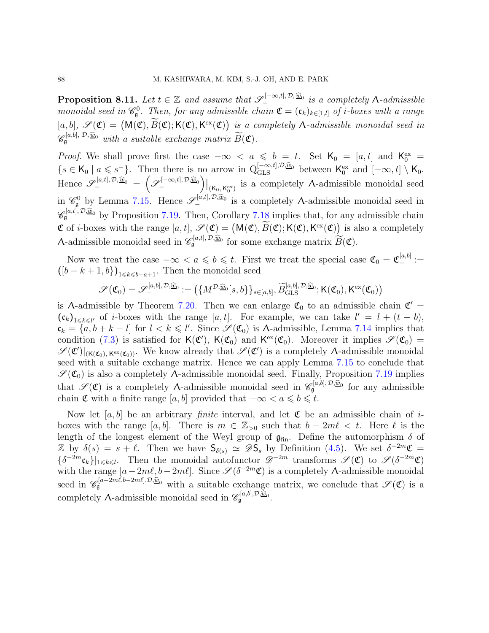<span id="page-87-0"></span>**Proposition 8.11.** Let  $t \in \mathbb{Z}$  and assume that  $\mathscr{S}_{-}^{[-\infty,t],\mathcal{D},\widehat{\underline{w}}_0}$  is a completely  $\Lambda$ -admissible monoidal seed in  $\mathcal{C}_{\mathfrak{g}}^0$ . Then, for any admissible chain  $\mathfrak{C} = (\mathfrak{c}_k)_{k \in [1,l]}$  of *i*-boxes with a range  $[a, b], \mathscr{S}(\mathfrak{C}) = (M(\mathfrak{C}), \widetilde{B}(\mathfrak{C}); K(\mathfrak{C}), K^{\text{ex}}(\mathfrak{C}))$  is a completely  $\Lambda$ -admissible monoidal seed in  $\mathscr{C}_{\mathfrak{g}}^{[a,b],\,\mathcal{D},\,\widehat{\underline{w}}_0}$  with a suitable exchange matrix  $\widetilde{B}(\mathfrak{C})$ .

*Proof.* We shall prove first the case  $-\infty < a \leq b = t$ . Set  $\mathsf{K}_0 = [a, t]$  and  $\mathsf{K}_0^{\text{ex}} =$  $\{s \in \mathsf{K}_0 \mid a \leqslant s^-\}$ . Then there is no arrow in  $Q_{\text{GLS}}^{[-\infty, t], \mathcal{D}, \widehat{\underline{w}}_0}$  between  $\mathsf{K}_0^{\text{ex}}$  and  $[-\infty, t] \setminus \mathsf{K}_0$ . Hence  $\mathscr{S}^{[a,t],\mathcal{D},\underline{\widehat{w}}_0}_{-} = \left(\mathscr{S}^{[-\infty,t],\mathcal{D},\underline{\widehat{w}}_0}_{-}\right)|_{(\mathsf{K}_0,\mathsf{K}_0^{\mathrm{ex}})}$  is a completely A-admissible monoidal seed in  $\mathscr{C}_{\mathfrak{g}}^0$  by Lemma [7.15.](#page-68-1) Hence  $\mathscr{S}_{-}^{[a,t], \mathcal{D}, \widehat{\underline{w}}_0}$  is a completely A-admissible monoidal seed in  $\mathscr{C}_{\mathfrak{g}}^{[a,t],\mathcal{D},\widehat{\underline{w}}_0}$  by Proposition [7.19.](#page-70-1) Then, Corollary [7.18](#page-70-2) implies that, for any admissible chain  $\mathfrak C$  of *i*-boxes with the range  $[a, t], \mathscr S(\mathfrak C) = (M(\mathfrak C), \widetilde{B}(\mathfrak C); K(\mathfrak C), K^{\text{ex}}(\mathfrak C))$  is also a completely A-admissible monoidal seed in  $\mathscr{C}_{\mathfrak{g}}^{[a,t], \mathcal{D}, \widehat{\underline{w}}_0}$  for some exchange matrix  $\widetilde{B}(\mathfrak{C})$ .

Now we treat the case  $-\infty < a \leqslant b \leqslant t$ . First we treat the special case  $\mathfrak{C}_0 = \mathfrak{C}_{-}^{[a,b]} :=$  $([b-k+1,b])_{1\leq k\leq b-a+1}$ . Then the monoidal seed

$$
\mathscr{S}(\mathfrak{C}_0) = \mathscr{S}^{[a,b],\mathcal{D},\widehat{\underline{w}}_0}_{-} := \left( \{ M^{\mathcal{D},\widehat{\underline{w}}_0}[s,b] \}_{s \in [a,b]}, \widetilde{B}^{[a,b],\mathcal{D},\widehat{\underline{w}}_0}_{\text{GLS}}; \mathsf{K}(\mathfrak{C}_0), \mathsf{K}^{\text{ex}}(\mathfrak{C}_0) \right)
$$

is A-admissible by Theorem [7.20.](#page-71-2) Then we can enlarge  $\mathfrak{C}_0$  to an admissible chain  $\mathfrak{C}'$  =  $(\mathfrak{c}_k)_{1\leq k\leq l'}$  of *i*-boxes with the range [a, t]. For example, we can take  $l' = l + (t - b)$ ,  $c_k = \{a, b + k - l\}$  for  $l < k \leq l'$ . Since  $\mathscr{S}(\mathfrak{C}_0)$  is  $\Lambda$ -admissible, Lemma [7.14](#page-68-0) implies that condition [\(7.3\)](#page-68-2) is satisfied for  $K(\mathfrak{C})$ ,  $K(\mathfrak{C}_0)$  and  $K^{\text{ex}}(\mathfrak{C}_0)$ . Moreover it implies  $\mathscr{S}(\mathfrak{C}_0)$  =  $\mathscr{S}(\mathfrak{C}')|_{(\mathsf{K}(\mathfrak{C}_0),\,\mathsf{K}^{\mathrm{ex}}(\mathfrak{C}_0))}$ . We know already that  $\mathscr{S}(\mathfrak{C}')$  is a completely A-admissible monoidal seed with a suitable exchange matrix. Hence we can apply Lemma [7.15](#page-68-1) to conclude that  $\mathscr{S}(\mathfrak{C}_0)$  is also a completely A-admissible monoidal seed. Finally, Proposition [7.19](#page-70-1) implies that  $\mathscr{S}(\mathfrak{C})$  is a completely A-admissible monoidal seed in  $\mathscr{C}_{\mathfrak{g}}^{[a,b],\mathcal{D},\widehat{\underline{w}}_0}$  for any admissible chain  $\mathfrak C$  with a finite range [a, b] provided that  $-\infty < a \leqslant b \leqslant t$ .

Now let  $[a, b]$  be an arbitrary *finite* interval, and let  $\mathfrak C$  be an admissible chain of iboxes with the range [a, b]. There is  $m \in \mathbb{Z}_{>0}$  such that  $b - 2m\ell < t$ . Here  $\ell$  is the length of the longest element of the Weyl group of  $\mathfrak{g}_{fin}$ . Define the automorphism  $\delta$  of  $\mathbb{Z}$  by  $\delta(s) = s + \ell$ . Then we have  $\mathsf{S}_{\delta(s)} \simeq \mathscr{D}\mathsf{S}_s$  by Definition [\(4.5\)](#page-30-1). We set  $\delta^{-2m}\mathfrak{C} =$  $\{\delta^{-2m}\mathfrak{c}_k\}|_{1\leq k\leq l}$ . Then the monoidal autofunctor  $\mathscr{D}^{-2m}$  transforms  $\mathscr{S}(\mathfrak{C})$  to  $\mathscr{S}(\delta^{-2m}\mathfrak{C})$ with the range  $[a-2m\ell, b-2m\ell]$ . Since  $\mathscr{S}(\delta^{-2m}\mathfrak{C})$  is a completely  $\Lambda$ -admissible monoidal seed in  $\mathscr{C}_{\mathfrak{g}}^{[a-2m\ell,b-2m\ell],\mathcal{D},\widehat{\underline{w}}_0}$  with a suitable exchange matrix, we conclude that  $\mathscr{S}(\mathfrak{C})$  is a completely  $\Lambda$ -admissible monoidal seed in  $\mathscr{C}_{\mathfrak{g}}^{[a,b],\mathcal{D},\widehat{\underline{w}}_0}$ .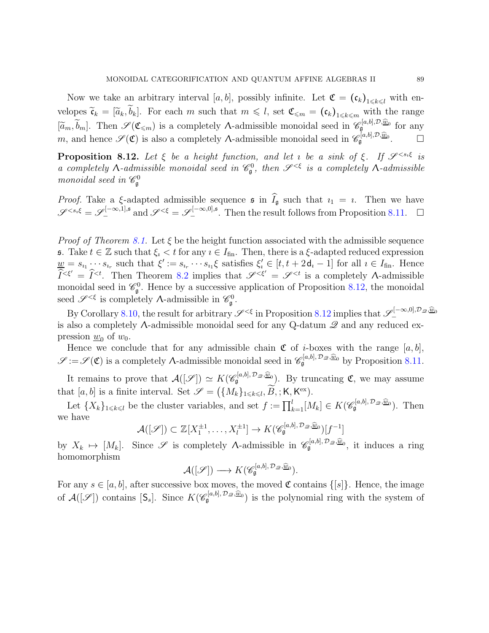Now we take an arbitrary interval [a, b], possibly infinite. Let  $\mathfrak{C} = (\mathfrak{c}_k)_{1 \leq k \leq l}$  with envelopes  $\tilde{\mathfrak{c}}_k = [\tilde{a}_k, \tilde{b}_k]$ . For each m such that  $m \leq l$ , set  $\mathfrak{C}_{\leq m} = (\mathfrak{c}_k)_{1 \leq k \leq m}$  with the range  $[\widetilde{a}_m, \widetilde{b}_m]$ . Then  $\mathscr{S}(\mathfrak{C}_{\leqslant m})$  is a completely  $\Lambda$ -admissible monoidal seed in  $\mathscr{C}_{\mathfrak{g}}^{[a,b],\mathcal{D},\widehat{w}_0}$  for any m, and hence  $\mathscr{S}(\mathfrak{C})$  is also a completely A-admissible monoidal seed in  $\mathscr{C}_{\mathfrak{g}}^{[a,b],\mathcal{D},\widehat{\underline{w}}_0}$ .

<span id="page-88-0"></span>**Proposition 8.12.** Let  $\xi$  be a height function, and let *i* be a sink of  $\xi$ . If  $\mathscr{S}^{ is$ a completely  $\Lambda$ -admissible monoidal seed in  $\mathcal{C}_{\mathfrak{g}}^0$ , then  $\mathcal{S}^{<\xi}$  is a completely  $\Lambda$ -admissible monoidal seed in  $\mathscr{C}_{\mathfrak{g}}^0$ 

*Proof.* Take a  $\xi$ -adapted admissible sequence  $\sin \widehat{I}_{\mathfrak{g}}$  such that  $i_1 = i$ . Then we have  $\mathscr{S}^{ and  $\mathscr{S}^{<\xi} = \mathscr{S}^{[-\infty,0],\mathfrak{s}}_-$ . Then the result follows from Proposition [8.11.](#page-87-0)  $\Box$$ 

*Proof of Theorem [8.1.](#page-79-0)* Let  $\xi$  be the height function associated with the admissible sequence **s**. Take  $t \in \mathbb{Z}$  such that  $\xi_i < t$  for any  $i \in I_{fin}$ . Then, there is a  $\xi$ -adapted reduced expression  $\underline{w} = s_{i_1} \cdots s_{i_r}$  such that  $\xi' := s_{i_r} \cdots s_{i_1} \xi$  satisfies  $\xi'_i \in [t, t + 2d_i - 1]$  for all  $i \in I_{fin}$ . Hence  $\widehat{I}^{<\xi'} = \widehat{I}^{<\iota}$ . Then Theorem [8.2](#page-81-0) implies that  $\mathscr{S}^{<\xi'} = \mathscr{S}^{<\iota}$  is a completely A-admissible monoidal seed in  $\mathcal{C}_{\mathfrak{g}}^0$ . Hence by a successive application of Proposition [8.12,](#page-88-0) the monoidal seed  $\mathscr{S}^{<\xi}$  is completely  $\Lambda$ -admissible in  $\mathscr{C}^0_\mathfrak{g}$ .

By Corollary [8.10,](#page-86-0) the result for arbitrary  $\mathscr{S}^{<\xi}$  in Proposition [8.12](#page-88-0) implies that  $\mathscr{S}^{[-\infty,0],\mathcal{D}_\mathscr{Q},\widehat{\mathscr{U}}_0]}$ is also a completely  $\Lambda$ -admissible monoidal seed for any Q-datum  $\mathscr Q$  and any reduced expression  $\underline{w}_0$  of  $w_0$ .

Hence we conclude that for any admissible chain  $\mathfrak C$  of *i*-boxes with the range [a, b],  $\mathscr{S} := \mathscr{S}(\mathfrak{C})$  is a completely  $\Lambda$ -admissible monoidal seed in  $\mathscr{C}_{\mathfrak{g}}^{[a,b], \mathcal{D}_{\mathscr{Q}}, \widehat{\mathscr{Q}}_0}$  by Proposition [8.11.](#page-87-0)

It remains to prove that  $\mathcal{A}([\mathscr{S}]) \simeq K(\mathscr{C}_{\mathfrak{g}}^{[a,b], \mathcal{D}_{\mathscr{Q}}, \widehat{\underline{w}}_{0}})$ . By truncating  $\mathfrak{C}$ , we may assume that  $[a, b]$  is a finite interval. Set  $\mathscr{S} = (\{M_k\}_{1 \leq k \leq l}, \widetilde{B}, ; K, K^{\text{ex}}).$ 

Let  $\{X_k\}_{1\leq k\leq l}$  be the cluster variables, and set  $f := \prod_{k=1}^l [M_k] \in K(\mathscr{C}_{\mathfrak{g}}^{[a,b], \mathcal{D}_{\mathscr{Q}}, \widehat{\mathscr{Q}}_0})$ . Then we have

$$
\mathcal{A}([\mathscr{S}]) \subset \mathbb{Z}[X_1^{\pm 1}, \dots, X_l^{\pm 1}] \to K(\mathscr{C}_{\mathfrak{g}}^{[a,b], \mathcal{D}_\mathscr{D}, \widehat{\underline{w}}_0})[f^{-1}]
$$

by  $X_k \mapsto [M_k]$ . Since  $\mathscr S$  is completely  $\Lambda$ -admissible in  $\mathscr C_{\mathfrak{g}}^{[a,b], \mathcal{D}_{\mathscr D}, \widehat{\mathscr Q}}$ , it induces a ring homomorphism

$$
\mathcal{A}([\mathscr{S}]) \longrightarrow K(\mathscr{C}_{\mathfrak{g}}^{[a,b], \mathcal{D}_{\mathscr{Q}}, \widehat{\underline{w}}_0}).
$$

For any  $s \in [a, b]$ , after successive box moves, the moved  $\mathfrak C$  contains  $\{[s]\}\.$  Hence, the image of  $\mathcal{A}([\mathscr{S}])$  contains  $[\mathsf{S}_s]$ . Since  $K(\mathscr{C}_{\mathfrak{g}}^{[a,b], \mathcal{D}_{\mathscr{Q}},\underline{\widehat{w}}_0})$  is the polynomial ring with the system of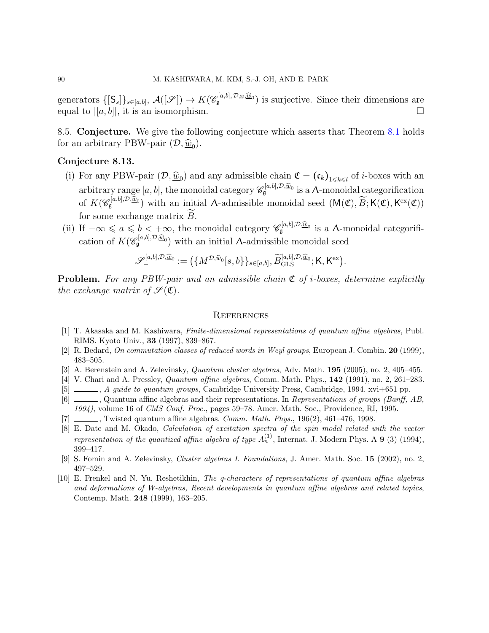generators  $\{[\mathsf{S}_s]\}_{s\in[a,b]}, \mathcal{A}([\mathscr{S}]) \to K(\mathscr{C}_{\mathfrak{g}}^{[a,b], \mathcal{D}_{\mathscr{Q}},\underline{\widehat{w}}_0})$  is surjective. Since their dimensions are equal to  $|[a, b]|$ , it is an isomorphism.

8.5. Conjecture. We give the following conjecture which asserts that Theorem [8.1](#page-79-0) holds for an arbitrary PBW-pair  $(D, \hat{\underline{w}}_0)$ .

### Conjecture 8.13.

- (i) For any PBW-pair  $(D, \hat{w}_0)$  and any admissible chain  $\mathfrak{C} = (\mathfrak{c}_k)_{1 \leq k \leq l}$  of *i*-boxes with an arbitrary range  $[a, b]$ , the monoidal category  $\mathscr{C}_{\mathfrak{g}}^{[a, b], \mathcal{D}, \widehat{\underline{w}}_0}$  is a A-monoidal categorification of  $K(\mathscr{C}_{\mathfrak{g}}^{[a,b],\mathcal{D},\widehat{\underline{w}}_0})$  with an initial A-admissible monoidal seed  $(M(\mathfrak{C}),\widetilde{B};\mathsf{K}(\mathfrak{C}),\mathsf{K}^{\text{ex}}(\mathfrak{C}))$ for some exchange matrix  $B$ .
- (ii) If  $-\infty \leq a \leq b < +\infty$ , the monoidal category  $\mathscr{C}_{\mathfrak{g}}^{[a,b],\mathcal{D},\widehat{\underline{w}}_0}$  is a A-monoidal categorification of  $K(\mathscr{C}_{\mathfrak{g}}^{[a,b],\mathcal{D},\widehat{\underline{w}}_0})$  with an initial A-admissible monoidal seed

$$
\mathscr{S}^{[a,b],\mathcal{D},\widehat{\underline{w}}_0}_{-} := (\{M^{\mathcal{D},\widehat{\underline{w}}_0}[s,b\}\}_{s\in [a,b]}, \widetilde{B}^{[a,b],\mathcal{D},\widehat{\underline{w}}_0}_{\text{GLS}}; \mathsf{K},\mathsf{K}^{\text{ex}}).
$$

**Problem.** For any PBW-pair and an admissible chain  $\mathfrak{C}$  of *i*-boxes, determine explicitly the exchange matrix of  $\mathscr{S}(\mathfrak{C})$ .

### **REFERENCES**

- [1] T. Akasaka and M. Kashiwara, Finite-dimensional representations of quantum affine algebras, Publ. RIMS. Kyoto Univ., 33 (1997), 839–867.
- [2] R. Bedard, On commutation classes of reduced words in Weyl groups, European J. Combin. 20 (1999), 483–505.
- [3] A. Berenstein and A. Zelevinsky, *Quantum cluster algebras*, Adv. Math. **195** (2005), no. 2, 405–455.
- [4] V. Chari and A. Pressley, Quantum affine algebras, Comm. Math. Phys., 142 (1991), no. 2, 261–283.
- [5]  $\ldots$ , A quide to quantum groups, Cambridge University Press, Cambridge, 1994. xvi+651 pp.
- [6]  $\Box$ , Quantum affine algebras and their representations. In Representations of groups (Banff, AB, 1994), volume 16 of CMS Conf. Proc., pages 59–78. Amer. Math. Soc., Providence, RI, 1995.
- $[7]$  , Twisted quantum affine algebras. *Comm. Math. Phys.*,  $196(2)$ ,  $461-476$ , 1998.
- [8] E. Date and M. Okado, Calculation of excitation spectra of the spin model related with the vector representation of the quantized affine algebra of type  $A_n^{(1)}$ , Internat. J. Modern Phys. A 9 (3) (1994), 399–417.
- [9] S. Fomin and A. Zelevinsky, Cluster algebras I. Foundations, J. Amer. Math. Soc. 15 (2002), no. 2, 497–529.
- [10] E. Frenkel and N. Yu. Reshetikhin, The q-characters of representations of quantum affine algebras and deformations of W-algebras, Recent developments in quantum affine algebras and related topics, Contemp. Math. 248 (1999), 163–205.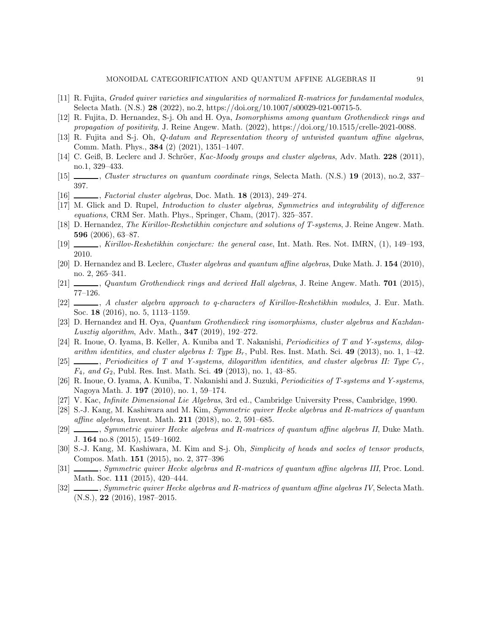- [11] R. Fujita, Graded quiver varieties and singularities of normalized R-matrices for fundamental modules, Selecta Math. (N.S.) 28 (2022), no.2, https://doi.org/10.1007/s00029-021-00715-5.
- [12] R. Fujita, D. Hernandez, S-j. Oh and H. Oya, Isomorphisms among quantum Grothendieck rings and propagation of positivity, J. Reine Angew. Math. (2022), https://doi.org/10.1515/crelle-2021-0088.
- [13] R. Fujita and S-j. Oh, Q-datum and Representation theory of untwisted quantum affine algebras, Comm. Math. Phys., 384 (2) (2021), 1351–1407.
- [14] C. Geiß, B. Leclerc and J. Schröer, Kac-Moody groups and cluster algebras, Adv. Math. 228 (2011), no.1, 329–433.
- [15] , Cluster structures on quantum coordinate rings, Selecta Math. (N.S.) 19 (2013), no.2, 337– 397.
- $[16]$   $\_\_\_\_\_$ , Factorial cluster algebras, Doc. Math. 18 (2013), 249–274.
- [17] M. Glick and D. Rupel, Introduction to cluster algebras, Symmetries and integrability of difference equations, CRM Ser. Math. Phys., Springer, Cham, (2017). 325–357.
- [18] D. Hernandez, The Kirillov-Reshetikhin conjecture and solutions of T-systems, J. Reine Angew. Math. 596 (2006), 63–87.
- [19] , Kirillov-Reshetikhin conjecture: the general case, Int. Math. Res. Not. IMRN, (1), 149–193, 2010.
- [20] D. Hernandez and B. Leclerc, Cluster algebras and quantum affine algebras, Duke Math. J. 154 (2010), no. 2, 265–341.
- <span id="page-90-0"></span>[21]  $\_\_\_\_\_$ , Quantum Grothendieck rings and derived Hall algebras, J. Reine Angew. Math. 701 (2015), 77–126.
- [22]  $\_\_\_\_\_\$ , A cluster algebra approach to q-characters of Kirillov-Reshetikhin modules, J. Eur. Math. Soc. 18 (2016), no. 5, 1113–1159.
- [23] D. Hernandez and H. Oya, Quantum Grothendieck ring isomorphisms, cluster algebras and Kazhdan-Lusztig algorithm, Adv. Math., 347 (2019), 192–272.
- [24] R. Inoue, O. Iyama, B. Keller, A. Kuniba and T. Nakanishi, Periodicities of T and Y-systems, dilogarithm identities, and cluster algebras I: Type  $B_r$ , Publ. Res. Inst. Math. Sci. 49 (2013), no. 1, 1–42.
- [25] , Periodicities of T and Y-systems, dilogarithm identities, and cluster algebras II: Type Cr,  $F_4$ , and  $G_2$ , Publ. Res. Inst. Math. Sci. 49 (2013), no. 1, 43–85.
- [26] R. Inoue, O. Iyama, A. Kuniba, T. Nakanishi and J. Suzuki, Periodicities of T-systems and Y-systems, Nagoya Math. J. 197 (2010), no. 1, 59–174.
- [27] V. Kac, Infinite Dimensional Lie Algebras, 3rd ed., Cambridge University Press, Cambridge, 1990.
- [28] S.-J. Kang, M. Kashiwara and M. Kim, Symmetric quiver Hecke algebras and R-matrices of quantum affine algebras, Invent. Math. 211 (2018), no. 2, 591–685.
- [29] Symmetric quiver Hecke algebras and R-matrices of quantum affine algebras II, Duke Math. J. 164 no.8 (2015), 1549–1602.
- [30] S.-J. Kang, M. Kashiwara, M. Kim and S-j. Oh, Simplicity of heads and socles of tensor products, Compos. Math. 151 (2015), no. 2, 377–396
- [31] Symmetric quiver Hecke algebras and R-matrices of quantum affine algebras III, Proc. Lond. Math. Soc. 111 (2015), 420–444.
- [32] Symmetric quiver Hecke algebras and R-matrices of quantum affine algebras IV, Selecta Math. (N.S.), 22 (2016), 1987–2015.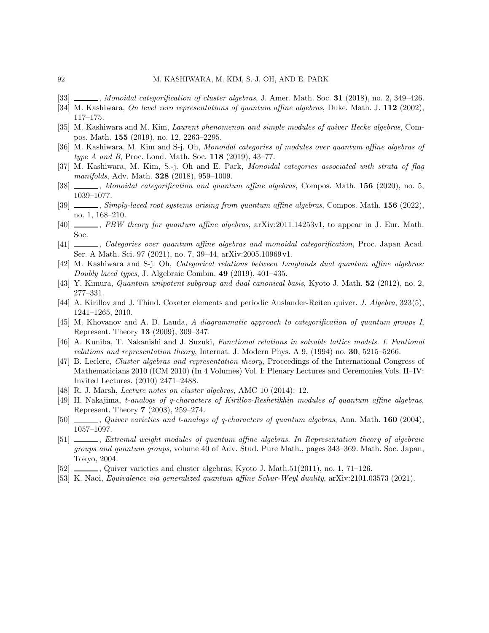- [33] Monoidal categorification of cluster algebras, J. Amer. Math. Soc. 31 (2018), no. 2, 349–426.
- [34] M. Kashiwara, On level zero representations of quantum affine algebras, Duke. Math. J. 112 (2002), 117–175.
- [35] M. Kashiwara and M. Kim, Laurent phenomenon and simple modules of quiver Hecke algebras, Compos. Math. 155 (2019), no. 12, 2263–2295.
- [36] M. Kashiwara, M. Kim and S-j. Oh, Monoidal categories of modules over quantum affine algebras of type A and B, Proc. Lond. Math. Soc. 118 (2019), 43-77.
- [37] M. Kashiwara, M. Kim, S.-j. Oh and E. Park, Monoidal categories associated with strata of flag manifolds, Adv. Math. **328** (2018), 959-1009.
- [38] Monoidal categorification and quantum affine algebras, Compos. Math. 156 (2020), no. 5, 1039–1077.
- <span id="page-91-1"></span>[39] Simply-laced root systems arising from quantum affine algebras, Compos. Math. 156 (2022), no. 1, 168–210.
- [40] , PBW theory for quantum affine algebras, arXiv:2011.14253v1, to appear in J. Eur. Math. Soc.
- [41] Categories over quantum affine algebras and monoidal categorification, Proc. Japan Acad. Ser. A Math. Sci. 97 (2021), no. 7, 39–44, arXiv:2005.10969 v1.
- [42] M. Kashiwara and S-j. Oh, Categorical relations between Langlands dual quantum affine algebras: Doubly laced types, J. Algebraic Combin. 49 (2019), 401–435.
- [43] Y. Kimura, *Quantum unipotent subgroup and dual canonical basis*, Kyoto J. Math. **52** (2012), no. 2, 277–331.
- [44] A. Kirillov and J. Thind. Coxeter elements and periodic Auslander-Reiten quiver. J. Algebra, 323(5), 1241–1265, 2010.
- [45] M. Khovanov and A. D. Lauda, A diagrammatic approach to categorification of quantum groups I, Represent. Theory 13 (2009), 309–347.
- [46] A. Kuniba, T. Nakanishi and J. Suzuki, Functional relations in solvable lattice models. I. Funtional relations and representation theory, Internat. J. Modern Phys. A 9, (1994) no. 30, 5215–5266.
- [47] B. Leclerc, Cluster algebras and representation theory, Proceedings of the International Congress of Mathematicians 2010 (ICM 2010) (In 4 Volumes) Vol. I: Plenary Lectures and Ceremonies Vols. II–IV: Invited Lectures. (2010) 2471–2488.
- [48] R. J. Marsh, Lecture notes on cluster algebras, AMC 10 (2014): 12.
- [49] H. Nakajima, t-analogs of q-characters of Kirillov-Reshetikhin modules of quantum affine algebras, Represent. Theory 7 (2003), 259–274.
- [50]  $\_\_\_\_\_$ , Quiver varieties and t-analogs of q-characters of quantum algebras, Ann. Math. 160 (2004), 1057–1097.
- [51] , Extremal weight modules of quantum affine algebras. In Representation theory of algebraic groups and quantum groups, volume 40 of Adv. Stud. Pure Math., pages 343–369. Math. Soc. Japan, Tokyo, 2004.
- [52] , Quiver varieties and cluster algebras, Kyoto J. Math.51(2011), no. 1, 71–126.
- [53] K. Naoi, Equivalence via generalized quantum affine Schur-Weyl duality, arXiv:2101.03573 (2021).

<span id="page-91-0"></span>